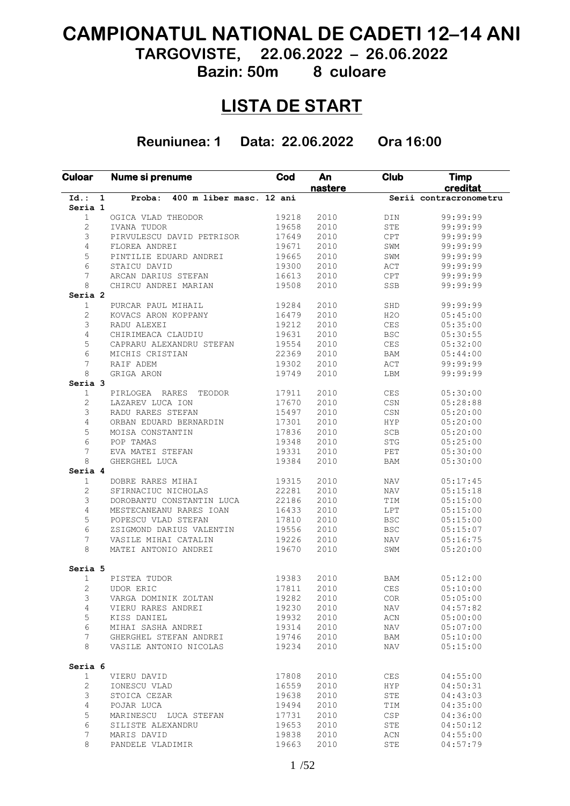# **CAMPIONATUL NATIONAL DE CADETI 12–14 ANI**

**TARGOVISTE, 22.06.2022 – 26.06.2022**

**Bazin: 50m 8 culoare**

# **LISTA DE START**

**Reuniunea: 1 Data: 22.06.2022 Ora 16:00**

| <b>Culoar</b>           | Nume si prenume                    | Cod   | An<br>nastere | <b>Club</b>            | <b>Timp</b><br>creditat |
|-------------------------|------------------------------------|-------|---------------|------------------------|-------------------------|
| $Id.$ :<br>$\mathbf{1}$ | 400 m liber masc. 12 ani<br>Proba: |       |               |                        | Serii contracronometru  |
| Seria 1                 |                                    |       |               |                        |                         |
| $\mathbf{1}$            | OGICA VLAD THEODOR                 | 19218 | 2010          | DIN                    | 99:99:99                |
| $\overline{c}$          | IVANA TUDOR                        | 19658 | 2010          | <b>STE</b>             | 99:99:99                |
| 3                       | PIRVULESCU DAVID PETRISOR          | 17649 | 2010          | CPT                    | 99:99:99                |
| 4                       | FLOREA ANDREI                      | 19671 | 2010          | SWM                    | 99:99:99                |
| 5                       | PINTILIE EDUARD ANDREI             | 19665 | 2010          | SWM                    | 99:99:99                |
| 6                       | STAICU DAVID                       | 19300 | 2010          | ACT                    | 99:99:99                |
| 7                       | ARCAN DARIUS STEFAN                | 16613 | 2010          | $\mathtt{CPT}$         | 99:99:99                |
| 8                       | CHIRCU ANDREI MARIAN               | 19508 | 2010          | SSB                    | 99:99:99                |
| Seria <sub>2</sub>      |                                    |       |               |                        |                         |
| $\mathbf{1}$            | PURCAR PAUL MIHAIL                 | 19284 | 2010          | SHD                    | 99:99:99                |
| 2                       | KOVACS ARON KOPPANY                | 16479 | 2010          | H2O                    | 05:45:00                |
| 3                       | RADU ALEXEI                        | 19212 | 2010          | $\mbox{CES}$           | 05:35:00                |
| 4                       | CHIRIMEACA CLAUDIU                 | 19631 | 2010          | <b>BSC</b>             | 05:30:55                |
| 5                       |                                    | 19554 | 2010          |                        |                         |
|                         | CAPRARU ALEXANDRU STEFAN           |       |               | CES                    | 05:32:00                |
| 6                       | MICHIS CRISTIAN                    | 22369 | 2010          | <b>BAM</b>             | 05:44:00                |
| 7                       | RAIF ADEM                          | 19302 | 2010          | ACT                    | 99:99:99                |
| 8                       | GRIGA ARON                         | 19749 | 2010          | LBM                    | 99:99:99                |
| Seria 3                 |                                    |       |               |                        |                         |
| $\mathbf{1}$            | PIRLOGEA<br><b>RARES</b><br>TEODOR | 17911 | 2010          | $\mbox{CES}$           | 05:30:00                |
| 2                       | LAZAREV LUCA ION                   | 17670 | 2010          | $_{\tt CSN}$           | 05:28:88                |
| 3                       | RADU RARES STEFAN                  | 15497 | 2010          | $_{\mbox{\tiny{CSN}}}$ | 05:20:00                |
| 4                       | ORBAN EDUARD BERNARDIN             | 17301 | 2010          | <b>HYP</b>             | 05:20:00                |
| 5                       | MOISA CONSTANTIN                   | 17836 | 2010          | $_{\rm SCB}$           | 05:20:00                |
| 6                       | POP TAMAS                          | 19348 | 2010          | <b>STG</b>             | 05:25:00                |
| 7                       | EVA MATEI STEFAN                   | 19331 | 2010          | PET                    | 05:30:00                |
| 8                       | GHERGHEL LUCA                      | 19384 | 2010          | <b>BAM</b>             | 05:30:00                |
| Seria 4                 |                                    |       |               |                        |                         |
| 1                       | DOBRE RARES MIHAI                  | 19315 | 2010          | <b>NAV</b>             | 05:17:45                |
| 2                       | SFIRNACIUC NICHOLAS                | 22281 | 2010          | <b>NAV</b>             | 05:15:18                |
| 3                       | DOROBANTU CONSTANTIN LUCA          | 22186 | 2010          | TIM                    | 05:15:00                |
| 4                       | MESTECANEANU RARES IOAN            | 16433 | 2010          | LPT                    | 05:15:00                |
| 5                       | POPESCU VLAD STEFAN                | 17810 | 2010          | <b>BSC</b>             | 05:15:00                |
| 6                       |                                    | 19556 | 2010          |                        |                         |
|                         | ZSIGMOND DARIUS VALENTIN           |       |               | <b>BSC</b>             | 05:15:07                |
| 7                       | VASILE MIHAI CATALIN               | 19226 | 2010          | NAV                    | 05:16:75                |
| 8                       | MATEI ANTONIO ANDREI               | 19670 | 2010          | SWM                    | 05:20:00                |
| Seria 5                 |                                    |       |               |                        |                         |
| 1                       | PISTEA TUDOR                       | 19383 | 2010          | <b>BAM</b>             | 05:12:00                |
| $\overline{c}$          | <b>UDOR ERIC</b>                   | 17811 | 2010          | <b>CES</b>             | 05:10:00                |
| 3                       | VARGA DOMINIK ZOLTAN               | 19282 | 2010          | COR.                   | 05:05:00                |
| 4                       | VIERU RARES ANDREI                 | 19230 | 2010          | NAV                    | 04:57:82                |
| 5                       | KISS DANIEL                        | 19932 | 2010          | ACN                    | 05:00:00                |
| 6                       | MIHAI SASHA ANDREI                 | 19314 | 2010          | NAV                    | 05:07:00                |
| 7                       | GHERGHEL STEFAN ANDREI             | 19746 | 2010          | BAM                    | 05:10:00                |
| 8                       | VASILE ANTONIO NICOLAS             | 19234 | 2010          | NAV                    | 05:15:00                |
|                         |                                    |       |               |                        |                         |
| Seria 6                 |                                    |       |               |                        |                         |
| 1                       | VIERU DAVID                        | 17808 | 2010          | CES                    | 04:55:00                |
| $\mathbf{2}$            | IONESCU VLAD                       | 16559 | 2010          | HYP                    | 04:50:31                |
| 3                       | STOICA CEZAR                       | 19638 | 2010          | STE                    | 04:43:03                |
| 4                       | POJAR LUCA                         | 19494 | 2010          | TIM                    | 04:35:00                |
| 5                       | MARINESCU LUCA STEFAN              | 17731 | 2010          | CSP                    | 04:36:00                |
| 6                       | SILISTE ALEXANDRU                  | 19653 | 2010          | STE                    | 04:50:12                |
| 7                       | MARIS DAVID                        | 19838 | 2010          | ACN                    | 04:55:00                |
| 8                       | PANDELE VLADIMIR                   | 19663 | 2010          | STE                    | 04:57:79                |
|                         |                                    |       |               |                        |                         |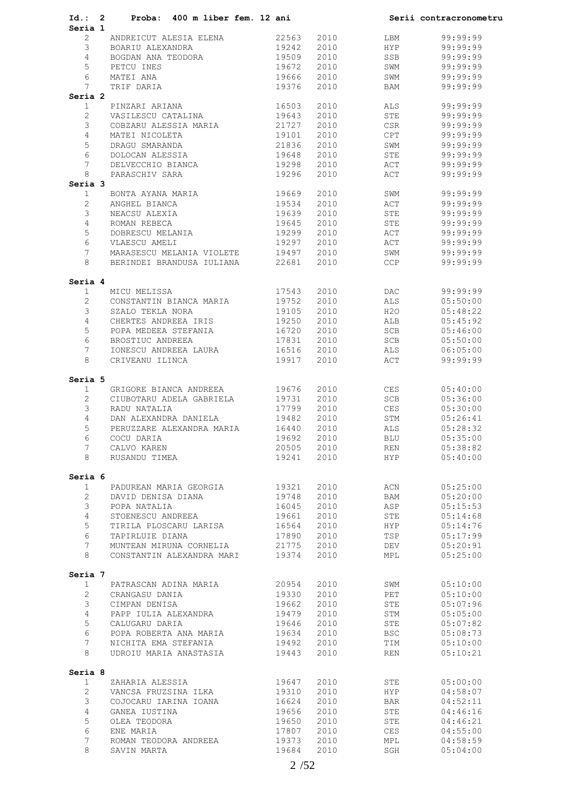| Id.: 2                    | Proba: 400 m liber fem. 12 ani  |       |      |            | Serii contracronometru |
|---------------------------|---------------------------------|-------|------|------------|------------------------|
| Seria 1<br>$\overline{2}$ | ANDREICUT ALESIA ELENA          | 22563 | 2010 | LBM        | 99:99:99               |
| $3 -$                     | BOARIU ALEXANDRA                | 19242 | 2010 | <b>HYP</b> | 99:99:99               |
| 4                         | BOGDAN ANA TEODORA 19509        |       | 2010 | SSB        | 99:99:99               |
| 5                         | PETCU INES                      | 19672 | 2010 | SWM        | 99:99:99               |
| 6                         |                                 |       |      |            |                        |
|                           | MATEI ANA                       | 19666 | 2010 | SWM        | 99:99:99               |
| 7<br>Seria 2              | TRIF DARIA                      | 19376 | 2010 | BAM        | 99:99:99               |
| 1                         | PINZARI ARIANA                  | 16503 | 2010 | ALS        | 99:99:99               |
| $\overline{2}$            | VASILESCU CATALINA              | 19643 | 2010 | STE        | 99:99:99               |
| 3                         | COBZARU ALESSIA MARIA 21727     |       | 2010 | CSR        | 99:99:99               |
| $\overline{4}$            | MATEI NICOLETA                  | 19101 | 2010 | CPT        | 99:99:99               |
| 5                         | DRAGU SMARANDA                  | 21836 | 2010 | SWM        | 99:99:99               |
| 6                         | DOLOCAN ALESSIA                 | 19648 | 2010 | STE        | 99:99:99               |
| $7\phantom{.0}$           | DELVECCHIO BIANCA               | 19298 | 2010 | ACT        | 99:99:99               |
| 8                         | PARASCHIV SARA                  | 19296 | 2010 | ACT        | 99:99:99               |
| Seria 3                   |                                 |       |      |            |                        |
| $\mathbf{1}$              | BONTA AYANA MARIA               | 19669 | 2010 | SWM        | 99:99:99               |
| $\overline{2}$            | ANGHEL BIANCA                   | 19534 | 2010 | ACT        | 99:99:99               |
| 3                         | NEACSU ALEXIA                   | 19639 | 2010 | STE        | 99:99:99               |
| $\overline{4}$            | ROMAN REBECA                    | 19645 | 2010 | STE        | 99:99:99               |
| 5                         | DOBRESCU MELANIA                | 19299 | 2010 | ACT        | 99:99:99               |
| 6                         | VLAESCU AMELI                   | 19297 | 2010 | ACT        | 99:99:99               |
| $7\phantom{.}$            | MARASESCU MELANIA VIOLETE 19497 |       | 2010 | SWM        | 99:99:99               |
| 8                         | BERINDEI BRANDUSA IULIANA 22681 |       | 2010 | <b>CCP</b> | 99:99:99               |
|                           |                                 |       |      |            |                        |
| Seria 4                   |                                 |       |      |            |                        |
| $\mathbf{1}$              | MICU MELISSA                    | 17543 | 2010 | DAC        | 99:99:99               |
| $\overline{2}$            | CONSTANTIN BIANCA MARIA         | 19752 | 2010 | ALS        | 05:50:00               |
| 3                         | SZALO TEKLA NORA                | 19105 | 2010 | H2O        | 05:48:22               |
| $\overline{4}$            | CHERTES ANDREEA IRIS 19250      |       | 2010 | ALB        | 05:45:92               |
| 5                         | POPA MEDEEA STEFANIA            | 16720 | 2010 | SCB        | 05:46:00               |
| 6                         | BROSTIUC ANDREEA                | 17831 | 2010 | SCB        | 05:50:00               |
| $7\phantom{.}$            | IONESCU ANDREEA LAURA 16516     |       | 2010 | ALS        | 06:05:00               |
| 8                         | CRIVEANU ILINCA                 | 19917 | 2010 | ACT        | 99:99:99               |
|                           |                                 |       |      |            |                        |
| Seria 5                   | GRIGORE BIANCA ANDREEA          | 19676 | 2010 | CES        | 05:40:00               |
| 1                         |                                 |       |      |            |                        |
| $\overline{2}$            | CIUBOTARU ADELA GABRIELA        | 19731 | 2010 | SCB        | 05:36:00               |
| 3                         | RADU NATALIA                    | 17799 | 2010 | CES        | 05:30:00               |
| $\overline{4}$            | DAN ALEXANDRA DANIELA           | 19482 | 2010 | STM        | 05:26:41               |
| 5                         | PERUZZARE ALEXANDRA MARIA       | 16440 | 2010 | ALS        | 05:28:32               |
| 6                         | COCU DARIA                      | 19692 | 2010 | BLU        | 05:35:00               |
| 7                         | CALVO KAREN                     | 20505 | 2010 | REN        | 05:38:82               |
| 8                         | RUSANDU TIMEA                   | 19241 | 2010 | HYP        | 05:40:00               |
| Seria 6                   |                                 |       |      |            |                        |
| $\mathbf{1}$              | PADUREAN MARIA GEORGIA          | 19321 | 2010 | ACN        | 05:25:00               |
| $\overline{2}$            | DAVID DENISA DIANA              | 19748 | 2010 | BAM        | 05:20:00               |
| 3                         | POPA NATALIA                    | 16045 | 2010 | ASP        | 05:15:53               |
| 4                         | STOENESCU ANDREEA               | 19661 | 2010 | STE        | 05:14:68               |
| 5                         | TIRILA PLOSCARU LARISA          | 16564 | 2010 | HYP        | 05:14:76               |
| 6                         | TAPIRLUIE DIANA                 | 17890 | 2010 | TSP        | 05:17:99               |
| 7                         | MUNTEAN MIRUNA CORNELIA         | 21775 | 2010 | DEV        | 05:20:91               |
| 8                         | CONSTANTIN ALEXANDRA MARI       | 19374 | 2010 | MPL        | 05:25:00               |
|                           |                                 |       |      |            |                        |
| Seria 7                   |                                 |       |      |            |                        |
| $\mathbf{1}$              | PATRASCAN ADINA MARIA           | 20954 | 2010 | SWM        | 05:10:00               |
| $\mathbf{2}^{\prime}$     | CRANGASU DANIA                  | 19330 | 2010 | PET        | 05:10:00               |
| 3                         | CIMPAN DENISA                   | 19662 | 2010 | STE        | 05:07:96               |
| 4                         | PAPP IULIA ALEXANDRA            | 19479 | 2010 | STM        | 05:05:00               |
| 5                         | CALUGARU DARIA                  | 19646 | 2010 | STE        | 05:07:82               |
| 6                         | POPA ROBERTA ANA MARIA          | 19634 | 2010 | <b>BSC</b> | 05:08:73               |
| 7                         | NICHITA EMA STEFANIA            | 19492 | 2010 | TIM        | 05:10:00               |
| 8                         | UDROIU MARIA ANASTASIA          | 19443 | 2010 | REN        | 05:10:21               |
|                           |                                 |       |      |            |                        |
| Seria 8<br>$\mathbf{1}$   | ZAHARIA ALESSIA                 | 19647 | 2010 | STE        | 05:00:00               |
| $\overline{2}$            | VANCSA FRUZSINA ILKA            | 19310 | 2010 | <b>HYP</b> | 04:58:07               |
| 3                         |                                 |       | 2010 |            | 04:52:11               |
|                           | COJOCARU IARINA IOANA           | 16624 |      | BAR        |                        |
| 4                         | GANEA IUSTINA                   | 19656 | 2010 | STE        | 04:46:16               |
| 5                         | OLEA TEODORA                    | 19650 | 2010 | STE        | 04:46:21               |
| 6                         | ENE MARIA                       | 17807 | 2010 | CES        | 04:55:00               |
| 7                         | ROMAN TEODORA ANDREEA           | 19373 | 2010 | MPL        | 04:58:59               |
| 8                         | SAVIN MARTA                     | 19684 | 2010 | SGH        | 05:04:00               |
|                           |                                 |       |      |            |                        |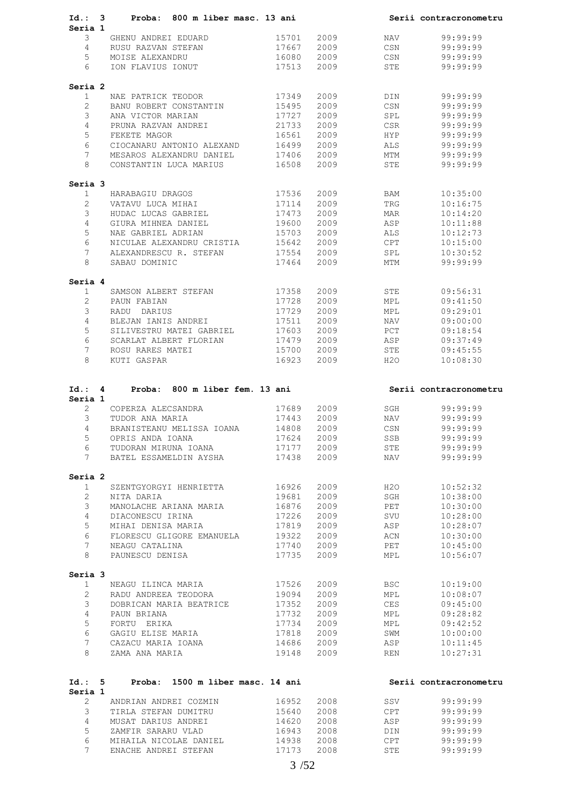| Id.: 3                  | Proba: 800 m liber masc. 13 ani                     |                |              |            | Serii contracronometru |
|-------------------------|-----------------------------------------------------|----------------|--------------|------------|------------------------|
| Seria 1                 |                                                     |                |              |            |                        |
| 3                       | GHENU ANDREI EDUARD                                 | 15701          | 2009         | NAV        | 99:99:99               |
| $\overline{4}$          | RUSU RAZVAN STEFAN                                  | 17667          | 2009         | CSN        | 99:99:99               |
| 5                       | MOISE ALEXANDRU                                     | 16080          | 2009         | CSN        | 99:99:99               |
| 6                       | ION FLAVIUS IONUT 17513                             |                | 2009         |            | STE 99:99:99           |
|                         |                                                     |                |              |            |                        |
| Seria 2                 |                                                     |                |              |            |                        |
| $\mathbf{1}$            | NAE PATRICK TEODOR                                  | 17349          | 2009         | DIN        | 99:99:99               |
| $\overline{2}$          | BANU ROBERT CONSTANTIN                              | 15495          | 2009         | CSN        | 99:99:99               |
| 3                       | ANA VICTOR MARIAN                                   | 17727          | 2009         | SPL        | 99:99:99               |
| $\overline{4}$          | PRUNA RAZVAN ANDREI                                 | 21733          | 2009         | CSR        | 99:99:99               |
| 5                       | FEKETE MAGOR                                        | 16561          | 2009         | HYP        | 99:99:99               |
| 6                       | CIOCANARU ANTONIO ALEXAND                           | 16499          | 2009         | ALS        | 99:99:99               |
| $7^{\circ}$             | MESAROS ALEXANDRU DANIEL                            | 17406          | 2009         | MTM        | 99:99:99               |
| 8                       | CONSTANTIN LUCA MARIUS 16508                        |                | 2009         | STE        | 99:99:99               |
|                         |                                                     |                |              |            |                        |
| Seria 3<br>$\mathbf{1}$ | HARABAGIU DRAGOS                                    | 17536          | 2009         | BAM        | 10:35:00               |
| $\overline{2}$          | VATAVU LUCA MIHAI                                   | 17114          | 2009         | TRG        | 10:16:75               |
| $\mathcal{E}$           | HUDAC LUCAS GABRIEL                                 | 17473          | 2009         | MAR        | 10:14:20               |
|                         |                                                     | 19600          |              |            |                        |
| $\overline{4}$          | GIURA MIHNEA DANIEL                                 |                | 2009         | ASP        | 10:11:88               |
| 5                       | NAE GABRIEL ADRIAN                                  | 15703          | 2009         | ALS        | 10:12:73               |
| 6                       | NICULAE ALEXANDRU CRISTIA<br>ALEXANDRESCU R. STEFAN | 15642<br>17554 | 2009         | CPT        | 10:15:00               |
| $7^{\circ}$             |                                                     |                | 2009         | SPL        | 10:30:52               |
| 8                       | SABAU DOMINIC                                       | 17464          | 2009         | <b>MTM</b> | 99:99:99               |
| Seria 4                 |                                                     |                |              |            |                        |
| $\mathbf{1}$            | SAMSON ALBERT STEFAN 17358                          |                | 2009         | STE        | 09:56:31               |
| 2                       | PAUN FABIAN                                         | 17728          | 2009         | MPL        | 09:41:50               |
| 3                       | RADU DARIUS                                         | 17729          | 2009         | MPL        | 09:29:01               |
|                         |                                                     |                |              |            |                        |
| $\overline{4}$          | BLEJAN IANIS ANDREI                                 | 17511          | 2009         | NAV        | 09:00:00               |
| 5                       | SILIVESTRU MATEI GABRIEL 17603                      |                | 2009         | PCT        | 09:18:54               |
| 6                       | SCARLAT ALBERT FLORIAN                              | 17479          | 2009         | ASP        | 09:37:49               |
| $7^{\circ}$             | ROSU RARES MATEI                                    | $15700$ 2009   |              | STE        | 09:45:55               |
| 8                       | KUTI GASPAR                                         | 16923          | 2009         | H2O        | 10:08:30               |
| Id.: 4                  | Proba: 800 m liber fem. 13 ani                      |                |              |            | Serii contracronometru |
| Seria 1                 |                                                     |                |              |            |                        |
| $\overline{2}$          | COPERZA ALECSANDRA                                  | 17689          | 2009         | SGH        | 99:99:99               |
| 3                       | TUDOR ANA MARIA                                     | 17443          | 2009         | NAV        | 99:99:99               |
| $4 \quad$               | BRANISTEANU MELISSA IOANA 14808                     |                | 2009         | CSN        | 99:99:99               |
| 5                       | OPRIS ANDA IOANA                                    | 17624          | 2009         | SSB        | 99:99:99               |
| 6                       | TUDORAN MIRUNA IOANA                                | 17177          | 2009         | STE        | 99:99:99               |
| 7                       | BATEL ESSAMELDIN AYSHA                              | 17438          | 2009         | NAV        | 99:99:99               |
| Seria 2                 |                                                     |                |              |            |                        |
| $\mathbf{1}$            | SZENTGYORGYI HENRIETTA                              | 16926          | 2009         | H2O        | 10:52:32               |
| $\overline{2}$          | NITA DARIA                                          | 19681          | 2009         | SGH        | 10:38:00               |
|                         |                                                     |                |              |            |                        |
| 3                       | MANOLACHE ARIANA MARIA                              | 16876          | 2009         | PET        | 10:30:00               |
| 4                       | DIACONESCU IRINA                                    | 17226          | 2009         | SVU        | 10:28:00               |
| 5                       | MIHAI DENISA MARIA                                  | 17819          | 2009         | ASP        | 10:28:07               |
| 6                       | FLORESCU GLIGORE EMANUELA                           | 19322          | 2009         | ACN        | 10:30:00               |
| 7                       | NEAGU CATALINA                                      | 17740          | 2009         | PET        | 10:45:00               |
| 8                       | PAUNESCU DENISA                                     | 17735          | 2009         | MPL        | 10:56:07               |
| Seria 3                 |                                                     |                |              |            |                        |
| $\mathbf{1}$            | NEAGU ILINCA MARIA                                  | 17526          | 2009         | BSC        | 10:19:00               |
| 2                       | RADU ANDREEA TEODORA                                | 19094          | 2009         | MPL        | 10:08:07               |
| 3                       | DOBRICAN MARIA BEATRICE                             | 17352          | 2009         | CES        | 09:45:00               |
| 4                       | PAUN BRIANA                                         | 17732          | 2009         | MPL        | 09:28:82               |
|                         |                                                     |                |              |            |                        |
| 5                       | FORTU ERIKA                                         | 17734          | 2009         | MPL        | 09:42:52               |
| 6                       | GAGIU ELISE MARIA                                   | 17818          | 2009         | SWM        | 10:00:00               |
| 7<br>8                  | CAZACU MARIA IOANA<br>ZAMA ANA MARIA                | 14686<br>19148 | 2009<br>2009 | ASP<br>REN | 10:11:45<br>10:27:31   |
|                         |                                                     |                |              |            |                        |
| Id.: 5                  | Proba: 1500 m liber masc. 14 ani                    |                |              |            | Serii contracronometru |
| Seria 1                 |                                                     |                |              |            |                        |
| $\overline{2}$          | ANDRIAN ANDREI COZMIN                               | 16952          | 2008         | SSV        | 99:99:99               |
| 3                       | TIRLA STEFAN DUMITRU                                | 15640          | 2008         | CPT        | 99:99:99               |
| 4                       | MUSAT DARIUS ANDREI                                 | 14620          | 2008         | ASP        | 99:99:99               |
| 5                       | ZAMFIR SARARU VLAD                                  | 16943          | 2008         | DIN        | 99:99:99               |
| 6<br>7                  | MIHAILA NICOLAE DANIEL<br>ENACHE ANDREI STEFAN      | 14938<br>17173 | 2008<br>2008 | CPT<br>STE | 99:99:99<br>99:99:99   |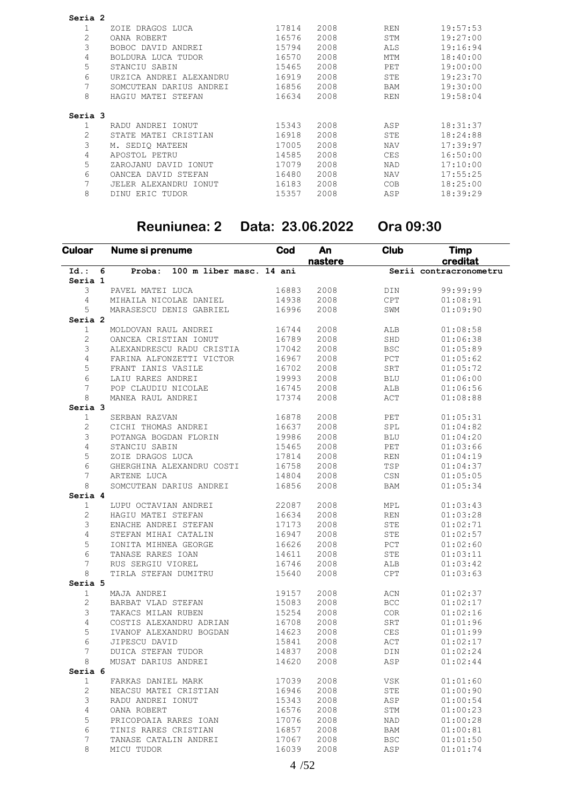| Seria 2 |                          |       |      |            |          |
|---------|--------------------------|-------|------|------------|----------|
|         | DRAGOS LUCA<br>ZOIE      | 17814 | 2008 | <b>REN</b> | 19:57:53 |
| 2       | OANA ROBERT              | 16576 | 2008 | STM        | 19:27:00 |
| 3       | BOBOC DAVID ANDREI       | 15794 | 2008 | <b>ALS</b> | 19:16:94 |
| 4       | BOLDURA LUCA TUDOR       | 16570 | 2008 | <b>MTM</b> | 18:40:00 |
| 5       | STANCIU SABIN            | 15465 | 2008 | PET        | 19:00:00 |
| 6       | URZICA ANDREI ALEXANDRU  | 16919 | 2008 | <b>STE</b> | 19:23:70 |
|         | SOMCUTEAN DARIUS ANDREI  | 16856 | 2008 | <b>BAM</b> | 19:30:00 |
| 8       | HAGIU MATEI STEFAN       | 16634 | 2008 | <b>REN</b> | 19:58:04 |
| Seria 3 |                          |       |      |            |          |
|         | RADU ANDREI IONUT        | 15343 | 2008 | ASP        | 18:31:37 |
| 2       | STATE MATEI CRISTIAN     | 16918 | 2008 | STE        | 18:24:88 |
| 3       | M. SEDIO MATEEN          | 17005 | 2008 | <b>NAV</b> | 17:39:97 |
| 4       | APOSTOL PETRU            | 14585 | 2008 | <b>CES</b> | 16:50:00 |
| 5       | ZAROJANU DAVID IONUT     | 17079 | 2008 | <b>NAD</b> | 17:10:00 |
| 6       | OANCEA DAVID STEFAN      | 16480 | 2008 | <b>NAV</b> | 17:55:25 |
| 7       | JELER ALEXANDRU<br>IONUT | 16183 | 2008 | <b>COB</b> | 18:25:00 |
| 8       | DINU<br>ERIC TUDOR       | 15357 | 2008 | ASP        | 18:39:29 |
|         |                          |       |      |            |          |

### **Reuniunea: 2 Data: 23.06.2022 Ora 09:30**

| <b>Culoar</b>  |   | Nume si prenume                    | Cod   | An<br>nastere | Club                                     | Timp<br>creditat       |
|----------------|---|------------------------------------|-------|---------------|------------------------------------------|------------------------|
| $Id.$ :        | 6 | 100 m liber masc. 14 ani<br>Proba: |       |               |                                          | Serii contracronometru |
| Seria 1        |   |                                    |       |               |                                          |                        |
| 3              |   | PAVEL MATEI LUCA                   | 16883 | 2008          | DIN                                      | 99:99:99               |
| 4              |   | MIHAILA NICOLAE DANIEL             | 14938 | 2008          | $\mathtt{CPT}$                           | 01:08:91               |
| 5              |   | MARASESCU DENIS GABRIEL            | 16996 | 2008          | SWM                                      | 01:09:90               |
| Seria 2        |   |                                    |       |               |                                          |                        |
| $\mathbf{1}$   |   | MOLDOVAN RAUL ANDREI               | 16744 | 2008          | ALB                                      | 01:08:58               |
| $\mathbf{2}$   |   | OANCEA CRISTIAN IONUT              | 16789 | 2008          | $\operatorname{\mathsf{SHD}}$            | 01:06:38               |
| 3              |   | ALEXANDRESCU RADU CRISTIA          | 17042 | 2008          | $_{\rm BSC}$                             | 01:05:89               |
| 4              |   | FARINA ALFONZETTI VICTOR           | 16967 | 2008          | PCT                                      | 01:05:62               |
| 5              |   | FRANT IANIS VASILE                 | 16702 | 2008          | SRT                                      | 01:05:72               |
| 6              |   | LAIU RARES ANDREI                  | 19993 | 2008          | BLU                                      | 01:06:00               |
| 7              |   | POP CLAUDIU NICOLAE                | 16745 | 2008          | ALB                                      | 01:06:56               |
| 8              |   | MANEA RAUL ANDREI                  | 17374 | 2008          | ACT                                      | 01:08:88               |
| Seria 3        |   |                                    |       |               |                                          |                        |
| $\mathbf{1}$   |   | SERBAN RAZVAN                      | 16878 | 2008          | PET                                      | 01:05:31               |
| 2              |   | CICHI THOMAS ANDREI                | 16637 | 2008          | SPL                                      | 01:04:82               |
| 3              |   | POTANGA BOGDAN FLORIN              | 19986 | 2008          | <b>BLU</b>                               | 01:04:20               |
| $\overline{4}$ |   | STANCIU SABIN                      | 15465 | 2008          | $\ensuremath{\mathop{\rm PET}\nolimits}$ | 01:03:66               |
| 5              |   | ZOIE DRAGOS LUCA                   | 17814 | 2008          | REN                                      | 01:04:19               |
| 6              |   | GHERGHINA ALEXANDRU COSTI          | 16758 | 2008          | TSP                                      | 01:04:37               |
| 7              |   | ARTENE LUCA                        | 14804 | 2008          | CSN                                      | 01:05:05               |
| 8              |   | SOMCUTEAN DARIUS ANDREI            | 16856 | 2008          | BAM                                      | 01:05:34               |
| Seria 4        |   |                                    |       |               |                                          |                        |
| $\mathbf{1}$   |   | LUPU OCTAVIAN ANDREI               | 22087 | 2008          | MPL                                      | 01:03:43               |
| $\overline{c}$ |   | HAGIU MATEI STEFAN                 | 16634 | 2008          | REN                                      | 01:03:28               |
| 3              |   | ENACHE ANDREI STEFAN               | 17173 | 2008          | STE                                      | 01:02:71               |
| 4              |   | STEFAN MIHAI CATALIN               | 16947 | 2008          | STE                                      | 01:02:57               |
| 5              |   | IONITA MIHNEA GEORGE               | 16626 | 2008          | PCT                                      | 01:02:60               |
| 6              |   | TANASE RARES IOAN                  | 14611 | 2008          | STE                                      | 01:03:11               |
| 7              |   | RUS SERGIU VIOREL                  | 16746 | 2008          | ALB                                      | 01:03:42               |
| 8              |   | TIRLA STEFAN DUMITRU               | 15640 | 2008          | $\mathtt{CPT}$                           | 01:03:63               |
| Seria 5        |   |                                    |       |               |                                          |                        |
| $\mathbf{1}$   |   | MAJA ANDREI                        | 19157 | 2008          | ACN                                      | 01:02:37               |
| $\overline{c}$ |   | BARBAT VLAD STEFAN                 | 15083 | 2008          | $_{\rm BCC}$                             | 01:02:17               |
| 3              |   | TAKACS MILAN RUBEN                 | 15254 | 2008          | COR                                      | 01:02:16               |
| 4              |   | COSTIS ALEXANDRU ADRIAN            | 16708 | 2008          | SRT                                      | 01:01:96               |
| 5              |   | IVANOF ALEXANDRU BOGDAN            | 14623 | 2008          | $\mathbb{CES}$                           | 01:01:99               |
| 6              |   | JIPESCU DAVID                      | 15841 | 2008          | $\mathtt{ACT}$                           | 01:02:17               |
| 7              |   | DUICA STEFAN TUDOR                 | 14837 | 2008          | DIN                                      | 01:02:24               |
| 8              |   | MUSAT DARIUS ANDREI                | 14620 | 2008          | ASP                                      | 01:02:44               |
| Seria 6        |   |                                    |       |               |                                          |                        |
| 1              |   | FARKAS DANIEL MARK                 | 17039 | 2008          | VSK                                      | 01:01:60               |
| 2              |   | NEACSU MATEI CRISTIAN              | 16946 | 2008          | STE                                      | 01:00:90               |
| 3              |   | RADU ANDREI IONUT                  | 15343 | 2008          | ASP                                      | 01:00:54               |
| 4              |   | OANA ROBERT                        | 16576 | 2008          | STM                                      | 01:00:23               |
| 5              |   | PRICOPOAIA RARES IOAN              | 17076 | 2008          | NAD                                      | 01:00:28               |
| 6              |   | TINIS RARES CRISTIAN               | 16857 | 2008          | BAM                                      | 01:00:81               |
|                |   | TANASE CATALIN ANDREI              | 17067 | 2008          | <b>BSC</b>                               | 01:01:50               |
| 7              |   |                                    |       |               |                                          |                        |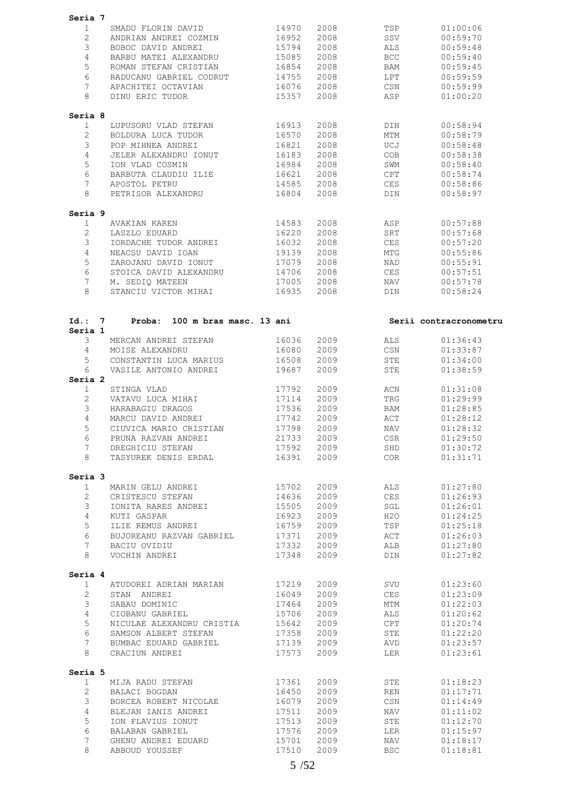| Seria 7                 |                                   |       |      |            |                        |
|-------------------------|-----------------------------------|-------|------|------------|------------------------|
| $\mathbf{1}$            | SMADU FLORIN DAVID                | 14970 | 2008 | TSP        | 01:00:06               |
| $\overline{2}$          | ANDRIAN ANDREI COZMIN             | 16952 | 2008 | SSV        | 00:59:70               |
| 3                       | BOBOC DAVID ANDREI                | 15794 | 2008 | ALS        | 00:59:48               |
| 4                       | BARBU MATEI ALEXANDRU             | 15085 | 2008 | BCC        | 00:59:40               |
| 5                       | ROMAN STEFAN CRISTIAN             | 16854 | 2008 | BAM        | 00:59:45               |
|                         |                                   |       |      |            |                        |
| 6                       | RADUCANU GABRIEL CODRUT           | 14755 | 2008 | LPT        | 00:59:59               |
| 7                       | APACHITEI OCTAVIAN                | 16076 | 2008 | CSN        | 00:59:99               |
| 8                       | DINU ERIC TUDOR                   | 15357 | 2008 | ASP        | 01:00:20               |
| Seria 8                 |                                   |       |      |            |                        |
| 1                       | LUPUSORU VLAD STEFAN              | 16913 | 2008 | DIN        | 00:58:94               |
| $\overline{2}$          | BOLDURA LUCA TUDOR                | 16570 | 2008 | MTM        | 00:58:79               |
| 3                       | POP MIHNEA ANDREI                 | 16821 | 2008 | UCJ        | 00:58:48               |
|                         |                                   |       |      |            |                        |
| 4                       | JELER ALEXANDRU IONUT             | 16183 | 2008 | COB        | 00:58:38               |
| 5                       | ION VLAD COSMIN                   | 16984 | 2008 | SWM        | 00:58:40               |
| 6                       | BARBUTA CLAUDIU ILIE              | 16621 | 2008 | CPT        | 00:58:74               |
| 7                       | APOSTOL PETRU                     | 14585 | 2008 | CES        | 00:58:86               |
| 8                       | PETRISOR ALEXANDRU                | 16804 | 2008 | DIN        | 00:58:97               |
| Seria 9                 |                                   |       |      |            |                        |
| 1                       | AVAKIAN KAREN                     | 14583 | 2008 | ASP        | 00:57:88               |
| 2                       | LASZLO EDUARD                     | 16220 | 2008 | SRT        | 00:57:68               |
| 3                       | IORDACHE TUDOR ANDREI             | 16032 | 2008 | CES        | 00:57:20               |
|                         |                                   |       |      |            |                        |
| 4                       | NEACSU DAVID IOAN                 | 19139 | 2008 | MTG        | 00:55:86               |
| 5                       | ZAROJANU DAVID IONUT              | 17079 | 2008 | NAD        | 00:55:91               |
| 6                       | STOICA DAVID ALEXANDRU            | 14706 | 2008 | <b>CES</b> | 00:57:51               |
| 7                       | M. SEDIQ MATEEN                   | 17005 | 2008 | NAV        | 00:57:78               |
| 8                       | STANCIU VICTOR MIHAI              | 16935 | 2008 | DIN        | 00:58:24               |
|                         |                                   |       |      |            |                        |
| Id.: 7                  | Proba:<br>100 m bras masc. 13 ani |       |      |            | Serii contracronometru |
| Seria 1                 |                                   |       |      |            |                        |
| 3                       | MERCAN ANDREI STEFAN              | 16036 | 2009 | ALS        | 01:36:43               |
| 4                       | MOISE ALEXANDRU                   | 16080 | 2009 | CSN        | 01:33:87               |
| 5                       | CONSTANTIN LUCA MARIUS            | 16508 | 2009 | STE        | 01:34:00               |
| 6                       | VASILE ANTONIO ANDREI             | 19687 | 2009 | STE        | 01:38:59               |
| Seria 2                 |                                   |       |      |            |                        |
|                         |                                   |       |      |            |                        |
| $\mathbf{1}$            | STINGA VLAD                       | 17792 | 2009 | ACN        | 01:31:08               |
| 2                       | VATAVU LUCA MIHAI                 | 17114 | 2009 | TRG        | 01:29:99               |
| 3                       | HARABAGIU DRAGOS                  | 17536 | 2009 | BAM        | 01:28:85               |
| 4                       | MARCU DAVID ANDREI                | 17742 | 2009 | ACT        | 01:28:12               |
| 5                       | CIUVICA MARIO CRISTIAN            | 17798 | 2009 | NAV        | 01:28:32               |
| 6                       | PRUNA RAZVAN ANDREI               | 21733 | 2009 | CSR        | 01:29:50               |
| 7                       | DREGHICIU STEFAN                  | 17592 | 2009 | SHD        | 01:30:72               |
| 8                       | TASYUREK DENIS ERDAL              | 16391 | 2009 | COR        | 01:31:71               |
| Seria 3                 |                                   |       |      |            |                        |
| $\mathbf{1}$            | MARIN GELU ANDREI                 | 15702 | 2009 | ALS        | 01:27:80               |
|                         |                                   |       |      |            |                        |
| $\overline{2}$          | CRISTESCU STEFAN                  | 14636 | 2009 | CES        | 01:26:93               |
| 3                       | IONITA RARES ANDREI               | 15505 | 2009 | SGL        | 01:26:01               |
| $\overline{4}$          | KUTI GASPAR                       | 16923 | 2009 | H2O        | 01:24:25               |
| 5                       | ILIE REMUS ANDREI                 | 16759 | 2009 | TSP        | 01:25:18               |
| 6                       | BUJOREANU RAZVAN GABRIEL          | 17371 | 2009 | ACT        | 01:26:03               |
| $7\phantom{.0}$         | BACIU OVIDIU                      | 17332 | 2009 | ALB        | 01:27:80               |
| 8                       | VOCHIN ANDREI                     | 17348 | 2009 | DIN        | 01:27:82               |
|                         |                                   |       |      |            |                        |
| Seria 4<br>$\mathbf{1}$ | ATUDOREI ADRIAN MARIAN            | 17219 | 2009 | SVU        | 01:23:60               |
| $\mathbf{2}$            | STAN ANDREI                       | 16049 | 2009 | CES        | 01:23:09               |
|                         |                                   |       |      |            |                        |
| 3                       | SABAU DOMINIC                     | 17464 | 2009 | MTM        | 01:22:03               |
| $\overline{4}$          | CIOBANU GABRIEL                   | 15706 | 2009 | ALS        | 01:20:62               |
| 5                       | NICULAE ALEXANDRU CRISTIA         | 15642 | 2009 | CPT        | 01:20:74               |
| 6                       | SAMSON ALBERT STEFAN              | 17358 | 2009 | STE        | 01:22:20               |
| 7                       | BUMBAC EDUARD GABRIEL             | 17139 | 2009 | AVD        | 01:23:57               |
| 8                       | CRACIUN ANDREI                    | 17573 | 2009 | LER        | 01:23:61               |
| Seria 5                 |                                   |       |      |            |                        |
| $\mathbf{1}$            | MIJA RADU STEFAN                  | 17361 | 2009 | STE        | 01:18:23               |
| $\overline{2}$          |                                   |       |      |            |                        |
|                         | BALACI BOGDAN                     | 16450 | 2009 | REN        | 01:17:71               |
| 3                       | BORCEA ROBERT NICOLAE             | 16079 | 2009 | CSN        | 01:14:49               |
| $\overline{4}$          | BLEJAN IANIS ANDREI               | 17511 | 2009 | NAV        | 01:11:02               |
| 5                       | ION FLAVIUS IONUT                 | 17513 | 2009 | STE        | 01:12:70               |
| 6                       | BALABAN GABRIEL                   | 17576 | 2009 |            | 01:15:97               |
|                         |                                   |       |      | LER        |                        |
| 7                       | GHENU ANDREI EDUARD               | 15701 | 2009 | NAV        | 01:18:17               |
| 8                       | ABBOUD YOUSSEF                    | 17510 | 2009 | <b>BSC</b> | 01:18:81               |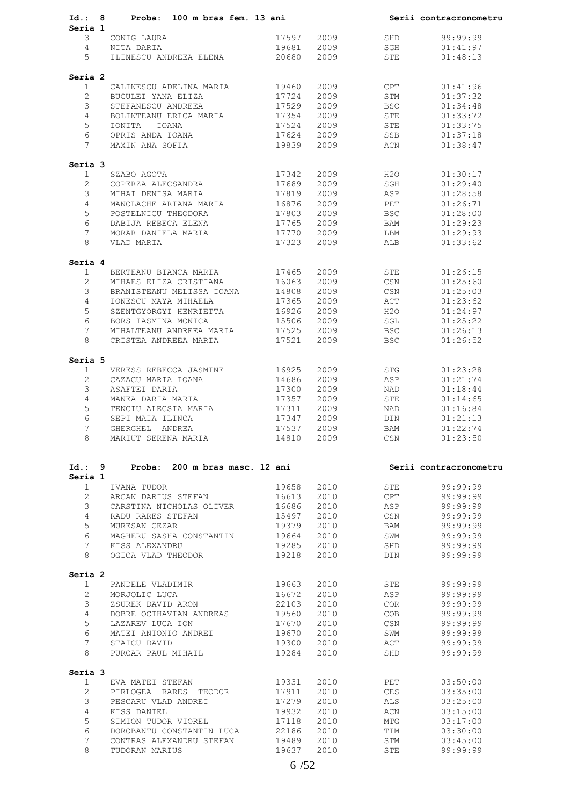| Id.: 8                  | Proba: 100 m bras fem. 13 ani              |                |              |            | Serii contracronometru |
|-------------------------|--------------------------------------------|----------------|--------------|------------|------------------------|
| Seria 1                 |                                            |                |              |            |                        |
| 3                       | CONIG LAURA                                | 17597          | 2009         | SHD        | 99:99:99               |
| $\overline{4}$          | NITA DARIA                                 | 19681          | 2009         | SGH        | 01:41:97               |
| 5                       | ILINESCU ANDREEA ELENA                     | 20680          | 2009         | STE        | 01:48:13               |
|                         |                                            |                |              |            |                        |
| Seria 2                 |                                            |                |              |            |                        |
| $\mathbf{1}$            | CALINESCU ADELINA MARIA                    | 19460          | 2009         | CPT        | 01:41:96               |
| $\overline{2}$          | BUCULEI YANA ELIZA                         | 17724          | 2009         | STM        | 01:37:32               |
| 3                       | STEFANESCU ANDREEA                         | 17529          | 2009         | <b>BSC</b> | 01:34:48               |
| $\overline{4}$          | BOLINTEANU ERICA MARIA                     | 17354          | 2009         | STE        | 01:33:72               |
| 5                       | IOANA<br>IONITA                            | 17524          | 2009         | STE        | 01:33:75               |
| 6                       | OPRIS ANDA IOANA                           | 17624          | 2009         | SSB        | 01:37:18               |
| $7\overline{ }$         | MAXIN ANA SOFIA                            | 19839          | 2009         | ACN        | 01:38:47               |
| Seria 3                 |                                            |                |              |            |                        |
| $\mathbf{1}$            | SZABO AGOTA                                | 17342          | 2009         | H2O        | 01:30:17               |
| $\overline{2}$          | COPERZA ALECSANDRA                         | 17689          | 2009         | SGH        | 01:29:40               |
| 3                       | MIHAI DENISA MARIA                         | 17819          | 2009         | ASP        | 01:28:58               |
| 4                       | MANOLACHE ARIANA MARIA                     | 16876          | 2009         | PET        | 01:26:71               |
| 5                       | POSTELNICU THEODORA                        | 17803          | 2009         | <b>BSC</b> | 01:28:00               |
| 6                       | DABIJA REBECA ELENA                        | 17765          | 2009         | BAM        | 01:29:23               |
| $7\phantom{.0}$         | MORAR DANIELA MARIA                        | 17770          | 2009         | LBM        | 01:29:93               |
| 8                       | VLAD MARIA                                 | 17323          | 2009         | ALB        | 01:33:62               |
|                         |                                            |                |              |            |                        |
| Seria 4                 |                                            | 17465          | 2009         | STE        | 01:26:15               |
| $\mathbf{1}$            | BERTEANU BIANCA MARIA                      |                |              |            |                        |
| $\overline{2}$          | MIHAES ELIZA CRISTIANA                     | 16063          | 2009         | CSN        | 01:25:60               |
| 3                       | BRANISTEANU MELISSA IOANA                  | 14808          | 2009         | CSN        | 01:25:03               |
| $\overline{4}$          | IONESCU MAYA MIHAELA                       | 17365          | 2009         | ACT        | 01:23:62               |
| 5                       | SZENTGYORGYI HENRIETTA                     | 16926          | 2009         | H2O        | 01:24:97               |
| 6                       | BORS IASMINA MONICA                        | 15506          | 2009         | SGL        | 01:25:22               |
| 7                       | MIHALTEANU ANDREEA MARIA                   | 17525          | 2009         | <b>BSC</b> | 01:26:13               |
| 8                       | CRISTEA ANDREEA MARIA                      | 17521          | 2009         | <b>BSC</b> | 01:26:52               |
| Seria 5                 |                                            |                |              |            |                        |
| $\mathbf{1}$            | VERESS REBECCA JASMINE                     | 16925          | 2009         | STG        | 01:23:28               |
| $\overline{2}$          | CAZACU MARIA IOANA                         | 14686          | 2009         | ASP        | 01:21:74               |
| 3                       | ASAFTEI DARIA                              | 17300          | 2009         | NAD        | 01:18:44               |
| 4                       | MANEA DARIA MARIA                          | 17357          | 2009         | STE        | 01:14:65               |
| 5                       |                                            | 17311          | 2009         | NAD        | 01:16:84               |
| 6                       | TENCIU ALECSIA MARIA                       |                |              |            |                        |
|                         | SEPI MAIA ILINCA                           | 17347          | 2009         | <b>DIN</b> | 01:21:13               |
| 7<br>8                  | GHERGHEL ANDREA<br>MARIUT SERENA MARIA     | 17537<br>14810 | 2009<br>2009 | BAM<br>CSN | 01:22:74<br>01:23:50   |
|                         |                                            |                |              |            |                        |
| Id.: 9                  | Proba: 200 m bras masc. 12 ani             |                |              |            | Serii contracronometru |
| Seria 1                 |                                            |                |              |            |                        |
| $\mathbf{1}$            | IVANA TUDOR                                | 19658          | 2010         | STE        | 99:99:99               |
| $\overline{2}$          | ARCAN DARIUS STEFAN                        | 16613          | 2010         | CPT        | 99:99:99               |
| 3                       | CARSTINA NICHOLAS OLIVER                   | 16686          | 2010         | ASP        | 99:99:99               |
| 4                       | RADU RARES STEFAN                          | 15497          | 2010         | CSN        | 99:99:99               |
| 5                       | MURESAN CEZAR                              | 19379          | 2010         | BAM        | 99:99:99               |
| 6                       | MAGHERU SASHA CONSTANTIN                   | 19664          | 2010         | SWM        | 99:99:99               |
| $\overline{7}$          | KISS ALEXANDRU                             | 19285          | 2010         | SHD        | 99:99:99               |
| 8                       | OGICA VLAD THEODOR                         | 19218          | 2010         | DIN        | 99:99:99               |
|                         |                                            |                |              |            |                        |
| Seria 2<br>$\mathbf{1}$ | PANDELE VLADIMIR                           | 19663          | 2010         | STE        | 99:99:99               |
| $\overline{2}$          | MORJOLIC LUCA                              | 16672          | 2010         | ASP        | 99:99:99               |
| 3                       |                                            |                |              |            |                        |
|                         | ZSUREK DAVID ARON                          | 22103          | 2010         | COR        | 99:99:99               |
| 4                       | DOBRE OCTHAVIAN ANDREAS                    | 19560          | 2010         | COB        | 99:99:99               |
| 5                       | LAZAREV LUCA ION                           | 17670          | 2010         | CSN        | 99:99:99               |
| 6                       | MATEI ANTONIO ANDREI                       | 19670          | 2010         | SWM        | 99:99:99               |
| $\overline{7}$          | STAICU DAVID                               | 19300          | 2010         | ACT        | 99:99:99               |
| 8                       | PURCAR PAUL MIHAIL                         | 19284          | 2010         | SHD        | 99:99:99               |
|                         |                                            |                |              |            |                        |
| Seria 3                 |                                            |                | 2010         | PET        | 03:50:00               |
| $\mathbf{1}$            | EVA MATEI STEFAN                           | 19331          |              |            |                        |
| $\overline{2}$          | PIRLOGEA RARES TEODOR                      | 17911          | 2010         | CES        | 03:35:00               |
| 3                       | PESCARU VLAD ANDREI                        | 17279          | 2010         | ALS        | 03:25:00               |
|                         |                                            |                |              |            |                        |
| 4                       | KISS DANIEL                                | 19932          | 2010         | ACN        | 03:15:00               |
| 5                       | SIMION TUDOR VIOREL                        | 17118          | 2010         | MTG        | 03:17:00               |
| 6                       | DOROBANTU CONSTANTIN LUCA                  | 22186          | 2010         | TIM        | 03:30:00               |
| 7<br>8                  | CONTRAS ALEXANDRU STEFAN<br>TUDORAN MARIUS | 19489<br>19637 | 2010<br>2010 | STM<br>STE | 03:45:00<br>99:99:99   |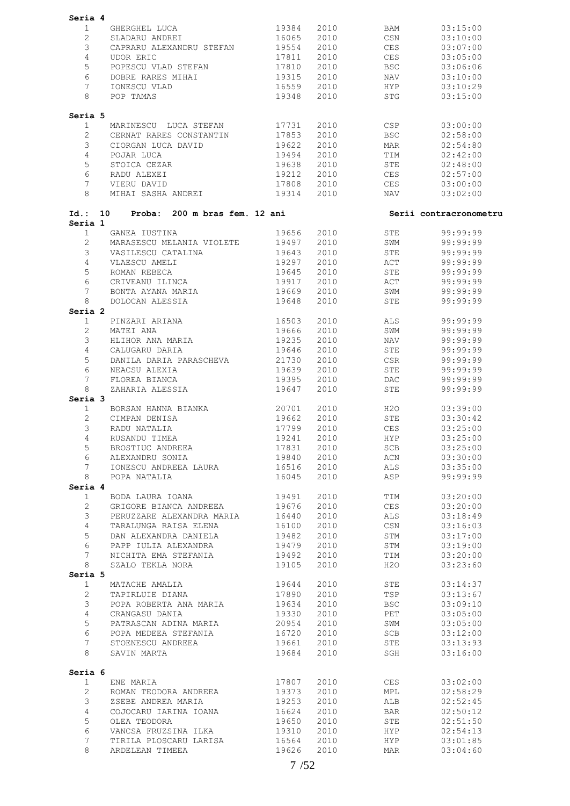| Seria 4              |                                         |            |      |                |                        |
|----------------------|-----------------------------------------|------------|------|----------------|------------------------|
| $\mathbf{1}$         | GHERGHEL LUCA 19384                     |            | 2010 | BAM            | 03:15:00               |
| $\overline{2}$       | SLADARU ANDREI                          | 16065      | 2010 | CSN            | 03:10:00               |
| 3                    | CAPRARU ALEXANDRU STEFAN                | 19554      | 2010 | CES            | 03:07:00               |
|                      |                                         |            |      |                |                        |
| $\overline{4}$       | UDOR ERIC                               | 17811      | 2010 | CES            | 03:05:00               |
| 5                    | POPESCU VLAD STEFAN 17810               |            | 2010 | BSC            | 03:06:06               |
| 6                    | DOBRE RARES MIHAI                       | 19315      | 2010 | NAV            | 03:10:00               |
| 7                    | IONESCU VLAD                            | 16559      | 2010 | HYP            | 03:10:29               |
| 8                    | POP TAMAS                               | 19348      | 2010 | <b>STG</b>     | 03:15:00               |
|                      |                                         |            |      |                |                        |
| Seria 5              |                                         |            |      |                |                        |
| 1                    | MARINESCU LUCA STEFAN 17731             |            | 2010 | CSP            | 03:00:00               |
| $\overline{2}$       | CERNAT RARES CONSTANTIN 17853           |            | 2010 | BSC            | 02:58:00               |
| 3                    | CIORGAN LUCA DAVID                      | 19622      | 2010 | MAR            | 02:54:80               |
| $\overline{4}$       | POJAR LUCA                              | 19494      | 2010 | TIM            | 02:42:00               |
| 5                    | STOICA CEZAR                            | 19638      | 2010 | STE            | 02:48:00               |
| 6                    | RADU ALEXEI                             | 19212      | 2010 | CES            | 02:57:00               |
| $7\phantom{.0}$      | VIERU DAVID                             | 17808      | 2010 | CES            | 03:00:00               |
| 8                    | MIHAI SASHA ANDREI 19314                |            | 2010 | NAV <b>NAV</b> | 03:02:00               |
|                      | $Id.: 10$ Proba: 200 m bras fem. 12 ani |            |      |                | Serii contracronometru |
| Seria 1              |                                         |            |      |                |                        |
| $\mathbf{1}$         | GANEA IUSTINA                           | 19656      | 2010 | STE            | 99:99:99               |
| $\mathbf{2}^{\circ}$ | MARASESCU MELANIA VIOLETE               | 19497      | 2010 | SWM            | 99:99:99               |
| 3                    | VASILESCU CATALINA                      | 19643      | 2010 | STE            | 99:99:99               |
| 4                    | VLAESCU AMELI                           | 19297      | 2010 | ACT            | 99:99:99               |
| 5                    | ROMAN REBECA                            | 19645      | 2010 | STE            | 99:99:99               |
| 6                    | CRIVEANU ILINCA                         | 19917      | 2010 | ACT            | 99:99:99               |
| $7^{\circ}$          | BONTA AYANA MARIA                       | 19669      | 2010 | SWM            | 99:99:99               |
| 8                    | DOLOCAN ALESSIA                         | 19648      | 2010 | STE            | 99:99:99               |
| Seria 2              |                                         |            |      |                |                        |
| $\mathbf{1}$         | PINZARI ARIANA 16503                    |            | 2010 | ALS            | 99:99:99               |
| $\overline{2}$       | MATEI ANA                               | 19666      | 2010 | SWM            | 99:99:99               |
| 3                    | HLIHOR ANA MARIA                        | 19235      | 2010 | NAV            | 99:99:99               |
| 4                    | CALUGARU DARIA                          | 19646      | 2010 | STE            | 99:99:99               |
| 5                    | DANILA DARIA PARASCHEVA 21730           |            | 2010 | CSR            | 99:99:99               |
|                      |                                         |            |      |                |                        |
| 6                    | NEACSU ALEXIA                           | 19639      | 2010 | STE            | 99:99:99               |
| $7\phantom{.0}$      | FLOREA BIANCA                           | 19395      | 2010 | DAC            | 99:99:99               |
| 8<br>Seria 3         | ZAHARIA ALESSIA                         | 19647      | 2010 | STE            | 99:99:99               |
| $\mathbf{1}$         | BORSAN HANNA BIANKA 20701               |            | 2010 | H2O            | 03:39:00               |
| $\mathbf{2}^{\circ}$ | CIMPAN DENISA                           | 19662      | 2010 | STE            | 03:30:42               |
| 3                    | RADU NATALIA                            | 17799      | 2010 | CES            | 03:25:00               |
| $4 -$                | 19241 2010<br>RUSANDU TIMEA             |            |      | <b>HYP</b>     | 03:25:00               |
| $5 -$                | BROSTIUC ANDREEA                        | 17831 2010 |      | SCB            | 03:25:00               |
| 6                    |                                         | 19840      |      |                |                        |
|                      | ALEXANDRU SONIA                         |            | 2010 | $\mbox{ACN}$   | 03:30:00               |
| $7\phantom{.0}$      | IONESCU ANDREEA LAURA                   | 16516      | 2010 | ALS            | 03:35:00               |
| 8<br>Seria 4         | POPA NATALIA                            | 16045      | 2010 | ASP            | 99:99:99               |
| $\mathbf{1}$         | BODA LAURA IOANA                        | 19491      | 2010 | TIM            | 03:20:00               |
| $\overline{2}$       | GRIGORE BIANCA ANDREEA 19676            |            | 2010 | CES            | 03:20:00               |
| 3                    | PERUZZARE ALEXANDRA MARIA 16440         |            | 2010 | ALS            | 03:18:49               |
|                      |                                         |            |      |                |                        |
| $4\overline{ }$      | TARALUNGA RAISA ELENA                   | 16100      | 2010 | CSN            | 03:16:03               |
| 5                    | DAN ALEXANDRA DANIELA                   | 19482      | 2010 | STM            | 03:17:00               |
| 6                    | PAPP IULIA ALEXANDRA 19479              |            | 2010 | STM            | 03:19:00               |
| $7\phantom{.0}$      | NICHITA EMA STEFANIA 19492              |            | 2010 | TIM            | 03:20:00               |
| 8                    | SZALO TEKLA NORA                        | 19105      | 2010 | H2O            | 03:23:60               |
| Seria 5              |                                         |            |      |                |                        |
| $\mathbf{1}$         | MATACHE AMALIA                          | 19644      | 2010 | STE            | 03:14:37               |
| $\overline{2}$       | TAPIRLUIE DIANA                         | 17890      | 2010 | TSP            | 03:13:67               |
| $\mathcal{S}$        | POPA ROBERTA ANA MARIA                  | 19634      | 2010 | BSC            | 03:09:10               |
| $\overline{4}$       | CRANGASU DANIA                          | 19330      | 2010 | PET            | 03:05:00               |
| 5                    | PATRASCAN ADINA MARIA                   | 20954      | 2010 | SWM            | 03:05:00               |
| 6                    | POPA MEDEEA STEFANIA                    | 16720      | 2010 | SCB            | 03:12:00               |
| $7\phantom{.}$       | STOENESCU ANDREEA                       | 19661      | 2010 | STE            | 03:13:93               |
| 8                    | SAVIN MARTA                             | 19684      | 2010 | SGH            | 03:16:00               |
| Seria 6              |                                         |            |      |                |                        |
| $\mathbf{1}$         | ENE MARIA                               | 17807      | 2010 | CES            | 03:02:00               |
| $\overline{2}$       | ROMAN TEODORA ANDREEA                   | 19373      | 2010 | MPL            | 02:58:29               |
| $\mathfrak{Z}$       | ZSEBE ANDREA MARIA                      | 19253      | 2010 | ALB            | 02:52:45               |
| $\overline{4}$       | COJOCARU IARINA IOANA 16624             |            | 2010 | <b>BAR</b>     | 02:50:12               |
| 5                    | OLEA TEODORA                            | 19650      | 2010 | STE            | 02:51:50               |
| 6                    |                                         |            |      |                |                        |
|                      | VANCSA FRUZSINA ILKA                    | 19310      | 2010 | HYP            | 02:54:13               |
| $7\phantom{.0}$      | TIRILA PLOSCARU LARISA 16564            |            | 2010 | HYP            | 03:01:85               |
| 8                    | ARDELEAN TIMEEA                         | 19626      | 2010 | MAR            | 03:04:60               |
|                      |                                         |            |      |                |                        |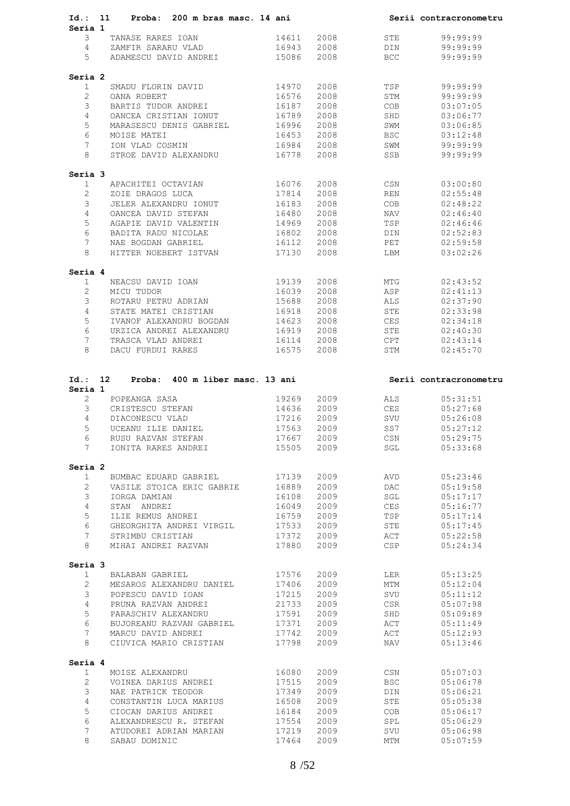|                           | Id.: 11 Proba: 200 m bras masc. 14 ani       |                |              |                  | Serii contracronometru |
|---------------------------|----------------------------------------------|----------------|--------------|------------------|------------------------|
| Seria 1                   |                                              |                |              |                  |                        |
| 3                         | TANASE RARES IOAN                            | 14611          | 2008         | STE              | 99:99:99               |
| $\overline{4}$            | ZAMFIR SARARU VLAD                           | 16943          | 2008         | DIN              | 99:99:99               |
| 5                         | ADAMESCU DAVID ANDREI                        | 15086          | 2008         | BCC              | 99:99:99               |
| Seria 2                   |                                              |                |              |                  |                        |
| $\mathbf{1}$              | SMADU FLORIN DAVID                           | 14970          | 2008         | TSP              | 99:99:99               |
| $\overline{2}$            | OANA ROBERT                                  | 16576          | 2008         | STM              | 99:99:99               |
| 3                         | BARTIS TUDOR ANDREI                          | 16187          | 2008         | COB              | 03:07:05               |
| $\overline{4}$            | OANCEA CRISTIAN IONUT                        | 16789          | 2008         | SHD              | 03:06:77               |
| 5                         | MARASESCU DENIS GABRIEL 16996                |                | 2008         | SWM              | 03:06:85               |
| 6                         | MOISE MATEI                                  | 16453          | 2008         | <b>BSC</b>       | 03:12:48               |
| $7\phantom{.0}$           | ION VLAD COSMIN                              | 16984          | 2008         | SWM              | 99:99:99               |
| 8                         | STROE DAVID ALEXANDRU                        | 16778          | 2008         | SSB              | 99:99:99               |
|                           |                                              |                |              |                  |                        |
| Seria 3<br>$\mathbf{1}$   | APACHITEI OCTAVIAN                           | 16076          | 2008         | $\mathbb{CSN}{}$ | 03:00:80               |
| $\overline{2}$            | ZOIE DRAGOS LUCA                             | 17814          | 2008         | REN              | 02:55:48               |
| 3                         | JELER ALEXANDRU IONUT                        | 16183          | 2008         | COB              | 02:48:22               |
| 4                         | OANCEA DAVID STEFAN                          | 16480          | 2008         |                  | 02:46:40               |
|                           |                                              |                |              | NAV              |                        |
| 5                         | AGAPIE DAVID VALENTIN                        | 14969          | 2008         | TSP              | 02:46:46               |
| 6                         | BADITA RADU NICOLAE                          | 16802          | 2008         | DIN              | 02:52:83               |
| $7\phantom{.0}$           | NAE BOGDAN GABRIEL                           | 16112          | 2008         | PET              | 02:59:58               |
| 8                         | HITTER NOEBERT ISTVAN                        | 17130          | 2008         | LBM              | 03:02:26               |
| Seria 4                   |                                              |                |              |                  |                        |
| $\mathbf{1}$              | NEACSU DAVID IOAN                            | 19139          | 2008         | MTG              | 02:43:52               |
| $\overline{2}$            | MICU TUDOR                                   | 16039          | 2008         | ASP              | 02:41:13               |
| 3                         | ROTARU PETRU ADRIAN                          | 15688          | 2008         | ALS              | 02:37:90               |
| 4                         | STATE MATEI CRISTIAN                         | 16918          | 2008         | STE              | 02:33:98               |
| 5                         | IVANOF ALEXANDRU BOGDAN 14623                |                | 2008         | CES              | 02:34:18               |
| 6                         | URZICA ANDREI ALEXANDRU 16919                |                | 2008         | STE              | 02:40:30               |
| $7\phantom{.0}$           | TRASCA VLAD ANDREI                           | 16114          | 2008         | CPT              | 02:43:14               |
| 8                         | DACU FURDUI RARES                            | 16575          | 2008         | STM              | 02:45:70               |
| Seria 1<br>$\overline{2}$ | POPEANGA SASA                                | 19269          | 2009         | ALS              | 05:31:51               |
| 3                         | CRISTESCU STEFAN                             | 14636          | 2009         | CES              | 05:27:68               |
| 4                         | DIACONESCU VLAD                              | 17216          | 2009         | SVU              | 05:26:08               |
| 5                         | UCEANU ILIE DANIEL                           | 17563          | 2009         | SS7              | 05:27:12               |
| 6                         | RUSU RAZVAN STEFAN                           | 17667          | 2009         | CSN              | 05:29:75               |
| 7                         | IONITA RARES ANDREI                          | 15505          | 2009         | SGL              | 05:33:68               |
| Seria 2                   |                                              |                |              |                  |                        |
| 1                         | BUMBAC EDUARD GABRIEL                        | 17139          | 2009         | AVD              | 05:23:46               |
| $\overline{2}$            | VASILE STOICA ERIC GABRIE                    | 16889          | 2009         | <b>DAC</b>       | 05:19:58               |
| 3                         | IORGA DAMIAN                                 | 16108          | 2009         | SGL              | 05:17:17               |
| 4                         | STAN ANDREI                                  | 16049          | 2009         | CES              | 05:16:77               |
| 5                         | ILIE REMUS ANDREI                            | 16759          | 2009         | TSP              | 05:17:14               |
| 6                         | GHEORGHITA ANDREI VIRGIL                     | 17533          | 2009         | STE              | 05:17:45               |
| 7                         | STRIMBU CRISTIAN                             | 17372          | 2009         | ACT              | 05:22:58               |
| 8                         | MIHAI ANDREI RAZVAN                          | 17880          | 2009         | CSP              | 05:24:34               |
|                           |                                              |                |              |                  |                        |
| Seria 3<br>$\mathbf{1}$   | BALABAN GABRIEL                              | 17576          | 2009         | LER              | 05:13:25               |
| 2                         | MESAROS ALEXANDRU DANIEL                     | 17406          | 2009         | MTM              | 05:12:04               |
| 3                         | POPESCU DAVID IOAN                           | 17215          | 2009         | SVU              | 05:11:12               |
| 4                         | PRUNA RAZVAN ANDREI                          | 21733          | 2009         | CSR              | 05:07:98               |
| 5                         |                                              |                | 2009         |                  |                        |
|                           | PARASCHIV ALEXANDRU                          | 17591          |              | SHD              | 05:09:89               |
| 6                         | BUJOREANU RAZVAN GABRIEL                     | 17371          | 2009         | ACT              | 05:11:49               |
| 7<br>8                    | MARCU DAVID ANDREI<br>CIUVICA MARIO CRISTIAN | 17742<br>17798 | 2009<br>2009 | ACT<br>NAV       | 05:12:93<br>05:13:46   |
| Seria 4                   |                                              |                |              |                  |                        |
| 1                         | MOISE ALEXANDRU                              | 16080          | 2009         | CSN              | 05:07:03               |
| $\overline{2}$            | VOINEA DARIUS ANDREI                         | 17515          | 2009         | <b>BSC</b>       | 05:06:78               |
| 3                         | NAE PATRICK TEODOR                           | 17349          | 2009         | DIN              | 05:06:21               |
| 4                         | CONSTANTIN LUCA MARIUS                       | 16508          | 2009         | STE              | 05:05:38               |
| 5                         | CIOCAN DARIUS ANDREI                         | 16184          | 2009         | COB              | 05:06:17               |
| 6                         | ALEXANDRESCU R. STEFAN                       | 17554          | 2009         | SPL              | 05:06:29               |
| 7                         | ATUDOREI ADRIAN MARIAN                       | 17219          | 2009         | SVU              | 05:06:98               |
| 8                         | SABAU DOMINIC                                | 17464          | 2009         | MTM              | 05:07:59               |
|                           |                                              |                |              |                  |                        |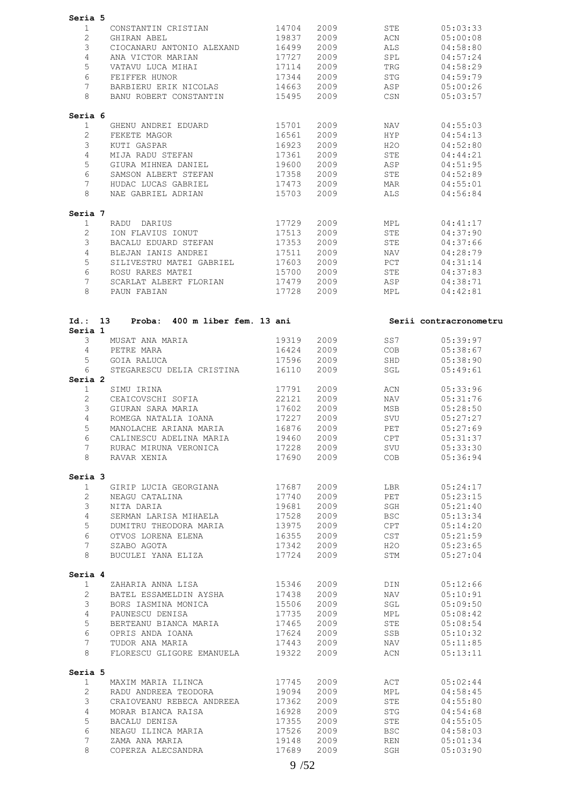| Seria 5                 |                                              |                |              |                   |                        |
|-------------------------|----------------------------------------------|----------------|--------------|-------------------|------------------------|
| 1                       | CONSTANTIN CRISTIAN                          | 14704          | 2009         | STE               | 05:03:33               |
| $\overline{2}$          | GHIRAN ABEL                                  | 19837          | 2009         | ACN               | 05:00:08               |
| 3                       |                                              |                |              |                   |                        |
|                         | CIOCANARU ANTONIO ALEXAND                    | 16499          | 2009         | ALS               | 04:58:80               |
| 4                       | ANA VICTOR MARIAN                            | 17727          | 2009         | SPL               | 04:57:24               |
| 5                       | VATAVU LUCA MIHAI                            | 17114          | 2009         | TRG               | 04:58:29               |
| 6                       | FEIFFER HUNOR                                | 17344          | 2009         | STG               | 04:59:79               |
| 7                       | BARBIERU ERIK NICOLAS                        | 14663          | 2009         | ASP               | 05:00:26               |
| 8                       | BANU ROBERT CONSTANTIN                       | 15495          | 2009         | CSN               | 05:03:57               |
| Seria 6                 |                                              |                |              |                   |                        |
| $\mathbf 1$             | GHENU ANDREI EDUARD                          | 15701          | 2009         | NAV               | 04:55:03               |
| $\overline{2}$          | FEKETE MAGOR                                 | 16561          | 2009         | HYP               | 04:54:13               |
| 3                       | KUTI GASPAR                                  | 16923          | 2009         | H2O               | 04:52:80               |
| $\overline{4}$          | MIJA RADU STEFAN                             | 17361          | 2009         | STE               | 04:44:21               |
| 5                       | GIURA MIHNEA DANIEL                          | 19600          | 2009         | ASP               | 04:51:95               |
| 6                       | SAMSON ALBERT STEFAN                         | 17358          | 2009         | STE               | 04:52:89               |
| $7\phantom{.0}$         | HUDAC LUCAS GABRIEL                          | 17473          | 2009         | MAR               | 04:55:01               |
| 8                       | NAE GABRIEL ADRIAN                           | 15703          | 2009         | ALS               | 04:56:84               |
| Seria 7                 |                                              |                |              |                   |                        |
| $\mathbf{1}$            | RADU DARIUS                                  | 17729          | 2009         | MPL               | 04:41:17               |
| $\overline{2}$          | ION FLAVIUS IONUT                            | 17513          | 2009         | STE               | 04:37:90               |
| 3                       | BACALU EDUARD STEFAN                         | 17353          | 2009         | STE               | 04:37:66               |
| $\overline{4}$          | BLEJAN IANIS ANDREI                          | 17511          | 2009         | NAV               | 04:28:79               |
| 5                       | SILIVESTRU MATEI GABRIEL                     | 17603          | 2009         | PCT               | 04:31:14               |
| 6                       | ROSU RARES MATEI                             | 15700          | 2009         | STE               | 04:37:83               |
| 7                       | SCARLAT ALBERT FLORIAN                       | 17479          | 2009         | ASP               | 04:38:71               |
| 8                       | PAUN FABIAN                                  | 17728          | 2009         | MPL               | 04:42:81               |
|                         |                                              |                |              |                   |                        |
| Id.: 13                 | Proba: 400 m liber fem. 13 ani               |                |              |                   | Serii contracronometru |
| Seria 1                 |                                              |                |              |                   |                        |
| 3                       | MUSAT ANA MARIA                              | 19319          | 2009         | SS7               | 05:39:97               |
| $4\overline{ }$         | PETRE MARA                                   | 16424          | 2009         | COB               | 05:38:67               |
| 5                       | GOIA RALUCA                                  | 17596          | 2009         | SHD               | 05:38:90               |
| 6                       | STEGARESCU DELIA CRISTINA                    | 16110          | 2009         | SGL               | 05:49:61               |
| Seria 2                 |                                              |                |              |                   |                        |
| $\mathbf{1}$            | SIMU IRINA                                   | 17791          | 2009         | ACN               | 05:33:96               |
| $\overline{2}$          | CEAICOVSCHI SOFIA                            | 22121          | 2009         | NAV               | 05:31:76               |
| 3                       | GIURAN SARA MARIA                            | 17602          | 2009         | MSB               | 05:28:50               |
| 4                       | ROMEGA NATALIA IOANA                         | 17227          | 2009         | SVU               | 05:27:27               |
| 5                       | MANOLACHE ARIANA MARIA                       | 16876          | 2009         | PET               | 05:27:69               |
| 6                       | CALINESCU ADELINA MARIA                      | 19460          | 2009         | <b>CPT</b>        | 05:31:37               |
| 7                       | RURAC MIRUNA VERONICA                        | 17228          | 2009         | SVU               | 05:33:30               |
| 8                       | RAVAR XENIA                                  | 17690          | 2009         | COB               | 05:36:94               |
| Seria 3                 |                                              |                |              |                   |                        |
| $\mathbf{1}$            | GIRIP LUCIA GEORGIANA                        | 17687          | 2009         | LBR               | 05:24:17               |
| $\overline{2}$          | NEAGU CATALINA                               | 17740          | 2009         | PET               | 05:23:15               |
| 3                       | NITA DARIA                                   | 19681          | 2009         | SGH               | 05:21:40               |
| $\overline{4}$          | SERMAN LARISA MIHAELA                        | 17528          | 2009         | <b>BSC</b>        | 05:13:34               |
| 5                       | DUMITRU THEODORA MARIA                       | 13975          | 2009         | CPT               | 05:14:20               |
| 6                       | OTVOS LORENA ELENA                           | 16355          | 2009         | CST               | 05:21:59               |
| $7^{\circ}$             | SZABO AGOTA                                  | 17342          | 2009         | H2O               | 05:23:65               |
| 8                       | BUCULEI YANA ELIZA                           | 17724          | 2009         | STM               | 05:27:04               |
| Seria 4                 |                                              |                |              |                   |                        |
| $\mathbf{1}$            | ZAHARIA ANNA LISA                            | 15346          | 2009         | DIN               | 05:12:66               |
| $\overline{2}$          | BATEL ESSAMELDIN AYSHA                       | 17438          | 2009         | NAV               | 05:10:91               |
| 3                       | BORS IASMINA MONICA                          | 15506          | 2009         | SGL               | 05:09:50               |
| $\overline{4}$          | PAUNESCU DENISA                              | 17735          | 2009         | MPL               | 05:08:42               |
| 5                       |                                              |                |              |                   |                        |
| 6                       | BERTEANU BIANCA MARIA                        | 17465          | 2009         | STE               | 05:08:54               |
|                         | OPRIS ANDA IOANA                             | 17624          | 2009         | SSB               | 05:10:32               |
| $7\phantom{.0}$<br>8    | TUDOR ANA MARIA<br>FLORESCU GLIGORE EMANUELA | 17443<br>19322 | 2009<br>2009 | NAV<br>ACN        | 05:11:85<br>05:13:11   |
|                         |                                              |                |              |                   |                        |
| Seria 5<br>$\mathbf{1}$ | MAXIM MARIA ILINCA                           | 17745          | 2009         | ACT               | 05:02:44               |
| $\overline{2}$          | RADU ANDREEA TEODORA                         | 19094          | 2009         | MPL               | 04:58:45               |
|                         | CRAIOVEANU REBECA ANDREEA                    | 17362          | 2009         | ${\tt STE}$       | 04:55:80               |
|                         | MORAR BIANCA RAISA                           | 16928          | 2009         |                   |                        |
| 3                       |                                              |                |              | STG               | 04:54:68               |
| $\overline{4}$          |                                              |                |              |                   |                        |
| 5                       | BACALU DENISA                                | 17355          | 2009         | STE               | 04:55:05               |
| 6                       | NEAGU ILINCA MARIA                           | 17526          | 2009         | <b>BSC</b>        | 04:58:03               |
| 7<br>8                  | ZAMA ANA MARIA<br>COPERZA ALECSANDRA         | 19148<br>17689 | 2009<br>2009 | <b>REN</b><br>SGH | 05:01:34<br>05:03:90   |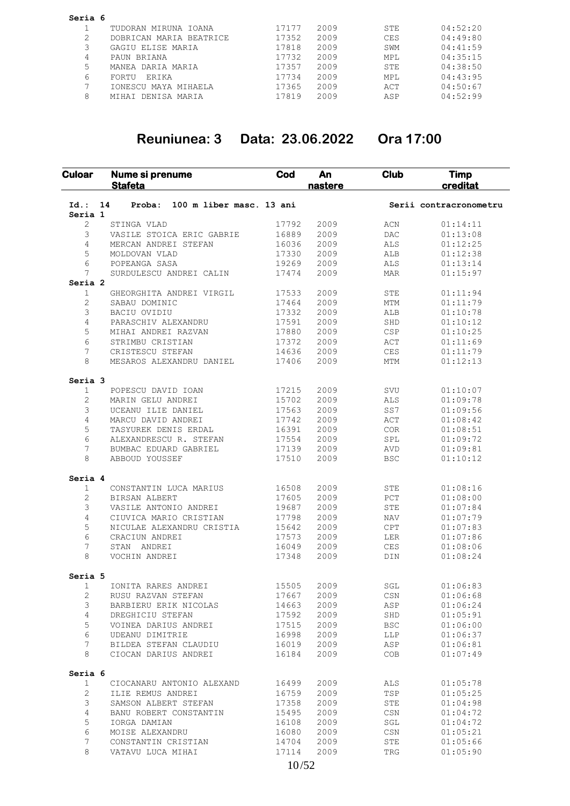| Seria 6 |                         |       |      |            |          |
|---------|-------------------------|-------|------|------------|----------|
|         | TUDORAN MIRUNA IOANA    | 17177 | 2009 | STE        | 04:52:20 |
|         | DOBRICAN MARIA BEATRICE | 17352 | 2009 | <b>CES</b> | 04:49:80 |
|         | GAGIU ELISE MARIA       | 17818 | 2009 | SWM        | 04:41:59 |
| 4       | PAUN BRIANA             | 17732 | 2009 | MPL        | 04:35:15 |
| 5       | MANEA DARIA MARIA       | 17357 | 2009 | STE        | 04:38:50 |
| 6       | ERIKA<br>FORTU          | 17734 | 2009 | MPL        | 04:43:95 |
|         | IONESCU MAYA MIHAELA    | 17365 | 2009 | ACT        | 04:50:67 |
| 8       | MIHAI DENISA MARIA      | 17819 | 2009 | ASP        | 04:52:99 |

# **Reuniunea: 3 Data: 23.06.2022 Ora 17:00**

| 100 m liber masc. 13 ani<br>$Id.$ :<br>14<br>Proba:<br>Serii contracronometru<br>Seria 1<br>2009<br>2<br>17792<br>ACN<br>STINGA VLAD<br>3<br>2009<br>VASILE STOICA ERIC GABRIE<br>16889<br>DAC<br>4<br>2009<br>16036<br>ALS<br>MERCAN ANDREI STEFAN<br>5<br>17330<br>2009<br>MOLDOVAN VLAD<br>ALB<br>6<br>19269<br>2009<br>POPEANGA SASA<br>ALS<br>7<br>17474<br>2009<br>SURDULESCU ANDREI CALIN<br><b>MAR</b><br>Seria 2<br>$\mathbf{1}$<br>2009<br>GHEORGHITA ANDREI VIRGIL<br>17533<br><b>STE</b><br>2<br>17464<br>2009<br>MTM<br>SABAU DOMINIC<br>3<br>17332<br>2009<br>BACIU OVIDIU<br>ALB<br>4<br>17591<br>2009<br>PARASCHIV ALEXANDRU<br>SHD<br>5<br>17880<br>2009<br>MIHAI ANDREI RAZVAN<br>CSP<br>6<br>17372<br>2009<br>STRIMBU CRISTIAN<br>ACT<br>7<br>14636<br>2009<br><b>CES</b><br>CRISTESCU STEFAN<br>8<br>17406<br>2009<br><b>MTM</b><br>MESAROS ALEXANDRU DANIEL<br>Seria 3<br>1<br>17215<br>2009<br>POPESCU DAVID IOAN<br>SVU<br>2<br>15702<br>2009<br>MARIN GELU ANDREI<br>ALS<br>3<br>17563<br>2009<br>SS7<br>UCEANU ILIE DANIEL<br>4<br>17742<br>2009<br>MARCU DAVID ANDREI<br>ACT<br>5<br>16391<br>TASYUREK DENIS ERDAL<br>2009<br><b>COR</b><br>6<br>17554<br>2009<br>ALEXANDRESCU R. STEFAN<br>SPL<br>7<br>2009<br>BUMBAC EDUARD GABRIEL<br>17139<br>AVD<br>8<br>17510<br>2009<br>ABBOUD YOUSSEF<br><b>BSC</b><br>Seria 4<br>1<br>16508<br>2009<br>CONSTANTIN LUCA MARIUS<br>STE<br>2<br>2009<br>17605<br>$_{\rm PCT}$<br>BIRSAN ALBERT<br>3<br>19687<br>2009<br>VASILE ANTONIO ANDREI<br><b>STE</b><br>4<br>2009<br>CIUVICA MARIO CRISTIAN<br>17798<br><b>NAV</b><br>5<br>NICULAE ALEXANDRU CRISTIA<br>15642<br>2009<br>CPT<br>6<br>17573<br>2009<br>CRACIUN ANDREI<br>LER<br>7<br>16049<br>2009<br>STAN<br>ANDREI<br>CES<br>8<br>17348<br>2009<br>VOCHIN ANDREI<br>DIN<br>Seria 5<br>1<br>15505<br>2009<br>SGL<br>IONITA RARES ANDREI<br>2<br>17667<br>2009<br>RUSU RAZVAN STEFAN<br>CSN<br>3<br>2009<br>14663<br>ASP<br>BARBIERU ERIK NICOLAS<br>4<br>17592<br>2009<br>SHD<br>DREGHICIU STEFAN<br>5<br>VOINEA DARIUS ANDREI<br>17515<br>2009<br><b>BSC</b><br>6<br>16998<br>2009<br>UDEANU DIMITRIE<br><b>LLP</b><br>7<br>2009<br>BILDEA STEFAN CLAUDIU<br>16019<br>ASP<br>8<br>CIOCAN DARIUS ANDREI<br>16184<br>2009<br>COB<br>Seria 6<br>1<br>CIOCANARU ANTONIO ALEXAND<br>16499<br>2009<br>ALS<br>$\overline{c}$<br>2009<br>TSP<br>ILIE REMUS ANDREI<br>16759 | <b>Timp</b><br>creditat | <b>Club</b> | An<br>nastere | Cod | Nume si prenume<br><b>Stafeta</b> | Culoar |
|--------------------------------------------------------------------------------------------------------------------------------------------------------------------------------------------------------------------------------------------------------------------------------------------------------------------------------------------------------------------------------------------------------------------------------------------------------------------------------------------------------------------------------------------------------------------------------------------------------------------------------------------------------------------------------------------------------------------------------------------------------------------------------------------------------------------------------------------------------------------------------------------------------------------------------------------------------------------------------------------------------------------------------------------------------------------------------------------------------------------------------------------------------------------------------------------------------------------------------------------------------------------------------------------------------------------------------------------------------------------------------------------------------------------------------------------------------------------------------------------------------------------------------------------------------------------------------------------------------------------------------------------------------------------------------------------------------------------------------------------------------------------------------------------------------------------------------------------------------------------------------------------------------------------------------------------------------------------------------------------------------------------------------------------------------------------------------------------------------------------------------------------------------------------------------------------------------------------------------------------------------------------------------------------------------------------------------------------------------------------------------------------|-------------------------|-------------|---------------|-----|-----------------------------------|--------|
|                                                                                                                                                                                                                                                                                                                                                                                                                                                                                                                                                                                                                                                                                                                                                                                                                                                                                                                                                                                                                                                                                                                                                                                                                                                                                                                                                                                                                                                                                                                                                                                                                                                                                                                                                                                                                                                                                                                                                                                                                                                                                                                                                                                                                                                                                                                                                                                            |                         |             |               |     |                                   |        |
|                                                                                                                                                                                                                                                                                                                                                                                                                                                                                                                                                                                                                                                                                                                                                                                                                                                                                                                                                                                                                                                                                                                                                                                                                                                                                                                                                                                                                                                                                                                                                                                                                                                                                                                                                                                                                                                                                                                                                                                                                                                                                                                                                                                                                                                                                                                                                                                            |                         |             |               |     |                                   |        |
|                                                                                                                                                                                                                                                                                                                                                                                                                                                                                                                                                                                                                                                                                                                                                                                                                                                                                                                                                                                                                                                                                                                                                                                                                                                                                                                                                                                                                                                                                                                                                                                                                                                                                                                                                                                                                                                                                                                                                                                                                                                                                                                                                                                                                                                                                                                                                                                            | 01:14:11                |             |               |     |                                   |        |
|                                                                                                                                                                                                                                                                                                                                                                                                                                                                                                                                                                                                                                                                                                                                                                                                                                                                                                                                                                                                                                                                                                                                                                                                                                                                                                                                                                                                                                                                                                                                                                                                                                                                                                                                                                                                                                                                                                                                                                                                                                                                                                                                                                                                                                                                                                                                                                                            | 01:13:08                |             |               |     |                                   |        |
|                                                                                                                                                                                                                                                                                                                                                                                                                                                                                                                                                                                                                                                                                                                                                                                                                                                                                                                                                                                                                                                                                                                                                                                                                                                                                                                                                                                                                                                                                                                                                                                                                                                                                                                                                                                                                                                                                                                                                                                                                                                                                                                                                                                                                                                                                                                                                                                            | 01:12:25                |             |               |     |                                   |        |
|                                                                                                                                                                                                                                                                                                                                                                                                                                                                                                                                                                                                                                                                                                                                                                                                                                                                                                                                                                                                                                                                                                                                                                                                                                                                                                                                                                                                                                                                                                                                                                                                                                                                                                                                                                                                                                                                                                                                                                                                                                                                                                                                                                                                                                                                                                                                                                                            | 01:12:38                |             |               |     |                                   |        |
|                                                                                                                                                                                                                                                                                                                                                                                                                                                                                                                                                                                                                                                                                                                                                                                                                                                                                                                                                                                                                                                                                                                                                                                                                                                                                                                                                                                                                                                                                                                                                                                                                                                                                                                                                                                                                                                                                                                                                                                                                                                                                                                                                                                                                                                                                                                                                                                            | 01:13:14                |             |               |     |                                   |        |
|                                                                                                                                                                                                                                                                                                                                                                                                                                                                                                                                                                                                                                                                                                                                                                                                                                                                                                                                                                                                                                                                                                                                                                                                                                                                                                                                                                                                                                                                                                                                                                                                                                                                                                                                                                                                                                                                                                                                                                                                                                                                                                                                                                                                                                                                                                                                                                                            | 01:15:97                |             |               |     |                                   |        |
|                                                                                                                                                                                                                                                                                                                                                                                                                                                                                                                                                                                                                                                                                                                                                                                                                                                                                                                                                                                                                                                                                                                                                                                                                                                                                                                                                                                                                                                                                                                                                                                                                                                                                                                                                                                                                                                                                                                                                                                                                                                                                                                                                                                                                                                                                                                                                                                            | 01:11:94                |             |               |     |                                   |        |
|                                                                                                                                                                                                                                                                                                                                                                                                                                                                                                                                                                                                                                                                                                                                                                                                                                                                                                                                                                                                                                                                                                                                                                                                                                                                                                                                                                                                                                                                                                                                                                                                                                                                                                                                                                                                                                                                                                                                                                                                                                                                                                                                                                                                                                                                                                                                                                                            | 01:11:79                |             |               |     |                                   |        |
|                                                                                                                                                                                                                                                                                                                                                                                                                                                                                                                                                                                                                                                                                                                                                                                                                                                                                                                                                                                                                                                                                                                                                                                                                                                                                                                                                                                                                                                                                                                                                                                                                                                                                                                                                                                                                                                                                                                                                                                                                                                                                                                                                                                                                                                                                                                                                                                            | 01:10:78                |             |               |     |                                   |        |
|                                                                                                                                                                                                                                                                                                                                                                                                                                                                                                                                                                                                                                                                                                                                                                                                                                                                                                                                                                                                                                                                                                                                                                                                                                                                                                                                                                                                                                                                                                                                                                                                                                                                                                                                                                                                                                                                                                                                                                                                                                                                                                                                                                                                                                                                                                                                                                                            | 01:10:12                |             |               |     |                                   |        |
|                                                                                                                                                                                                                                                                                                                                                                                                                                                                                                                                                                                                                                                                                                                                                                                                                                                                                                                                                                                                                                                                                                                                                                                                                                                                                                                                                                                                                                                                                                                                                                                                                                                                                                                                                                                                                                                                                                                                                                                                                                                                                                                                                                                                                                                                                                                                                                                            | 01:10:25                |             |               |     |                                   |        |
|                                                                                                                                                                                                                                                                                                                                                                                                                                                                                                                                                                                                                                                                                                                                                                                                                                                                                                                                                                                                                                                                                                                                                                                                                                                                                                                                                                                                                                                                                                                                                                                                                                                                                                                                                                                                                                                                                                                                                                                                                                                                                                                                                                                                                                                                                                                                                                                            | 01:11:69                |             |               |     |                                   |        |
|                                                                                                                                                                                                                                                                                                                                                                                                                                                                                                                                                                                                                                                                                                                                                                                                                                                                                                                                                                                                                                                                                                                                                                                                                                                                                                                                                                                                                                                                                                                                                                                                                                                                                                                                                                                                                                                                                                                                                                                                                                                                                                                                                                                                                                                                                                                                                                                            |                         |             |               |     |                                   |        |
|                                                                                                                                                                                                                                                                                                                                                                                                                                                                                                                                                                                                                                                                                                                                                                                                                                                                                                                                                                                                                                                                                                                                                                                                                                                                                                                                                                                                                                                                                                                                                                                                                                                                                                                                                                                                                                                                                                                                                                                                                                                                                                                                                                                                                                                                                                                                                                                            | 01:11:79                |             |               |     |                                   |        |
|                                                                                                                                                                                                                                                                                                                                                                                                                                                                                                                                                                                                                                                                                                                                                                                                                                                                                                                                                                                                                                                                                                                                                                                                                                                                                                                                                                                                                                                                                                                                                                                                                                                                                                                                                                                                                                                                                                                                                                                                                                                                                                                                                                                                                                                                                                                                                                                            | 01:12:13                |             |               |     |                                   |        |
|                                                                                                                                                                                                                                                                                                                                                                                                                                                                                                                                                                                                                                                                                                                                                                                                                                                                                                                                                                                                                                                                                                                                                                                                                                                                                                                                                                                                                                                                                                                                                                                                                                                                                                                                                                                                                                                                                                                                                                                                                                                                                                                                                                                                                                                                                                                                                                                            |                         |             |               |     |                                   |        |
|                                                                                                                                                                                                                                                                                                                                                                                                                                                                                                                                                                                                                                                                                                                                                                                                                                                                                                                                                                                                                                                                                                                                                                                                                                                                                                                                                                                                                                                                                                                                                                                                                                                                                                                                                                                                                                                                                                                                                                                                                                                                                                                                                                                                                                                                                                                                                                                            | 01:10:07                |             |               |     |                                   |        |
|                                                                                                                                                                                                                                                                                                                                                                                                                                                                                                                                                                                                                                                                                                                                                                                                                                                                                                                                                                                                                                                                                                                                                                                                                                                                                                                                                                                                                                                                                                                                                                                                                                                                                                                                                                                                                                                                                                                                                                                                                                                                                                                                                                                                                                                                                                                                                                                            | 01:09:78                |             |               |     |                                   |        |
|                                                                                                                                                                                                                                                                                                                                                                                                                                                                                                                                                                                                                                                                                                                                                                                                                                                                                                                                                                                                                                                                                                                                                                                                                                                                                                                                                                                                                                                                                                                                                                                                                                                                                                                                                                                                                                                                                                                                                                                                                                                                                                                                                                                                                                                                                                                                                                                            | 01:09:56                |             |               |     |                                   |        |
|                                                                                                                                                                                                                                                                                                                                                                                                                                                                                                                                                                                                                                                                                                                                                                                                                                                                                                                                                                                                                                                                                                                                                                                                                                                                                                                                                                                                                                                                                                                                                                                                                                                                                                                                                                                                                                                                                                                                                                                                                                                                                                                                                                                                                                                                                                                                                                                            | 01:08:42                |             |               |     |                                   |        |
|                                                                                                                                                                                                                                                                                                                                                                                                                                                                                                                                                                                                                                                                                                                                                                                                                                                                                                                                                                                                                                                                                                                                                                                                                                                                                                                                                                                                                                                                                                                                                                                                                                                                                                                                                                                                                                                                                                                                                                                                                                                                                                                                                                                                                                                                                                                                                                                            | 01:08:51                |             |               |     |                                   |        |
|                                                                                                                                                                                                                                                                                                                                                                                                                                                                                                                                                                                                                                                                                                                                                                                                                                                                                                                                                                                                                                                                                                                                                                                                                                                                                                                                                                                                                                                                                                                                                                                                                                                                                                                                                                                                                                                                                                                                                                                                                                                                                                                                                                                                                                                                                                                                                                                            | 01:09:72                |             |               |     |                                   |        |
|                                                                                                                                                                                                                                                                                                                                                                                                                                                                                                                                                                                                                                                                                                                                                                                                                                                                                                                                                                                                                                                                                                                                                                                                                                                                                                                                                                                                                                                                                                                                                                                                                                                                                                                                                                                                                                                                                                                                                                                                                                                                                                                                                                                                                                                                                                                                                                                            | 01:09:81                |             |               |     |                                   |        |
|                                                                                                                                                                                                                                                                                                                                                                                                                                                                                                                                                                                                                                                                                                                                                                                                                                                                                                                                                                                                                                                                                                                                                                                                                                                                                                                                                                                                                                                                                                                                                                                                                                                                                                                                                                                                                                                                                                                                                                                                                                                                                                                                                                                                                                                                                                                                                                                            | 01:10:12                |             |               |     |                                   |        |
|                                                                                                                                                                                                                                                                                                                                                                                                                                                                                                                                                                                                                                                                                                                                                                                                                                                                                                                                                                                                                                                                                                                                                                                                                                                                                                                                                                                                                                                                                                                                                                                                                                                                                                                                                                                                                                                                                                                                                                                                                                                                                                                                                                                                                                                                                                                                                                                            |                         |             |               |     |                                   |        |
|                                                                                                                                                                                                                                                                                                                                                                                                                                                                                                                                                                                                                                                                                                                                                                                                                                                                                                                                                                                                                                                                                                                                                                                                                                                                                                                                                                                                                                                                                                                                                                                                                                                                                                                                                                                                                                                                                                                                                                                                                                                                                                                                                                                                                                                                                                                                                                                            | 01:08:16                |             |               |     |                                   |        |
|                                                                                                                                                                                                                                                                                                                                                                                                                                                                                                                                                                                                                                                                                                                                                                                                                                                                                                                                                                                                                                                                                                                                                                                                                                                                                                                                                                                                                                                                                                                                                                                                                                                                                                                                                                                                                                                                                                                                                                                                                                                                                                                                                                                                                                                                                                                                                                                            | 01:08:00                |             |               |     |                                   |        |
|                                                                                                                                                                                                                                                                                                                                                                                                                                                                                                                                                                                                                                                                                                                                                                                                                                                                                                                                                                                                                                                                                                                                                                                                                                                                                                                                                                                                                                                                                                                                                                                                                                                                                                                                                                                                                                                                                                                                                                                                                                                                                                                                                                                                                                                                                                                                                                                            | 01:07:84                |             |               |     |                                   |        |
|                                                                                                                                                                                                                                                                                                                                                                                                                                                                                                                                                                                                                                                                                                                                                                                                                                                                                                                                                                                                                                                                                                                                                                                                                                                                                                                                                                                                                                                                                                                                                                                                                                                                                                                                                                                                                                                                                                                                                                                                                                                                                                                                                                                                                                                                                                                                                                                            | 01:07:79                |             |               |     |                                   |        |
|                                                                                                                                                                                                                                                                                                                                                                                                                                                                                                                                                                                                                                                                                                                                                                                                                                                                                                                                                                                                                                                                                                                                                                                                                                                                                                                                                                                                                                                                                                                                                                                                                                                                                                                                                                                                                                                                                                                                                                                                                                                                                                                                                                                                                                                                                                                                                                                            | 01:07:83                |             |               |     |                                   |        |
|                                                                                                                                                                                                                                                                                                                                                                                                                                                                                                                                                                                                                                                                                                                                                                                                                                                                                                                                                                                                                                                                                                                                                                                                                                                                                                                                                                                                                                                                                                                                                                                                                                                                                                                                                                                                                                                                                                                                                                                                                                                                                                                                                                                                                                                                                                                                                                                            | 01:07:86                |             |               |     |                                   |        |
|                                                                                                                                                                                                                                                                                                                                                                                                                                                                                                                                                                                                                                                                                                                                                                                                                                                                                                                                                                                                                                                                                                                                                                                                                                                                                                                                                                                                                                                                                                                                                                                                                                                                                                                                                                                                                                                                                                                                                                                                                                                                                                                                                                                                                                                                                                                                                                                            | 01:08:06                |             |               |     |                                   |        |
|                                                                                                                                                                                                                                                                                                                                                                                                                                                                                                                                                                                                                                                                                                                                                                                                                                                                                                                                                                                                                                                                                                                                                                                                                                                                                                                                                                                                                                                                                                                                                                                                                                                                                                                                                                                                                                                                                                                                                                                                                                                                                                                                                                                                                                                                                                                                                                                            |                         |             |               |     |                                   |        |
|                                                                                                                                                                                                                                                                                                                                                                                                                                                                                                                                                                                                                                                                                                                                                                                                                                                                                                                                                                                                                                                                                                                                                                                                                                                                                                                                                                                                                                                                                                                                                                                                                                                                                                                                                                                                                                                                                                                                                                                                                                                                                                                                                                                                                                                                                                                                                                                            | 01:08:24                |             |               |     |                                   |        |
|                                                                                                                                                                                                                                                                                                                                                                                                                                                                                                                                                                                                                                                                                                                                                                                                                                                                                                                                                                                                                                                                                                                                                                                                                                                                                                                                                                                                                                                                                                                                                                                                                                                                                                                                                                                                                                                                                                                                                                                                                                                                                                                                                                                                                                                                                                                                                                                            |                         |             |               |     |                                   |        |
|                                                                                                                                                                                                                                                                                                                                                                                                                                                                                                                                                                                                                                                                                                                                                                                                                                                                                                                                                                                                                                                                                                                                                                                                                                                                                                                                                                                                                                                                                                                                                                                                                                                                                                                                                                                                                                                                                                                                                                                                                                                                                                                                                                                                                                                                                                                                                                                            | 01:06:83                |             |               |     |                                   |        |
|                                                                                                                                                                                                                                                                                                                                                                                                                                                                                                                                                                                                                                                                                                                                                                                                                                                                                                                                                                                                                                                                                                                                                                                                                                                                                                                                                                                                                                                                                                                                                                                                                                                                                                                                                                                                                                                                                                                                                                                                                                                                                                                                                                                                                                                                                                                                                                                            | 01:06:68                |             |               |     |                                   |        |
|                                                                                                                                                                                                                                                                                                                                                                                                                                                                                                                                                                                                                                                                                                                                                                                                                                                                                                                                                                                                                                                                                                                                                                                                                                                                                                                                                                                                                                                                                                                                                                                                                                                                                                                                                                                                                                                                                                                                                                                                                                                                                                                                                                                                                                                                                                                                                                                            | 01:06:24                |             |               |     |                                   |        |
|                                                                                                                                                                                                                                                                                                                                                                                                                                                                                                                                                                                                                                                                                                                                                                                                                                                                                                                                                                                                                                                                                                                                                                                                                                                                                                                                                                                                                                                                                                                                                                                                                                                                                                                                                                                                                                                                                                                                                                                                                                                                                                                                                                                                                                                                                                                                                                                            | 01:05:91                |             |               |     |                                   |        |
|                                                                                                                                                                                                                                                                                                                                                                                                                                                                                                                                                                                                                                                                                                                                                                                                                                                                                                                                                                                                                                                                                                                                                                                                                                                                                                                                                                                                                                                                                                                                                                                                                                                                                                                                                                                                                                                                                                                                                                                                                                                                                                                                                                                                                                                                                                                                                                                            | 01:06:00                |             |               |     |                                   |        |
|                                                                                                                                                                                                                                                                                                                                                                                                                                                                                                                                                                                                                                                                                                                                                                                                                                                                                                                                                                                                                                                                                                                                                                                                                                                                                                                                                                                                                                                                                                                                                                                                                                                                                                                                                                                                                                                                                                                                                                                                                                                                                                                                                                                                                                                                                                                                                                                            | 01:06:37                |             |               |     |                                   |        |
|                                                                                                                                                                                                                                                                                                                                                                                                                                                                                                                                                                                                                                                                                                                                                                                                                                                                                                                                                                                                                                                                                                                                                                                                                                                                                                                                                                                                                                                                                                                                                                                                                                                                                                                                                                                                                                                                                                                                                                                                                                                                                                                                                                                                                                                                                                                                                                                            | 01:06:81                |             |               |     |                                   |        |
|                                                                                                                                                                                                                                                                                                                                                                                                                                                                                                                                                                                                                                                                                                                                                                                                                                                                                                                                                                                                                                                                                                                                                                                                                                                                                                                                                                                                                                                                                                                                                                                                                                                                                                                                                                                                                                                                                                                                                                                                                                                                                                                                                                                                                                                                                                                                                                                            | 01:07:49                |             |               |     |                                   |        |
|                                                                                                                                                                                                                                                                                                                                                                                                                                                                                                                                                                                                                                                                                                                                                                                                                                                                                                                                                                                                                                                                                                                                                                                                                                                                                                                                                                                                                                                                                                                                                                                                                                                                                                                                                                                                                                                                                                                                                                                                                                                                                                                                                                                                                                                                                                                                                                                            |                         |             |               |     |                                   |        |
|                                                                                                                                                                                                                                                                                                                                                                                                                                                                                                                                                                                                                                                                                                                                                                                                                                                                                                                                                                                                                                                                                                                                                                                                                                                                                                                                                                                                                                                                                                                                                                                                                                                                                                                                                                                                                                                                                                                                                                                                                                                                                                                                                                                                                                                                                                                                                                                            | 01:05:78                |             |               |     |                                   |        |
|                                                                                                                                                                                                                                                                                                                                                                                                                                                                                                                                                                                                                                                                                                                                                                                                                                                                                                                                                                                                                                                                                                                                                                                                                                                                                                                                                                                                                                                                                                                                                                                                                                                                                                                                                                                                                                                                                                                                                                                                                                                                                                                                                                                                                                                                                                                                                                                            | 01:05:25                |             |               |     |                                   |        |
| 2009<br>3<br>SAMSON ALBERT STEFAN<br>17358<br>STE                                                                                                                                                                                                                                                                                                                                                                                                                                                                                                                                                                                                                                                                                                                                                                                                                                                                                                                                                                                                                                                                                                                                                                                                                                                                                                                                                                                                                                                                                                                                                                                                                                                                                                                                                                                                                                                                                                                                                                                                                                                                                                                                                                                                                                                                                                                                          | 01:04:98                |             |               |     |                                   |        |
| 2009<br>4<br>BANU ROBERT CONSTANTIN<br>15495<br>CSN                                                                                                                                                                                                                                                                                                                                                                                                                                                                                                                                                                                                                                                                                                                                                                                                                                                                                                                                                                                                                                                                                                                                                                                                                                                                                                                                                                                                                                                                                                                                                                                                                                                                                                                                                                                                                                                                                                                                                                                                                                                                                                                                                                                                                                                                                                                                        | 01:04:72                |             |               |     |                                   |        |
| 5<br>IORGA DAMIAN<br>16108<br>2009<br>$\operatorname{\mathsf{SGL}}$                                                                                                                                                                                                                                                                                                                                                                                                                                                                                                                                                                                                                                                                                                                                                                                                                                                                                                                                                                                                                                                                                                                                                                                                                                                                                                                                                                                                                                                                                                                                                                                                                                                                                                                                                                                                                                                                                                                                                                                                                                                                                                                                                                                                                                                                                                                        | 01:04:72                |             |               |     |                                   |        |
|                                                                                                                                                                                                                                                                                                                                                                                                                                                                                                                                                                                                                                                                                                                                                                                                                                                                                                                                                                                                                                                                                                                                                                                                                                                                                                                                                                                                                                                                                                                                                                                                                                                                                                                                                                                                                                                                                                                                                                                                                                                                                                                                                                                                                                                                                                                                                                                            |                         |             |               |     |                                   |        |
| 16080<br>2009<br>6<br>MOISE ALEXANDRU<br>CSN                                                                                                                                                                                                                                                                                                                                                                                                                                                                                                                                                                                                                                                                                                                                                                                                                                                                                                                                                                                                                                                                                                                                                                                                                                                                                                                                                                                                                                                                                                                                                                                                                                                                                                                                                                                                                                                                                                                                                                                                                                                                                                                                                                                                                                                                                                                                               | 01:05:21                |             |               |     |                                   |        |
| 7<br>14704<br>2009<br>CONSTANTIN CRISTIAN<br>STE<br>8<br>17114<br>2009<br>TRG<br>VATAVU LUCA MIHAI                                                                                                                                                                                                                                                                                                                                                                                                                                                                                                                                                                                                                                                                                                                                                                                                                                                                                                                                                                                                                                                                                                                                                                                                                                                                                                                                                                                                                                                                                                                                                                                                                                                                                                                                                                                                                                                                                                                                                                                                                                                                                                                                                                                                                                                                                         | 01:05:66<br>01:05:90    |             |               |     |                                   |        |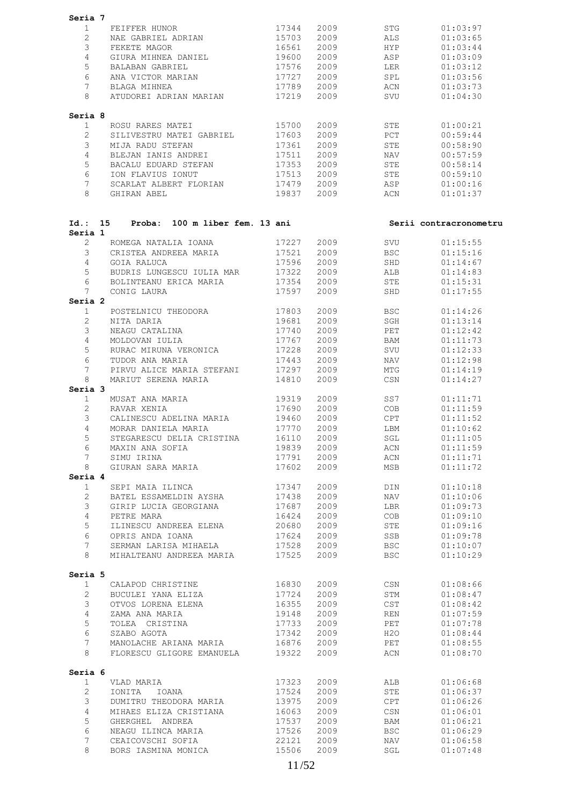| Seria 7         |                                                     |                   |            |            |                        |
|-----------------|-----------------------------------------------------|-------------------|------------|------------|------------------------|
| $\mathbf{1}$    | 17344<br>FEIFFER HUNOR                              |                   | 2009 — 100 | STG        | 01:03:97               |
| $\overline{2}$  | NAE GABRIEL ADRIAN                                  | 15703             | 2009       | ALS        | 01:03:65               |
| 3               | FEKETE MAGOR                                        | 16561             | 2009       | HYP        | 01:03:44               |
| $\overline{4}$  | GIURA MIHNEA DANIEL                                 | 19600             | 2009       | ASP        | 01:03:09               |
| 5               | BALABAN GABRIEL                                     | 17576             | 2009       | LER        | 01:03:12               |
| 6               |                                                     |                   |            |            |                        |
|                 | ANA VICTOR MARIAN                                   | 17727             | 2009       | SPL        | 01:03:56               |
| 7               | BLAGA MIHNEA                                        | 17789             | 2009       | ACN        | 01:03:73               |
| 8               | ATUDOREI ADRIAN MARIAN 17219                        |                   | 2009       | SVU        | 01:04:30               |
| Seria 8         |                                                     |                   |            |            |                        |
| $\mathbf{1}$    | ROSU RARES MATEI                                    | 15700             | 2009       | STE        | 01:00:21               |
| $\overline{2}$  | SILIVESTRU MATEI GABRIEL 17603                      |                   | 2009       | PCT        | 00:59:44               |
| 3               | MIJA RADU STEFAN                                    | 17361             | 2009       | STE        | 00:58:90               |
| $\overline{4}$  | BLEJAN IANIS ANDREI                                 | 17511             | 2009       | <b>NAV</b> | 00:57:59               |
| 5               | BACALU EDUARD STEFAN 17353                          |                   | 2009       | STE        | 00:58:14               |
| 6               | ION FLAVIUS IONUT                                   | 17513             | 2009       | STE        | 00:59:10               |
| $7\phantom{.0}$ | SCARLAT ALBERT FLORIAN                              | $\frac{1}{17479}$ | 2009       | ASP        | 01:00:16               |
| 8               | GHIRAN ABEL                                         | 19837             | 2009       | ACN        | 01:01:37               |
|                 |                                                     |                   |            |            |                        |
| Seria 1         | Proba: 100 m liber fem. 13 ani<br>Id.: 15           |                   |            |            | Serii contracronometru |
| $\overline{2}$  | ROMEGA NATALIA IOANA                                | 17227             | 2009       | SVU        | 01:15:55               |
| 3               | CRISTEA ANDREEA MARIA                               | 17521             | 2009       | BSC        | 01:15:16               |
|                 |                                                     |                   |            |            |                        |
| 4               | GOIA RALUCA                                         | 17596             | 2009       | SHD        | 01:14:67               |
| 5               | BUDRIS LUNGESCU IULIA MAR<br>BOLINTEANU ERICA MARIA | 17322             | 2009       | ALB        | 01:14:83               |
| 6               |                                                     | 17354             | 2009       | STE        | 01:15:31               |
| 7               | CONIG LAURA                                         | 17597             | 2009       | SHD        | 01:17:55               |
| Seria 2         |                                                     |                   |            |            |                        |
| $\mathbf{1}$    | POSTELNICU THEODORA 17803                           |                   | 2009       | BSC        | 01:14:26               |
| $\overline{2}$  | NITA DARIA                                          | 19681             | 2009       | SGH        | 01:13:14               |
| 3               | NEAGU CATALINA                                      | 17740             | 2009       | PET        | 01:12:42               |
| $\overline{4}$  | MOLDOVAN IULIA                                      | 17767             | 2009       | BAM        | 01:11:73               |
| 5               | RURAC MIRUNA VERONICA 17228                         |                   | 2009       | SVU        | 01:12:33               |
| 6               | TUDOR ANA MARIA                                     | 17443             | 2009       | NAV        | 01:12:98               |
| 7               | PIRVU ALICE MARIA STEFANI                           | 17297             | 2009       | MTG        | 01:14:19               |
| 8               | MARIUT SERENA MARIA                                 | 14810             | 2009       | CSN        | 01:14:27               |
| Seria 3         |                                                     |                   |            |            |                        |
| 1               | MUSAT ANA MARIA                                     | 19319             | 2009       | SS7        | 01:11:71               |
| $\overline{2}$  | RAVAR XENIA                                         | 17690             | 2009       | COB        | 01:11:59               |
| 3               | CALINESCU ADELINA MARIA 19460                       |                   | 2009 2009  | CPT        | 01:11:52               |
| 4               | MORAR DANIELA MARIA                                 | 17770             | 2009       | LBM        | 01:10:62               |
| 5 <sup>5</sup>  | STEGARESCU DELIA CRISTINA                           | 16110 2009        |            | SGL        | 01:11:05               |
| 6               | MAXIN ANA SOFIA                                     | 19839             | 2009       | ACN        | 01:11:59               |
| $7^{\circ}$     | SIMU IRINA                                          | 17791             | 2009       | ACN        | 01:11:71               |
| 8               | GIURAN SARA MARIA                                   | 17602             | 2009       | MSB        | 01:11:72               |
| Seria 4         |                                                     |                   |            |            |                        |
| $\mathbf{1}$    | SEPI MAIA ILINCA                                    | 17347             | 2009       | DIN        | 01:10:18               |
| $\overline{2}$  | BATEL ESSAMELDIN AYSHA                              | 17438             | 2009       | NAV        | 01:10:06               |
| 3               | GIRIP LUCIA GEORGIANA                               | 17687             | 2009       | LBR        | 01:09:73               |
| 4               | PETRE MARA                                          | 16424             | 2009       | COB        | 01:09:10               |
| 5               | ILINESCU ANDREEA ELENA                              | 20680             | 2009       | STE        | 01:09:16               |
|                 |                                                     |                   |            |            |                        |
| 6               | OPRIS ANDA IOANA                                    | 17624             | 2009       | SSB        | 01:09:78               |
| $7\phantom{.}$  | SERMAN LARISA MIHAELA                               | 17528             | 2009       | <b>BSC</b> | 01:10:07               |
| 8               | MIHALTEANU ANDREEA MARIA 17525                      |                   | 2009       | <b>BSC</b> | 01:10:29               |
| Seria 5         |                                                     |                   |            |            |                        |
| $\mathbf{1}$    | CALAPOD CHRISTINE                                   | 16830             | 2009       | CSN        | 01:08:66               |
| $\mathbf{2}$    | BUCULEI YANA ELIZA                                  | 17724             | 2009       | STM        | 01:08:47               |
| 3               | OTVOS LORENA ELENA                                  | 16355             | 2009       | CST        | 01:08:42               |
| 4               | ZAMA ANA MARIA                                      | 19148             | 2009       | REN        | 01:07:59               |
| 5               | TOLEA CRISTINA                                      | 17733             | 2009       | PET        | 01:07:78               |
| 6               | SZABO AGOTA                                         | 17342             | 2009       | H2O        | 01:08:44               |
| $7\phantom{.}$  | MANOLACHE ARIANA MARIA                              | 16876             | 2009       | PET        | 01:08:55               |
| 8               | FLORESCU GLIGORE EMANUELA 19322                     |                   | 2009       | ACN        | 01:08:70               |
| Seria 6         |                                                     |                   |            |            |                        |
| $\mathbf{1}$    | VLAD MARIA                                          | 17323             | 2009       | ALB        | 01:06:68               |
| $\overline{2}$  | IONITA<br>IOANA                                     | 17524             | 2009       | STE        | 01:06:37               |
| 3               | DUMITRU THEODORA MARIA                              | 13975             | 2009       | CPT        | 01:06:26               |
| 4               | MIHAES ELIZA CRISTIANA                              | 16063             | 2009       | CSN        | 01:06:01               |
| 5               | GHERGHEL ANDREA                                     | 17537             | 2009       | BAM        | 01:06:21               |
|                 |                                                     |                   |            |            |                        |
| 6               | NEAGU ILINCA MARIA                                  | 17526             | 2009       | <b>BSC</b> | 01:06:29               |
| 7               | CEAICOVSCHI SOFIA                                   | 22121             | 2009       | NAV        | 01:06:58               |
| 8               | BORS IASMINA MONICA                                 | 15506             | 2009       | SGL        | 01:07:48               |
|                 |                                                     |                   |            |            |                        |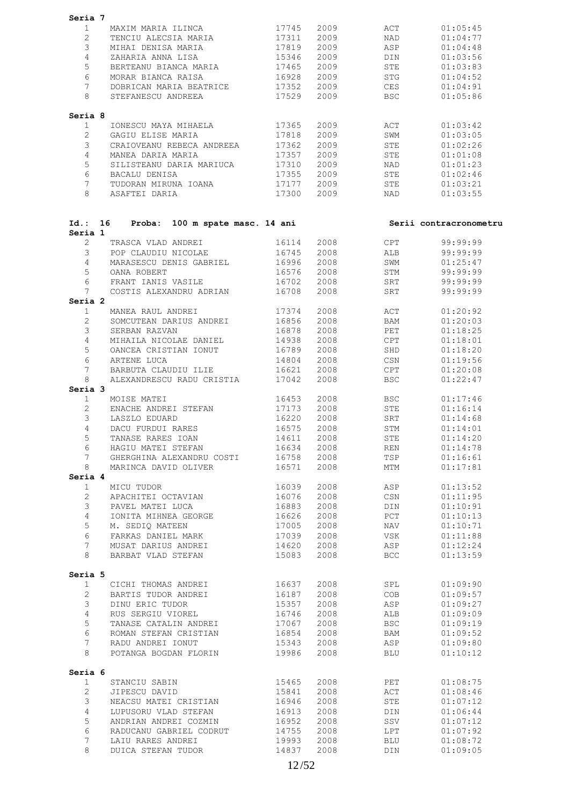| Seria 7            |                                 |            |      |             |                        |
|--------------------|---------------------------------|------------|------|-------------|------------------------|
| $\mathbf{1}$       | MAXIM MARIA ILINCA              | 17745      | 2009 | ACT         | 01:05:45               |
| 2                  | TENCIU ALECSIA MARIA            | 17311      | 2009 | NAD         | 01:04:77               |
| 3                  | MIHAI DENISA MARIA              | 17819      | 2009 | ASP         | 01:04:48               |
| $\overline{4}$     | ZAHARIA ANNA LISA               | 15346      | 2009 | DIN         | 01:03:56               |
| 5                  | BERTEANU BIANCA MARIA           |            |      |             |                        |
|                    |                                 | 17465      | 2009 | STE         | 01:03:83               |
| 6                  | MORAR BIANCA RAISA              | 16928      | 2009 | STG         | 01:04:52               |
| 7                  | DOBRICAN MARIA BEATRICE 17352   |            | 2009 | CES         | 01:04:91               |
| 8                  | STEFANESCU ANDREEA              | 17529      | 2009 | <b>BSC</b>  | 01:05:86               |
| Seria 8            |                                 |            |      |             |                        |
| $\mathbf{1}$       | IONESCU MAYA MIHAELA 17365      |            | 2009 | ACT         | 01:03:42               |
| $\mathbf{2}$       | GAGIU ELISE MARIA               | 17818      | 2009 | SWM         | 01:03:05               |
| 3                  | CRAIOVEANU REBECA ANDREEA       | 17362      | 2009 | STE         | 01:02:26               |
| 4                  | MANEA DARIA MARIA               | 17357      | 2009 | STE         | 01:01:08               |
| 5                  | SILISTEANU DARIA MARIUCA        | 17310      | 2009 | NAD         | 01:01:23               |
|                    |                                 |            |      |             |                        |
| 6                  | BACALU DENISA                   | 17355      | 2009 | STE         | 01:02:46               |
| 7                  | TUDORAN MIRUNA IOANA 17177      |            | 2009 | STE         | 01:03:21               |
| 8                  | ASAFTEI DARIA                   | 17300      | 2009 | NAD         | 01:03:55               |
|                    |                                 |            |      |             |                        |
| Id.: 16<br>Seria 1 | Proba: 100 m spate masc. 14 ani |            |      |             | Serii contracronometru |
| $\overline{2}$     | TRASCA VLAD ANDREI              | 16114      | 2008 | CPT         | 99:99:99               |
| 3                  | POP CLAUDIU NICOLAE 16745       |            | 2008 | ALB         | 99:99:99               |
| $\overline{4}$     | MARASESCU DENIS GABRIEL         | 16996      | 2008 | SWM         | 01:25:47               |
| 5                  |                                 |            |      |             | 99:99:99               |
|                    | OANA ROBERT                     | 16576      | 2008 | STM         |                        |
| 6                  | FRANT IANIS VASILE              | 16702      | 2008 | SRT         | 99:99:99               |
| 7                  | COSTIS ALEXANDRU ADRIAN         | 16708      | 2008 | SRT         | 99:99:99               |
| Seria 2            |                                 |            |      |             |                        |
| $\mathbf{1}$       | MANEA RAUL ANDREI               | 17374      | 2008 | ACT         | 01:20:92               |
| $\overline{2}$     | SOMCUTEAN DARIUS ANDREI 16856   |            | 2008 | BAM         | 01:20:03               |
| 3                  | SERBAN RAZVAN                   | 16878      | 2008 | PET         | 01:18:25               |
| 4                  | MIHAILA NICOLAE DANIEL          | 14938      | 2008 | CPT         | 01:18:01               |
| 5                  | OANCEA CRISTIAN IONUT           | 16789      | 2008 | SHD         | 01:18:20               |
| 6                  | ARTENE LUCA                     | 14804      | 2008 | CSN         | 01:19:56               |
| $7\overline{ }$    |                                 |            |      |             |                        |
|                    | BARBUTA CLAUDIU ILIE            | 16621      | 2008 | CPT         | 01:20:08               |
| 8                  | ALEXANDRESCU RADU CRISTIA       | 17042      | 2008 | <b>BSC</b>  | 01:22:47               |
| Seria 3            | MOISE MATEI                     | 16453      | 2008 | BSC         |                        |
| 1                  |                                 |            |      |             | 01:17:46               |
| $\overline{2}$     | ENACHE ANDREI STEFAN            | 17173      | 2008 | STE         | 01:16:14               |
| 3                  | LASZLO EDUARD                   | 16220      | 2008 | SRT         | 01:14:68               |
| 4                  | DACU FURDUI RARES               | 16575      | 2008 | STM         | 01:14:01               |
| 5                  | TANASE RARES IOAN               | 14611      | 2008 | ${\tt STE}$ | 01:14:20               |
| 6                  | HAGIU MATEI STEFAN              | 16634      | 2008 | <b>REN</b>  | 01:14:78               |
| 7                  | GHERGHINA ALEXANDRU COSTI       | 16758 2008 |      | TSP         | 01:16:61               |
| 8                  | MARINCA DAVID OLIVER            | 16571      | 2008 | MTM         | 01:17:81               |
| Seria 4            |                                 |            |      |             |                        |
| $\mathbf{1}$       | MICU TUDOR                      | 16039      | 2008 | ASP         | 01:13:52               |
|                    |                                 |            |      |             |                        |
| $\overline{2}$     | APACHITEI OCTAVIAN              | 16076      | 2008 | CSN         | 01:11:95               |
| 3                  | PAVEL MATEI LUCA                | 16883      | 2008 | DIN         | 01:10:91               |
| $\overline{4}$     | IONITA MIHNEA GEORGE 16626      |            | 2008 | PCT         | 01:10:13               |
| 5                  | M. SEDIQ MATEEN                 | 17005      | 2008 | NAV         | 01:10:71               |
| 6                  | FARKAS DANIEL MARK              | 17039      | 2008 | VSK         | 01:11:88               |
| $7\phantom{.0}$    | MUSAT DARIUS ANDREI 14620       |            | 2008 | ASP         | 01:12:24               |
| 8                  | BARBAT VLAD STEFAN              | 15083      | 2008 | <b>BCC</b>  | 01:13:59               |
|                    |                                 |            |      |             |                        |
| Seria 5            |                                 |            |      |             |                        |
| $\mathbf{1}$       | CICHI THOMAS ANDREI             | 16637      | 2008 | SPL         | 01:09:90               |
| 2                  | BARTIS TUDOR ANDREI             | 16187      | 2008 | COB         | 01:09:57               |
| 3                  | DINU ERIC TUDOR                 | 15357      | 2008 | ASP         | 01:09:27               |
| 4                  | RUS SERGIU VIOREL               | 16746      | 2008 | ALB         | 01:09:09               |
| 5                  | TANASE CATALIN ANDREI           | 17067      | 2008 | <b>BSC</b>  | 01:09:19               |
| 6                  | ROMAN STEFAN CRISTIAN           | 16854      | 2008 | BAM         | 01:09:52               |
| $7\phantom{.0}$    | RADU ANDREI IONUT               | 15343      | 2008 | ASP         | 01:09:80               |
| 8                  | POTANGA BOGDAN FLORIN 19986     |            | 2008 | <b>BLU</b>  | 01:10:12               |
| Seria 6            |                                 |            |      |             |                        |
| $\mathbf{1}$       | STANCIU SABIN                   | 15465      | 2008 | PET         | 01:08:75               |
| $\overline{2}$     | JIPESCU DAVID                   | 15841      | 2008 | ACT         | 01:08:46               |
| 3                  | NEACSU MATEI CRISTIAN           | 16946      | 2008 | STE         | 01:07:12               |
|                    |                                 |            |      |             |                        |
| 4                  | LUPUSORU VLAD STEFAN 16913      |            | 2008 | DIN         | 01:06:44               |
| 5                  | ANDRIAN ANDREI COZMIN           | 16952      | 2008 | SSV         | 01:07:12               |
| 6                  | RADUCANU GABRIEL CODRUT         | 14755      | 2008 | LPT         | 01:07:92               |
| $7\phantom{.0}$    | LAIU RARES ANDREI               | 19993      | 2008 | BLU         | 01:08:72               |
| 8                  | DUICA STEFAN TUDOR              | 14837      | 2008 | DIN         | 01:09:05               |
|                    |                                 |            |      |             |                        |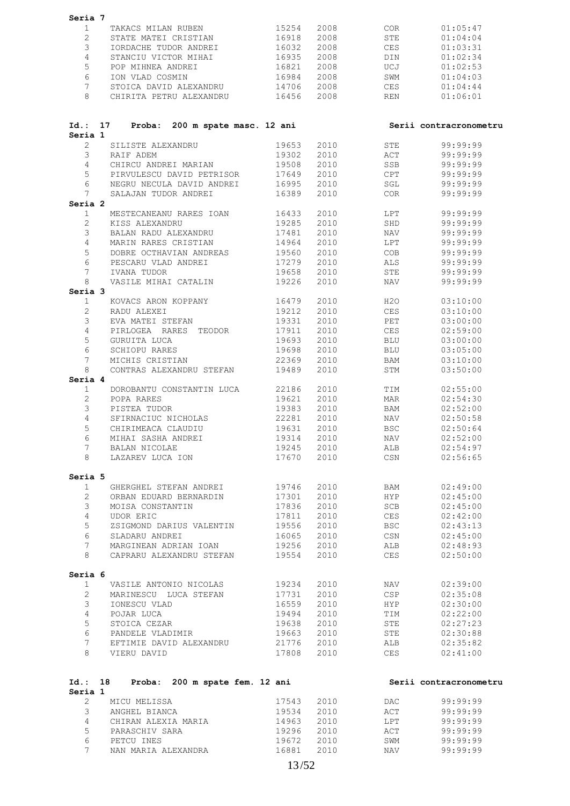| Seria 7                        |                                                 |                          |              |            |                        |
|--------------------------------|-------------------------------------------------|--------------------------|--------------|------------|------------------------|
| $\mathbf{1}$                   | TAKACS MILAN RUBEN                              | 15254                    | 2008         | COR        | 01:05:47               |
| $\overline{2}$                 | STATE MATEI CRISTIAN                            | 16918                    | 2008         | STE        | 01:04:04               |
| 3                              | IORDACHE TUDOR ANDREI                           | 16032                    | 2008         | <b>CES</b> | 01:03:31               |
| $\overline{4}$                 | STANCIU VICTOR MIHAI                            | 16935                    | 2008         | DIN        | 01:02:34               |
| 5                              | POP MIHNEA ANDREI                               | 16821                    | 2008         | UCJ        | 01:02:53               |
| 6                              | ION VLAD COSMIN                                 | 16984                    | 2008         | SWM        | 01:04:03               |
| 7                              | STOICA DAVID ALEXANDRU                          | 14706                    | 2008         | CES        | 01:04:44               |
| 8                              | CHIRITA PETRU ALEXANDRU 16456                   |                          | 2008         | REN        | 01:06:01               |
| Id.: 17<br>Seria 1             | Proba: 200 m spate masc. 12 ani                 |                          |              |            | Serii contracronometru |
| $\overline{2}$                 | SILISTE ALEXANDRU                               | 19653                    | 2010         | STE        | 99:99:99               |
| 3                              | RAIF ADEM                                       | 19302                    | 2010         | ACT        | 99:99:99               |
| $\overline{4}$                 | CHIRCU ANDREI MARIAN                            | 19508                    | 2010         | SSB        | 99:99:99               |
| 5                              | PIRVULESCU DAVID PETRISOR                       | 17649                    | 2010         | CPT        | 99:99:99               |
| 6                              | NEGRU NECULA DAVID ANDREI 16995                 |                          | 2010         | SGL        | 99:99:99               |
| $7\phantom{.0}$                | SALAJAN TUDOR ANDREI                            | 16389                    | 2010         | COR        | 99:99:99               |
| Seria 2                        |                                                 | 16433                    | 2010         | LPT        | 99:99:99               |
| $\mathbf{1}$<br>$\overline{2}$ | MESTECANEANU RARES IOAN<br>KISS ALEXANDRU       | 19285                    | 2010         | SHD        | 99:99:99               |
| 3                              | BALAN RADU ALEXANDRU                            | 17481                    | 2010         | NAV        | 99:99:99               |
| 4                              | MARIN RARES CRISTIAN                            | 14964                    | 2010         | LPT        | 99:99:99               |
| 5                              | DOBRE OCTHAVIAN ANDREAS                         | 19560                    | 2010         | COB        | 99:99:99               |
| 6                              | PESCARU VLAD ANDREI                             | 17279                    | 2010         | ALS        | 99:99:99               |
| $7\phantom{.0}$                | IVANA TUDOR                                     | 19658                    | 2010         | STE        | 99:99:99               |
| 8                              | VASILE MIHAI CATALIN                            | 19226                    | 2010         | NAV        | 99:99:99               |
| Seria 3                        |                                                 |                          |              |            |                        |
| $\mathbf{1}$                   | KOVACS ARON KOPPANY                             | 16479                    | 2010         | H2O        | 03:10:00               |
| 2                              | RADU ALEXEI                                     | 19212                    | 2010         | CES        | 03:10:00               |
| 3                              | EVA MATEI STEFAN                                | 19331                    | 2010         | PET        | 03:00:00               |
| $\overline{4}$                 | PIRLOGEA RARES TEODOR                           | 17911                    | 2010         | CES        | 02:59:00               |
| 5<br>6                         | GURUITA LUCA                                    | 19693                    | 2010         | BLU        | 03:00:00               |
| $7\phantom{.0}$                | SCHIOPU RARES<br>MICHIS CRISTIAN                | 19698<br>22369           | 2010<br>2010 | BLU<br>BAM | 03:05:00<br>03:10:00   |
| 8                              | CONTRAS ALEXANDRU STEFAN                        | 19489                    | 2010         | STM        | 03:50:00               |
| Seria 4                        |                                                 |                          |              |            |                        |
| 1                              | DOROBANTU CONSTANTIN LUCA                       | 22186                    | 2010         | TIM        | 02:55:00               |
| 2                              | POPA RARES                                      | 19621                    | 2010         | MAR        | 02:54:30               |
| 3                              | PISTEA TUDOR                                    | 19383                    | 2010         | BAM        | 02:52:00               |
| 4                              | SFIRNACIUC NICHOLAS                             | 22281                    | 2010         | NAV        | 02:50:58               |
| 5                              | CHIRIMEACA CLAUDIU                              | 19631                    | 2010         | <b>BSC</b> | 02:50:64               |
| 6                              | MIHAI SASHA ANDREI                              | 19314 2010               |              | NAV        | 02:52:00               |
| $7\phantom{.0}$                | BALAN NICOLAE<br>8 LAZAREV LUCA ION             | 19245 2010               | 17670 2010   | ALB<br>CSN | 02:54:97<br>02:56:65   |
| Seria 5                        |                                                 |                          |              |            |                        |
| $\mathbf{1}$                   | GHERGHEL STEFAN ANDREI                          |                          |              | BAM        | 02:49:00               |
| $\overline{2}$                 | ORBAN EDUARD BERNARDIN                          | 19746 2010<br>17301 2010 |              | <b>HYP</b> | 02:45:00               |
| 3                              | MOISA CONSTANTIN                                | 17836                    | 2010         | SCB        | 02:45:00               |
| $\overline{4}$                 | UDOR ERIC                                       | 17811 2010               |              | CES        | 02:42:00               |
| 5                              | ZSIGMOND DARIUS VALENTIN                        | 19556 2010               |              | BSC        | 02:43:13               |
| 6                              | SLADARU ANDREI                                  | 16065 2010               |              | CSN        | 02:45:00               |
| 7 <sup>7</sup>                 | MARGINEAN ADRIAN IOAN                           | 19256 2010               |              | ALB        | 02:48:93               |
| 8                              | CAPRARU ALEXANDRU STEFAN                        | 19554 2010               |              | CES        | 02:50:00               |
| Seria 6                        |                                                 |                          |              |            |                        |
| $\mathbf{1}$<br>$\overline{2}$ | VASILE ANTONIO NICOLAS<br>MARINESCU LUCA STEFAN | 19234 2010<br>17731 2010 |              | NAV<br>CSP | 02:39:00<br>02:35:08   |
| $\mathcal{S}$                  | IONESCU VLAD                                    | 16559                    | 2010         | HYP        | 02:30:00               |
| $4\overline{ }$                | POJAR LUCA                                      | 19494 2010               |              | TIM        | 02:22:00               |
| 5                              | STOICA CEZAR                                    | 19638 2010               |              | STE        | 02:27:23               |
| 6                              | PANDELE VLADIMIR                                | 19663 2010               |              | STE        | 02:30:88               |
| 7                              | EFTIMIE DAVID ALEXANDRU 21776 2010              |                          |              | ALB        | 02:35:82               |
| 8                              | VIERU DAVID                                     | 17808 2010               |              | CES        | 02:41:00               |
|                                | Id.: 18 Proba: 200 m spate fem. 12 ani          |                          |              |            | Serii contracronometru |
| Seria 1                        |                                                 |                          |              |            |                        |
| $\overline{2}$                 | MICU MELISSA                                    | 17543                    | 2010         | DAC        | 99:99:99               |
| 3                              | ANGHEL BIANCA                                   | 19534 2010               |              | ACT        | 99:99:99               |
| $4\overline{ }$                | CHIRAN ALEXIA MARIA                             | 14963                    | 2010         | LPT        | 99:99:99               |
| 5<br>6                         | PARASCHIV SARA<br>PETCU INES                    | 19296 2010<br>19672 2010 |              | ACT<br>SWM | 99:99:99<br>99:99:99   |
| 7 <sup>7</sup>                 | NAN MARIA ALEXANDRA                             | 16881 2010               |              | NAV        | 99:99:99               |
|                                |                                                 |                          |              |            |                        |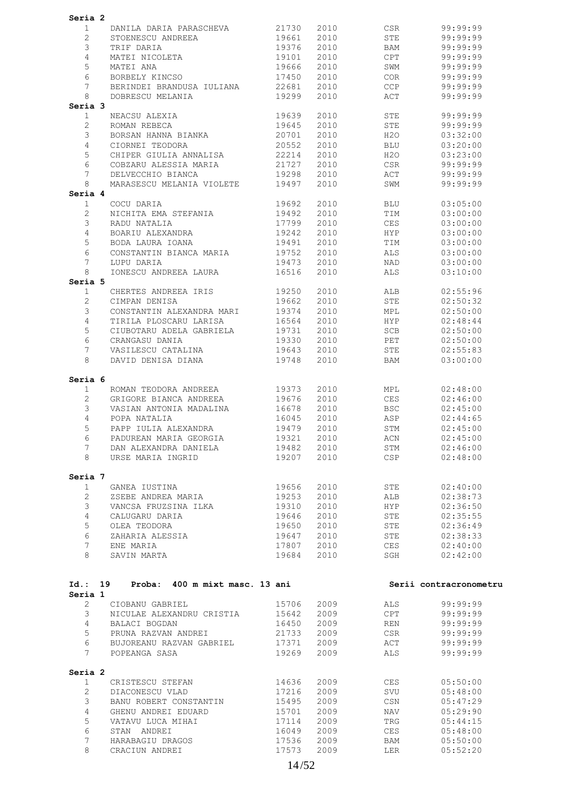| Seria 2               |                                        |                |              |                                                                                                                                                                                                                               |                        |
|-----------------------|----------------------------------------|----------------|--------------|-------------------------------------------------------------------------------------------------------------------------------------------------------------------------------------------------------------------------------|------------------------|
| $\mathbf{1}$          | DANILA DARIA PARASCHEVA 21730          |                | 2010         | CSR and the control of the control of the control of the control of the control of the control of the control of the control of the control of the control of the control of the control of the control of the control of the | 99:99:99               |
| $\overline{2}$        | STOENESCU ANDREEA 19661                |                | 2010         | STE                                                                                                                                                                                                                           | 99:99:99               |
| 3                     | TRIF DARIA                             | 19376          | 2010         | BAM                                                                                                                                                                                                                           | 99:99:99               |
| $\overline{4}$        | MATEI NICOLETA                         | 19101          | 2010         | CPT                                                                                                                                                                                                                           | 99:99:99               |
|                       |                                        |                |              |                                                                                                                                                                                                                               |                        |
| 5                     | MATEI ANA<br>BORBELY KINCSO            | 19666          | 2010         | SWM                                                                                                                                                                                                                           | 99:99:99               |
| 6                     |                                        | 17450          | 2010         | COR                                                                                                                                                                                                                           | 99:99:99               |
| 7                     | BERINDEI BRANDUSA IULIANA              | 22681          | 2010         | CCP                                                                                                                                                                                                                           | 99:99:99               |
| 8                     | DOBRESCU MELANIA                       | 19299          | 2010         | ACT                                                                                                                                                                                                                           | 99:99:99               |
| Seria 3               |                                        |                |              |                                                                                                                                                                                                                               |                        |
| $\mathbf{1}$          | NEACSU ALEXIA                          | 19639          | 2010         | STE                                                                                                                                                                                                                           | 99:99:99               |
| $\mathbf{2}$          | ROMAN REBECA                           | 19645          | 2010         | STE                                                                                                                                                                                                                           | 99:99:99               |
|                       | BORSAN HANNA BIANKA                    |                |              |                                                                                                                                                                                                                               |                        |
| 3                     |                                        | 20701          | 2010         | H2O                                                                                                                                                                                                                           | 03:32:00               |
| $\overline{4}$        |                                        |                | 2010         | <b>BLU</b>                                                                                                                                                                                                                    | 03:20:00               |
| 5                     |                                        |                | 2010         | H2O                                                                                                                                                                                                                           | 03:23:00               |
| 6                     | COBZARU ALESSIA MARIA 21727            |                | 2010         | CSR                                                                                                                                                                                                                           | 99:99:99               |
| $7\overline{ }$       | DELVECCHIO BIANCA                      | 19298          | 2010         | ACT                                                                                                                                                                                                                           | 99:99:99               |
| 8                     | MARASESCU MELANIA VIOLETE              | 19497          | 2010         | SWM                                                                                                                                                                                                                           | 99:99:99               |
| Seria 4               |                                        |                |              |                                                                                                                                                                                                                               |                        |
| 1                     | COCU DARIA                             | 19692          | 2010         | BLU                                                                                                                                                                                                                           | 03:05:00               |
|                       |                                        |                |              |                                                                                                                                                                                                                               |                        |
| $\mathbf{2}$          | NICHITA EMA STEFANIA                   | 19492          | 2010         | TIM                                                                                                                                                                                                                           | 03:00:00               |
| 3                     | RADU NATALIA                           | 17799          | 2010         | CES                                                                                                                                                                                                                           | 03:00:00               |
| $\overline{4}$        | BOARIU ALEXANDRA 19242                 |                | 2010         | <b>HYP</b>                                                                                                                                                                                                                    | 03:00:00               |
| 5                     | BODA LAURA IOANA                       | 19491          | 2010         | TIM                                                                                                                                                                                                                           | 03:00:00               |
| 6                     | CONSTANTIN BIANCA MARIA 19752          |                | 2010         | ALS                                                                                                                                                                                                                           | 03:00:00               |
| $7\overline{ }$       | LUPU DARIA                             | 19473          | 2010         | NAD                                                                                                                                                                                                                           | 03:00:00               |
| 8                     | IONESCU ANDREEA LAURA                  | 16516          | 2010         | ALS                                                                                                                                                                                                                           |                        |
|                       |                                        |                |              |                                                                                                                                                                                                                               | 03:10:00               |
| Seria 5               |                                        |                |              |                                                                                                                                                                                                                               |                        |
| 1                     | CHERTES ANDREEA IRIS 19250             |                | 2010         | ALB                                                                                                                                                                                                                           | 02:55:96               |
| $\overline{2}$        | CIMPAN DENISA                          | 19662          | 2010         | STE                                                                                                                                                                                                                           | 02:50:32               |
| 3                     | CONSTANTIN ALEXANDRA MARI              | 19374          | 2010         | MPL                                                                                                                                                                                                                           | 02:50:00               |
| 4                     | TIRILA PLOSCARU LARISA 16564           |                | 2010         | <b>HYP</b>                                                                                                                                                                                                                    | 02:48:44               |
| 5                     | CIUBOTARU ADELA GABRIELA 19731         |                | 2010         | SCB                                                                                                                                                                                                                           | 02:50:00               |
| 6                     | CRANGASU DANIA                         | 19330          | 2010         | PET                                                                                                                                                                                                                           | 02:50:00               |
|                       |                                        | 19643          |              |                                                                                                                                                                                                                               |                        |
| 7                     | VASILESCU CATALINA                     |                | 2010         | STE                                                                                                                                                                                                                           | 02:55:83               |
| 8                     | DAVID DENISA DIANA 19748               |                | 2010         | <b>BAM</b>                                                                                                                                                                                                                    | 03:00:00               |
|                       |                                        |                |              |                                                                                                                                                                                                                               |                        |
| Seria 6               |                                        |                |              |                                                                                                                                                                                                                               |                        |
| 1                     | ROMAN TEODORA ANDREEA 19373            |                | 2010         | <b>MPL</b>                                                                                                                                                                                                                    | 02:48:00               |
| $\mathbf{2}^{\prime}$ | GRIGORE BIANCA ANDREEA                 | 19676          | 2010         | CES                                                                                                                                                                                                                           | 02:46:00               |
| 3                     | VASIAN ANTONIA MADALINA                | 16678          | 2010         | BSC                                                                                                                                                                                                                           | 02:45:00               |
| $\overline{4}$        | POPA NATALIA                           | 16045          | 2010         | ASP                                                                                                                                                                                                                           | 02:44:65               |
| 5                     | PAPP IULIA ALEXANDRA                   | 19479          | 2010         | STM                                                                                                                                                                                                                           | 02:45:00               |
|                       |                                        |                |              |                                                                                                                                                                                                                               |                        |
| $6\degree$            | PADUREAN MARIA GEORGIA                 | 19321 2010     |              | <b>ACN</b>                                                                                                                                                                                                                    | 02:45:00               |
| 7                     | DAN ALEXANDRA DANIELA                  | 19482          | 2010         | STM                                                                                                                                                                                                                           | 02:46:00               |
| 8                     | URSE MARIA INGRID<br>19207 2010        |                |              | <b>CSP</b>                                                                                                                                                                                                                    | 02:48:00               |
|                       |                                        |                |              |                                                                                                                                                                                                                               |                        |
| Seria 7               |                                        |                |              |                                                                                                                                                                                                                               |                        |
| $\mathbf{1}$          | GANEA IUSTINA                          | 19656          | 2010         | STE                                                                                                                                                                                                                           | 02:40:00               |
| $\overline{2}$        | ZSEBE ANDREA MARIA                     | 19253          | 2010         | ALB                                                                                                                                                                                                                           | 02:38:73               |
| 3                     | VANCSA FRUZSINA ILKA                   | 19310          | 2010         | <b>HYP</b>                                                                                                                                                                                                                    | 02:36:50               |
|                       |                                        |                |              |                                                                                                                                                                                                                               |                        |
| 4                     | CALUGARU DARIA                         | 19646          | 2010         | STE                                                                                                                                                                                                                           | 02:35:55               |
| 5                     | OLEA TEODORA                           | 19650          | 2010         | STE                                                                                                                                                                                                                           | 02:36:49               |
| 6                     | ZAHARIA ALESSIA                        | 19647          | 2010         | STE                                                                                                                                                                                                                           | 02:38:33               |
| 7                     | ENE MARIA                              | 17807          | 2010         | CES                                                                                                                                                                                                                           | 02:40:00               |
| 8                     | SAVIN MARTA                            | 19684          | 2010         | SGH                                                                                                                                                                                                                           | 02:42:00               |
|                       |                                        |                |              |                                                                                                                                                                                                                               |                        |
|                       |                                        |                |              |                                                                                                                                                                                                                               |                        |
|                       | Id.: 19 Proba: 400 m mixt masc. 13 ani |                |              |                                                                                                                                                                                                                               | Serii contracronometru |
| Seria 1               |                                        |                |              |                                                                                                                                                                                                                               |                        |
| $\overline{2}$        |                                        |                |              |                                                                                                                                                                                                                               |                        |
|                       | CIOBANU GABRIEL                        | 15706          | 2009         | ALS                                                                                                                                                                                                                           | 99:99:99               |
| 3                     | NICULAE ALEXANDRU CRISTIA 15642        |                | 2009         | CPT                                                                                                                                                                                                                           | 99:99:99               |
| $4\phantom{0}$        | BALACI BOGDAN                          | 16450          | 2009         | <b>REN</b>                                                                                                                                                                                                                    | 99:99:99               |
| 5                     | PRUNA RAZVAN ANDREI                    | 21733          | 2009         | CSR                                                                                                                                                                                                                           | 99:99:99               |
| 6                     | BUJOREANU RAZVAN GABRIEL 17371         |                | 2009         | ACT                                                                                                                                                                                                                           | 99:99:99               |
| 7                     | POPEANGA SASA                          | 19269          | 2009         | ALS                                                                                                                                                                                                                           | 99:99:99               |
|                       |                                        |                |              |                                                                                                                                                                                                                               |                        |
| Seria 2               |                                        |                |              |                                                                                                                                                                                                                               |                        |
| $\mathbf{1}$          | CRISTESCU STEFAN 14636                 |                | 2009         | CES                                                                                                                                                                                                                           | 05:50:00               |
|                       | DIACONESCU VLAD                        | 17216          | 2009         | SVU                                                                                                                                                                                                                           | 05:48:00               |
|                       |                                        |                |              |                                                                                                                                                                                                                               |                        |
| $\mathbf{2}$          |                                        |                |              |                                                                                                                                                                                                                               |                        |
| $\mathfrak{Z}$        | BANU ROBERT CONSTANTIN                 | 15495          | 2009         | CSN                                                                                                                                                                                                                           | 05:47:29               |
| 4                     | GHENU ANDREI EDUARD                    | 15701          | 2009         | NAV                                                                                                                                                                                                                           | 05:29:90               |
| 5                     | VATAVU LUCA MIHAI                      | 17114          | 2009         | TRG                                                                                                                                                                                                                           | 05:44:15               |
| 6                     | STAN ANDREI                            | 16049          | 2009         | CES                                                                                                                                                                                                                           | 05:48:00               |
| $7\phantom{.}$        |                                        |                |              |                                                                                                                                                                                                                               |                        |
| 8                     | HARABAGIU DRAGOS<br>CRACIUN ANDREI     | 17536<br>17573 | 2009<br>2009 | BAM<br>LER                                                                                                                                                                                                                    | 05:50:00<br>05:52:20   |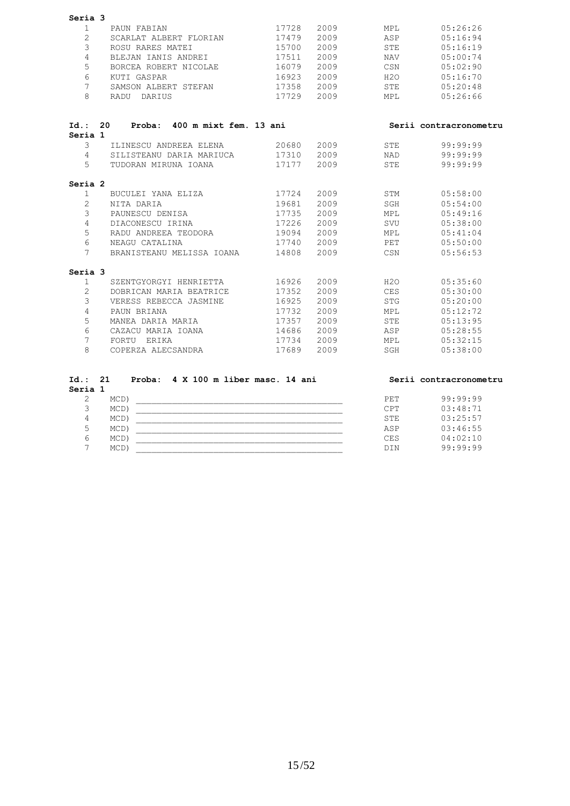| $\mathbf{1}$    | Seria 3                               |            |      |            |                        |
|-----------------|---------------------------------------|------------|------|------------|------------------------|
|                 | PAUN FABIAN                           | 17728      | 2009 | MPL        | 05:26:26               |
| $\overline{2}$  | SCARLAT ALBERT FLORIAN                | 17479      | 2009 | ASP        | 05:16:94               |
| 3               | ROSU RARES MATEI                      | 15700      | 2009 | STE        | 05:16:19               |
| $\overline{4}$  | BLEJAN IANIS ANDREI                   | 17511      | 2009 | NAV        | 05:00:74               |
| 5               | BORCEA ROBERT NICOLAE 16079           |            | 2009 | CSN        | 05:02:90               |
| 6               | KUTI GASPAR                           | 16923      | 2009 | H2O        | 05:16:70               |
| $7\phantom{.0}$ | SAMSON ALBERT STEFAN                  | 17358 2009 |      | STE        | 05:20:48               |
| 8               | RADU DARIUS                           | 17729      | 2009 | MPL        | 05:26:66               |
| Seria 1         | Id.: 20 Proba: 400 m mixt fem. 13 ani |            |      |            | Serii contracronometru |
| 3               |                                       |            |      | STE        | 99:99:99               |
|                 | 4 SILISTEANU DARIA MARIUCA            |            |      | NAD        | 99:99:99               |
| $5 -$           | TUDORAN MIRUNA IOANA 17177            |            | 2009 | <b>STE</b> | 99:99:99               |
|                 |                                       |            |      |            |                        |
| Seria 2         |                                       |            |      |            |                        |
| $\mathbf{1}$    | BUCULEI YANA ELIZA                    | 17724 2009 |      |            | STM 05:58:00           |
| $\overline{2}$  | NITA DARIA                            | 19681      | 2009 | SGH        | 05:54:00               |
| 3               | PAUNESCU DENISA                       | 17735      | 2009 | MPL        | 05:49:16               |
| $\overline{4}$  | DIACONESCU IRINA                      | 17226 2009 |      | SVU        | 05:38:00               |
| 5               | RADU ANDREEA TEODORA 19094            |            | 2009 | <b>MPL</b> | 05:41:04               |
| 6               | NEAGU CATALINA                        | 17740 2009 |      | PET        | 05:50:00               |
| $7^{\circ}$     | BRANISTEANU MELISSA IOANA             | 14808      | 2009 | CSN        | 05:56:53               |
| Seria 3         |                                       |            |      |            |                        |
| $\mathbf{1}$    | SZENTGYORGYI HENRIETTA                | 16926 2009 |      | H2O        | 05:35:60               |
| $\overline{2}$  | DOBRICAN MARIA BEATRICE 17352         |            | 2009 | CES        | 05:30:00               |
| 3               | VERESS REBECCA JASMINE 16925          |            | 2009 | STG        | 05:20:00               |
| $\overline{4}$  | PAUN BRIANA                           | 17732 2009 |      | MPL        | 05:12:72               |
|                 | MANEA DARIA MARIA                     | 17357      | 2009 | STE        | 05:13:95               |
| 5               |                                       |            |      |            |                        |
| 6               |                                       |            |      | ASP        | 05:28:55               |
| $7^{\circ}$     | FORTU ERIKA                           | 17734 2009 |      | MPL        | 05:32:15               |

7 MCD) \_\_\_\_\_\_\_\_\_\_\_\_\_\_\_\_\_\_\_\_\_\_\_\_\_\_\_\_\_\_\_\_\_\_\_\_\_\_\_\_ DIN 99:99:99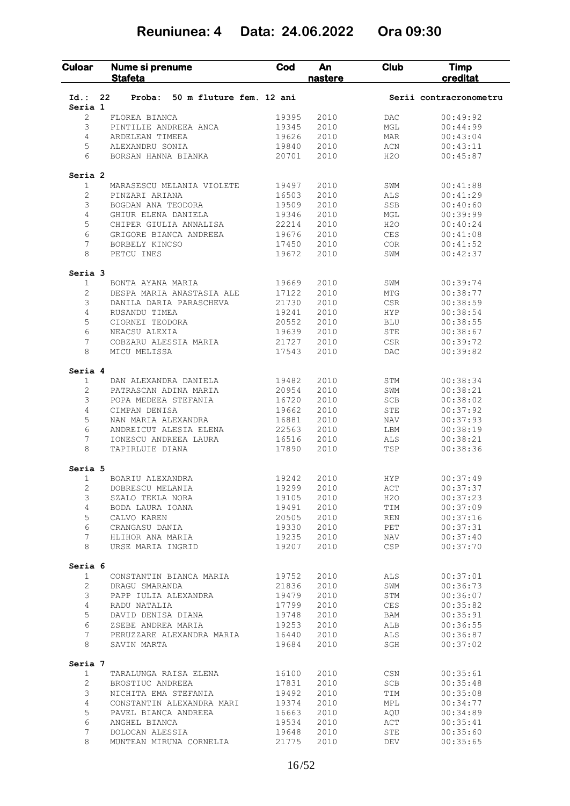### **Reuniunea: 4 Data: 24.06.2022 Ora 09:30**

| Culoar                  | Nume si prenume<br><b>Stafeta</b>        | Cod            | An<br>nastere | <b>Club</b>       | <b>Timp</b><br>creditat |
|-------------------------|------------------------------------------|----------------|---------------|-------------------|-------------------------|
| $Id.$ :                 | 22<br>50 m fluture fem. 12 ani<br>Proba: |                |               |                   | Serii contracronometru  |
| Seria 1<br>2            | FLOREA BIANCA                            | 19395          | 2010          | DAC               | 00:49:92                |
| 3                       | PINTILIE ANDREEA ANCA                    | 19345          | 2010          | MGL               | 00:44:99                |
| 4                       | ARDELEAN TIMEEA                          | 19626          | 2010          | MAR               | 00:43:04                |
| 5                       | ALEXANDRU SONIA                          | 19840          | 2010          | ACN               | 00:43:11                |
| 6                       | BORSAN HANNA BIANKA                      | 20701          | 2010          | H <sub>2</sub> O  | 00:45:87                |
| Seria <sub>2</sub>      |                                          |                |               |                   |                         |
| $\mathbf{1}$            | MARASESCU MELANIA VIOLETE                | 19497          | 2010          | SWM               | 00:41:88                |
| 2                       | PINZARI ARIANA                           | 16503          | 2010          | ALS               | 00:41:29                |
| 3                       | BOGDAN ANA TEODORA                       | 19509          | 2010          | SSB               | 00:40:60                |
| 4                       | GHIUR ELENA DANIELA                      | 19346          | 2010          | MGL               | 00:39:99                |
| 5                       | CHIPER GIULIA ANNALISA                   | 22214          | 2010          | H2O               | 00:40:24                |
| 6                       | GRIGORE BIANCA ANDREEA                   | 19676          | 2010          | <b>CES</b>        | 00:41:08                |
| 7<br>8                  | BORBELY KINCSO<br>PETCU INES             | 17450<br>19672 | 2010<br>2010  | <b>COR</b><br>SWM | 00:41:52<br>00:42:37    |
| Seria 3                 |                                          |                |               |                   |                         |
| $\mathbf{1}$            | BONTA AYANA MARIA                        | 19669          | 2010          | SWM               | 00:39:74                |
| $\overline{2}$          | DESPA MARIA ANASTASIA ALE                | 17122          | 2010          | MTG               | 00:38:77                |
| 3                       | DANILA DARIA PARASCHEVA                  | 21730          | 2010          | CSR               | 00:38:59                |
| 4                       | RUSANDU TIMEA                            | 19241          | 2010          | <b>HYP</b>        | 00:38:54                |
| 5                       | CIORNEI TEODORA                          | 20552          | 2010          | <b>BLU</b>        | 00:38:55                |
| 6                       | NEACSU ALEXIA                            | 19639          | 2010          | <b>STE</b>        | 00:38:67                |
| 7                       | COBZARU ALESSIA MARIA                    | 21727          | 2010          | <b>CSR</b>        | 00:39:72                |
| 8                       | MICU MELISSA                             | 17543          | 2010          | DAC               | 00:39:82                |
| Seria 4                 |                                          |                |               |                   |                         |
| $\mathbf{1}$            | DAN ALEXANDRA DANIELA                    | 19482          | 2010          | STM               | 00:38:34                |
| 2                       | PATRASCAN ADINA MARIA                    | 20954          | 2010          | SWM               | 00:38:21                |
| 3                       | POPA MEDEEA STEFANIA                     | 16720          | 2010          | <b>SCB</b>        | 00:38:02                |
| 4                       | CIMPAN DENISA                            | 19662          | 2010          | <b>STE</b>        | 00:37:92                |
| 5                       | NAN MARIA ALEXANDRA                      | 16881          | 2010          | NAV               | 00:37:93                |
| 6                       | ANDREICUT ALESIA ELENA                   | 22563          | 2010          | LBM               | 00:38:19                |
| 7<br>8                  | IONESCU ANDREEA LAURA<br>TAPIRLUIE DIANA | 16516<br>17890 | 2010<br>2010  | ALS<br>TSP        | 00:38:21<br>00:38:36    |
|                         |                                          |                |               |                   |                         |
| Seria 5<br>1            | BOARIU ALEXANDRA                         | 19242          | 2010          | <b>HYP</b>        | 00:37:49                |
| 2                       | DOBRESCU MELANIA                         | 19299          | 2010          | ACT               | 00:37:37                |
| 3                       | SZALO TEKLA NORA                         | 19105          | 2010          | H2O               | 00:37:23                |
| $\overline{4}$          | BODA LAURA IOANA                         | 19491          | 2010          | TIM               | 00:37:09                |
| 5                       | CALVO KAREN                              | 20505          | 2010          | REN               | 00:37:16                |
| 6                       | CRANGASU DANIA                           | 19330          | 2010          | PET               | 00:37:31                |
| 7                       | HLIHOR ANA MARIA                         | 19235          | 2010          | NAV               | 00:37:40                |
| 8                       | URSE MARIA INGRID                        | 19207          | 2010          | <b>CSP</b>        | 00:37:70                |
| Seria 6                 |                                          |                |               |                   |                         |
| 1                       | CONSTANTIN BIANCA MARIA                  | 19752          | 2010          | ALS               | 00:37:01                |
| $\mathbf{2}$            | DRAGU SMARANDA                           | 21836          | 2010          | SWM               | 00:36:73                |
| 3                       | PAPP IULIA ALEXANDRA                     | 19479          | 2010          | STM               | 00:36:07                |
| 4                       | RADU NATALIA                             | 17799          | 2010          | CES               | 00:35:82                |
| 5                       | DAVID DENISA DIANA                       | 19748          | 2010          | BAM               | 00:35:91                |
| 6                       | ZSEBE ANDREA MARIA                       | 19253          | 2010          | ALB               | 00:36:55                |
| $7\phantom{.0}$<br>8    | PERUZZARE ALEXANDRA MARIA<br>SAVIN MARTA | 16440<br>19684 | 2010<br>2010  | ALS<br>SGH        | 00:36:87<br>00:37:02    |
|                         |                                          |                |               |                   |                         |
| Seria 7<br>$\mathbf{1}$ | TARALUNGA RAISA ELENA                    | 16100          | 2010          | $\mathbb{CSN}{}$  | 00:35:61                |
| $\mathbf{2}$            | BROSTIUC ANDREEA                         | 17831          | 2010          | SCB               | 00:35:48                |
| 3                       | NICHITA EMA STEFANIA                     | 19492          | 2010          | TIM               | 00:35:08                |
| $\overline{4}$          | CONSTANTIN ALEXANDRA MARI                | 19374          | 2010          | MPL               | 00:34:77                |
| 5                       | PAVEL BIANCA ANDREEA                     | 16663          | 2010          | AQU               | 00:34:89                |
| 6                       | ANGHEL BIANCA                            | 19534          | 2010          | ACT               | 00:35:41                |
| 7                       | DOLOCAN ALESSIA                          | 19648          | 2010          | STE               | 00:35:60                |
| 8                       | MUNTEAN MIRUNA CORNELIA                  | 21775          | 2010          | DEV               | 00:35:65                |
|                         |                                          |                |               |                   |                         |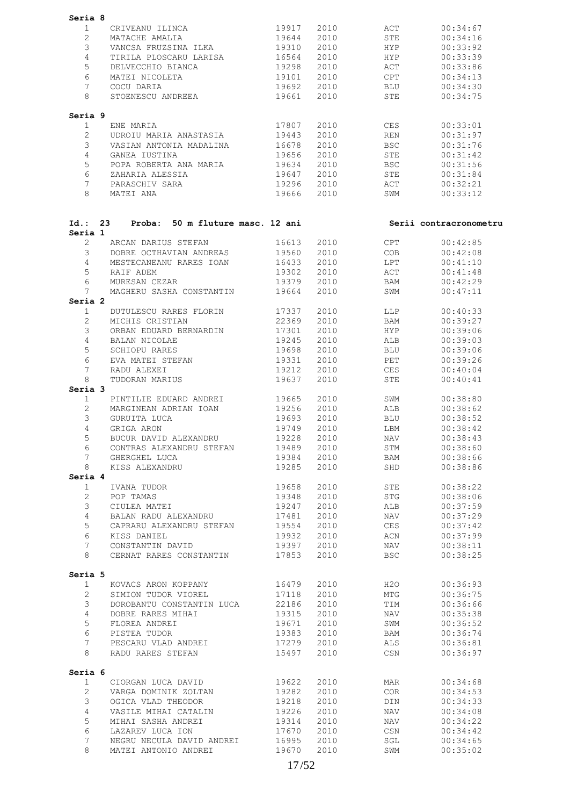| Seria 8          |                                                |       |              |            |                        |
|------------------|------------------------------------------------|-------|--------------|------------|------------------------|
| $\mathbf{1}$     | CRIVEANU ILINCA                                | 19917 | 2010         | ACT        | 00:34:67               |
| $\overline{2}$   | MATACHE AMALIA                                 | 19644 | 2010         | STE        | 00:34:16               |
| 3                | VANCSA FRUZSINA ILKA                           | 19310 | 2010         | HYP        | 00:33:92               |
| 4                | TIRILA PLOSCARU LARISA                         | 16564 | 2010         | HYP        | 00:33:39               |
| 5                | DELVECCHIO BIANCA                              | 19298 | 2010         | ACT        | 00:33:86               |
| 6                | MATEI NICOLETA                                 | 19101 | 2010         | CPT        | 00:34:13               |
| 7                | COCU DARIA                                     | 19692 | 2010         | BLU        | 00:34:30               |
| 8                | STOENESCU ANDREEA                              | 19661 | 2010         | STE        | 00:34:75               |
|                  |                                                |       |              |            |                        |
| Seria 9<br>1     | ENE MARIA                                      | 17807 | 2010         | CES        | 00:33:01               |
| $\overline{2}$   | UDROIU MARIA ANASTASIA                         | 19443 | 2010         | REN        | 00:31:97               |
| 3                | VASIAN ANTONIA MADALINA                        | 16678 | 2010         | BSC        | 00:31:76               |
| 4                | GANEA IUSTINA                                  | 19656 | 2010         | STE        | 00:31:42               |
| 5                | POPA ROBERTA ANA MARIA                         | 19634 | 2010         | <b>BSC</b> | 00:31:56               |
| 6                | ZAHARIA ALESSIA                                | 19647 | 2010         | STE        | 00:31:84               |
| $7\overline{ }$  | PARASCHIV SARA                                 | 19296 | 2010         | ACT        | 00:32:21               |
| 8                | MATEI ANA                                      | 19666 | 2010         | SWM        | 00:33:12               |
| Id.: 23          | Proba: 50 m fluture masc. 12 ani               |       |              |            | Serii contracronometru |
| Seria 1          |                                                |       |              |            |                        |
| $\overline{2}$   | ARCAN DARIUS STEFAN                            | 16613 | 2010         | CPT        | 00:42:85               |
| 3                | DOBRE OCTHAVIAN ANDREAS                        | 19560 | 2010         | COB        | 00:42:08               |
| $\overline{4}$   | MESTECANEANU RARES IOAN                        | 16433 | 2010         | LPT        | 00:41:10               |
| 5                | RAIF ADEM                                      | 19302 | 2010         | ACT        | 00:41:48               |
| 6                | MURESAN CEZAR                                  | 19379 | 2010         | BAM        | 00:42:29               |
| 7<br>Seria 2     | MAGHERU SASHA CONSTANTIN                       | 19664 | 2010         | SWM        | 00:47:11               |
| $\mathbf{1}$     | DUTULESCU RARES FLORIN                         | 17337 | 2010         | LLP        | 00:40:33               |
| $\overline{2}$   | MICHIS CRISTIAN                                | 22369 | 2010         | BAM        | 00:39:27               |
| 3                | ORBAN EDUARD BERNARDIN                         | 17301 | 2010         | HYP        | 00:39:06               |
| 4                | BALAN NICOLAE                                  | 19245 | 2010         | ALB        | 00:39:03               |
| 5                | SCHIOPU RARES                                  | 19698 | 2010         | BLU        | 00:39:06               |
| 6                | EVA MATEI STEFAN                               | 19331 | 2010         | PET        | 00:39:26               |
| 7                | RADU ALEXEI                                    | 19212 | 2010         | CES        | 00:40:04               |
| 8                | TUDORAN MARIUS                                 | 19637 | 2010         | STE        | 00:40:41               |
| Seria 3          |                                                |       |              |            |                        |
| $\mathbf{1}$     | PINTILIE EDUARD ANDREI                         | 19665 | 2010         | SWM        | 00:38:80               |
| $\overline{c}$   | MARGINEAN ADRIAN IOAN                          | 19256 | 2010         | ALB        | 00:38:62               |
| 3                | GURUITA LUCA                                   | 19693 | 2010         | BLU        | 00:38:52               |
| 4                | GRIGA ARON                                     | 19749 | 2010         | LBM        | 00:38:42               |
| 5                | BUCUR DAVID ALEXANDRU                          | 19228 | 2010         | NAV        | 00:38:43               |
| 6                | CONTRAS ALEXANDRU STEFAN 19489                 |       | 2010         | STM        | 00:38:60               |
| 7 <sup>7</sup>   | GHERGHEL LUCA                                  | 19384 | 2010         | BAM        | 00:38:66               |
| 8                | KISS ALEXANDRU                                 | 19285 | 2010         | SHD        | 00:38:86               |
| Seria 4          |                                                |       |              |            |                        |
| $\mathbf{1}$     | IVANA TUDOR                                    | 19658 | 2010         | STE        | 00:38:22               |
| $\overline{2}$   | POP TAMAS                                      | 19348 | 2010         | STG        | 00:38:06               |
| 3                | CIULEA MATEI                                   | 19247 | 2010         | ALB        | 00:37:59               |
| $\overline{4}$   | BALAN RADU ALEXANDRU                           | 17481 | 2010         | NAV        | 00:37:29               |
| 5                | CAPRARU ALEXANDRU STEFAN                       | 19554 | 2010         | CES        | 00:37:42               |
| 6                | KISS DANIEL                                    | 19932 | 2010         | ACN        | 00:37:99               |
| $7\phantom{.0}$  | CONSTANTIN DAVID                               | 19397 | 2010         | <b>NAV</b> | 00:38:11               |
| 8                | CERNAT RARES CONSTANTIN                        | 17853 | 2010         | <b>BSC</b> | 00:38:25               |
| Seria 5          |                                                |       |              |            |                        |
| $\mathbf{1}$     | KOVACS ARON KOPPANY                            | 16479 | 2010         | H2O        | 00:36:93               |
| $\overline{2}$   | SIMION TUDOR VIOREL                            | 17118 | 2010         | MTG        | 00:36:75               |
| 3                | DOROBANTU CONSTANTIN LUCA 22186                |       | 2010         | TIM        | 00:36:66               |
| $4\overline{ }$  | DOBRE RARES MIHAI                              | 19315 | 2010         | NAV        | 00:35:38               |
| 5                | FLOREA ANDREI                                  | 19671 | 2010         | SWM        | 00:36:52               |
| 6                | PISTEA TUDOR                                   | 19383 | 2010         | BAM        | 00:36:74               |
| $7^{\circ}$<br>8 | PESCARU VLAD ANDREI 17279<br>RADU RARES STEFAN | 15497 | 2010<br>2010 | ALS<br>CSN | 00:36:81<br>00:36:97   |
| Seria 6          |                                                |       |              |            |                        |
| $\mathbf{1}$     | CIORGAN LUCA DAVID                             | 19622 | 2010         | MAR        | 00:34:68               |
| $\overline{2}$   | VARGA DOMINIK ZOLTAN                           | 19282 | 2010         | COR        | 00:34:53               |
| 3                | OGICA VLAD THEODOR                             | 19218 | 2010         | DIN        | 00:34:33               |
| 4                | VASILE MIHAI CATALIN                           | 19226 | 2010         | NAV        | 00:34:08               |
| 5                | MIHAI SASHA ANDREI                             | 19314 | 2010         | NAV        | 00:34:22               |
| 6                | LAZAREV LUCA ION                               | 17670 | 2010         | CSN        | 00:34:42               |
| $7\overline{ }$  | NEGRU NECULA DAVID ANDREI 16995                |       | 2010         | SGL        | 00:34:65               |
| 8                | MATEI ANTONIO ANDREI                           | 19670 | 2010         | SWM        | 00:35:02               |
|                  |                                                |       |              |            |                        |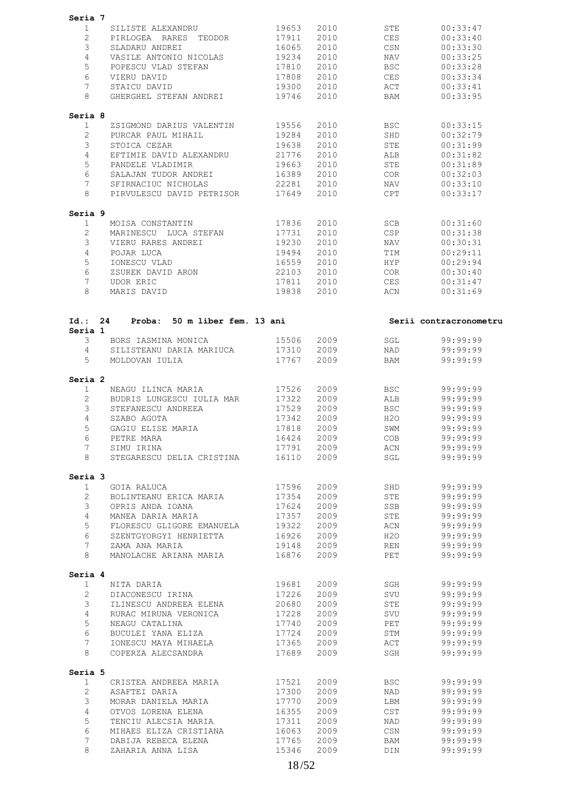| Seria 7<br>$\mathbf{1}$ |                                                |            |              |            |                        |  |
|-------------------------|------------------------------------------------|------------|--------------|------------|------------------------|--|
|                         |                                                |            |              |            |                        |  |
|                         | SILISTE ALEXANDRU                              | 19653      | 2010         | STE        | 00:33:47               |  |
| $\overline{2}$          | PIRLOGEA RARES TEODOR                          | 17911      | 2010         | CES        | 00:33:40               |  |
| 3                       | SLADARU ANDREI                                 | 16065      | 2010         | CSN        | 00:33:30               |  |
| 4                       | VASILE ANTONIO NICOLAS                         | 19234      | 2010         | NAV        | 00:33:25               |  |
| 5                       | POPESCU VLAD STEFAN                            | 17810      | 2010         | <b>BSC</b> | 00:33:28               |  |
| 6                       | VIERU DAVID                                    | 17808      | 2010         | CES        | 00:33:34               |  |
| 7                       | STAICU DAVID                                   | 19300      | 2010         | ACT        | 00:33:41               |  |
|                         |                                                |            |              |            |                        |  |
| 8                       | GHERGHEL STEFAN ANDREI                         | 19746      | 2010         | BAM        | 00:33:95               |  |
| Seria 8                 |                                                |            |              |            |                        |  |
| 1                       | ZSIGMOND DARIUS VALENTIN                       | 19556      | 2010         | <b>BSC</b> | 00:33:15               |  |
| $\mathbf{2}^{\prime}$   | PURCAR PAUL MIHAIL                             | 19284      | 2010         | SHD        | 00:32:79               |  |
| 3                       | STOICA CEZAR                                   | 19638      | 2010         | STE        | 00:31:99               |  |
| 4                       | EFTIMIE DAVID ALEXANDRU                        | 21776      | 2010         | ALB        | 00:31:82               |  |
| 5                       | PANDELE VLADIMIR                               | 19663      | 2010         | STE        | 00:31:89               |  |
| 6                       | SALAJAN TUDOR ANDREI                           | 16389      | 2010         | COR        | 00:32:03               |  |
|                         |                                                |            |              |            |                        |  |
| $7\overline{ }$         | SFIRNACIUC NICHOLAS                            | 22281      | 2010         | NAV        | 00:33:10               |  |
| 8                       | PIRVULESCU DAVID PETRISOR                      | 17649      | 2010         | CPT        | 00:33:17               |  |
| Seria 9                 |                                                |            |              |            |                        |  |
| 1                       | MOISA CONSTANTIN                               | 17836      | 2010         | SCB        | 00:31:60               |  |
| $\overline{2}$          | MARINESCU LUCA STEFAN                          | 17731      | 2010         | CSP        | 00:31:38               |  |
| 3                       | VIERU RARES ANDREI                             | 19230      | 2010         | NAV        | 00:30:31               |  |
| 4                       | POJAR LUCA                                     | 19494      | 2010         | TIM        | 00:29:11               |  |
|                         |                                                |            |              |            |                        |  |
| 5                       | IONESCU VLAD                                   | 16559      | 2010         | HYP        | 00:29:94               |  |
| 6                       | ZSUREK DAVID ARON                              | 22103      | 2010         | COR        | 00:30:40               |  |
| 7                       | <b>UDOR ERIC</b>                               | 17811      | 2010         | CES        | 00:31:47               |  |
| 8                       | MARIS DAVID                                    | 19838      | 2010         | ACN        | 00:31:69               |  |
|                         |                                                |            |              |            |                        |  |
| Id.: 24                 | Proba: 50 m liber fem. 13 ani                  |            |              |            | Serii contracronometru |  |
| Seria 1                 |                                                |            |              |            |                        |  |
| 3                       | BORS IASMINA MONICA                            | 15506      | 2009         | SGL        | 99:99:99               |  |
| $\overline{4}$          | SILISTEANU DARIA MARIUCA                       | 17310      | 2009         | NAD        | 99:99:99               |  |
| 5                       | MOLDOVAN IULIA                                 | 17767      | 2009         | BAM        | 99:99:99               |  |
| Seria 2                 |                                                |            |              |            |                        |  |
| 1                       | NEAGU ILINCA MARIA                             | 17526      | 2009         | BSC        | 99:99:99               |  |
| $\overline{2}$          | BUDRIS LUNGESCU IULIA MAR                      | 17322      | 2009         | ALB        | 99:99:99               |  |
| 3                       | STEFANESCU ANDREEA                             | 17529      | 2009         | BSC        | 99:99:99               |  |
| 4                       | SZABO AGOTA                                    | 17342      | 2009         | H2O        | 99:99:99               |  |
|                         | GAGIU ELISE MARIA                              |            | 2009         |            |                        |  |
| 5                       |                                                | 17818      |              | SWM        | 99:99:99               |  |
| 6                       | PETRE MARA                                     | 16424      | 2009         | COB        | 99:99:99               |  |
| $7^{\circ}$             | SIMU IRINA                                     |            | 17791 2009   |            | ACN 99:99:99           |  |
|                         |                                                |            |              |            |                        |  |
|                         | 8 STEGARESCU DELIA CRISTINA 16110 2009         |            |              | SGL        | 99:99:99               |  |
|                         |                                                |            |              |            |                        |  |
| 1                       | GOIA RALUCA                                    | 17596      | 2009         | SHD        | 99:99:99               |  |
| $\overline{2}$          |                                                |            |              | STE        | 99:99:99               |  |
|                         | BOLINTEANU ERICA MARIA<br>OPRIS ANDA IOANA     | 17354 2009 |              |            |                        |  |
| $\mathcal{S}$           |                                                | 17624      | 2009         | SSB        | 99:99:99               |  |
| $4 -$                   | MANEA DARIA MARIA                              | 17357      | 2009         | STE        | 99:99:99               |  |
| $5\overline{)}$         | FLORESCU GLIGORE EMANUELA                      | 19322      | 2009         | ACN        | 99:99:99               |  |
| 6                       | SZENTGYORGYI HENRIETTA                         | 16926      | 2009         | H2O        | 99:99:99               |  |
| Seria 3<br>7            | ZAMA ANA MARIA                                 | 19148      | 2009         | <b>REN</b> | 99:99:99               |  |
| 8                       | MANOLACHE ARIANA MARIA                         | 16876      | 2009         | PET        | 99:99:99               |  |
| Seria 4                 |                                                |            |              |            |                        |  |
| $\mathbf{1}$            | NITA DARIA                                     | 19681      | 2009         | SGH        | 99:99:99               |  |
| $2^{\circ}$             | DIACONESCU IRINA                               | 17226      |              | SVU        |                        |  |
|                         |                                                |            | 2009         |            | 99:99:99               |  |
| 3 <sup>7</sup>          | ILINESCU ANDREEA ELENA 20680                   |            | 2009         | STE        | 99:99:99               |  |
| $4\overline{ }$         | RURAC MIRUNA VERONICA                          | 17228      | 2009         | SVU        | 99:99:99               |  |
| $5\overline{)}$         | NEAGU CATALINA                                 | 17740      | 2009         | PET        | 99:99:99               |  |
| 6                       | BUCULEI YANA ELIZA                             | 17724      | 2009         | STM        | 99:99:99               |  |
| 7                       | IONESCU MAYA MIHAELA 17365                     |            | 2009         | ACT        | 99:99:99               |  |
| 8                       | COPERZA ALECSANDRA                             | 17689      | 2009         | SGH        | 99:99:99               |  |
| Seria 5                 |                                                |            |              |            |                        |  |
| $\mathbf{1}$            | CRISTEA ANDREEA MARIA                          | 17521      | 2009         | BSC        | 99:99:99               |  |
| $\overline{2}$          | ASAFTEI DARIA                                  | 17300      | 2009         | <b>NAD</b> | 99:99:99               |  |
| $\mathcal{S}$           |                                                | 17770      | 2009         | LBM        | 99:99:99               |  |
|                         | MORAR DANIELA MARIA                            |            |              |            |                        |  |
| $4\overline{ }$         | OTVOS LORENA ELENA                             | 16355      | 2009         | CST        | 99:99:99               |  |
| 5                       | TENCIU ALECSIA MARIA                           | 17311      | 2009         | NAD        | 99:99:99               |  |
| 6                       | MIHAES ELIZA CRISTIANA                         | 16063      | 2009         | CSN        | 99:99:99               |  |
| $7\overline{ }$<br>8    | DABIJA REBECA ELENA 17765<br>ZAHARIA ANNA LISA | 15346      | 2009<br>2009 | BAM<br>DIN | 99:99:99<br>99:99:99   |  |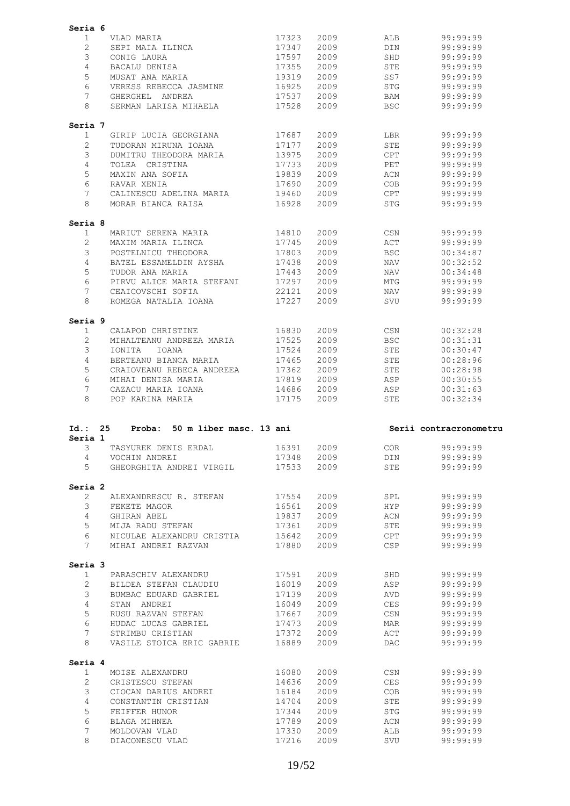| Seria 6              |                                                  |                |              |                   |                        |
|----------------------|--------------------------------------------------|----------------|--------------|-------------------|------------------------|
| 1                    | VLAD MARIA                                       | 17323          | 2009         | ALB               | 99:99:99               |
| $\overline{2}$       | SEPI MAIA ILINCA                                 | 17347          | 2009         | DIN               | 99:99:99               |
| 3                    | CONIG LAURA                                      | 17597          | 2009         | SHD               | 99:99:99               |
| $\overline{4}$       | BACALU DENISA                                    | 17355          | 2009         | <b>STE</b>        | 99:99:99               |
| 5                    | MUSAT ANA MARIA                                  | 19319          | 2009         | SS7               | 99:99:99               |
| 6                    | VERESS REBECCA JASMINE                           | 16925          | 2009         | <b>STG</b>        | 99:99:99               |
| 7                    |                                                  |                | 2009         |                   |                        |
| 8                    | GHERGHEL ANDREA                                  | 17537          |              | BAM<br><b>BSC</b> | 99:99:99               |
|                      | SERMAN LARISA MIHAELA                            | 17528          | 2009         |                   | 99:99:99               |
| Seria 7              |                                                  |                |              |                   |                        |
| 1                    | GIRIP LUCIA GEORGIANA                            | 17687          | 2009         | LBR               | 99:99:99               |
| $\overline{2}$       | TUDORAN MIRUNA IOANA                             | 17177          | 2009         | STE               | 99:99:99               |
| 3                    | DUMITRU THEODORA MARIA                           | 13975          | 2009         | CPT               | 99:99:99               |
| 4                    | TOLEA CRISTINA                                   | 17733          | 2009         | PET               | 99:99:99               |
| 5                    | MAXIN ANA SOFIA                                  | 19839          | 2009         | ACN               | 99:99:99               |
| 6                    | RAVAR XENIA                                      | 17690          | 2009         | COB               | 99:99:99               |
| 7                    | CALINESCU ADELINA MARIA                          | 19460          | 2009         | CPT               | 99:99:99               |
| 8                    | MORAR BIANCA RAISA                               | 16928          | 2009         | STG               | 99:99:99               |
| Seria 8              |                                                  |                |              |                   |                        |
| $\mathbf 1$          | MARIUT SERENA MARIA                              | 14810          | 2009         | CSN               | 99:99:99               |
| $\overline{2}$       | MAXIM MARIA ILINCA                               | 17745          | 2009         | ACT               | 99:99:99               |
| 3                    | POSTELNICU THEODORA                              | 17803          | 2009         | <b>BSC</b>        | 00:34:87               |
| $\overline{4}$       | BATEL ESSAMELDIN AYSHA                           | 17438          | 2009         | NAV               | 00:32:52               |
| 5                    | TUDOR ANA MARIA                                  | 17443          | 2009         | NAV               | 00:34:48               |
| 6                    |                                                  | 17297          |              |                   |                        |
|                      | PIRVU ALICE MARIA STEFANI                        |                | 2009         | MTG               | 99:99:99               |
| 7                    | CEAICOVSCHI SOFIA                                | 22121          | 2009         | NAV               | 99:99:99               |
| 8                    | ROMEGA NATALIA IOANA                             | 17227          | 2009         | SVU               | 99:99:99               |
| Seria 9              |                                                  |                |              |                   |                        |
| 1                    | CALAPOD CHRISTINE                                | 16830          | 2009         | CSN               | 00:32:28               |
| $\overline{2}$       | MIHALTEANU ANDREEA MARIA                         | 17525          | 2009         | <b>BSC</b>        | 00:31:31               |
| 3                    | IOANA<br>IONITA                                  | 17524          | 2009         | STE               | 00:30:47               |
| $\overline{4}$       | BERTEANU BIANCA MARIA                            | 17465          | 2009         | STE               | 00:28:96               |
| 5                    | CRAIOVEANU REBECA ANDREEA                        | 17362          | 2009         | STE               | 00:28:98               |
| 6                    | MIHAI DENISA MARIA                               | 17819          | 2009         | ASP               | 00:30:55               |
| 7                    | CAZACU MARIA IOANA                               | 14686          | 2009         | ASP               | 00:31:63               |
| 8                    | POP KARINA MARIA                                 | 17175          | 2009         | STE               | 00:32:34               |
|                      |                                                  |                |              |                   |                        |
|                      |                                                  |                |              |                   |                        |
| Id. : 25             | Proba: 50 m liber masc. 13 ani                   |                |              |                   | Serii contracronometru |
| Seria 1<br>3         | TASYUREK DENIS ERDAL                             | 16391          | 2009         | COR.              | 99:99:99               |
| $\overline{4}$       | VOCHIN ANDREI                                    | 17348          | 2009         | DIN               | 99:99:99               |
| 5                    | GHEORGHITA ANDREI VIRGIL                         | 17533          | 2009         | STE               | 99:99:99               |
| Seria 2              |                                                  |                |              |                   |                        |
| $\mathbf{2}$         | ALEXANDRESCU R. STEFAN                           | 17554          | 2009         | SPL               | 99:99:99               |
| 3                    | FEKETE MAGOR                                     | 16561          | 2009         | HYP               | 99:99:99               |
| $\overline{4}$       | GHIRAN ABEL                                      | 19837          |              |                   | 99:99:99               |
|                      |                                                  |                | 2009         | ACN               |                        |
| 5                    | MIJA RADU STEFAN                                 | 17361          | 2009         | STE               | 99:99:99               |
| 6<br>$7\overline{ }$ | NICULAE ALEXANDRU CRISTIA<br>MIHAI ANDREI RAZVAN | 15642<br>17880 | 2009<br>2009 | CPT<br>CSP        | 99:99:99<br>99:99:99   |
|                      |                                                  |                |              |                   |                        |
| Seria 3              |                                                  |                |              |                   |                        |
| $\mathbf{1}$         | PARASCHIV ALEXANDRU                              | 17591          | 2009         | SHD               | 99:99:99               |
| $\overline{2}$       | BILDEA STEFAN CLAUDIU                            | 16019          | 2009         | ASP               | 99:99:99               |
| 3                    | BUMBAC EDUARD GABRIEL                            | 17139          | 2009         | AVD               | 99:99:99               |
| $\overline{4}$       | STAN ANDREI                                      | 16049          | 2009         | CES               | 99:99:99               |
| 5                    | RUSU RAZVAN STEFAN                               | 17667          | 2009         | $\mathbb{CSN}$    | 99:99:99               |
| 6                    | HUDAC LUCAS GABRIEL                              | 17473          | 2009         | MAR               | 99:99:99               |
| 7                    | STRIMBU CRISTIAN                                 | 17372          | 2009         | ACT               | 99:99:99               |
| 8                    | VASILE STOICA ERIC GABRIE                        | 16889          | 2009         | DAC               | 99:99:99               |
| Seria 4              |                                                  |                |              |                   |                        |
| 1                    | MOISE ALEXANDRU                                  | 16080          | 2009         | CSN               | 99:99:99               |
| $\overline{2}$       | CRISTESCU STEFAN                                 | 14636          | 2009         | CES               | 99:99:99               |
| 3                    | CIOCAN DARIUS ANDREI                             | 16184          | 2009         | COB               | 99:99:99               |
| 4                    | CONSTANTIN CRISTIAN                              | 14704          | 2009         |                   | 99:99:99               |
|                      |                                                  |                |              | STE               |                        |
| 5                    | FEIFFER HUNOR                                    | 17344          | 2009         | STG               | 99:99:99               |
| 6                    | BLAGA MIHNEA                                     | 17789          | 2009         | ACN               | 99:99:99               |
| 7<br>8               | MOLDOVAN VLAD<br>DIACONESCU VLAD                 | 17330<br>17216 | 2009<br>2009 | ALB<br>SVU        | 99:99:99<br>99:99:99   |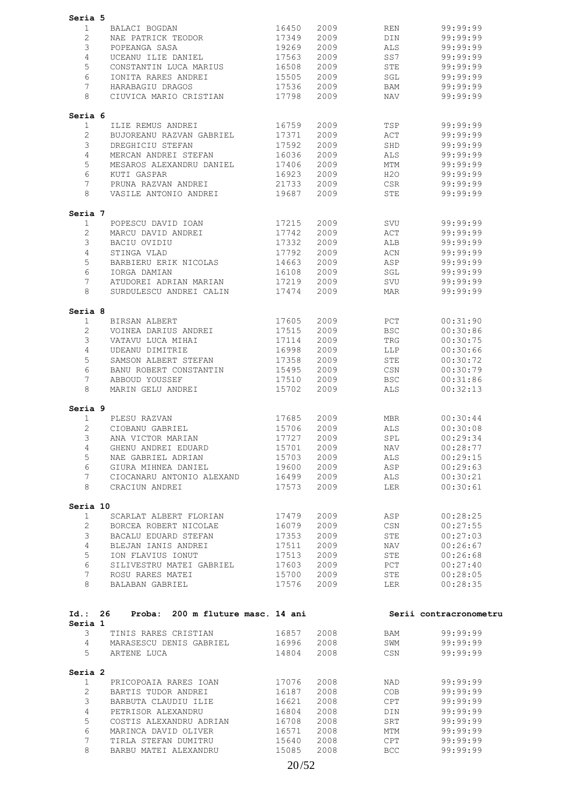| Seria 5                |                                           |                |            |            |                        |
|------------------------|-------------------------------------------|----------------|------------|------------|------------------------|
| $\mathbf{1}$           | BALACI BOGDAN                             | 16450          | 2009       | REN        | 99:99:99               |
| $\overline{2}$         | NAE PATRICK TEODOR                        | 17349          | 2009       | DIN        | 99:99:99               |
| 3                      | POPEANGA SASA                             | 19269          | 2009       | ALS.       | 99:99:99               |
| 4                      | UCEANU ILIE DANIEL                        | 17563          | 2009       | SS7        | 99:99:99               |
| 5                      | CONSTANTIN LUCA MARIUS                    | 16508          | 2009       | STE        | 99:99:99               |
| 6                      | IONITA RARES ANDREI                       | 15505          | 2009       | SGL        | 99:99:99               |
| 7                      | HARABAGIU DRAGOS                          | 17536          | 2009       | BAM        | 99:99:99               |
| 8                      | CIUVICA MARIO CRISTIAN                    | 17798          | 2009       | NAV        | 99:99:99               |
|                        |                                           |                |            |            |                        |
| Seria 6                |                                           |                |            |            |                        |
| $\mathbf{1}$           | ILIE REMUS ANDREI                         | 16759          | 2009       | TSP        | 99:99:99               |
| $\overline{2}$         | BUJOREANU RAZVAN GABRIEL                  | 17371          | 2009       | ACT        | 99:99:99               |
| 3                      | DREGHICIU STEFAN                          | 17592          | 2009       | SHD        | 99:99:99               |
| 4                      | MERCAN ANDREI STEFAN                      | 16036          | 2009       | ALS        | 99:99:99               |
| 5                      | MESAROS ALEXANDRU DANIEL                  | 17406          | 2009       | MTM        | 99:99:99               |
| 6                      | KUTI GASPAR                               | 16923          | 2009       | H2O        | 99:99:99               |
| 7                      | PRUNA RAZVAN ANDREI                       | 21733          | 2009       | CSR        | 99:99:99               |
| 8                      | VASILE ANTONIO ANDREI                     | 19687          | 2009       | <b>STE</b> | 99:99:99               |
| Seria 7                |                                           |                |            |            |                        |
| 1                      | POPESCU DAVID IOAN                        | 17215          | 2009       | SVU        | 99:99:99               |
| $\overline{2}$         | MARCU DAVID ANDREI                        | 17742          | 2009       | ACT        | 99:99:99               |
| 3                      | BACIU OVIDIU                              | 17332          | 2009       | ALB        | 99:99:99               |
| 4                      | STINGA VLAD                               | 17792          | 2009       | ACN        | 99:99:99               |
| 5                      | BARBIERU ERIK NICOLAS                     | 14663          | 2009       | ASP        | 99:99:99               |
| 6                      | IORGA DAMIAN                              | 16108          | 2009       | SGL        | 99:99:99               |
| 7                      | ATUDOREI ADRIAN MARIAN                    | 17219          | 2009       | SVU        | 99:99:99               |
| 8                      | SURDULESCU ANDREI CALIN                   | 17474          | 2009       | MAR        | 99:99:99               |
| Seria 8                |                                           |                |            |            |                        |
| 1                      | BIRSAN ALBERT                             | 17605          | 2009       | PCT        | 00:31:90               |
| 2                      | VOINEA DARIUS ANDREI                      | 17515          | 2009       | <b>BSC</b> | 00:30:86               |
| 3                      | VATAVU LUCA MIHAI                         | 17114          | 2009       | TRG        | 00:30:75               |
| 4                      | UDEANU DIMITRIE                           | 16998          | 2009       | LLP        | 00:30:66               |
| 5                      | SAMSON ALBERT STEFAN                      | 17358          | 2009       | STE        | 00:30:72               |
| 6                      | BANU ROBERT CONSTANTIN                    | 15495          | 2009       | CSN        | 00:30:79               |
| 7                      | ABBOUD YOUSSEF                            | 17510          | 2009       | <b>BSC</b> | 00:31:86               |
| 8                      | MARIN GELU ANDREI                         | 15702          | 2009       | ALS        | 00:32:13               |
| Seria 9                |                                           |                |            |            |                        |
| $\mathbf 1$            | PLESU RAZVAN                              | 17685          | 2009       | <b>MBR</b> | 00:30:44               |
| $\overline{2}$         | CIOBANU GABRIEL                           | 15706          | 2009       | ALS        | 00:30:08               |
| 3                      | ANA VICTOR MARIAN                         | 17727          | 2009       | SPL        | 00:29:34               |
| 4                      | GHENU ANDREI EDUARD                       |                | 15701 2009 | NAV        | 00:28:77               |
| 5                      | NAE GABRIEL ADRIAN                        | 15703 2009     |            | ALS        | 00:29:15               |
| 6                      |                                           |                | 2009       | ASP        | 00:29:63               |
| $7^{\circ}$            | CIOCANARU ANTONIO ALEXAND 16499           |                | 2009       | ALS        | 00:30:21               |
| 8                      | CRACIUN ANDREI                            | 17573          | 2009       | LER        | 00:30:61               |
|                        |                                           |                |            |            |                        |
| Seria 10               |                                           |                |            |            |                        |
| $\mathbf{1}$           | SCARLAT ALBERT FLORIAN 17479              |                | 2009       | ASP        | 00:28:25               |
| $\overline{2}$         | BORCEA ROBERT NICOLAE                     | 16079          | 2009       | CSN        | 00:27:55               |
| 3 <sup>7</sup>         | BACALU EDUARD STEFAN                      | 17353          | 2009       | STE        | 00:27:03               |
| $4\overline{ }$        | BLEJAN IANIS ANDREI 17511                 |                | 2009       | <b>NAV</b> | 00:26:67               |
| 5                      | ION FLAVIUS IONUT                         | 17513          | 2009       | STE        | 00:26:68               |
| 6                      | SILIVESTRU MATEI GABRIEL 17603            |                | 2009       | PCT        | 00:27:40               |
| 7                      | ROSU RARES MATEI                          | 15700 2009     |            | <b>STE</b> | 00:28:05               |
|                        | 8 BALABAN GABRIEL                         |                | 17576 2009 | LER        | 00:28:35               |
|                        |                                           |                |            |            |                        |
|                        | Id.: 26 Proba: 200 m fluture masc. 14 ani |                |            |            | Serii contracronometru |
| Seria 1<br>$3^{\circ}$ | TINIS RARES CRISTIAN 16857 2008           |                |            | <b>BAM</b> | 99:99:99               |
|                        | 4 MARASESCU DENIS GABRIEL 16996 2008      |                |            | SWM        | 99:99:99               |
| $5 -$                  | ARTENE LUCA                               | 14804          | 2008       | CSN        | 99:99:99               |
| Seria 2                |                                           |                |            |            |                        |
| 1                      | PRICOPOAIA RARES IOAN                     | 17076          | 2008       | NAD        | 99:99:99               |
| $2^{\circ}$            | BARTIS TUDOR ANDREI                       | 16187          | 2008       | COB        | 99:99:99               |
| 3 <sup>7</sup>         | BARBUTA CLAUDIU ILIE 16621                |                | 2008       | CPT        | 99:99:99               |
|                        |                                           |                |            | DIN        | 99:99:99               |
| $4 -$                  | PETRISOR ALEXANDRU                        | 16804          | 2008       |            |                        |
| 5                      | COSTIS ALEXANDRU ADRIAN                   | 16708          | 2008       | SRT        | 99:99:99               |
| 6                      | MARINCA DAVID OLIVER                      |                | 2008       | MTM        | 99:99:99               |
| $7\overline{ }$        | TIRLA STEFAN DUMITRU                      | 16571<br>15640 | 2008       | CPT        | 99:99:99               |
| 8                      | BARBU MATEI ALEXANDRU                     | 15085          | 2008       | <b>BCC</b> | 99:99:99               |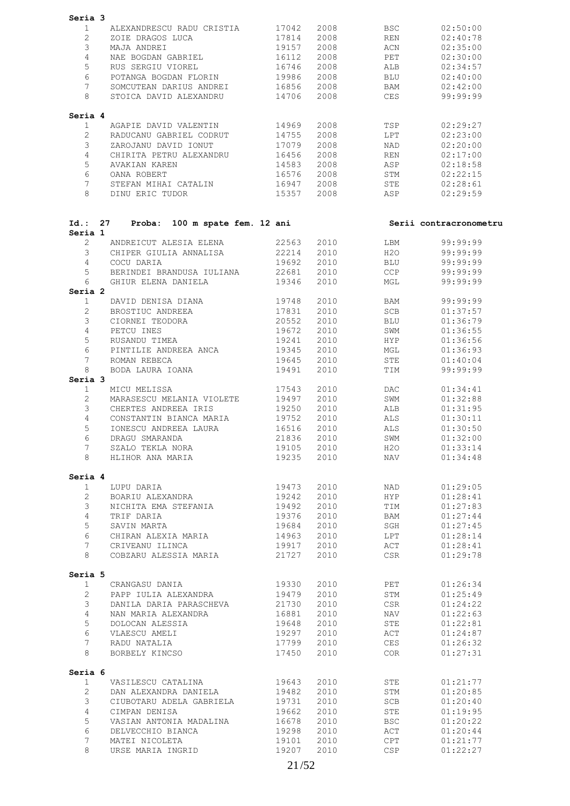| Seria 3                        |                                                              |                |              |                                                                                                                |                        |
|--------------------------------|--------------------------------------------------------------|----------------|--------------|----------------------------------------------------------------------------------------------------------------|------------------------|
| 1                              | ALEXANDRESCU RADU CRISTIA 17042                              |                | 2008         | <b>BSC</b>                                                                                                     | 02:50:00               |
| $\overline{2}$                 | ZOIE DRAGOS LUCA                                             | 17814          | 2008         | REN                                                                                                            | 02:40:78               |
| 3                              | MAJA ANDREI                                                  | 19157          | 2008         | ACN                                                                                                            | 02:35:00               |
| $\overline{4}$                 | NAE BOGDAN GABRIEL                                           | 16112          | 2008         | PET                                                                                                            | 02:30:00               |
| 5                              | RUS SERGIU VIOREL                                            | 16746          | 2008         | ALB                                                                                                            | 02:34:57               |
| 6                              | POTANGA BOGDAN FLORIN                                        | 19986          | 2008         | BLU                                                                                                            | 02:40:00               |
| $7\overline{ }$                | SOMCUTEAN DARIUS ANDREI 16856                                |                | 2008         | BAM                                                                                                            | 02:42:00               |
| 8                              | STOICA DAVID ALEXANDRU 14706                                 |                | 2008         | <b>CES</b>                                                                                                     | 99:99:99               |
| Seria 4                        |                                                              |                |              |                                                                                                                |                        |
| $\mathbf{1}$                   | AGAPIE DAVID VALENTIN 14969                                  |                | 2008         | TSP                                                                                                            | 02:29:27               |
| $\overline{2}$                 | RADUCANU GABRIEL CODRUT                                      | 14755          | 2008         | LPT                                                                                                            | 02:23:00               |
| 3                              | ZAROJANU DAVID IONUT                                         | 17079          | 2008         | NAD                                                                                                            | 02:20:00               |
| $\overline{4}$                 | CHIRITA PETRU ALEXANDRU 16456                                |                | 2008         | REN                                                                                                            | 02:17:00               |
| 5                              | AVAKIAN KAREN                                                | 14583          | 2008         | ASP                                                                                                            | 02:18:58               |
| 6                              | OANA ROBERT                                                  | 16576          | 2008         | STM                                                                                                            | 02:22:15               |
| $7\phantom{.}$<br>8            | STEFAN MIHAI CATALIN 16947<br>DINU ERIC TUDOR 15357          |                | 2008<br>2008 | STE<br>ASP                                                                                                     | 02:28:61<br>02:29:59   |
|                                |                                                              |                |              |                                                                                                                |                        |
|                                | Id.: 27 Proba: 100 m spate fem. 12 ani                       |                |              |                                                                                                                | Serii contracronometru |
| Seria 1                        |                                                              |                |              |                                                                                                                |                        |
| $\overline{2}$                 | ANDREICUT ALESIA ELENA 22563<br>CHIPER GIULIA ANNALISA 22214 |                | 2010         | LBM                                                                                                            | 99:99:99               |
| 3                              |                                                              |                | 2010         |                                                                                                                | H2O 99:99:99           |
| $\overline{4}$                 | COCU DARIA                                                   | 19692          | 2010         | <b>BLU</b>                                                                                                     | 99:99:99               |
| 5                              | BERINDEI BRANDUSA IULIANA<br>GHIUR ELENA DANIELA             | 22681<br>19346 | 2010<br>2010 | CCP                                                                                                            | 99:99:99               |
| 6<br>Seria 2                   |                                                              |                |              | MGL                                                                                                            | 99:99:99               |
| $\mathbf{1}$                   | DAVID DENISA DIANA                                           | 19748          | 2010         | BAM                                                                                                            | 99:99:99               |
| $\overline{2}$                 | BROSTIUC ANDREEA                                             | 17831          | 2010         | SCB                                                                                                            | 01:37:57               |
| 3                              | CIORNEI TEODORA                                              | 20552          | 2010         | <b>BLU</b>                                                                                                     | 01:36:79               |
| $\overline{4}$                 | PETCU INES                                                   | 19672          | 2010         | SWM                                                                                                            | 01:36:55               |
| 5                              | RUSANDU TIMEA                                                | 19241          | 2010         | <b>HYP</b>                                                                                                     | 01:36:56               |
| 6                              | PINTILIE ANDREEA ANCA 19345                                  |                | 2010         | MGL                                                                                                            | 01:36:93               |
| $7\phantom{.0}$                | ROMAN REBECA                                                 | 19645          | 2010         | STE                                                                                                            | 01:40:04               |
| 8                              | BODA LAURA IOANA                                             | 19491          | 2010         | TIM                                                                                                            | 99:99:99               |
| Seria 3                        |                                                              |                |              |                                                                                                                |                        |
| 1                              | MICU MELISSA                                                 | 17543          | 2010         | DAC and the state of the state of the state of the state of the state of the state of the state of the state o | 01:34:41               |
| $\overline{2}$                 | MARASESCU MELANIA VIOLETE                                    | 19497          | 2010         | SWM                                                                                                            | 01:32:88               |
| 3                              | CHERTES ANDREEA IRIS                                         | 19250          | 2010         | ALB                                                                                                            | 01:31:95               |
| $\overline{4}$                 | CONSTANTIN BIANCA MARIA 19752                                |                | 2010         | ALS                                                                                                            | 01:30:11               |
| 5                              | IONESCU ANDREEA LAURA                                        | 16516          | 2010         | ALS                                                                                                            | 01:30:50               |
| $6\degree$                     | DRAGU SMARANDA $21836$ 2010                                  |                |              | SWM                                                                                                            | 01:32:00               |
| 7                              | SZALO TEKLA NORA                                             |                | 19105 2010   | H2O<br><b>NAV</b>                                                                                              | 01:33:14<br>01:34:48   |
|                                |                                                              |                |              |                                                                                                                |                        |
| Seria 4                        |                                                              |                |              |                                                                                                                | 01:29:05               |
| $\mathbf{1}$<br>$\overline{2}$ | LUPU DARIA<br>BOARIU ALEXANDRA                               | 19473<br>19242 | 2010<br>2010 | NAD<br>HYP                                                                                                     | 01:28:41               |
| $\mathcal{S}$                  | NICHITA EMA STEFANIA                                         | 19492          | 2010         | TIM                                                                                                            | 01:27:83               |
| $\overline{4}$                 | TRIF DARIA                                                   | 19376          | 2010         | BAM                                                                                                            | 01:27:44               |
| $5\overline{)}$                | SAVIN MARTA                                                  | 19684          | 2010         | SGH                                                                                                            | 01:27:45               |
| 6                              | CHIRAN ALEXIA MARIA                                          | 14963          | 2010         | LPT                                                                                                            | 01:28:14               |
| $7\phantom{.0}$                | CRIVEANU ILINCA                                              | 19917          | 2010         | ACT                                                                                                            | 01:28:41               |
| 8                              | COBZARU ALESSIA MARIA 21727                                  |                | 2010         | <b>CSR</b>                                                                                                     | 01:29:78               |
| Seria 5                        |                                                              |                |              |                                                                                                                |                        |
| $\mathbf{1}$                   | CRANGASU DANIA                                               | 19330          | 2010         | PET                                                                                                            | 01:26:34               |
| $2^{\circ}$                    | PAPP IULIA ALEXANDRA                                         | 19479          | 2010         | STM                                                                                                            | 01:25:49               |
| 3 <sup>7</sup>                 | DANILA DARIA PARASCHEVA                                      | 21730          | 2010         | CSR                                                                                                            | 01:24:22               |
| 4                              | NAN MARIA ALEXANDRA                                          | 16881          | 2010         | NAV                                                                                                            | 01:22:63               |
| $5\overline{)}$                | DOLOCAN ALESSIA                                              | 19648          | 2010         | STE                                                                                                            | 01:22:81               |
| 6                              | VLAESCU AMELI                                                | 19297          | 2010         | ACT                                                                                                            | 01:24:87               |
| $7\overline{ }$                | RADU NATALIA                                                 | 17799          | 2010         | CES                                                                                                            | 01:26:32               |
| 8                              | BORBELY KINCSO                                               | 17450          | 2010         | COR                                                                                                            | 01:27:31               |
| Seria 6                        |                                                              |                |              |                                                                                                                |                        |
| 1                              | VASILESCU CATALINA 19643                                     |                | 2010         | STE                                                                                                            | 01:21:77               |
| $\overline{2}$                 | DAN ALEXANDRA DANIELA                                        | 19482          | 2010         | STM                                                                                                            | 01:20:85               |
| $\mathcal{S}$                  | CIUBOTARU ADELA GABRIELA                                     | 19731          | 2010         | SCB                                                                                                            | 01:20:40               |
| 4                              | CIMPAN DENISA                                                | 19662          | 2010         | STE                                                                                                            | 01:19:95               |
| 5                              | VASIAN ANTONIA MADALINA                                      | 16678          | 2010         | BSC                                                                                                            | 01:20:22               |
| 6                              | DELVECCHIO BIANCA                                            | 19298          | 2010         | ACT                                                                                                            | 01:20:44               |
| $7\overline{ }$                | MATEI NICOLETA                                               | 19101          | 2010         | CPT                                                                                                            | 01:21:77               |
| 8                              | URSE MARIA INGRID                                            | 19207          | 2010         | CSP                                                                                                            | 01:22:27               |
|                                |                                                              |                |              |                                                                                                                |                        |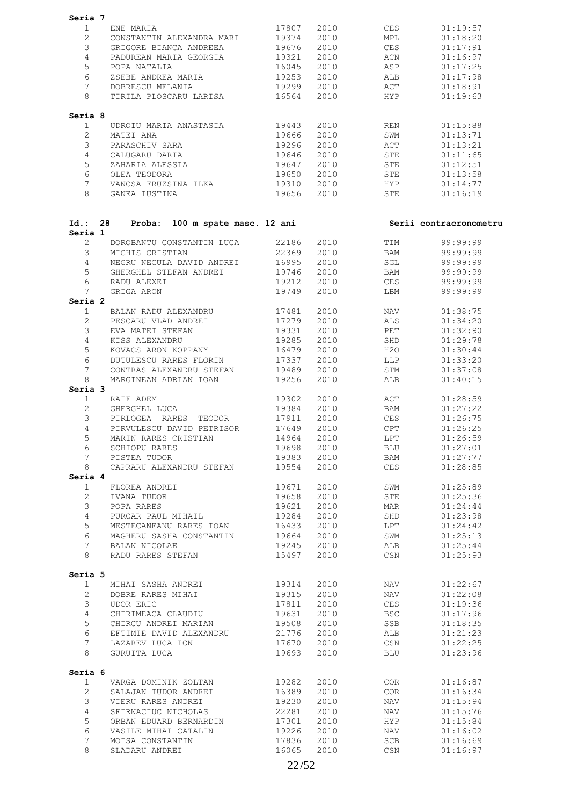| Seria 7                 |                                              |                |              |            |                        |
|-------------------------|----------------------------------------------|----------------|--------------|------------|------------------------|
| $\mathbf{1}$            | ENE MARIA                                    | 17807          | 2010         | CES        | 01:19:57               |
| $\overline{2}$          | CONSTANTIN ALEXANDRA MARI 19374              |                | 2010         | MPL        | 01:18:20               |
| 3                       | GRIGORE BIANCA ANDREEA 19676                 |                | 2010         | CES        | 01:17:91               |
| $\overline{4}$          | PADUREAN MARIA GEORGIA 19321                 |                | 2010         | ACN        | 01:16:97               |
| 5                       |                                              |                | 2010         |            |                        |
|                         | POPA NATALIA                                 | 16045          |              | ASP        | 01:17:25               |
| 6                       | ZSEBE ANDREA MARIA                           | 19253          | 2010         | ALB        | 01:17:98               |
| $7^{\circ}$             | DOBRESCU MELANIA                             | 19299          | 2010         | ACT        | 01:18:91               |
| 8                       | TIRILA PLOSCARU LARISA                       | 16564          | 2010         | <b>HYP</b> | 01:19:63               |
| Seria 8                 |                                              |                |              |            |                        |
| $\mathbf{1}$            | UDROIU MARIA ANASTASIA                       | 19443          | 2010         | REN        | 01:15:88               |
| $\overline{2}$          | MATEI ANA                                    | 19666          | 2010         | SWM        | 01:13:71               |
| 3                       | PARASCHIV SARA                               | 19296          | 2010         | ACT        | 01:13:21               |
| $\overline{4}$          | CALUGARU DARIA                               | 19646          | 2010         | STE        | 01:11:65               |
| 5                       | ZAHARIA ALESSIA                              | 19647          | 2010         | STE        | 01:12:51               |
| 6                       | OLEA TEODORA                                 | 19650          | 2010         | STE        | 01:13:58               |
| $7^{\circ}$             | VANCSA FRUZSINA ILKA 19310                   |                | 2010         | <b>HYP</b> | 01:14:77               |
| 8                       | GANEA IUSTINA                                | 19656          | 2010         | STE        | 01:16:19               |
|                         |                                              |                |              |            |                        |
| Id.: 28<br>Seria 1      | Proba: 100 m spate masc. 12 ani              |                |              |            | Serii contracronometru |
| $\overline{2}$          | DOROBANTU CONSTANTIN LUCA 22186              |                | 2010         | TIM        | 99:99:99               |
| 3                       |                                              | 22369          | 2010         | <b>BAM</b> | 99:99:99               |
| $\overline{4}$          | MICHIS CRISTIAN<br>NEGRU NECULA DAVID ANDREI | 16995          | 2010         | SGL        | 99:99:99               |
| 5                       | GHERGHEL STEFAN ANDREI 19746                 |                | 2010         | <b>BAM</b> | 99:99:99               |
| 6                       | RADU ALEXEI                                  | 19212          | 2010         | CES        | 99:99:99               |
|                         |                                              |                |              |            |                        |
| $7\phantom{.}$          | GRIGA ARON                                   | 19749          | 2010         | LBM        | 99:99:99               |
| Seria 2<br>$\mathbf{1}$ | BALAN RADU ALEXANDRU 17481                   |                | 2010         | NAV        | 01:38:75               |
|                         |                                              |                |              |            |                        |
| $\overline{2}$          | PESCARU VLAD ANDREI                          | 17279          | 2010         | ALS        | 01:34:20               |
| 3                       | EVA MATEI STEFAN                             | 19331          | 2010         | PET        | 01:32:90               |
| $\overline{4}$          | KISS ALEXANDRU                               | 19285          | 2010         | SHD        | 01:29:78               |
| 5                       | KOVACS ARON KOPPANY                          | 16479          | 2010         | H2O        | 01:30:44               |
| 6                       | DUTULESCU RARES FLORIN                       | 17337          | 2010         | LLP        | 01:33:20               |
| $7\overline{ }$         | CONTRAS ALEXANDRU STEFAN 19489               |                | 2010         | STM        | 01:37:08               |
| 8                       | MARGINEAN ADRIAN IOAN                        | 19256          | 2010         | ALB        | 01:40:15               |
| Seria 3                 |                                              |                |              |            |                        |
| $\mathbf{1}$            | RAIF ADEM                                    | 19302          | 2010         | ACT        | 01:28:59               |
| $\overline{2}$          | GHERGHEL LUCA                                | 19384          | 2010         | BAM        | 01:27:22               |
| 3                       | PIRLOGEA RARES TEODOR                        | 17911          | 2010         | CES        | 01:26:75               |
| $\overline{4}$          | PIRVULESCU DAVID PETRISOR 17649              |                | 2010         | CPT        | 01:26:25               |
| 5                       | MARIN RARES CRISTIAN                         | 14964          | 2010         | LPT        | 01:26:59               |
| 6                       | SCHIOPU RARES                                | 19698          | 2010         | BLU        | 01:27:01               |
| $7\overline{ }$         | PISTEA TUDOR                                 | 19383          | 2010         | BAM        | 01:27:77               |
| 8                       | CAPRARU ALEXANDRU STEFAN                     | 19554          | 2010         | CES        | 01:28:85               |
| Seria 4                 |                                              |                |              |            |                        |
| $\mathbf{1}$            | FLOREA ANDREI                                | 19671          | 2010         | SWM        | 01:25:89               |
| $\overline{2}$          | IVANA TUDOR                                  | 19658          | 2010         | STE        | 01:25:36               |
| 3                       |                                              |                |              |            |                        |
|                         | POPA RARES                                   | 19621          | 2010         | MAR        | 01:24:44               |
| $\overline{4}$          | PURCAR PAUL MIHAIL                           | 19284          | 2010         | SHD        | 01:23:98               |
| 5                       | MESTECANEANU RARES IOAN                      | 16433          | 2010         | LPT        | 01:24:42               |
| 6                       | MAGHERU SASHA CONSTANTIN                     | 19664          | 2010         | SWM        | 01:25:13               |
| 7                       | BALAN NICOLAE                                | 19245          | 2010         | ALB        | 01:25:44               |
| 8                       | RADU RARES STEFAN                            | 15497          | 2010         | CSN        | 01:25:93               |
| Seria 5                 |                                              |                |              |            |                        |
| $\mathbf{1}$            | MIHAI SASHA ANDREI                           | 19314          | 2010         | NAV        | 01:22:67               |
| $\mathbf{2}^{\prime}$   | DOBRE RARES MIHAI                            | 19315          | 2010         | NAV        | 01:22:08               |
| 3                       | UDOR ERIC                                    | 17811          | 2010         | CES        | 01:19:36               |
| $\overline{4}$          | CHIRIMEACA CLAUDIU                           | 19631          | 2010         | <b>BSC</b> | 01:17:96               |
| 5                       | CHIRCU ANDREI MARIAN                         | 19508          | 2010         | SSB        | 01:18:35               |
| 6                       | EFTIMIE DAVID ALEXANDRU                      | 21776          | 2010         | ALB        | 01:21:23               |
|                         |                                              |                |              |            |                        |
| 7<br>8                  | LAZAREV LUCA ION<br>GURUITA LUCA             | 17670<br>19693 | 2010<br>2010 | CSN<br>BLU | 01:22:25<br>01:23:96   |
| Seria 6                 |                                              |                |              |            |                        |
| $\mathbf{1}$            | VARGA DOMINIK ZOLTAN                         | 19282          | 2010         | COR        | 01:16:87               |
| $\overline{2}$          | SALAJAN TUDOR ANDREI                         | 16389          | 2010         | COR        | 01:16:34               |
| 3                       | VIERU RARES ANDREI                           | 19230          | 2010         | NAV        | 01:15:94               |
|                         |                                              |                |              |            |                        |
| $\overline{4}$          | SFIRNACIUC NICHOLAS                          | 22281          | 2010         | NAV        | 01:15:76               |
| 5                       | ORBAN EDUARD BERNARDIN                       | 17301          | 2010         | <b>HYP</b> | 01:15:84               |
| 6                       | VASILE MIHAI CATALIN                         | 19226          | 2010         | NAV        | 01:16:02               |
| 7                       | MOISA CONSTANTIN                             | 17836          | 2010         | SCB        | 01:16:69               |
| 8                       | SLADARU ANDREI                               | 16065          | 2010         | CSN        | 01:16:97               |
|                         |                                              |                |              |            |                        |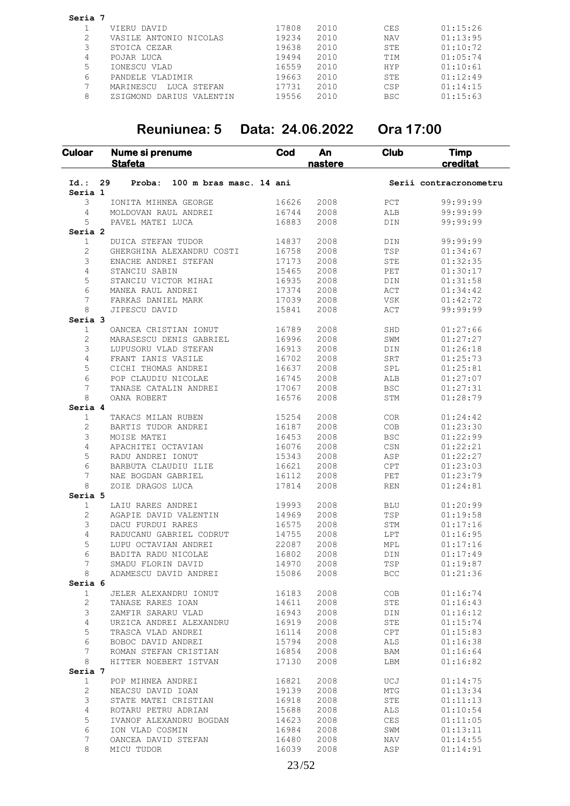| Seria 7 |                          |       |      |            |          |
|---------|--------------------------|-------|------|------------|----------|
|         | VIERU DAVID              | 17808 | 2010 | <b>CES</b> | 01:15:26 |
|         | VASILE ANTONIO NICOLAS   | 19234 | 2010 | <b>NAV</b> | 01:13:95 |
|         | STOICA CEZAR             | 19638 | 2010 | STE        | 01:10:72 |
| 4       | POJAR LUCA               | 19494 | 2010 | TIM        | 01:05:74 |
| 5       | IONESCU VLAD             | 16559 | 2010 | <b>HYP</b> | 01:10:61 |
| 6       | PANDELE VLADIMIR         | 19663 | 2010 | STE        | 01:12:49 |
|         | LUCA STEFAN<br>MARINESCU | 17731 | 2010 | <b>CSP</b> | 01:14:15 |
| 8       | ZSIGMOND DARIUS VALENTIN | 19556 | 2010 | <b>BSC</b> | 01:15:63 |

### **Reuniunea: 5 Data: 24.06.2022 Ora 17:00**

| <b>Culoar</b>        | Nume si prenume<br><b>Stafeta</b>       | Cod   | An<br>nastere | Club                 | <b>Timp</b><br>creditat |
|----------------------|-----------------------------------------|-------|---------------|----------------------|-------------------------|
| $Id.$ :<br>Seria 1   | 29<br>Proba:<br>100 m bras masc. 14 ani |       |               |                      | Serii contracronometru  |
| 3                    | IONITA MIHNEA GEORGE                    | 16626 | 2008          | $_{\rm PCT}$         | 99:99:99                |
| 4                    | MOLDOVAN RAUL ANDREI                    | 16744 | 2008          | ALB                  | 99:99:99                |
| 5                    | PAVEL MATEI LUCA                        | 16883 | 2008          | DIN                  | 99:99:99                |
| Seria <sub>2</sub>   |                                         |       |               |                      |                         |
| $\mathbf{1}$         | DUICA STEFAN TUDOR                      | 14837 | 2008          | DIN                  | 99:99:99                |
| 2                    | GHERGHINA ALEXANDRU COSTI               | 16758 | 2008          | $\operatorname{TSP}$ | 01:34:67                |
| 3                    | ENACHE ANDREI STEFAN                    | 17173 | 2008          | STE                  | 01:32:35                |
| 4                    | STANCIU SABIN                           | 15465 | 2008          | PET                  | 01:30:17                |
| 5                    | STANCIU VICTOR MIHAI                    | 16935 | 2008          | DIN                  | 01:31:58                |
| 6                    | MANEA RAUL ANDREI                       | 17374 | 2008          | ACT                  | 01:34:42                |
| 7                    | FARKAS DANIEL MARK                      | 17039 | 2008          | VSK                  | 01:42:72                |
| 8                    | JIPESCU DAVID                           | 15841 | 2008          | ACT                  | 99:99:99                |
| Seria 3              |                                         |       |               |                      |                         |
| $\mathbf{1}$         | OANCEA CRISTIAN IONUT                   | 16789 | 2008          | SHD                  | 01:27:66                |
| $\overline{c}$       | MARASESCU DENIS GABRIEL                 | 16996 | 2008          | SWM                  | 01:27:27                |
| 3                    | LUPUSORU VLAD STEFAN                    | 16913 | 2008          | DIN                  | 01:26:18                |
| 4                    | FRANT IANIS VASILE                      | 16702 | 2008          | SRT                  | 01:25:73                |
| 5                    | CICHI THOMAS ANDREI                     | 16637 | 2008          | SPL                  | 01:25:81                |
| 6                    | POP CLAUDIU NICOLAE                     | 16745 | 2008          | ALB                  | 01:27:07                |
| 7                    | TANASE CATALIN ANDREI                   | 17067 | 2008          | <b>BSC</b>           | 01:27:31                |
| 8                    | OANA ROBERT                             | 16576 | 2008          | STM                  | 01:28:79                |
| Seria 4              |                                         |       |               |                      |                         |
| 1                    | TAKACS MILAN RUBEN                      | 15254 | 2008          | COR                  | 01:24:42                |
| 2                    | BARTIS TUDOR ANDREI                     | 16187 | 2008          | COB                  | 01:23:30                |
| 3                    | MOISE MATEI                             | 16453 | 2008          | <b>BSC</b>           | 01:22:99                |
| 4                    | APACHITEI OCTAVIAN                      | 16076 | 2008          | CSN                  | 01:22:21                |
| 5                    | RADU ANDREI IONUT                       | 15343 | 2008          | ASP                  | 01:22:27                |
| 6                    | BARBUTA CLAUDIU ILIE                    | 16621 | 2008          | CPT                  | 01:23:03                |
| 7                    | NAE BOGDAN GABRIEL                      | 16112 | 2008          | PET                  | 01:23:79                |
| 8                    | ZOIE DRAGOS LUCA                        | 17814 | 2008          | <b>REN</b>           | 01:24:81                |
| Seria 5              |                                         |       |               |                      |                         |
| $\mathbf{1}$         | LAIU RARES ANDREI                       | 19993 | 2008          | BLU                  | 01:20:99                |
| 2                    | AGAPIE DAVID VALENTIN                   | 14969 | 2008          | TSP                  | 01:19:58                |
| 3                    | DACU FURDUI RARES                       | 16575 | 2008          | STM                  | 01:17:16                |
| 4                    | RADUCANU GABRIEL CODRUT                 | 14755 | 2008          | ${\rm LPT}$          | 01:16:95                |
| 5                    | LUPU OCTAVIAN ANDREI                    | 22087 | 2008          | MPL                  | 01:17:16                |
| 6                    | BADITA RADU NICOLAE                     | 16802 | 2008          | DIN                  | 01:17:49                |
| 7                    | SMADU FLORIN DAVID                      | 14970 | 2008          | TSP                  | 01:19:87                |
| 8                    | ADAMESCU DAVID ANDREI                   | 15086 | 2008          | $_{\rm BCC}$         | 01:21:36                |
| Seria 6              |                                         |       |               |                      |                         |
| 1                    | JELER ALEXANDRU IONUT                   | 16183 | 2008          | COB                  | 01:16:74                |
| $\overline{2}$       | TANASE RARES IOAN                       | 14611 | 2008          | STE                  | 01:16:43                |
| 3                    | ZAMFIR SARARU VLAD                      | 16943 | 2008          | DIN                  | 01:16:12                |
| $\overline{4}$       | URZICA ANDREI ALEXANDRU                 | 16919 | 2008          | STE                  | 01:15:74                |
| 5                    | TRASCA VLAD ANDREI                      | 16114 | 2008          | CPT                  | 01:15:83                |
| 6                    | BOBOC DAVID ANDREI                      | 15794 | 2008          | ALS                  | 01:16:38                |
| $7\phantom{.0}$      | ROMAN STEFAN CRISTIAN                   | 16854 | 2008          | BAM                  | 01:16:64                |
| 8                    | HITTER NOEBERT ISTVAN                   | 17130 | 2008          | LBM                  | 01:16:82                |
| Seria 7              |                                         |       |               |                      |                         |
| $\mathbf{1}$         | POP MIHNEA ANDREI                       | 16821 | 2008          | UCJ                  | 01:14:75                |
| $\mathbf{2}^{\circ}$ | NEACSU DAVID IOAN                       | 19139 | 2008          | MTG                  | 01:13:34                |
| 3                    | STATE MATEI CRISTIAN                    | 16918 | 2008          | STE                  | 01:11:13                |
| $\overline{4}$       | ROTARU PETRU ADRIAN                     | 15688 | 2008          | ALS                  | 01:10:54                |
| 5                    | IVANOF ALEXANDRU BOGDAN                 | 14623 | 2008          | CES                  | 01:11:05                |
| 6                    | ION VLAD COSMIN                         | 16984 | 2008          | SWM                  | 01:13:11                |
| 7                    | OANCEA DAVID STEFAN                     | 16480 | 2008          | NAV                  | 01:14:55                |
| 8                    | MICU TUDOR                              | 16039 | 2008          | ASP                  | 01:14:91                |
|                      |                                         |       |               |                      |                         |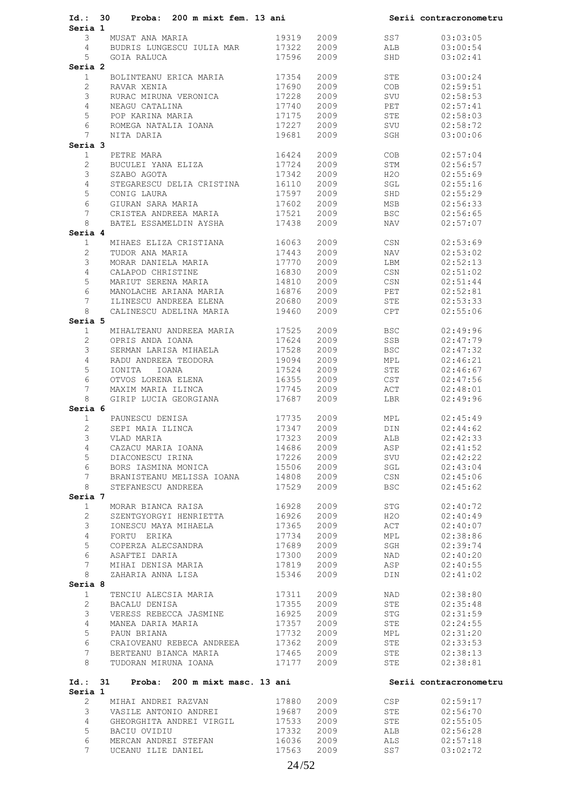| Id.: 30               | Proba: 200 m mixt fem. 13 ani                    |       |      |            | Serii contracronometru |
|-----------------------|--------------------------------------------------|-------|------|------------|------------------------|
| Seria 1<br>3          | MUSAT ANA MARIA                                  | 19319 | 2009 | SS7        | 03:03:05               |
| $4\degree$            | BUDRIS LUNGESCU IULIA MAR 17322                  |       | 2009 | ALB        | 03:00:54               |
| 5                     | GOIA RALUCA                                      | 17596 | 2009 | SHD        | 03:02:41               |
| Seria 2               |                                                  |       |      |            |                        |
| $\mathbf{1}$          | BOLINTEANU ERICA MARIA 17354                     |       | 2009 | STE        | 03:00:24               |
| $\overline{2}$        | RAVAR XENIA                                      | 17690 | 2009 | COB        | 02:59:51               |
| 3                     | RURAC MIRUNA VERONICA                            |       |      | SVU        |                        |
|                       |                                                  | 17228 | 2009 |            | 02:58:53               |
| $\overline{4}$        | NEAGU CATALINA<br>POP KARINA MARIA 17175         | 17740 | 2009 | PET        | 02:57:41               |
| 5                     |                                                  |       | 2009 | STE        | 02:58:03               |
| 6                     | ROMEGA NATALIA IOANA 17227                       |       | 2009 | SVU        | 02:58:72               |
| $7^{\circ}$           | NITA DARIA                                       | 19681 | 2009 | SGH        | 03:00:06               |
| Seria 3               |                                                  |       |      |            |                        |
| $\mathbf{1}$          | PETRE MARA                                       | 16424 | 2009 | <b>COB</b> | 02:57:04               |
| $\overline{2}$        | BUCULEI YANA ELIZA                               | 17724 | 2009 | STM        | 02:56:57               |
| 3                     | SZABO AGOTA                                      | 17342 | 2009 | H2O        | 02:55:69               |
| $\overline{4}$        | STEGARESCU DELIA CRISTINA 16110                  |       | 2009 | SGL        | 02:55:16               |
| 5                     | --------<br>GIURAN SARA MARIA<br>CRISTEA ANDIT   | 17597 | 2009 | SHD        | 02:55:29               |
| 6                     |                                                  | 17602 | 2009 | MSB        | 02:56:33               |
| $7\phantom{.0}$       | CRISTEA ANDREEA MARIA 17521                      |       | 2009 | <b>BSC</b> | 02:56:65               |
| 8                     | BATEL ESSAMELDIN AYSHA 17438                     |       | 2009 | NAV VI     | 02:57:07               |
| Seria 4               |                                                  |       |      |            |                        |
| $\mathbf{1}$          | MIHAES ELIZA CRISTIANA 16063                     |       | 2009 | CSN        | 02:53:69               |
| $\mathbf{2}$          | TUDOR ANA MARIA                                  | 17443 | 2009 | NAV        | 02:53:02               |
| 3                     | MORAR DANIELA MARIA                              | 17770 | 2009 | LBM        | 02:52:13               |
| $\overline{4}$        | CALAPOD CHRISTINE                                | 16830 | 2009 | CSN        | 02:51:02               |
| 5                     | MARIUT SERENA MARIA 14810                        |       | 2009 | CSN        | 02:51:44               |
| 6                     |                                                  |       |      | PET        |                        |
|                       | MANOLACHE ARIANA MARIA 16876                     |       | 2009 |            | 02:52:81               |
| 7                     | ILINESCU ANDREEA ELENA                           | 20680 | 2009 | STE        | 02:53:33               |
| 8                     | CALINESCU ADELINA MARIA 19460                    |       | 2009 | CPT        | 02:55:06               |
| Seria 5               |                                                  |       |      |            |                        |
| 1                     | MIHALTEANU ANDREEA MARIA 17525                   |       | 2009 | BSC        | 02:49:96               |
| $\overline{2}$        | OPRIS ANDA IOANA                                 | 17624 | 2009 | SSB        | 02:47:79               |
| 3                     | SERMAN LARISA MIHAELA 17528                      |       | 2009 | <b>BSC</b> | 02:47:32               |
| $\overline{4}$        | RADU ANDREEA TEODORA                             | 19094 | 2009 | MPL        | 02:46:21               |
| 5                     | IONITA IOANA                                     | 17524 | 2009 | STE        | 02:46:67               |
| 6                     | OTVOS LORENA ELENA                               | 16355 | 2009 | CST        | 02:47:56               |
| $7^{\circ}$           | MAXIM MARIA ILINCA                               | 17745 | 2009 | ACT        | 02:48:01               |
| 8                     | GIRIP LUCIA GEORGIANA                            | 17687 | 2009 | LBR        | 02:49:96               |
| Seria 6               |                                                  |       |      |            |                        |
| 1                     | INISA 17735<br>17347<br>17323<br>PAUNESCU DENISA |       | 2009 | MPL        | 02:45:49               |
| $\overline{2}$        | SEPI MAIA ILINCA                                 | 17347 | 2009 | DIN        | 02:44:62               |
| 3                     | VLAD MARIA                                       |       | 2009 | ALB        | 02:42:33               |
| 4                     | CAZACU MARIA IOANA                               | 14686 | 2009 | ASP        | 02:41:52               |
| 5                     | DIACONESCU IRINA                                 | 17226 | 2009 | SVU        | 02:42:22               |
| 6                     | BORS IASMINA MONICA                              | 15506 | 2009 | SGL        | 02:43:04               |
| 7                     | BRANISTEANU MELISSA IOANA                        | 14808 | 2009 | CSN        | 02:45:06               |
| 8                     | STEFANESCU ANDREEA                               | 17529 | 2009 | <b>BSC</b> | 02:45:62               |
| Seria 7               |                                                  |       |      |            |                        |
| $\mathbf{1}$          | MORAR BIANCA RAISA                               | 16928 | 2009 | STG        | 02:40:72               |
| $\overline{2}$        | SZENTGYORGYI HENRIETTA                           | 16926 | 2009 | H2O        | 02:40:49               |
| 3                     | IONESCU MAYA MIHAELA                             | 17365 | 2009 | ACT        | 02:40:07               |
| $\overline{4}$        |                                                  |       |      |            |                        |
|                       | FORTU ERIKA                                      | 17734 | 2009 | MPL        | 02:38:86               |
| 5                     | COPERZA ALECSANDRA                               | 17689 | 2009 | SGH        | 02:39:74               |
| 6                     | ASAFTEI DARIA                                    | 17300 | 2009 | NAD        | 02:40:20               |
| $7\phantom{.0}$       | MIHAI DENISA MARIA                               | 17819 | 2009 | ASP        | 02:40:55               |
| 8                     | ZAHARIA ANNA LISA                                | 15346 | 2009 | DIN        | 02:41:02               |
| Seria 8               |                                                  |       |      |            |                        |
| $\mathbf{1}$          | TENCIU ALECSIA MARIA                             | 17311 | 2009 | NAD        | 02:38:80               |
| $\mathbf{2}^{\prime}$ | BACALU DENISA                                    | 17355 | 2009 | STE        | 02:35:48               |
| 3                     | VERESS REBECCA JASMINE                           | 16925 | 2009 | STG        | 02:31:59               |
| $\overline{4}$        | MANEA DARIA MARIA                                | 17357 | 2009 | STE        | 02:24:55               |
| 5                     | PAUN BRIANA                                      | 17732 | 2009 | MPL        | 02:31:20               |
| 6                     | CRAIOVEANU REBECA ANDREEA                        | 17362 | 2009 | STE        | 02:33:53               |
| 7                     | BERTEANU BIANCA MARIA                            | 17465 | 2009 | STE        | 02:38:13               |
| 8                     | TUDORAN MIRUNA IOANA                             | 17177 | 2009 | STE        | 02:38:81               |
| Id.:                  | 31<br>Proba:<br>200 m mixt masc. 13 ani          |       |      |            | Serii contracronometru |
| Seria 1               |                                                  |       |      |            |                        |
| $\overline{c}$        | MIHAI ANDREI RAZVAN                              | 17880 | 2009 | CSP        | 02:59:17               |
| 3                     | VASILE ANTONIO ANDREI                            | 19687 | 2009 | STE        | 02:56:70               |
| $\overline{4}$        | GHEORGHITA ANDREI VIRGIL                         | 17533 | 2009 | STE        | 02:55:05               |
| 5                     | BACIU OVIDIU                                     | 17332 | 2009 | ALB        | 02:56:28               |
| 6                     | MERCAN ANDREI STEFAN                             | 16036 | 2009 | ALS        | 02:57:18               |
| 7                     | UCEANU ILIE DANIEL                               | 17563 | 2009 | SS7        | 03:02:72               |
|                       |                                                  |       |      |            |                        |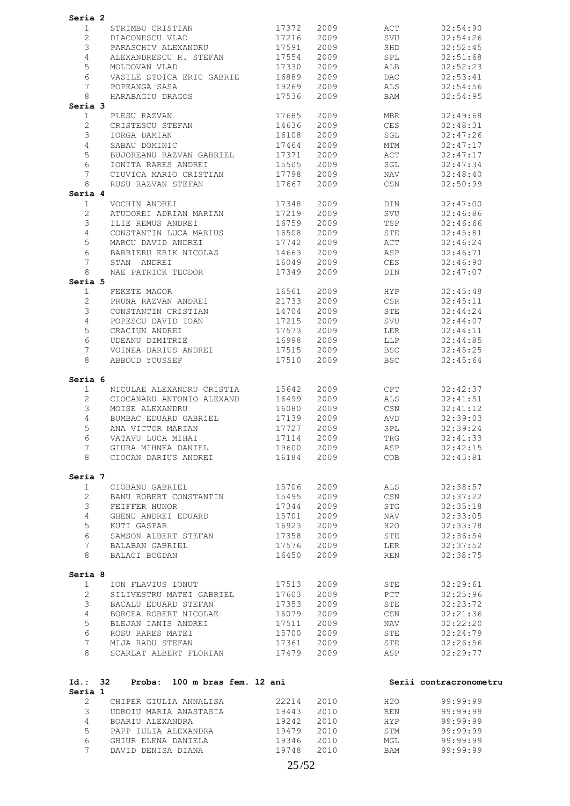| Seria 2                           |                                                       |                |              |                          |                        |
|-----------------------------------|-------------------------------------------------------|----------------|--------------|--------------------------|------------------------|
| 1                                 | STRIMBU CRISTIAN                                      | 17372          | 2009         | ACT                      | 02:54:90               |
| 2                                 | DIACONESCU VLAD                                       | 17216          | 2009         | SVU                      | 02:54:26               |
| 3                                 | PARASCHIV ALEXANDRU                                   | 17591          | 2009         | SHD                      | 02:52:45               |
| 4                                 | ALEXANDRESCU R. STEFAN                                | 17554          | 2009         | SPL                      | 02:51:68               |
| 5                                 | MOLDOVAN VLAD                                         | 17330          | 2009         | ALB                      | 02:52:23               |
| 6                                 | VASILE STOICA ERIC GABRIE                             | 16889          | 2009         | DAC                      | 02:53:41               |
| 7                                 | POPEANGA SASA                                         | 19269          | 2009         | ALS                      | 02:54:56               |
| 8                                 | HARABAGIU DRAGOS                                      | 17536          | 2009         | BAM                      | 02:54:95               |
| Seria 3                           |                                                       |                |              |                          |                        |
| $\mathbf{1}$                      | PLESU RAZVAN                                          | 17685          | 2009         | MBR                      | 02:49:68               |
| $\overline{2}$                    | CRISTESCU STEFAN                                      | 14636          | 2009         | CES                      | 02:48:31               |
| 3                                 | IORGA DAMIAN                                          | 16108          | 2009         | SGL                      | 02:47:26               |
| 4                                 | SABAU DOMINIC                                         | 17464          | 2009         | MTM                      | 02:47:17               |
| 5                                 | BUJOREANU RAZVAN GABRIEL                              | 17371          | 2009         | ACT                      | 02:47:17               |
| 6<br>7                            | IONITA RARES ANDREI                                   | 15505          | 2009         | SGL                      | 02:47:34               |
| 8                                 | CIUVICA MARIO CRISTIAN<br>RUSU RAZVAN STEFAN          | 17798<br>17667 | 2009<br>2009 | NAV<br>CSN               | 02:48:40<br>02:50:99   |
| Seria 4                           |                                                       |                |              |                          |                        |
| 1                                 | VOCHIN ANDREI                                         | 17348          | 2009         | DIN                      | 02:47:00               |
| $\overline{c}$                    | ATUDOREI ADRIAN MARIAN                                | 17219          | 2009         | SVU                      | 02:46:86               |
| 3                                 | ILIE REMUS ANDREI                                     | 16759          | 2009         | TSP                      | 02:46:66               |
| 4                                 | CONSTANTIN LUCA MARIUS                                | 16508          | 2009         | STE                      | 02:45:81               |
| 5                                 | MARCU DAVID ANDREI                                    | 17742          | 2009         | ACT                      | 02:46:24               |
| 6                                 | BARBIERU ERIK NICOLAS                                 | 14663          | 2009         | ASP                      | 02:46:71               |
| 7                                 | STAN ANDREI                                           | 16049          | 2009         | CES                      | 02:46:90               |
| 8                                 | NAE PATRICK TEODOR                                    | 17349          | 2009         | DIN                      | 02:47:07               |
| Seria 5                           |                                                       |                |              |                          |                        |
| $\mathbf{1}$                      | FEKETE MAGOR                                          | 16561          | 2009         | HYP                      | 02:45:48               |
| 2                                 | PRUNA RAZVAN ANDREI                                   | 21733          | 2009         | CSR                      | 02:45:11               |
| 3                                 | CONSTANTIN CRISTIAN                                   | 14704          | 2009         | STE                      | 02:44:24               |
| 4                                 | POPESCU DAVID IOAN                                    | 17215          | 2009         | SVU                      | 02:44:07               |
| 5                                 | CRACIUN ANDREI                                        | 17573          | 2009         | LER                      | 02:44:11               |
| 6                                 | UDEANU DIMITRIE                                       | 16998          | 2009         | LLP                      | 02:44:85               |
| 7<br>8                            | VOINEA DARIUS ANDREI                                  | 17515          | 2009         | <b>BSC</b><br><b>BSC</b> | 02:45:25               |
|                                   | ABBOUD YOUSSEF                                        | 17510          | 2009         |                          | 02:45:64               |
| Seria 6                           |                                                       |                |              |                          |                        |
| 1                                 | NICULAE ALEXANDRU CRISTIA                             | 15642          | 2009         | CPT                      | 02:42:37               |
| $\overline{2}$                    | CIOCANARU ANTONIO ALEXAND                             | 16499          | 2009         | ALS                      | 02:41:51               |
| 3                                 | MOISE ALEXANDRU                                       | 16080          | 2009         | CSN                      | 02:41:12               |
| 4                                 | BUMBAC EDUARD GABRIEL                                 | 17139          | 2009         | AVD                      | 02:39:03               |
| 5                                 | ANA VICTOR MARIAN                                     | 17727          | 2009         | SPL                      | 02:39:24               |
| 6                                 | VATAVU LUCA MIHAI                                     | 17114          | 2009         | TRG                      | 02:41:33               |
| 7                                 | GIURA MIHNEA DANIEL (19600 2009)                      |                |              | ASP                      | 02:42:15               |
|                                   | 8 CIOCAN DARIUS ANDREI                                | 16184 2009     |              | COB                      | 02:43:81               |
| Seria 7                           |                                                       |                |              |                          |                        |
| 1                                 | CIOBANU GABRIEL                                       | 15706          | 2009         | ALS                      | 02:38:57               |
| $2^{\circ}$                       | BANU ROBERT CONSTANTIN                                | 15495 2009     |              | CSN                      | 02:37:22               |
|                                   | 3 FEIFFER HUNOR                                       | 17344          | 2009         | STG                      | 02:35:18               |
| $4\overline{ }$                   | GHENU ANDREI EDUARD                                   | 15701          | 2009         | <b>NAV</b>               | 02:33:05               |
| 5                                 | KUTI GASPAR                                           | 16923          | 2009         | H2O                      | 02:33:78               |
| 6                                 | SAMSON ALBERT STEFAN 17358                            |                | 2009         | STE                      | 02:36:54               |
| 7                                 | BALABAN GABRIEL                                       | 17576          | 2009         | LER                      | 02:37:52               |
| 8                                 | BALACI BOGDAN                                         | 16450          | 2009         | <b>REN</b>               | 02:38:75               |
|                                   |                                                       |                |              |                          |                        |
| Seria 8                           |                                                       |                |              |                          |                        |
| $\mathbf{1}$                      | ION FLAVIUS IONUT                                     | 17513          | 2009         | STE                      | 02:29:61               |
| $2^{\circ}$                       | SILIVESTRU MATEI GABRIEL                              | 17603 2009     |              | PCT                      | 02:25:96               |
| 3 <sup>7</sup>                    | BACALU EDUARD STEFAN                                  | 17353          | 2009         | <b>STE</b>               | 02:23:72               |
| $4\overline{ }$                   | BORCEA ROBERT NICOLAE                                 | 16079          | 2009         | CSN                      | 02:21:36               |
| 5                                 | BLEJAN IANIS ANDREI                                   | 17511          | 2009         | NAV                      | 02:22:20               |
| 6<br>7                            | ROSU RARES MATEI                                      | 15700 2009     |              | STE                      | 02:24:79               |
| 8                                 | MIJA RADU STEFAN<br>SCARLAT ALBERT FLORIAN 17479 2009 | 17361 2009     |              | STE<br>ASP               | 02:26:56<br>02:29:77   |
|                                   |                                                       |                |              |                          |                        |
|                                   | Id.: 32 Proba: 100 m bras fem. 12 ani                 |                |              |                          | Serii contracronometru |
| Seria 1                           | 2 CHIPER GIULIA ANNALISA 22214                        |                | 2010         | H2O                      | 99:99:99               |
|                                   | 3 UDROIU MARIA ANASTASIA 19443                        |                | 2010         | <b>REN</b>               | 99:99:99               |
|                                   | BOARIU ALEXANDRA                                      | 19242          | 2010         | <b>HYP</b>               | 99:99:99               |
|                                   |                                                       |                |              |                          |                        |
| $4\overline{ }$<br>5 <sup>5</sup> | PAPP IULIA ALEXANDRA                                  | 19479          | 2010         |                          | 99:99:99               |
| 6                                 | GHIUR ELENA DANIELA                                   | 19346 2010     |              | STM<br>MGL               | 99:99:99               |
| 7                                 | DAVID DENISA DIANA                                    | 19748 2010     |              | BAM                      | 99:99:99               |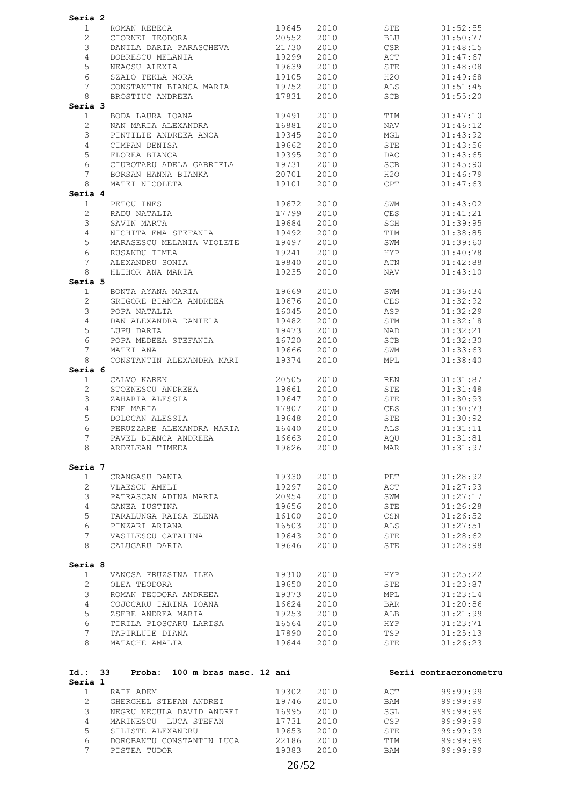| Seria 2         |                                                             |            |         |            |                        |
|-----------------|-------------------------------------------------------------|------------|---------|------------|------------------------|
| $\mathbf{1}$    | ROMAN REBECA 19645<br>CIORNEI TEODORA 20552                 |            | 2010    | STE        | 01:52:55               |
| $\overline{2}$  |                                                             |            | 2010    | BLU        | 01:50:77               |
| 3               | DANILA DARIA PARASCHEVA                                     | 21730      | 2010    | CSR        | 01:48:15               |
| $\overline{4}$  | DOBRESCU MELANIA                                            | 19299      | 2010    | ACT        | 01:47:67               |
| 5               | NEACSU ALEXIA                                               | 19639      | 2010    | STE        | 01:48:08               |
| 6               |                                                             | 19105      | 2010    | H2O        | 01:49:68               |
| $7\phantom{.0}$ | SZALO TEKLA NORA<br>CONSTANTIN BIANCA MARIA                 | -<br>19752 | 2010    | ALS        | 01:51:45               |
| 8               | BROSTIUC ANDREEA                                            | 17831      | 2010    | SCB        | 01:55:20               |
| Seria 3         |                                                             |            |         |            |                        |
| $\mathbf{1}$    |                                                             | 19491      |         |            |                        |
|                 | BODA LAURA IOANA                                            |            | 2010    | TIM        | 01:47:10               |
| $\overline{2}$  | NAN MARIA ALEXANDRA 16881                                   |            | 2010    | NAV        | 01:46:12               |
| 3               | PINTILIE ANDREEA ANCA 19345                                 |            | 2010    | MGL        | 01:43:92               |
| $\overline{4}$  | CIMPAN DENISA                                               | 19662      | 2010    | STE        | 01:43:56               |
| 5               | FLOREA BIANCA                                               | 19395      | 2010    | DAC        | 01:43:65               |
| 6               | CIUBOTARU ADELA GABRIELA 19731                              |            | 2010    | SCB        | 01:45:90               |
| 7               | BORSAN HANNA BIANKA<br>MATEI NICOLETA                       | 20701      | 2010    | H2O        | 01:46:79               |
| 8               |                                                             | 19101      | 2010    | CPT        | 01:47:63               |
| Seria 4         |                                                             |            |         |            |                        |
| 1               |                                                             |            | 2010    | SWM        | 01:43:02               |
| $\mathbf{2}$    |                                                             |            | 2010    | CES        | 01:41:21               |
| 3               | PETCU INES 19672<br>RADU NATALIA 17799<br>SAVIN MARTA 19684 |            | 2010 70 | SGH        | 01:39:95               |
| $\overline{4}$  | NICHITA EMA STEFANIA                                        | 19492      | 2010    | TIM        | 01:38:85               |
| 5               |                                                             | 19497      | 2010    | SWM        | 01:39:60               |
| 6               | MARASESCU MELANIA VIOLETE<br>RUSANDU TIMEA                  | 19241      | 2010    | <b>HYP</b> | 01:40:78               |
| $7\overline{ }$ | ALEXANDRU SONIA 19840                                       |            | 2010    | ACN        | 01:42:88               |
| 8               | HLIHOR ANA MARIA                                            | 19235      | 2010    | NAV        | 01:43:10               |
| Seria 5         |                                                             |            |         |            |                        |
| 1               | BONTA AYANA MARIA 619669                                    |            | 2010 70 | SWM        | 01:36:34               |
| $\overline{2}$  |                                                             |            | 2010    | CES        | 01:32:92               |
| 3               | GRIGORE BIANCA ANDREEA 19676<br>POPA NATALIA                | 16045      | 2010    | ASP        | 01:32:29               |
|                 |                                                             |            |         |            |                        |
| 4               | DAN ALEXANDRA DANIELA 19482                                 |            | 2010    | STM        | 01:32:18               |
| 5               | LUPU DARIA                                                  | 19473      | 2010    | NAD        | 01:32:21               |
| 6               | POPA MEDEEA STEFANIA                                        | 16720      | 2010    | SCB        | 01:32:30               |
| 7               | MATEI ANA                                                   | 19666      | 2010    | SWM        | 01:33:63               |
| 8               | CONSTANTIN ALEXANDRA MARI 19374                             |            | 2010    | MPL        | 01:38:40               |
| Seria 6         |                                                             |            |         |            |                        |
| $\mathbf{1}$    | CALVO KAREN                                                 | 20505      | 2010    | REN        | 01:31:87               |
| 2               | STOENESCU ANDREEA 19661                                     |            | 2010    | STE        | 01:31:48               |
| 3               | ZAHARIA ALESSIA                                             | 19647      | 2010    | STE        | 01:30:93               |
| $\overline{4}$  | ENE MARIA<br>DOLOCAN ALESSIA                                | 17807      | 2010    | CES        | 01:30:73               |
| 5               |                                                             | 19648      | 2010    | STE        | 01:30:92               |
| 6               | PERUZZARE ALEXANDRA MARIA 16440                             |            | 2010    | ALS        | 01:31:11               |
| 7               | PAVEL BIANCA ANDREEA                                        | 16663 2010 |         | AQU        | 01:31:81               |
| 8               | ARDELEAN TIMEEA                                             | 19626      | 2010    | MAR        | 01:31:97               |
|                 |                                                             |            |         |            |                        |
| Seria 7         |                                                             |            |         |            |                        |
| 1               | CRANGASU DANIA                                              | 19330      | 2010    | PET        | 01:28:92               |
| $\overline{2}$  | VLAESCU AMELI                                               | 19297      | 2010    | ACT        | 01:27:93               |
| 3               | PATRASCAN ADINA MARIA                                       | 20954      | 2010    | SWM        | 01:27:17               |
| $\overline{4}$  | GANEA IUSTINA                                               | 19656      | 2010    | STE        | 01:26:28               |
| 5               | TARALUNGA RAISA ELENA                                       | 16100      | 2010    | CSN        | 01:26:52               |
| 6               | PINZARI ARIANA                                              | 16503      | 2010    | ALS        | 01:27:51               |
| $7\overline{ }$ | VASILESCU CATALINA                                          | 19643      | 2010    | STE        | 01:28:62               |
| 8               | CALUGARU DARIA                                              | 19646      | 2010    | STE        | 01:28:98               |
|                 |                                                             |            |         |            |                        |
| Seria 8         |                                                             |            |         |            |                        |
| $\mathbf{1}$    | VANCSA FRUZSINA ILKA                                        | 19310      | 2010    | HYP        | 01:25:22               |
| $\overline{2}$  | OLEA TEODORA                                                | 19650      | 2010    | STE        | 01:23:87               |
|                 | ROMAN TEODORA ANDREEA                                       |            |         |            |                        |
| 3               |                                                             | 19373      | 2010    | MPL        | 01:23:14               |
| $\overline{4}$  | COJOCARU IARINA IOANA                                       | 16624      | 2010    | <b>BAR</b> | 01:20:86               |
| 5               | ZSEBE ANDREA MARIA                                          | 19253      | 2010    | ALB        | 01:21:99               |
| 6               | TIRILA PLOSCARU LARISA 16564                                |            | 2010    | <b>HYP</b> | 01:23:71               |
| $7\overline{ }$ | TAPIRLUIE DIANA                                             | 17890      | 2010    | TSP        | 01:25:13               |
| 8               | MATACHE AMALIA                                              | 19644      | 2010    | STE        | 01:26:23               |
|                 |                                                             |            |         |            |                        |
|                 | Id.: 33 Proba: 100 m bras masc. 12 ani                      |            |         |            | Serii contracronometru |
| Seria 1         |                                                             |            |         |            |                        |
| $\mathbf{1}$    | RAIF ADEM                                                   | 19302      | 2010    | ACT        | 99:99:99               |
| $\overline{2}$  | GHERGHEL STEFAN ANDREI                                      | 19746      | 2010    | BAM        | 99:99:99               |
| 3               | NEGRU NECULA DAVID ANDREI 16995                             |            | 2010    | SGL        | 99:99:99               |
| $\overline{4}$  | MARINESCU LUCA STEFAN                                       | 17731      | 2010    | CSP        | 99:99:99               |
| 5               | SILISTE ALEXANDRU                                           | 19653      | 2010    | STE        | 99:99:99               |
| 6               | DOROBANTU CONSTANTIN LUCA 22186                             |            | 2010    | TIM        | 99:99:99               |
| $7^{\circ}$     | PISTEA TUDOR                                                | 19383      | 2010    | BAM        | 99:99:99               |
|                 |                                                             |            |         |            |                        |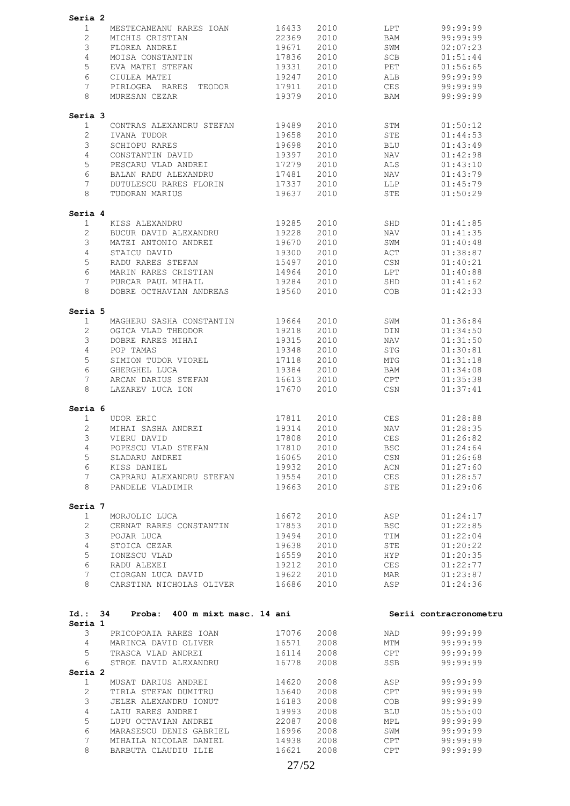| Seria 2            |                                                |       |              |              |                        |
|--------------------|------------------------------------------------|-------|--------------|--------------|------------------------|
| 1                  | MESTECANEANU RARES IOAN                        | 16433 | 2010         | LPT          | 99:99:99               |
| $\overline{2}$     | MICHIS CRISTIAN                                | 22369 | 2010         | BAM          | 99:99:99               |
|                    |                                                |       |              |              |                        |
| 3                  | FLOREA ANDREI                                  | 19671 | 2010         | SWM          | 02:07:23               |
| 4                  | MOISA CONSTANTIN                               | 17836 | 2010         | SCB          | 01:51:44               |
| 5                  | EVA MATEI STEFAN                               | 19331 | 2010         | PET          | 01:56:65               |
| 6                  | CIULEA MATEI                                   | 19247 | 2010         | ALB          | 99:99:99               |
| 7                  |                                                |       | 2010         | CES          | 99:99:99               |
|                    | PIRLOGEA RARES<br>TEODOR                       | 17911 |              |              |                        |
| 8                  | MURESAN CEZAR                                  | 19379 | 2010         | BAM          | 99:99:99               |
| Seria 3            |                                                |       |              |              |                        |
| 1                  | CONTRAS ALEXANDRU STEFAN                       | 19489 | 2010         | STM          | 01:50:12               |
| 2                  | IVANA TUDOR                                    | 19658 | 2010         | STE          | 01:44:53               |
| 3                  | SCHIOPU RARES                                  | 19698 | 2010         | <b>BLU</b>   | 01:43:49               |
| 4                  | CONSTANTIN DAVID                               | 19397 | 2010         | NAV          | 01:42:98               |
|                    |                                                |       |              |              |                        |
| 5                  | PESCARU VLAD ANDREI                            | 17279 | 2010         | ALS.         | 01:43:10               |
| 6                  | BALAN RADU ALEXANDRU                           | 17481 | 2010         | NAV          | 01:43:79               |
| 7                  | DUTULESCU RARES FLORIN                         | 17337 | 2010         | LLP          | 01:45:79               |
| 8                  | TUDORAN MARIUS                                 | 19637 | 2010         | STE          | 01:50:29               |
| Seria 4            |                                                |       |              |              |                        |
| $\mathbf 1$        | KISS ALEXANDRU                                 | 19285 | 2010         | SHD          | 01:41:85               |
| 2                  |                                                | 19228 | 2010         |              | 01:41:35               |
|                    | BUCUR DAVID ALEXANDRU                          |       |              | NAV          |                        |
| 3                  | MATEI ANTONIO ANDREI                           | 19670 | 2010         | SWM          | 01:40:48               |
| 4                  | STAICU DAVID                                   | 19300 | 2010         | ACT          | 01:38:87               |
| 5                  | RADU RARES STEFAN                              | 15497 | 2010         | CSN          | 01:40:21               |
| 6                  | MARIN RARES CRISTIAN                           | 14964 | 2010         | LPT          | 01:40:88               |
| 7                  | PURCAR PAUL MIHAIL                             | 19284 | 2010         | SHD          | 01:41:62               |
|                    |                                                |       |              |              |                        |
| 8                  | DOBRE OCTHAVIAN ANDREAS                        | 19560 | 2010         | COB          | 01:42:33               |
| Seria 5            |                                                |       |              |              |                        |
| 1                  | MAGHERU SASHA CONSTANTIN                       | 19664 | 2010         | SWM          | 01:36:84               |
| 2                  | OGICA VLAD THEODOR                             | 19218 | 2010         | DIN          | 01:34:50               |
| 3                  | DOBRE RARES MIHAI                              | 19315 | 2010         | NAV          | 01:31:50               |
| 4                  | POP TAMAS                                      | 19348 | 2010         | <b>STG</b>   | 01:30:81               |
| 5                  | SIMION TUDOR VIOREL                            | 17118 | 2010         | MTG          | 01:31:18               |
|                    |                                                |       |              |              |                        |
| 6                  | GHERGHEL LUCA                                  | 19384 | 2010         | BAM          | 01:34:08               |
| 7                  | ARCAN DARIUS STEFAN                            | 16613 | 2010         | CPT          | 01:35:38               |
| 8                  | LAZAREV LUCA ION                               | 17670 | 2010         | CSN          | 01:37:41               |
| Seria 6            |                                                |       |              |              |                        |
| 1                  | <b>UDOR ERIC</b>                               | 17811 | 2010         | <b>CES</b>   | 01:28:88               |
| 2                  | MIHAI SASHA ANDREI                             | 19314 | 2010         | NAV          | 01:28:35               |
| 3                  | VIERU DAVID                                    | 17808 | 2010         | <b>CES</b>   | 01:26:82               |
|                    |                                                |       |              |              |                        |
| 4                  | POPESCU VLAD STEFAN                            | 17810 | 2010         | $_{\rm BSC}$ | 01:24:64               |
| 5                  | SLADARU ANDREI                                 | 16065 | 2010         | CSN          | 01:26:68               |
| 6                  | KISS DANIEL                                    | 19932 | 2010         | ACN          | 01:27:60               |
| 7                  | CAPRARU ALEXANDRU STEFAN                       | 19554 | 2010         | CES          | 01:28:57               |
| 8                  | PANDELE VLADIMIR                               | 19663 | 2010         | STE          | 01:29:06               |
|                    |                                                |       |              |              |                        |
| Seria 7<br>1       | MORJOLIC LUCA                                  | 16672 | 2010         | ASP          | 01:24:17               |
|                    |                                                |       |              |              |                        |
| $\overline{2}$     | CERNAT RARES CONSTANTIN                        | 17853 | 2010         | BSC          | 01:22:85               |
| 3                  | POJAR LUCA                                     | 19494 | 2010         | TIM          | 01:22:04               |
| 4                  | STOICA CEZAR                                   | 19638 | 2010         | STE          | 01:20:22               |
| 5                  | IONESCU VLAD                                   | 16559 | 2010         | HYP          | 01:20:35               |
| 6                  | RADU ALEXEI                                    | 19212 | 2010         | CES          | 01:22:77               |
|                    |                                                |       |              |              |                        |
| 7<br>8             | CIORGAN LUCA DAVID<br>CARSTINA NICHOLAS OLIVER | 19622 | 2010<br>2010 | MAR<br>ASP   | 01:23:87<br>01:24:36   |
|                    |                                                | 16686 |              |              |                        |
|                    | Proba: 400 m mixt masc. 14 ani                 |       |              |              | Serii contracronometru |
| Id.: 34<br>Seria 1 |                                                |       |              |              |                        |
| 3                  | PRICOPOAIA RARES IOAN                          | 17076 | 2008         | NAD          | 99:99:99               |
| 4                  | MARINCA DAVID OLIVER                           | 16571 | 2008         | MTM          | 99:99:99               |
| 5                  | TRASCA VLAD ANDREI                             | 16114 | 2008         | CPT          | 99:99:99               |
| 6                  | STROE DAVID ALEXANDRU                          | 16778 | 2008         | SSB          | 99:99:99               |
| Seria 2            |                                                |       |              |              |                        |
| $\mathbf{1}$       | MUSAT DARIUS ANDREI                            | 14620 | 2008         | ASP          | 99:99:99               |
| $\overline{2}$     | TIRLA STEFAN DUMITRU                           | 15640 | 2008         | CPT          | 99:99:99               |
| 3                  | JELER ALEXANDRU IONUT                          | 16183 | 2008         | COB          | 99:99:99               |
| 4                  | LAIU RARES ANDREI                              | 19993 | 2008         | BLU          | 05:55:00               |
|                    |                                                |       |              |              |                        |
| 5                  | LUPU OCTAVIAN ANDREI                           | 22087 | 2008         | MPL          | 99:99:99               |
| 6                  | MARASESCU DENIS GABRIEL                        | 16996 | 2008         | SWM          | 99:99:99               |
| 7                  | MIHAILA NICOLAE DANIEL                         | 14938 | 2008         | CPT          | 99:99:99               |
|                    | BARBUTA CLAUDIU ILIE                           | 16621 | 2008         | CPT          | 99:99:99               |
| 8                  |                                                |       |              |              |                        |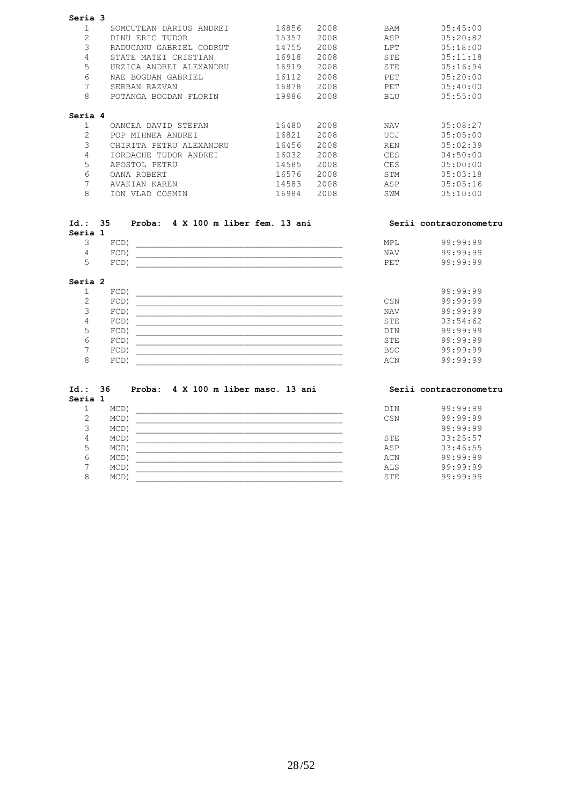| Seria 3        |                                 |       |      |            |          |
|----------------|---------------------------------|-------|------|------------|----------|
| 1              | DARIUS ANDREI<br>SOMCUTEAN      | 16856 | 2008 | <b>BAM</b> | 05:45:00 |
| $\overline{2}$ | ERIC TUDOR<br>DINU              | 15357 | 2008 | ASP        | 05:20:82 |
| 3              | GABRIEL<br>RADUCANU<br>CODRUT   | 14755 | 2008 | LPT        | 05:18:00 |
| 4              | MATEI CRISTIAN<br>STATE         | 16918 | 2008 | <b>STE</b> | 05:11:18 |
| 5              | URZICA ANDREI ALEXANDRU         | 16919 | 2008 | <b>STE</b> | 05:16:94 |
| 6              | NAE BOGDAN GABRIEL              | 16112 | 2008 | PET        | 05:20:00 |
| 7              | SERBAN RAZVAN                   | 16878 | 2008 | PET        | 05:40:00 |
| 8              | POTANGA BOGDAN FLORIN           | 19986 | 2008 | <b>BLU</b> | 05:55:00 |
| Seria 4        |                                 |       |      |            |          |
|                | OANCEA DAVID STEFAN             | 16480 | 2008 | <b>NAV</b> | 05:08:27 |
| 2              | POP MIHNEA ANDREI               | 16821 | 2008 | UCJ        | 05:05:00 |
| 3              | PETRU<br>ALEXANDRU<br>CHIRITA   | 16456 | 2008 | <b>REN</b> | 05:02:39 |
| 4              | <b>IORDACHE</b><br>TUDOR ANDREI | 16032 | 2008 | <b>CES</b> | 04:50:00 |
| 5              | APOSTOL PETRU                   | 14585 | 2008 | <b>CES</b> | 05:00:00 |
| 6              | OANA ROBERT                     | 16576 | 2008 | <b>STM</b> | 05:03:18 |
| 7              | AVAKIAN KAREN                   | 14583 | 2008 | ASP        | 05:05:16 |
| 8              | VLAD COSMIN<br><b>TON</b>       | 16984 | 2008 | SWM        | 05:10:00 |

| Id.: 35 |         | Proba: 4 X 100 m liber fem. 13 ani |            | Serii contracronometru |
|---------|---------|------------------------------------|------------|------------------------|
| Seria 1 |         |                                    |            |                        |
|         | $FCD$ ) |                                    | MPL.       | 99:99:99               |
| 4       | $FCD$ ) |                                    | <b>NAV</b> | 99:99:99               |
| $\sim$  | $FCD$ ) |                                    | <b>PET</b> | 99:99:99               |
| Seria 2 |         |                                    |            |                        |

|  | $FCD$ ) |            | 99:99:99 |
|--|---------|------------|----------|
|  | $FCD$ ) | CSN        | 99:99:99 |
|  | $FCD$ ) | <b>NAV</b> | 99:99:99 |
|  | $FCD$ ) | <b>STE</b> | 03:54:62 |
|  | $FCD$ ) | <b>DIN</b> | 99:99:99 |
|  | $FCD$ ) | <b>STE</b> | 99:99:99 |
|  | FCD     | <b>BSC</b> | 99:99:99 |
|  | FCD)    | ACN        | 99:99:99 |

| 99:99:99 |
|----------|
|          |
| 99:99:99 |
| 99:99:99 |
| 03:25:57 |
| 03:46:55 |
| 99:99:99 |
| 99:99:99 |
| 99:99:99 |
|          |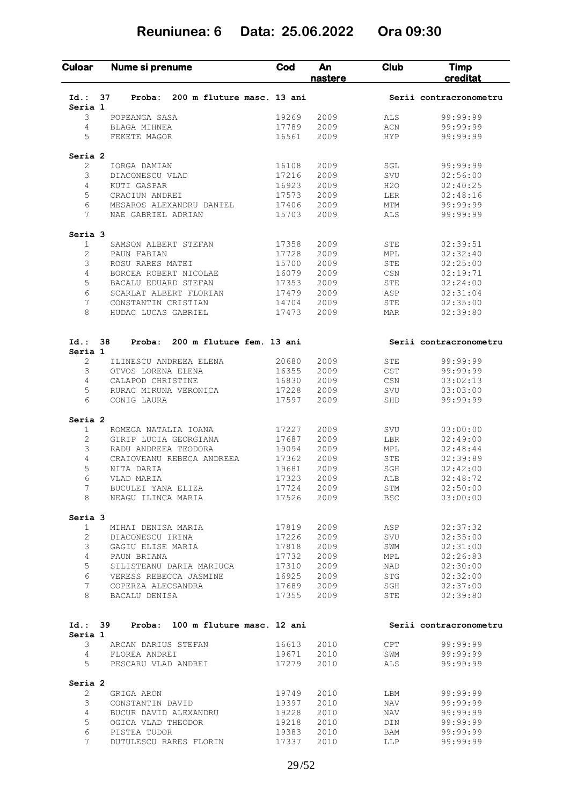# **Reuniunea: 6 Data: 25.06.2022 Ora 09:30**

| <b>Culoar</b>      | Nume si prenume                            | Cod            | An<br>nastere | Club       | <b>Timp</b><br>creditat |  |
|--------------------|--------------------------------------------|----------------|---------------|------------|-------------------------|--|
| Id.:               | 200 m fluture masc. 13 ani<br>37<br>Proba: |                |               |            | Serii contracronometru  |  |
| Seria 1            |                                            |                |               |            |                         |  |
| 3                  | POPEANGA SASA                              | 19269          | 2009          | ALS        | 99:99:99                |  |
| 4                  | BLAGA MIHNEA                               | 17789          | 2009          | ACN        | 99:99:99                |  |
| 5                  | FEKETE MAGOR                               | 16561          | 2009          | <b>HYP</b> | 99:99:99                |  |
| Seria <sub>2</sub> |                                            |                |               |            |                         |  |
| 2                  | IORGA DAMIAN                               | 16108          | 2009          | SGL        | 99:99:99                |  |
| 3                  | DIACONESCU VLAD                            | 17216          | 2009          | SVU        | 02:56:00                |  |
| 4                  | KUTI GASPAR                                | 16923          | 2009          | H2O        | 02:40:25                |  |
| 5                  | CRACIUN ANDREI                             | 17573          | 2009          | LER        | 02:48:16                |  |
| 6                  | MESAROS ALEXANDRU DANIEL                   | 17406          | 2009          | MTM        | 99:99:99                |  |
| 7                  | NAE GABRIEL ADRIAN                         | 15703          | 2009          | ALS        | 99:99:99                |  |
| Seria 3            |                                            |                |               |            |                         |  |
| $\mathbf{1}$       | SAMSON ALBERT STEFAN                       | 17358          | 2009          | STE        | 02:39:51                |  |
| $\overline{c}$     | PAUN FABIAN                                | 17728          | 2009          | MPL        | 02:32:40                |  |
| 3                  | ROSU RARES MATEI                           | 15700          | 2009          | STE        | 02:25:00                |  |
| 4                  | BORCEA ROBERT NICOLAE                      | 16079          | 2009          | CSN        | 02:19:71                |  |
| 5                  | BACALU EDUARD STEFAN                       | 17353          | 2009          | STE        | 02:24:00                |  |
| 6                  | SCARLAT ALBERT FLORIAN                     | 17479          | 2009          | ASP        | 02:31:04                |  |
| 7                  | CONSTANTIN CRISTIAN                        | 14704          | 2009          | STE        | 02:35:00                |  |
| 8                  | HUDAC LUCAS GABRIEL                        | 17473          | 2009          | <b>MAR</b> | 02:39:80                |  |
| $Id.$ :            | 38<br>200 m fluture fem. 13 ani            |                |               |            |                         |  |
| Seria 1            | Proba:                                     |                |               |            | Serii contracronometru  |  |
| 2                  | ILINESCU ANDREEA ELENA                     | 20680          | 2009          | STE        | 99:99:99                |  |
| 3                  | OTVOS LORENA ELENA                         | 16355          | 2009          | CST        | 99:99:99                |  |
| 4                  | CALAPOD CHRISTINE                          | 16830          | 2009          | CSN        | 03:02:13                |  |
| 5                  | RURAC MIRUNA VERONICA                      | 17228          | 2009          | SVU        | 03:03:00                |  |
| 6                  | CONIG LAURA                                | 17597          | 2009          | SHD        | 99:99:99                |  |
| Seria <sub>2</sub> |                                            |                |               |            |                         |  |
| 1                  | ROMEGA NATALIA IOANA                       | 17227          | 2009          | SVU        | 03:00:00                |  |
| 2                  | GIRIP LUCIA GEORGIANA                      | 17687          | 2009          | LBR        | 02:49:00                |  |
| 3                  | RADU ANDREEA TEODORA                       | 19094          | 2009          | MPL        | 02:48:44                |  |
| 4                  | CRAIOVEANU REBECA ANDREEA                  | 17362          | 2009          | STE        | 02:39:89                |  |
| 5                  | NITA DARIA                                 | 19681          | 2009          | SGH        | 02:42:00                |  |
| 6                  | VLAD MARIA                                 | 17323          | 2009          | ALB        | 02:48:72                |  |
| 7                  | BUCULEI YANA ELIZA                         | 17724          | 2009          | STM        | 02:50:00                |  |
| 8                  | NEAGU ILINCA MARIA                         | 17526          | 2009          | BSC        | 03:00:00                |  |
| Seria 3            |                                            |                |               |            |                         |  |
| $\mathbf{1}$       | MIHAI DENISA MARIA                         | 17819          | 2009          | ASP        | 02:37:32                |  |
| $\overline{2}$     | DIACONESCU IRINA                           | 17226          | 2009          | SVU        | 02:35:00                |  |
| 3                  | GAGIU ELISE MARIA                          | 17818          | 2009          | SWM        | 02:31:00                |  |
| 4                  | PAUN BRIANA                                | 17732          | 2009          | MPL        | 02:26:83                |  |
| 5                  | SILISTEANU DARIA MARIUCA                   | 17310          | 2009          | NAD        | 02:30:00                |  |
| 6                  | VERESS REBECCA JASMINE                     | 16925          | 2009          | STG        | 02:32:00                |  |
| 7                  | COPERZA ALECSANDRA                         | 17689          | 2009          | SGH        | 02:37:00                |  |
| 8                  | BACALU DENISA                              | 17355          | 2009          | STE        | 02:39:80                |  |
| Id.: 39            | 100 m fluture masc. 12 ani<br>Proba:       |                |               |            | Serii contracronometru  |  |
| Seria 1            |                                            |                |               |            |                         |  |
| 3                  | ARCAN DARIUS STEFAN                        | 16613          | 2010          | CPT        | 99:99:99                |  |
| 4<br>5             | FLOREA ANDREI<br>PESCARU VLAD ANDREI       | 19671<br>17279 | 2010<br>2010  | SWM<br>ALS | 99:99:99<br>99:99:99    |  |
|                    |                                            |                |               |            |                         |  |
|                    | GRIGA ARON                                 | 19749          | 2010          | LBM        | 99:99:99                |  |
| Seria 2            |                                            |                |               |            |                         |  |
| $\mathbf{2}$       |                                            |                |               |            |                         |  |
| 3                  | CONSTANTIN DAVID                           | 19397          | 2010          | NAV        | 99:99:99                |  |
| 4                  | BUCUR DAVID ALEXANDRU                      | 19228          | 2010          | NAV        | 99:99:99                |  |
| 5<br>6             | OGICA VLAD THEODOR<br>PISTEA TUDOR         | 19218<br>19383 | 2010<br>2010  | DIN<br>BAM | 99:99:99<br>99:99:99    |  |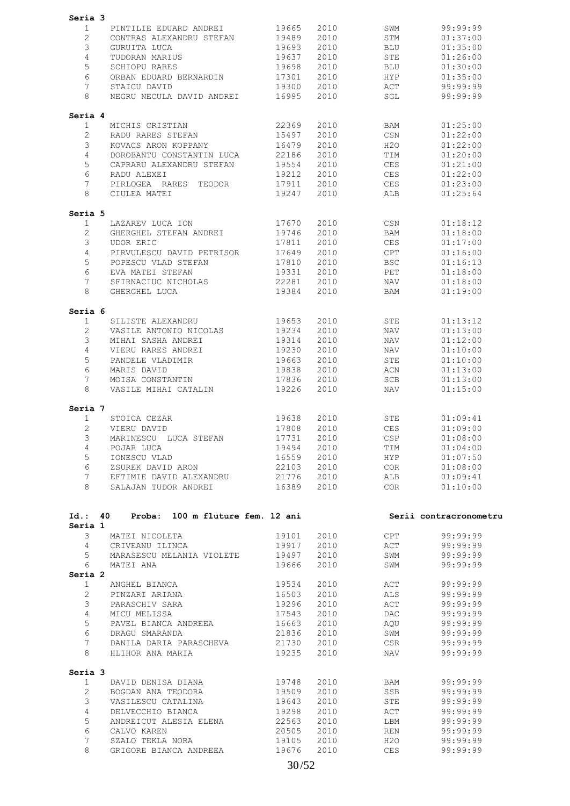| Seria 3                            |                                                                       |                |              |                                  |                          |
|------------------------------------|-----------------------------------------------------------------------|----------------|--------------|----------------------------------|--------------------------|
| 1                                  | PINTILIE EDUARD ANDREI                                                | 19665          | 2010         | SWM                              | 99:99:99                 |
| 2                                  | CONTRAS ALEXANDRU STEFAN                                              | 19489          | 2010         | STM                              | 01:37:00                 |
| 3                                  | GURUITA LUCA                                                          | 19693          | 2010         | BLU                              | 01:35:00                 |
| 4                                  | TUDORAN MARIUS                                                        | 19637          | 2010         | STE                              | 01:26:00                 |
| 5                                  | SCHIOPU RARES                                                         | 19698          | 2010         | BLU                              | 01:30:00                 |
| 6                                  | ORBAN EDUARD BERNARDIN                                                | 17301          | 2010         | HYP                              | 01:35:00                 |
| 7                                  | STAICU DAVID                                                          | 19300          | 2010         | ACT                              | 99:99:99                 |
| 8                                  | NEGRU NECULA DAVID ANDREI                                             | 16995          | 2010         | SGL                              | 99:99:99                 |
| Seria 4                            |                                                                       |                |              |                                  |                          |
| 1                                  | MICHIS CRISTIAN                                                       | 22369          | 2010         | BAM                              | 01:25:00                 |
| $\mathbf{2}$                       | RADU RARES STEFAN                                                     | 15497          | 2010         | CSN                              | 01:22:00                 |
| 3                                  | KOVACS ARON KOPPANY                                                   | 16479          | 2010         | H2O                              | 01:22:00                 |
| 4                                  | DOROBANTU CONSTANTIN LUCA                                             | 22186          | 2010         | TIM<br><b>CES</b>                | 01:20:00                 |
| 5<br>6                             | CAPRARU ALEXANDRU STEFAN<br>RADU ALEXEI                               | 19554<br>19212 | 2010<br>2010 | CES                              | 01:21:00<br>01:22:00     |
| 7                                  | PIRLOGEA RARES TEODOR                                                 | 17911          | 2010         | <b>CES</b>                       | 01:23:00                 |
| 8                                  | CIULEA MATEI                                                          | 19247          | 2010         | ALB                              | 01:25:64                 |
| Seria 5                            |                                                                       |                |              |                                  |                          |
| 1                                  | LAZAREV LUCA ION                                                      | 17670          | 2010         | CSN                              | 01:18:12                 |
| $\overline{2}$                     | GHERGHEL STEFAN ANDREI                                                | 19746          | 2010         | BAM                              | 01:18:00                 |
| 3                                  | UDOR ERIC                                                             | 17811          | 2010         | <b>CES</b>                       | 01:17:00                 |
| 4                                  | PIRVULESCU DAVID PETRISOR                                             | 17649          | 2010         | CPT                              | 01:16:00                 |
| 5                                  | POPESCU VLAD STEFAN                                                   | 17810          | 2010         | <b>BSC</b>                       | 01:16:13                 |
| 6                                  | EVA MATEI STEFAN                                                      | 19331          | 2010         | PET                              | 01:18:00                 |
| 7                                  | SFIRNACIUC NICHOLAS                                                   | 22281          | 2010         | NAV                              | 01:18:00                 |
| 8                                  | GHERGHEL LUCA                                                         | 19384          | 2010         | BAM                              | 01:19:00                 |
| Seria 6                            |                                                                       |                |              |                                  |                          |
| 1                                  | SILISTE ALEXANDRU                                                     | 19653          | 2010         | STE                              | 01:13:12                 |
| $\mathbf{2}$<br>3                  | VASILE ANTONIO NICOLAS<br>MIHAI SASHA ANDREI                          | 19234<br>19314 | 2010<br>2010 | NAV<br>NAV                       | 01:13:00<br>01:12:00     |
| 4                                  | VIERU RARES ANDREI                                                    | 19230          | 2010         | NAV                              | 01:10:00                 |
| 5                                  | PANDELE VLADIMIR                                                      | 19663          | 2010         | STE                              | 01:10:00                 |
| 6                                  | MARIS DAVID                                                           | 19838          | 2010         | ACN                              | 01:13:00                 |
| 7                                  | MOISA CONSTANTIN                                                      | 17836          | 2010         | SCB                              | 01:13:00                 |
| 8                                  | VASILE MIHAI CATALIN                                                  | 19226          | 2010         | NAV                              | 01:15:00                 |
| Seria 7                            |                                                                       |                |              |                                  |                          |
| $\mathbf 1$                        | STOICA CEZAR                                                          | 19638          | 2010         | STE                              | 01:09:41                 |
| $\overline{2}$                     | VIERU DAVID                                                           | 17808          | 2010         | CES                              | 01:09:00                 |
| 3                                  | MARINESCU LUCA STEFAN                                                 | 17731          | 2010         | $\mathbb{C}\mathbb{S}\mathbb{P}$ | 01:08:00                 |
| $4\overline{ }$                    | POJAR LUCA                                                            | 19494          | 2010         | TIM                              | 01:04:00                 |
| 5 <sup>5</sup>                     | IONESCU VLAD                                                          |                | 16559 2010   | <b>HYP</b>                       | 01:07:50                 |
| 6                                  | ZSUREK DAVID ARON                                                     | 22103 2010     |              | COR                              | 01:08:00                 |
| 7<br>8                             | EFTIMIE DAVID ALEXANDRU 21776 2010<br>SALAJAN TUDOR ANDREI 16389 2010 |                |              | ALB                              | 01:09:41<br>COR 01:10:00 |
|                                    |                                                                       |                |              |                                  |                          |
|                                    | Id.: 40 Proba: 100 m fluture fem. 12 ani                              |                |              |                                  | Serii contracronometru   |
| Seria 1<br>$\overline{\mathbf{3}}$ | MATEI NICOLETA                                                        | 19101          | 2010 70      | <b>CPT</b>                       | 99:99:99                 |
|                                    | 4 CRIVEANU ILINCA                                                     | 19917          | 2010         | ACT                              | 99:99:99                 |
| 5 <sub>5</sub>                     | MARASESCU MELANIA VIOLETE                                             | 19497          | 2010         | SWM                              | 99:99:99                 |
| 6                                  | MATEI ANA                                                             | 19666          | 2010         | SWM                              | 99:99:99                 |
| Seria 2                            |                                                                       |                |              |                                  |                          |
| $\mathbf{1}$                       | ANGHEL BIANCA                                                         | 19534          | 2010         | ACT                              | 99:99:99                 |
|                                    | PINZARI ARIANA                                                        | 16503          | 2010         | ALS                              | 99:99:99                 |
| $\overline{2}$                     |                                                                       |                |              | ACT                              | 99:99:99                 |
| $3 -$                              | PARASCHIV SARA                                                        | 19296          | 2010         |                                  |                          |
| $4\overline{ }$                    | MICU MELISSA                                                          | 17543          | 2010         | DAC                              | 99:99:99                 |
| 5                                  | PAVEL BIANCA ANDREEA                                                  | 16663          | 2010         | AQU                              | 99:99:99                 |
| 6                                  | DRAGU SMARANDA                                                        | 21836          | 2010         | SWM                              | 99:99:99                 |
| 7<br>8                             | DANILA DARIA PARASCHEVA 21730 2010<br>HLIHOR ANA MARIA                | 19235          | 2010         | CSR<br>NAV                       | 99:99:99<br>99:99:99     |
|                                    |                                                                       |                |              |                                  |                          |
| 1                                  | DAVID DENISA DIANA                                                    | 19748          | 2010         | BAM                              | 99:99:99                 |
| $2^{\circ}$                        | BOGDAN ANA TEODORA                                                    | 19509          | 2010         | SSB                              | 99:99:99                 |
| 3 <sup>7</sup>                     | VASILESCU CATALINA 19643                                              |                | 2010         | STE                              | 99:99:99                 |
| Seria 3<br>$4 -$                   | DELVECCHIO BIANCA                                                     | 19298          | 2010         | ACT                              | 99:99:99                 |
| 5                                  | ANDREICUT ALESIA ELENA                                                | 22563          | 2010         | LBM                              | 99:99:99                 |
| 6                                  | CALVO KAREN                                                           | 20505          | 2010         | REN                              | 99:99:99                 |
| $7\phantom{.0}$<br>8               | SZALO TEKLA NORA<br>GRIGORE BIANCA ANDREEA                            | 19105<br>19676 | 2010<br>2010 | H2O<br>CES                       | 99:99:99<br>99:99:99     |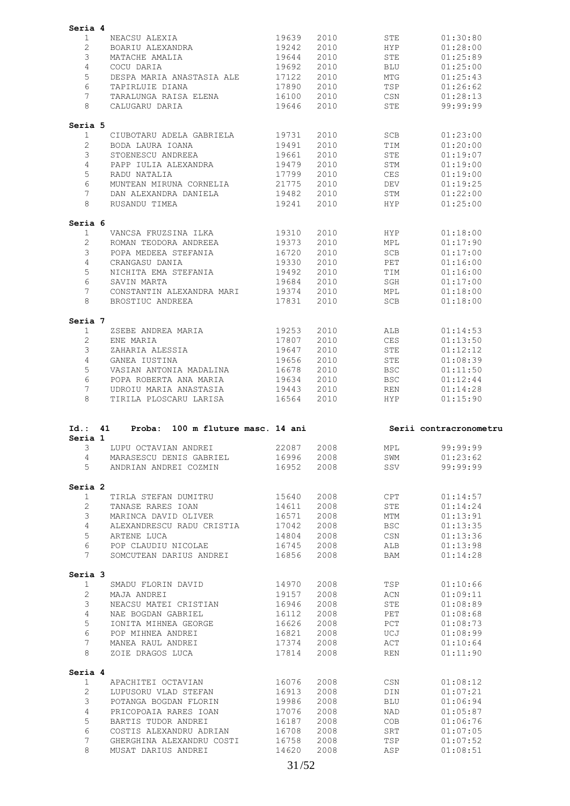|                       | Seria 4                                          |                |              |             |                        |
|-----------------------|--------------------------------------------------|----------------|--------------|-------------|------------------------|
| 1                     | NEACSU ALEXIA                                    | 19639          | 2010         | STE         | 01:30:80               |
| $\overline{2}$        | BOARIU ALEXANDRA                                 | 19242          | 2010         | <b>HYP</b>  | 01:28:00               |
| 3                     | MATACHE AMALIA                                   | 19644          | 2010         | STE         | 01:25:89               |
| $\overline{4}$        | COCU DARIA                                       | 19692          | 2010         | <b>BLU</b>  | 01:25:00               |
| 5                     | DESPA MARIA ANASTASIA ALE                        | 17122          | 2010         | MTG         | 01:25:43               |
| 6                     | TAPIRLUIE DIANA                                  | 17890          | 2010         | TSP         | 01:26:62               |
| 7                     | TARALUNGA RAISA ELENA                            | 16100          | 2010         | CSN         | 01:28:13               |
| 8                     |                                                  |                |              |             |                        |
|                       | CALUGARU DARIA                                   | 19646          | 2010         | STE         | 99:99:99               |
| Seria 5               |                                                  |                |              |             |                        |
| 1                     | CIUBOTARU ADELA GABRIELA                         | 19731          | 2010         | <b>SCB</b>  | 01:23:00               |
| $\overline{2}$        | BODA LAURA IOANA                                 | 19491          | 2010         | TIM         | 01:20:00               |
| 3                     | STOENESCU ANDREEA                                | 19661          | 2010         | STE         | 01:19:07               |
| 4                     | PAPP IULIA ALEXANDRA                             | 19479          | 2010         | STM         | 01:19:00               |
| 5                     | RADU NATALIA                                     | 17799          | 2010         | <b>CES</b>  | 01:19:00               |
| 6                     | MUNTEAN MIRUNA CORNELIA                          | 21775          | 2010         | DEV         | 01:19:25               |
| 7                     | DAN ALEXANDRA DANIELA                            | 19482          | 2010         | STM         | 01:22:00               |
| 8                     | RUSANDU TIMEA                                    | 19241          | 2010         | HYP.        | 01:25:00               |
| Seria 6               |                                                  |                |              |             |                        |
| $\mathbf 1$           | VANCSA FRUZSINA ILKA                             | 19310          | 2010         | <b>HYP</b>  | 01:18:00               |
| 2                     | ROMAN TEODORA ANDREEA                            | 19373          | 2010         | MPL         | 01:17:90               |
| 3                     | POPA MEDEEA STEFANIA                             | 16720          | 2010         | SCB         | 01:17:00               |
| 4                     | CRANGASU DANIA                                   | 19330          | 2010         | PET         | 01:16:00               |
| 5                     | NICHITA EMA STEFANIA                             | 19492          | 2010         | TIM         | 01:16:00               |
| 6                     | SAVIN MARTA                                      | 19684          | 2010         | SGH         | 01:17:00               |
| 7                     | CONSTANTIN ALEXANDRA MARI                        | 19374          | 2010         | MPL         | 01:18:00               |
| 8                     | BROSTIUC ANDREEA                                 | 17831          | 2010         | <b>SCB</b>  | 01:18:00               |
|                       |                                                  |                |              |             |                        |
| Seria 7               |                                                  |                |              |             |                        |
| 1                     | ZSEBE ANDREA MARIA                               | 19253          | 2010         | ALB         | 01:14:53               |
| $\overline{2}$        | ENE MARIA                                        | 17807          | 2010         | CES         | 01:13:50               |
| 3                     | ZAHARIA ALESSIA                                  | 19647          | 2010         | STE         | 01:12:12               |
| $\overline{4}$        | GANEA IUSTINA                                    | 19656          | 2010         | STE         | 01:08:39               |
| 5                     | VASIAN ANTONIA MADALINA                          | 16678          | 2010         | <b>BSC</b>  | 01:11:50               |
| 6                     | POPA ROBERTA ANA MARIA                           | 19634          | 2010         | <b>BSC</b>  | 01:12:44               |
| 7                     | UDROIU MARIA ANASTASIA                           | 19443          | 2010         | REN         | 01:14:28               |
|                       |                                                  |                |              |             |                        |
| 8                     | TIRILA PLOSCARU LARISA                           | 16564          | 2010         | HYP         | 01:15:90               |
| $Id.$ :<br>Seria 1    | Proba: 100 m fluture masc. 14 ani<br>41          |                |              |             | Serii contracronometru |
| 3                     | LUPU OCTAVIAN ANDREI                             | 22087          | 2008         | MPL         | 99:99:99               |
| $\overline{4}$        | MARASESCU DENIS GABRIEL                          | 16996          | 2008         | ${\tt SWM}$ | 01:23:62               |
| 5                     | ANDRIAN ANDREI COZMIN                            | 16952          | 2008         | SSV         | 99:99:99               |
| Seria 2               |                                                  |                |              |             |                        |
| 1                     | TIRLA STEFAN DUMITRU                             | 15640          | 2008         | CPT         | 01:14:57               |
|                       |                                                  |                |              |             |                        |
| $\overline{2}$        | TANASE RARES IOAN                                | 14611          | 2008         | STE         | 01:14:24               |
| 3                     | MARINCA DAVID OLIVER                             | 16571          | 2008         | MTM         | 01:13:91               |
| 4                     | ALEXANDRESCU RADU CRISTIA                        | 17042          | 2008         | <b>BSC</b>  | 01:13:35               |
| 5                     | ARTENE LUCA                                      | 14804          | 2008         | CSN         | 01:13:36               |
| 6<br>$7^{\circ}$      | POP CLAUDIU NICOLAE                              | 16745          | 2008         | ALB         | 01:13:98               |
|                       | SOMCUTEAN DARIUS ANDREI                          | 16856          | 2008         | BAM         | 01:14:28               |
| Seria 3               |                                                  |                |              |             |                        |
| $\mathbf{1}$          | SMADU FLORIN DAVID                               | 14970          | 2008         | TSP         | 01:10:66               |
| $\overline{2}$        | MAJA ANDREI                                      | 19157          | 2008         | ACN         | 01:09:11               |
| 3                     | NEACSU MATEI CRISTIAN                            | 16946          | 2008         | STE         | 01:08:89               |
| 4                     | NAE BOGDAN GABRIEL                               | 16112          | 2008         | PET         | 01:08:68               |
| 5                     | IONITA MIHNEA GEORGE                             | 16626          | 2008         | PCT         | 01:08:73               |
| 6                     | POP MIHNEA ANDREI                                | 16821          | 2008         | UCJ         | 01:08:99               |
| 7                     | MANEA RAUL ANDREI                                | 17374          | 2008         | ACT         | 01:10:64               |
| 8                     | ZOIE DRAGOS LUCA                                 | 17814          | 2008         | REN         | 01:11:90               |
| Seria 4               |                                                  |                |              |             |                        |
| $\mathbf{1}$          | APACHITEI OCTAVIAN                               | 16076          | 2008         | CSN         | 01:08:12               |
| $\mathbf{2}^{\prime}$ | LUPUSORU VLAD STEFAN                             | 16913          | 2008         | DIN         | 01:07:21               |
| 3                     | POTANGA BOGDAN FLORIN                            | 19986          | 2008         | BLU         | 01:06:94               |
| 4                     | PRICOPOAIA RARES IOAN                            | 17076          | 2008         | NAD         | 01:05:87               |
| 5                     | BARTIS TUDOR ANDREI                              | 16187          | 2008         | COB         | 01:06:76               |
| 6                     | COSTIS ALEXANDRU ADRIAN                          | 16708          |              |             | 01:07:05               |
| 7                     |                                                  |                | 2008         | SRT         |                        |
| 8                     | GHERGHINA ALEXANDRU COSTI<br>MUSAT DARIUS ANDREI | 16758<br>14620 | 2008<br>2008 | TSP<br>ASP  | 01:07:52<br>01:08:51   |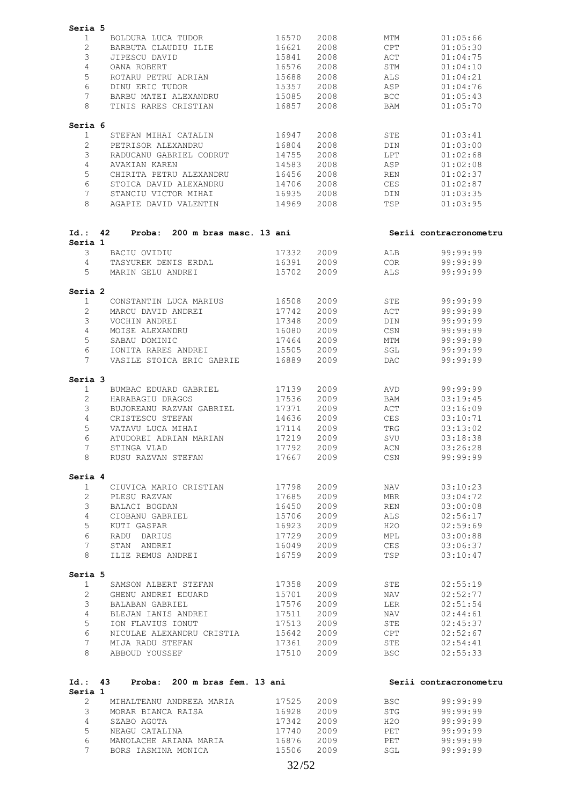| Seria 5              |    |                                    |                |              |            |                        |
|----------------------|----|------------------------------------|----------------|--------------|------------|------------------------|
| 1                    |    | BOLDURA LUCA TUDOR                 | 16570          | 2008         | MTM        | 01:05:66               |
| 2                    |    | BARBUTA CLAUDIU ILIE               | 16621          | 2008         | CPT        | 01:05:30               |
| 3                    |    | JIPESCU DAVID                      | 15841          | 2008         | ACT        | 01:04:75               |
| 4                    |    | OANA ROBERT                        | 16576          | 2008         | STM        | 01:04:10               |
| 5                    |    | ROTARU PETRU ADRIAN                | 15688          | 2008         | ALS        | 01:04:21               |
| 6                    |    | DINU ERIC TUDOR                    | 15357          | 2008         | ASP        | 01:04:76               |
| 7                    |    |                                    |                |              |            |                        |
|                      |    | BARBU MATEI ALEXANDRU              | 15085          | 2008         | <b>BCC</b> | 01:05:43               |
| 8                    |    | TINIS RARES CRISTIAN               | 16857          | 2008         | BAM        | 01:05:70               |
| Seria 6              |    |                                    |                |              |            |                        |
| 1                    |    | STEFAN MIHAI CATALIN               | 16947          | 2008         | STE        | 01:03:41               |
| 2                    |    | PETRISOR ALEXANDRU                 | 16804          | 2008         | DIN        | 01:03:00               |
| 3                    |    | RADUCANU GABRIEL CODRUT            | 14755          | 2008         | LPT        | 01:02:68               |
| 4                    |    | AVAKIAN KAREN                      | 14583          | 2008         | ASP        | 01:02:08               |
| 5                    |    | CHIRITA PETRU ALEXANDRU            | 16456          | 2008         | REN        | 01:02:37               |
| 6                    |    | STOICA DAVID ALEXANDRU             | 14706          | 2008         | CES        | 01:02:87               |
| 7                    |    | STANCIU VICTOR MIHAI               | 16935          | 2008         | DIN        | 01:03:35               |
| 8                    |    | AGAPIE DAVID VALENTIN              | 14969          | 2008         | TSP        | 01:03:95               |
|                      |    |                                    |                |              |            |                        |
| Id.: 42              |    | Proba: 200 m bras masc. 13 ani     |                |              |            | Serii contracronometru |
| Seria 1<br>3         |    | BACIU OVIDIU                       | 17332          | 2009         | ALB        | 99:99:99               |
|                      |    |                                    | 16391          |              |            | 99:99:99               |
| 4                    |    | TASYUREK DENIS ERDAL               |                | 2009         | COR        |                        |
| 5                    |    | MARIN GELU ANDREI                  | 15702          | 2009         | ALS        | 99:99:99               |
| Seria 2              |    |                                    |                |              |            |                        |
| $\mathbf{1}$         |    | CONSTANTIN LUCA MARIUS             | 16508          | 2009         | STE        | 99:99:99               |
| 2                    |    | MARCU DAVID ANDREI                 | 17742          | 2009         | ACT        | 99:99:99               |
| 3                    |    | VOCHIN ANDREI                      | 17348          | 2009         | DIN        | 99:99:99               |
| 4                    |    | MOISE ALEXANDRU                    | 16080          | 2009         | CSN        | 99:99:99               |
| 5                    |    | SABAU DOMINIC                      | 17464          | 2009         | MTM        | 99:99:99               |
| 6                    |    | IONITA RARES ANDREI                | 15505          | 2009         | SGL        | 99:99:99               |
| 7                    |    | VASILE STOICA ERIC GABRIE          | 16889          | 2009         | DAC        | 99:99:99               |
| Seria 3              |    |                                    |                |              |            |                        |
| $\mathbf{1}$         |    | BUMBAC EDUARD GABRIEL              | 17139          | 2009         | AVD        | 99:99:99               |
| $\overline{2}$       |    | HARABAGIU DRAGOS                   | 17536          | 2009         | BAM        | 03:19:45               |
| 3                    |    | BUJOREANU RAZVAN GABRIEL           | 17371          | 2009         | ACT        | 03:16:09               |
| 4                    |    | CRISTESCU STEFAN                   | 14636          | 2009         | CES        | 03:10:71               |
| 5                    |    | VATAVU LUCA MIHAI                  | 17114          | 2009         | TRG        | 03:13:02               |
| 6                    |    | ATUDOREI ADRIAN MARIAN             | 17219          | 2009         | SVU        | 03:18:38               |
| 7                    |    | STINGA VLAD                        | 17792          | 2009         | ACN        | 03:26:28               |
| 8                    |    | RUSU RAZVAN STEFAN                 | 17667          | 2009         | CSN        | 99:99:99               |
| Seria 4              |    |                                    |                |              |            |                        |
| 1                    |    | CIUVICA MARIO CRISTIAN             | 17798          | 2009         | NAV        | 03:10:23               |
| $\overline{2}$       |    | PLESU RAZVAN                       | 17685          | 2009         | MBR        | 03:04:72               |
| 3                    |    | BALACI BOGDAN                      | 16450          | 2009         | REN        | 03:00:08               |
| 4                    |    | CIOBANU GABRIEL                    | 15706          | 2009         | ALS        | 02:56:17               |
| 5                    |    | KUTI GASPAR                        | 16923          | 2009         | H2O        | 02:59:69               |
| 6                    |    | RADU DARIUS                        | 17729          | 2009         | MPL        | 03:00:88               |
| $7\phantom{.}$       |    | STAN ANDREI                        | 16049          | 2009         | CES        | 03:06:37               |
| 8                    |    | ILIE REMUS ANDREI                  | 16759          | 2009         | TSP        | 03:10:47               |
|                      |    |                                    |                |              |            |                        |
| Seria 5<br>1         |    | SAMSON ALBERT STEFAN               | 17358          | 2009         | STE        | 02:55:19               |
| 2                    |    | GHENU ANDREI EDUARD                | 15701          | 2009         | NAV        | 02:52:77               |
| 3                    |    | BALABAN GABRIEL                    | 17576          | 2009         | LER        | 02:51:54               |
| $\overline{4}$       |    |                                    |                |              |            |                        |
|                      |    | BLEJAN IANIS ANDREI                | 17511          | 2009         | NAV        | 02:44:61               |
| 5                    |    | ION FLAVIUS IONUT                  | 17513          | 2009         | STE        | 02:45:37               |
| 6                    |    | NICULAE ALEXANDRU CRISTIA          | 15642          | 2009         | CPT        | 02:52:67               |
| 7<br>8               |    | MIJA RADU STEFAN<br>ABBOUD YOUSSEF | 17361<br>17510 | 2009<br>2009 | STE<br>BSC | 02:54:41<br>02:55:33   |
|                      |    |                                    |                |              |            |                        |
| $Id.$ :              | 43 | Proba: 200 m bras fem. 13 ani      |                |              |            | Serii contracronometru |
| Seria 1              |    |                                    |                |              |            |                        |
| $\mathbf{2}^{\circ}$ |    | MIHALTEANU ANDREEA MARIA           | 17525          | 2009         | <b>BSC</b> | 99:99:99               |
| 3                    |    | MORAR BIANCA RAISA                 | 16928          | 2009         | STG        | 99:99:99               |
| $\overline{4}$       |    | SZABO AGOTA                        | 17342          | 2009         | H2O        | 99:99:99               |
| 5                    |    | NEAGU CATALINA                     | 17740          | 2009         | PET        | 99:99:99               |
| 6                    |    | MANOLACHE ARIANA MARIA             | 16876          | 2009         | PET        | 99:99:99               |
| 7                    |    | BORS IASMINA MONICA                | 15506          | 2009         | SGL        | 99:99:99               |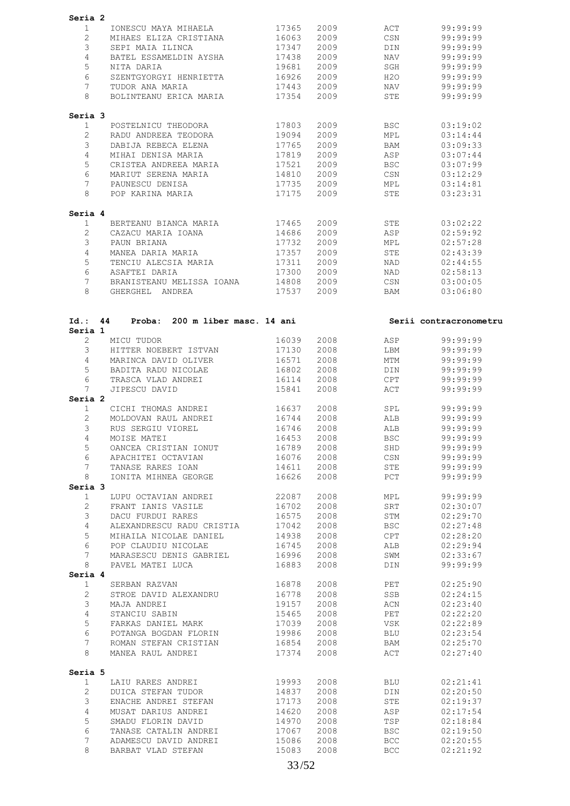| Seria 2                    |                                             |                |              |                          |                        |
|----------------------------|---------------------------------------------|----------------|--------------|--------------------------|------------------------|
| $\mathbf{1}$               | IONESCU MAYA MIHAELA                        | 17365          | 2009         | ACT                      | 99:99:99               |
| $\overline{2}$             | MIHAES ELIZA CRISTIANA                      | 16063          | 2009         | $\mathbb{CSN}$           | 99:99:99               |
| 3                          | SEPI MAIA ILINCA                            | 17347          | 2009         | DIN                      | 99:99:99               |
|                            |                                             |                |              |                          |                        |
| 4                          | BATEL ESSAMELDIN AYSHA                      | 17438          | 2009         | NAV                      | 99:99:99               |
| 5                          | NITA DARIA                                  | 19681          | 2009         | SGH                      | 99:99:99               |
| 6                          | SZENTGYORGYI HENRIETTA                      | 16926          | 2009         | H2O                      | 99:99:99               |
| 7                          | TUDOR ANA MARIA                             | 17443          | 2009         | NAV                      | 99:99:99               |
| 8                          | BOLINTEANU ERICA MARIA                      | 17354          | 2009         | STE                      | 99:99:99               |
| Seria 3                    |                                             |                |              |                          |                        |
| $\mathbf{1}$               | POSTELNICU THEODORA                         | 17803          | 2009         | <b>BSC</b>               | 03:19:02               |
| $\overline{2}$             | RADU ANDREEA TEODORA                        | 19094          | 2009         | MPL                      | 03:14:44               |
| 3                          | DABIJA REBECA ELENA                         | 17765          | 2009         | BAM                      | 03:09:33               |
| 4                          | MIHAI DENISA MARIA                          | 17819          | 2009         | ASP                      | 03:07:44               |
| 5                          | CRISTEA ANDREEA MARIA                       | 17521          | 2009         | <b>BSC</b>               | 03:07:99               |
| 6                          | MARIUT SERENA MARIA                         | 14810          | 2009         | CSN                      | 03:12:29               |
| 7                          | PAUNESCU DENISA                             | 17735          | 2009         | MPL                      | 03:14:81               |
| 8                          | POP KARINA MARIA                            | 17175          | 2009         | STE                      | 03:23:31               |
|                            |                                             |                |              |                          |                        |
| Seria 4<br>$\mathbf{1}$    | BERTEANU BIANCA MARIA                       | 17465          | 2009         | STE                      | 03:02:22               |
| $\overline{2}$             | CAZACU MARIA IOANA                          | 14686          | 2009         | ASP                      | 02:59:92               |
| 3                          | PAUN BRIANA                                 | 17732          | 2009         | MPL                      | 02:57:28               |
| 4                          | MANEA DARIA MARIA                           | 17357          | 2009         | STE                      | 02:43:39               |
| 5                          | TENCIU ALECSIA MARIA                        | 17311          | 2009         | NAD                      | 02:44:55               |
| 6                          | ASAFTEI DARIA                               | 17300          | 2009         | NAD                      | 02:58:13               |
| 7                          | BRANISTEANU MELISSA IOANA                   | 14808          | 2009         | CSN                      | 03:00:05               |
| 8                          | GHERGHEL ANDREA                             | 17537          | 2009         | BAM                      | 03:06:80               |
|                            |                                             |                |              |                          |                        |
| Id.: 44                    | Proba: 200 m liber masc. 14 ani             |                |              |                          | Serii contracronometru |
| Seria 1                    |                                             |                |              |                          |                        |
| $\mathbf{2}^{\prime}$      | MICU TUDOR                                  | 16039          | 2008         | ASP                      | 99:99:99               |
| 3                          | HITTER NOEBERT ISTVAN                       | 17130          | 2008         | LBM                      | 99:99:99               |
| 4                          | MARINCA DAVID OLIVER                        | 16571          | 2008         | MTM                      | 99:99:99               |
| 5                          | BADITA RADU NICOLAE                         | 16802          | 2008         | DIN                      | 99:99:99               |
| 6                          | TRASCA VLAD ANDREI                          | 16114          | 2008         | CPT                      | 99:99:99               |
| $7\phantom{.0}$<br>Seria 2 | JIPESCU DAVID                               | 15841          | 2008         | ACT                      | 99:99:99               |
| 1                          | CICHI THOMAS ANDREI                         | 16637          | 2008         | SPL                      | 99:99:99               |
| $\overline{2}$             | MOLDOVAN RAUL ANDREI                        | 16744          | 2008         | ALB                      | 99:99:99               |
| 3                          | RUS SERGIU VIOREL                           | 16746          | 2008         | ALB                      | 99:99:99               |
| 4                          | MOISE MATEI                                 | 16453          | 2008         | <b>BSC</b>               | 99:99:99               |
| 5                          | OANCEA CRISTIAN IONUT                       | 16789          | 2008         | SHD                      | 99:99:99               |
| 6                          | APACHITEI OCTAVIAN                          | 16076          | 2008         | CSN                      | 99:99:99               |
| $7\phantom{.}$             | TANASE RARES IOAN                           | 14611          | 2008         | STE                      | 99:99:99               |
| 8                          | IONITA MIHNEA GEORGE                        | 16626          | 2008         | PCT                      | 99:99:99               |
| Seria 3                    |                                             |                |              |                          |                        |
| $\mathbf{1}$               | LUPU OCTAVIAN ANDREI                        | 22087          | 2008         | MPL                      | 99:99:99               |
| $\overline{c}$             | FRANT IANIS VASILE                          | 16702          | 2008         | SRT                      | 02:30:07               |
| 3                          | DACU FURDUI RARES                           | 16575          | 2008         | STM                      | 02:29:70               |
| $\overline{4}$             | ALEXANDRESCU RADU CRISTIA                   | 17042          | 2008         | <b>BSC</b>               | 02:27:48               |
| 5                          | MIHAILA NICOLAE DANIEL                      | 14938          | 2008         | CPT                      | 02:28:20               |
| 6                          | POP CLAUDIU NICOLAE                         | 16745          | 2008         | ALB                      | 02:29:94               |
| $7\phantom{.0}$            | MARASESCU DENIS GABRIEL                     | 16996          | 2008         | SWM                      | 02:33:67               |
| 8                          | PAVEL MATEI LUCA                            | 16883          | 2008         | DIN                      | 99:99:99               |
| Seria 4                    |                                             |                |              |                          |                        |
| $\mathbf{1}$               | SERBAN RAZVAN                               | 16878          | 2008         | PET                      | 02:25:90               |
| $\mathbf{2}$               | STROE DAVID ALEXANDRU                       | 16778          | 2008         | SSB                      | 02:24:15               |
| 3                          | MAJA ANDREI                                 | 19157          | 2008         | ACN                      | 02:23:40               |
| $\overline{4}$             | STANCIU SABIN                               | 15465          | 2008         | PET                      | 02:22:20               |
| 5                          | FARKAS DANIEL MARK                          | 17039          | 2008         | VSK                      | 02:22:89               |
| 6                          | POTANGA BOGDAN FLORIN                       | 19986          | 2008         | BLU                      | 02:23:54               |
| $7\phantom{.}$             | ROMAN STEFAN CRISTIAN                       | 16854          | 2008         | BAM                      | 02:25:70               |
| 8                          | MANEA RAUL ANDREI                           | 17374          | 2008         | ACT                      | 02:27:40               |
| Seria 5                    |                                             |                |              |                          |                        |
| $\mathbf{1}$               | LAIU RARES ANDREI                           | 19993          | 2008         | BLU                      | 02:21:41               |
| $\overline{2}$             | DUICA STEFAN TUDOR                          | 14837          | 2008         | DIN                      | 02:20:50               |
| 3                          | ENACHE ANDREI STEFAN                        | 17173          | 2008         | STE                      | 02:19:37               |
|                            | MUSAT DARIUS ANDREI                         | 14620          | 2008         | ASP                      | 02:17:54               |
| $\overline{4}$             |                                             |                |              |                          |                        |
|                            |                                             |                |              |                          |                        |
| 5                          | SMADU FLORIN DAVID                          | 14970          | 2008         | TSP                      | 02:18:84               |
| 6                          | TANASE CATALIN ANDREI                       | 17067          | 2008         | <b>BSC</b>               | 02:19:50               |
| 7<br>8                     | ADAMESCU DAVID ANDREI<br>BARBAT VLAD STEFAN | 15086<br>15083 | 2008<br>2008 | <b>BCC</b><br><b>BCC</b> | 02:20:55<br>02:21:92   |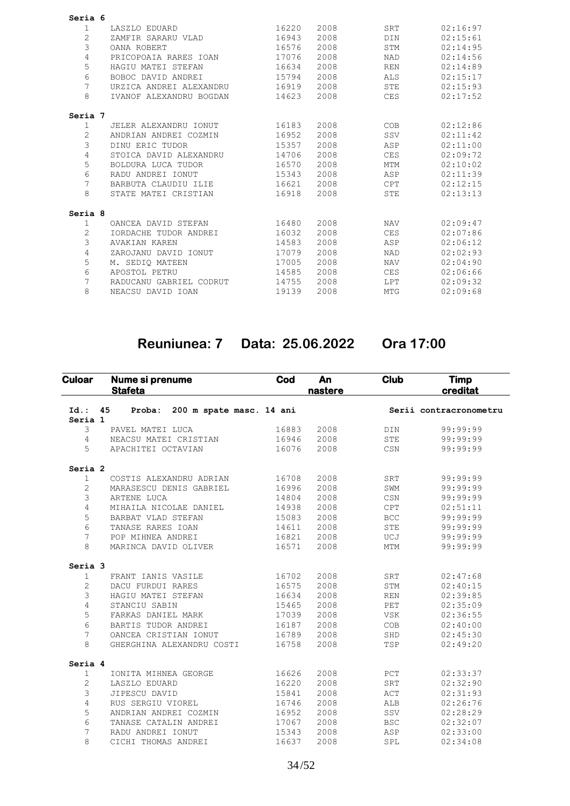| Seria 6      |                         |       |      |            |          |
|--------------|-------------------------|-------|------|------------|----------|
| $\mathbf{1}$ | LASZLO EDUARD           | 16220 | 2008 | SRT        | 02:16:97 |
| 2            | ZAMFIR SARARU VLAD      | 16943 | 2008 | <b>DIN</b> | 02:15:61 |
| 3            | OANA ROBERT             | 16576 | 2008 | <b>STM</b> | 02:14:95 |
| 4            | PRICOPOAIA RARES IOAN   | 17076 | 2008 | <b>NAD</b> | 02:14:56 |
| 5            | HAGIU MATEI STEFAN      | 16634 | 2008 | <b>REN</b> | 02:14:89 |
| 6            | BOBOC DAVID ANDREI      | 15794 | 2008 | ALS        | 02:15:17 |
| 7            | URZICA ANDREI ALEXANDRU | 16919 | 2008 | <b>STE</b> | 02:15:93 |
| 8            | IVANOF ALEXANDRU BOGDAN | 14623 | 2008 | <b>CES</b> | 02:17:52 |
| Seria 7      |                         |       |      |            |          |
| $\mathbf{1}$ | JELER ALEXANDRU IONUT   | 16183 | 2008 | COB        | 02:12:86 |
| 2            | ANDRIAN ANDREI COZMIN   | 16952 | 2008 | SSV        | 02:11:42 |
| 3            | DINU ERIC TUDOR         | 15357 | 2008 | ASP        | 02:11:00 |
| 4            | STOICA DAVID ALEXANDRU  | 14706 | 2008 | <b>CES</b> | 02:09:72 |
| 5            | BOLDURA LUCA TUDOR      | 16570 | 2008 | <b>MTM</b> | 02:10:02 |
| 6            | RADU ANDREI IONUT       | 15343 | 2008 | ASP        | 02:11:39 |
| 7            | BARBUTA CLAUDIU ILIE    | 16621 | 2008 | <b>CPT</b> | 02:12:15 |
| 8            | STATE MATEI CRISTIAN    | 16918 | 2008 | <b>STE</b> | 02:13:13 |
| Seria 8      |                         |       |      |            |          |
| $\mathbf{1}$ | OANCEA DAVID STEFAN     | 16480 | 2008 | <b>NAV</b> | 02:09:47 |
| 2            | IORDACHE TUDOR ANDREI   | 16032 | 2008 | <b>CES</b> | 02:07:86 |
| 3            | <b>AVAKIAN KAREN</b>    | 14583 | 2008 | ASP        | 02:06:12 |
| 4            | ZAROJANU DAVID IONUT    | 17079 | 2008 | <b>NAD</b> | 02:02:93 |
| 5            | M. SEDIO MATEEN         | 17005 | 2008 | <b>NAV</b> | 02:04:90 |
| 6            | APOSTOL PETRU           | 14585 | 2008 | <b>CES</b> | 02:06:66 |
| 7            | RADUCANU GABRIEL CODRUT | 14755 | 2008 | LPT        | 02:09:32 |
| 8            | NEACSU DAVID IOAN       | 19139 | 2008 | <b>MTG</b> | 02:09:68 |
|              |                         |       |      |            |          |

# **Reuniunea: 7 Data: 25.06.2022 Ora 17:00**

| <b>Culoar</b>      |    | Nume si prenume<br><b>Stafeta</b> | Cod   | An<br>nastere | <b>Club</b>             | <b>Timp</b><br>creditat |
|--------------------|----|-----------------------------------|-------|---------------|-------------------------|-------------------------|
| $Id.$ :<br>Seria 1 | 45 | Proba: 200 m spate masc. 14 ani   |       |               |                         | Serii contracronometru  |
| 3                  |    | PAVEL MATEI LUCA                  | 16883 | 2008          | DIN                     | 99:99:99                |
| 4                  |    | NEACSU MATEI CRISTIAN             | 16946 | 2008          | ${\tt STE}$             | 99:99:99                |
| 5                  |    | APACHITEI OCTAVIAN                | 16076 | 2008          | CSN                     | 99:99:99                |
| Seria <sub>2</sub> |    |                                   |       |               |                         |                         |
| $\mathbf{1}$       |    | COSTIS ALEXANDRU ADRIAN           | 16708 | 2008          | SRT                     | 99:99:99                |
| 2                  |    | MARASESCU DENIS GABRIEL           | 16996 | 2008          | SWM                     | 99:99:99                |
| 3                  |    | ARTENE LUCA                       | 14804 | 2008          | $_{\tt CSN}$            | 99:99:99                |
| 4                  |    | MIHAILA NICOLAE DANIEL            | 14938 | 2008          | CPT                     | 02:51:11                |
| 5                  |    | BARBAT VLAD STEFAN                | 15083 | 2008          | <b>BCC</b>              | 99:99:99                |
| 6                  |    | TANASE RARES IOAN                 | 14611 | 2008          | STE                     | 99:99:99                |
| 7                  |    | POP MIHNEA ANDREI                 | 16821 | 2008          | UCJ                     | 99:99:99                |
| 8                  |    | MARINCA DAVID OLIVER              | 16571 | 2008          | MTM                     | 99:99:99                |
| Seria <sub>3</sub> |    |                                   |       |               |                         |                         |
| $\mathbf{1}$       |    | FRANT IANIS VASILE                | 16702 | 2008          | SRT                     | 02:47:68                |
| $\mathbf{2}$       |    | DACU FURDUI RARES                 | 16575 | 2008          | STM                     | 02:40:15                |
| 3                  |    | HAGIU MATEI STEFAN                | 16634 | 2008          | $\mathop{\mathrm{REN}}$ | 02:39:85                |
| $\overline{4}$     |    | STANCIU SABIN                     | 15465 | 2008          | PET                     | 02:35:09                |
| 5                  |    | FARKAS DANIEL MARK                | 17039 | 2008          | <b>VSK</b>              | 02:36:55                |
| 6                  |    | BARTIS TUDOR ANDREI               | 16187 | 2008          | COB                     | 02:40:00                |
| 7                  |    | OANCEA CRISTIAN IONUT             | 16789 | 2008          | SHD                     | 02:45:30                |
| 8                  |    | GHERGHINA ALEXANDRU COSTI         | 16758 | 2008          | TSP                     | 02:49:20                |
| Seria 4            |    |                                   |       |               |                         |                         |
| $\mathbf{1}$       |    | IONITA MIHNEA GEORGE              | 16626 | 2008          | PCT                     | 02:33:37                |
| $\overline{c}$     |    | LASZLO EDUARD                     | 16220 | 2008          | SRT                     | 02:32:90                |
| 3                  |    | JIPESCU DAVID                     | 15841 | 2008          | ACT                     | 02:31:93                |
| $\overline{4}$     |    | RUS SERGIU VIOREL                 | 16746 | 2008          | ALB                     | 02:26:76                |
| 5                  |    | ANDRIAN ANDREI COZMIN             | 16952 | 2008          | SSV                     | 02:28:29                |
| 6                  |    | TANASE CATALIN ANDREI             | 17067 | 2008          | <b>BSC</b>              | 02:32:07                |
| 7                  |    | RADU ANDREI IONUT                 | 15343 | 2008          | ASP                     | 02:33:00                |
| 8                  |    | CICHI THOMAS ANDREI               | 16637 | 2008          | SPL                     | 02:34:08                |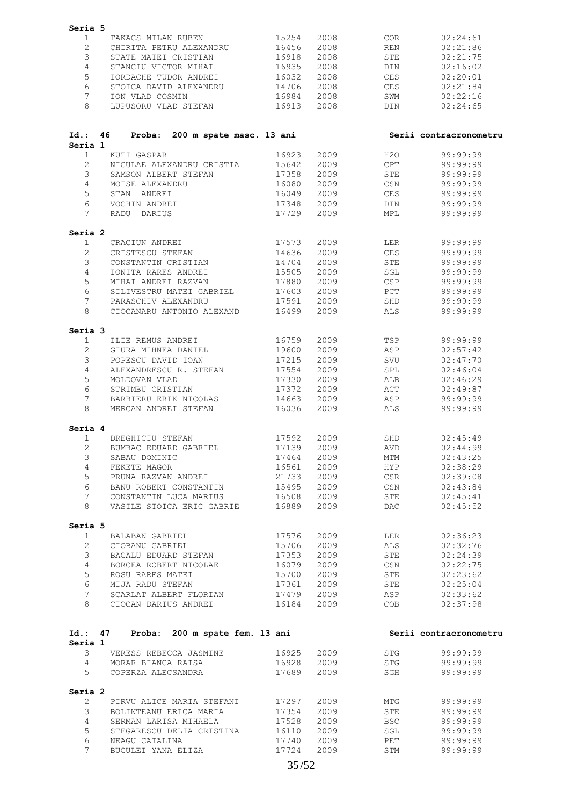| Seria 5            |                                       |       |      |                  |                        |
|--------------------|---------------------------------------|-------|------|------------------|------------------------|
| 1                  | TAKACS MILAN RUBEN                    | 15254 | 2008 | <b>COR</b>       | 02:24:61               |
| $\mathbf{2}$       | CHIRITA PETRU ALEXANDRU               | 16456 | 2008 | <b>REN</b>       | 02:21:86               |
| 3                  | STATE MATEI CRISTIAN                  | 16918 | 2008 | STE              | 02:21:75               |
| 4                  | STANCIU VICTOR MIHAI                  | 16935 | 2008 | <b>DIN</b>       | 02:16:02               |
| 5                  | IORDACHE TUDOR ANDREI                 | 16032 | 2008 | <b>CES</b>       | 02:20:01               |
| 6                  | STOICA DAVID ALEXANDRU                | 14706 | 2008 | CES              | 02:21:84               |
| 7                  | ION VLAD COSMIN                       | 16984 | 2008 | SWM              | 02:22:16               |
| 8                  | LUPUSORU VLAD STEFAN                  | 16913 | 2008 | DIN              | 02:24:65               |
|                    |                                       |       |      |                  |                        |
| Id.:               | Proba: 200 m spate masc. 13 ani<br>46 |       |      |                  | Serii contracronometru |
| Seria 1            |                                       |       |      |                  |                        |
| $\mathbf{1}$       | KUTI GASPAR                           | 16923 | 2009 | H2O              | 99:99:99               |
| $\overline{2}$     | NICULAE ALEXANDRU CRISTIA             | 15642 | 2009 | CPT              | 99:99:99               |
| 3                  | SAMSON ALBERT STEFAN                  | 17358 | 2009 | STE              | 99:99:99               |
| 4                  | MOISE ALEXANDRU                       | 16080 | 2009 | CSN              | 99:99:99               |
| 5                  | STAN ANDREI                           | 16049 | 2009 | CES              | 99:99:99               |
| 6                  | VOCHIN ANDREI                         | 17348 | 2009 | DIN              | 99:99:99               |
| $7\phantom{.0}$    | RADU DARIUS                           | 17729 | 2009 | MPL              | 99:99:99               |
| Seria <sub>2</sub> |                                       |       |      |                  |                        |
| 1                  | CRACIUN ANDREI                        | 17573 | 2009 | LER              | 99:99:99               |
| 2                  | CRISTESCU STEFAN                      | 14636 | 2009 | CES              | 99:99:99               |
| 3                  | CONSTANTIN CRISTIAN                   | 14704 | 2009 | STE              | 99:99:99               |
| 4                  | IONITA RARES ANDREI                   | 15505 | 2009 | SGL              | 99:99:99               |
| 5                  | MIHAI ANDREI RAZVAN                   | 17880 | 2009 | CSP              | 99:99:99               |
| 6                  | SILIVESTRU MATEI GABRIEL              | 17603 | 2009 | PCT              | 99:99:99               |
| $7\overline{ }$    | PARASCHIV ALEXANDRU                   | 17591 | 2009 | SHD              | 99:99:99               |
| 8                  | CIOCANARU ANTONIO ALEXAND             | 16499 | 2009 | <b>ALS</b>       | 99:99:99               |
| Seria 3            |                                       |       |      |                  |                        |
| $\mathbf{1}$       | ILIE REMUS ANDREI                     | 16759 | 2009 | TSP              | 99:99:99               |
| 2                  | GIURA MIHNEA DANIEL                   | 19600 | 2009 | ASP              | 02:57:42               |
| 3                  | POPESCU DAVID IOAN                    | 17215 | 2009 | SVU              | 02:47:70               |
| 4                  | ALEXANDRESCU R. STEFAN                | 17554 | 2009 | SPL              | 02:46:04               |
| 5                  | MOLDOVAN VLAD                         | 17330 | 2009 | ALB              | 02:46:29               |
| 6                  | STRIMBU CRISTIAN                      | 17372 | 2009 | ACT              | 02:49:87               |
| 7                  | BARBIERU ERIK NICOLAS                 | 14663 | 2009 | ASP              | 99:99:99               |
| 8                  | MERCAN ANDREI STEFAN                  | 16036 | 2009 | <b>ALS</b>       | 99:99:99               |
| Seria 4            |                                       |       |      |                  |                        |
| $\mathbf{1}$       | DREGHICIU STEFAN                      | 17592 | 2009 | SHD              | 02:45:49               |
| $\overline{2}$     | BUMBAC EDUARD GABRIEL                 | 17139 | 2009 | <b>AVD</b>       | 02:44:99               |
| 3                  | SABAU DOMINIC                         | 17464 | 2009 | MTM              | 02:43:25               |
| 4                  | FEKETE MAGOR                          | 16561 | 2009 | HYP              | 02:38:29               |
| 5                  | PRUNA RAZVAN ANDREI                   | 21733 | 2009 | CSR              | 02:39:08               |
| 6                  | BANU ROBERT CONSTANTIN                | 15495 | 2009 | CSN              | 02:43:84               |
| 7                  | CONSTANTIN LUCA MARIUS                | 16508 | 2009 | STE              | 02:45:41               |
| 8                  | VASILE STOICA ERIC GABRIE             | 16889 | 2009 | DAC              | 02:45:52               |
|                    |                                       |       |      |                  |                        |
| Seria 5<br>1       | BALABAN GABRIEL                       | 17576 | 2009 | LER              | 02:36:23               |
| $\overline{2}$     | CIOBANU GABRIEL                       | 15706 | 2009 | ALS              | 02:32:76               |
| 3                  | BACALU EDUARD STEFAN                  | 17353 | 2009 | STE              | 02:24:39               |
| 4                  | BORCEA ROBERT NICOLAE                 | 16079 | 2009 | $\mathbb{CSN}{}$ | 02:22:75               |
| 5                  | ROSU RARES MATEI                      | 15700 | 2009 | STE              | 02:23:62               |
| 6                  | MIJA RADU STEFAN                      | 17361 | 2009 | STE              | 02:25:04               |
| $7\phantom{.}$     | SCARLAT ALBERT FLORIAN                | 17479 | 2009 | ASP              | 02:33:62               |
| 8                  | CIOCAN DARIUS ANDREI                  | 16184 | 2009 | COB              | 02:37:98               |
|                    |                                       |       |      |                  |                        |
| Id.: 47            | Proba: 200 m spate fem. 13 ani        |       |      |                  | Serii contracronometru |
| Seria 1            |                                       |       |      |                  |                        |
| 3                  | VERESS REBECCA JASMINE                | 16925 | 2009 | STG              | 99:99:99               |
| $4^{\circ}$        | MORAR BIANCA RAISA                    | 16928 | 2009 | STG              | 99:99:99               |
| 5                  | COPERZA ALECSANDRA                    | 17689 | 2009 | SGH              | 99:99:99               |
| Seria 2            |                                       |       |      |                  |                        |
| $\mathbf{2}$       | PIRVU ALICE MARIA STEFANI             | 17297 | 2009 | MTG              | 99:99:99               |
| 3                  | BOLINTEANU ERICA MARIA                | 17354 | 2009 | STE              | 99:99:99               |
| 4                  | SERMAN LARISA MIHAELA                 | 17528 | 2009 | <b>BSC</b>       | 99:99:99               |
| 5                  | STEGARESCU DELIA CRISTINA             | 16110 | 2009 | SGL              | 99:99:99               |
| 6                  | NEAGU CATALINA                        | 17740 | 2009 | PET              | 99:99:99               |
| $7^{\circ}$        | BUCULEI YANA ELIZA                    | 17724 | 2009 | STM              | 99:99:99               |
|                    |                                       |       |      |                  |                        |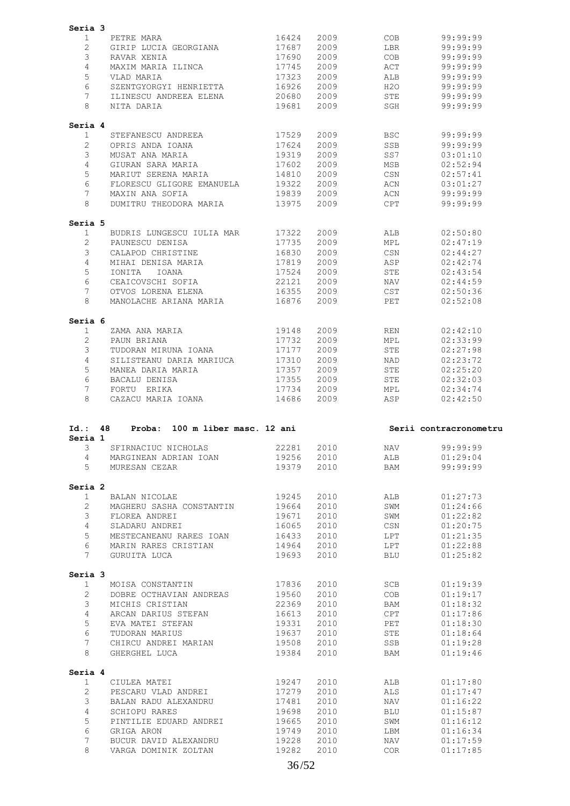|                         | Seria 3                                   |                |              |                |                        |
|-------------------------|-------------------------------------------|----------------|--------------|----------------|------------------------|
| 1                       | PETRE MARA                                | 16424          | 2009         | COB            | 99:99:99               |
| $\overline{2}$          | GIRIP LUCIA GEORGIANA                     | 17687          | 2009         | LBR            | 99:99:99               |
| 3                       | RAVAR XENIA                               | 17690          | 2009         | COB            | 99:99:99               |
|                         |                                           |                |              |                |                        |
| 4                       | MAXIM MARIA ILINCA                        | 17745          | 2009         | ACT            | 99:99:99               |
| 5                       | VLAD MARIA                                | 17323          | 2009         | ALB            | 99:99:99               |
| 6                       | SZENTGYORGYI HENRIETTA                    | 16926          | 2009         | H2O            | 99:99:99               |
| $7\phantom{.0}$         | ILINESCU ANDREEA ELENA                    | 20680          | 2009         | STE            | 99:99:99               |
| 8                       | NITA DARIA                                | 19681          | 2009         | SGH            | 99:99:99               |
| Seria 4                 |                                           |                |              |                |                        |
| 1                       | STEFANESCU ANDREEA                        | 17529          | 2009         | <b>BSC</b>     | 99:99:99               |
| $\overline{2}$          | OPRIS ANDA IOANA                          | 17624          | 2009         | SSB            | 99:99:99               |
| 3                       | MUSAT ANA MARIA                           | 19319          | 2009         | SS7            | 03:01:10               |
| 4                       | GIURAN SARA MARIA                         | 17602          | 2009         | MSB            | 02:52:94               |
| 5                       | MARIUT SERENA MARIA                       | 14810          | 2009         | CSN            | 02:57:41               |
| 6                       | FLORESCU GLIGORE EMANUELA                 | 19322          | 2009         | ACN            | 03:01:27               |
| 7                       |                                           | 19839          | 2009         | ACN            | 99:99:99               |
| 8                       | MAXIN ANA SOFIA<br>DUMITRU THEODORA MARIA | 13975          | 2009         | <b>CPT</b>     | 99:99:99               |
|                         |                                           |                |              |                |                        |
| Seria 5                 |                                           |                |              |                |                        |
| 1                       | BUDRIS LUNGESCU IULIA MAR                 | 17322          | 2009         | ALB            | 02:50:80               |
| $\overline{2}$          | PAUNESCU DENISA                           | 17735          | 2009         | MPL            | 02:47:19               |
| 3                       | CALAPOD CHRISTINE                         | 16830          | 2009         | $\mathbb{CSN}$ | 02:44:27               |
| 4                       | MIHAI DENISA MARIA                        | 17819          | 2009         | ASP            | 02:42:74               |
| 5                       | IONITA<br>IOANA                           | 17524          | 2009         | STE            | 02:43:54               |
| 6                       | CEAICOVSCHI SOFIA                         | 22121          | 2009         | NAV            | 02:44:59               |
| $7\phantom{.0}$         | OTVOS LORENA ELENA                        | 16355          | 2009         | CST            | 02:50:36               |
| 8                       | MANOLACHE ARIANA MARIA                    | 16876          | 2009         | PET            | 02:52:08               |
| Seria 6                 |                                           |                |              |                |                        |
| 1                       |                                           | 19148          | 2009         | REN            | 02:42:10               |
|                         | ZAMA ANA MARIA                            |                |              |                |                        |
| $\overline{2}$          | PAUN BRIANA                               | 17732          | 2009         | MPL            | 02:33:99               |
| 3                       | TUDORAN MIRUNA IOANA                      | 17177          | 2009         | STE            | 02:27:98               |
| 4                       | SILISTEANU DARIA MARIUCA                  | 17310          | 2009         | NAD            | 02:23:72               |
| 5                       | MANEA DARIA MARIA                         | 17357          | 2009         | STE            | 02:25:20               |
| 6                       | BACALU DENISA                             | 17355          | 2009         | STE            | 02:32:03               |
| 7                       | FORTU ERIKA                               | 17734          | 2009         | MPL            | 02:34:74               |
|                         | CAZACU MARIA IOANA                        | 14686          | 2009         | ASP            | 02:42:50               |
| 8                       |                                           |                |              |                |                        |
| Id.: 48<br>Seria 1      | 100 m liber masc. 12 ani<br>Proba:        |                |              |                | Serii contracronometru |
| 3                       | SFIRNACIUC NICHOLAS                       | 22281          | 2010         | NAV            | 99:99:99               |
| 4                       | MARGINEAN ADRIAN IOAN                     | 19256          | 2010         | ALB            | 01:29:04               |
| 5                       | MURESAN CEZAR                             | 19379          | 2010         | BAM            | 99:99:99               |
| Seria 2                 |                                           |                |              |                |                        |
| 1                       | BALAN NICOLAE                             | 19245          | 2010         | ALB            | 01:27:73               |
| $\overline{2}$          | MAGHERU SASHA CONSTANTIN                  | 19664          | 2010         | SWM            | 01:24:66               |
| 3                       | FLOREA ANDREI                             | 19671          | 2010         | SWM            | 01:22:82               |
| 4                       | SLADARU ANDREI                            | 16065          | 2010         | CSN            | 01:20:75               |
|                         |                                           |                |              |                |                        |
| 5                       | MESTECANEANU RARES IOAN                   | 16433          | 2010         | LPT            | 01:21:35               |
| 6<br>7                  | MARIN RARES CRISTIAN<br>GURUITA LUCA      | 14964<br>19693 | 2010<br>2010 | LPT<br>BLU     | 01:22:88<br>01:25:82   |
|                         |                                           |                |              |                |                        |
| Seria 3<br>$\mathbf{1}$ | MOISA CONSTANTIN                          | 17836          | 2010         | SCB            | 01:19:39               |
| $\overline{2}$          | DOBRE OCTHAVIAN ANDREAS                   | 19560          | 2010         | COB            | 01:19:17               |
| 3                       | MICHIS CRISTIAN                           | 22369          |              | BAM            | 01:18:32               |
|                         |                                           |                | 2010         |                |                        |
| $\overline{4}$          | ARCAN DARIUS STEFAN                       | 16613          | 2010         | CPT            | 01:17:86               |
| 5                       | EVA MATEI STEFAN                          | 19331          | 2010         | PET            | 01:18:30               |
| 6                       | TUDORAN MARIUS                            | 19637          | 2010         | STE            | 01:18:64               |
| $7\overline{ }$<br>8    | CHIRCU ANDREI MARIAN<br>GHERGHEL LUCA     | 19508<br>19384 | 2010<br>2010 | SSB<br>BAM     | 01:19:28<br>01:19:46   |
|                         |                                           |                |              |                |                        |
| Seria 4                 |                                           |                |              |                |                        |
| $\mathbf{1}$            | CIULEA MATEI                              | 19247          | 2010         | ALB            | 01:17:80               |
| $\mathbf{2}^{\prime}$   | PESCARU VLAD ANDREI                       | 17279          | 2010         | ALS            | 01:17:47               |
| 3                       | BALAN RADU ALEXANDRU                      | 17481          | 2010         | NAV            | 01:16:22               |
| $\overline{4}$          | SCHIOPU RARES                             | 19698          | 2010         | BLU            | 01:15:87               |
| 5                       | PINTILIE EDUARD ANDREI                    | 19665          | 2010         | SWM            | 01:16:12               |
| 6                       | GRIGA ARON                                | 19749          | 2010         | LBM            | 01:16:34               |
| 7                       | BUCUR DAVID ALEXANDRU                     | 19228          | 2010         | NAV            | 01:17:59               |
| 8                       | VARGA DOMINIK ZOLTAN                      | 19282          | 2010         | COR            | 01:17:85               |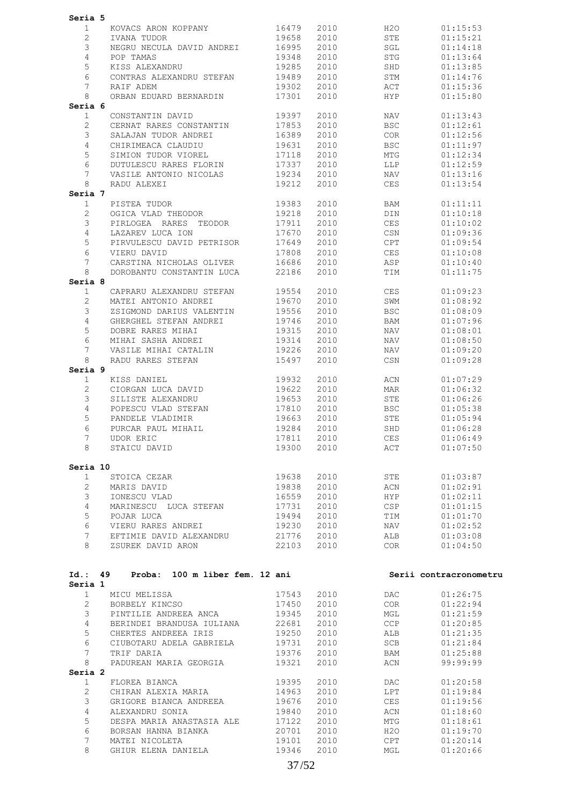| Seria 5                  |                                                       |                |              |                                                                                                                |                        |
|--------------------------|-------------------------------------------------------|----------------|--------------|----------------------------------------------------------------------------------------------------------------|------------------------|
| 1                        | KOVACS ARON KOPPANY                                   | 16479          | 2010         | H2O                                                                                                            | 01:15:53               |
| 2                        | IVANA TUDOR                                           | 19658          | 2010         | STE                                                                                                            | 01:15:21               |
| 3                        | NEGRU NECULA DAVID ANDREI 16995                       |                | 2010         | SGL                                                                                                            | 01:14:18               |
| $\overline{4}$           | POP TAMAS                                             | 19348          | 2010         | STG                                                                                                            | 01:13:64               |
| 5                        | KISS ALEXANDRU                                        | 19285          | 2010         | SHD                                                                                                            | 01:13:85               |
| 6                        | CONTRAS ALEXANDRU STEFAN                              | 19489          | 2010         | STM                                                                                                            | 01:14:76               |
| 7                        | RAIF ADEM                                             | 19302          | 2010         | ACT                                                                                                            | 01:15:36               |
| 8                        | ORBAN EDUARD BERNARDIN                                | 17301          | 2010         | HYP                                                                                                            | 01:15:80               |
| Seria 6<br>$\mathbf{1}$  | CONSTANTIN DAVID                                      | 19397          | 2010         | NAV                                                                                                            | 01:13:43               |
| 2                        | CERNAT RARES CONSTANTIN                               | 17853          | 2010         | <b>BSC</b>                                                                                                     | 01:12:61               |
| 3                        | SALAJAN TUDOR ANDREI                                  | 16389          | 2010         | COR                                                                                                            | 01:12:56               |
| 4                        | CHIRIMEACA CLAUDIU                                    | 19631          | 2010         | <b>BSC</b>                                                                                                     | 01:11:97               |
| 5                        | SIMION TUDOR VIOREL                                   | 17118          | 2010         | MTG                                                                                                            | 01:12:34               |
| 6                        | DUTULESCU RARES FLORIN                                | 17337          | 2010         | LLP                                                                                                            | 01:12:59               |
| 7                        | VASILE ANTONIO NICOLAS                                | 19234          | 2010         | NAV                                                                                                            | 01:13:16               |
| 8                        | RADU ALEXEI                                           | 19212          | 2010         | CES                                                                                                            | 01:13:54               |
| Seria 7                  |                                                       |                |              |                                                                                                                |                        |
| 1                        | PISTEA TUDOR                                          | 19383          | 2010         | BAM                                                                                                            | 01:11:11               |
| $\mathbf{2}$             | OGICA VLAD THEODOR                                    | 19218          | 2010         | DIN                                                                                                            | 01:10:18               |
| 3                        | PIRLOGEA RARES TEODOR                                 | 17911          | 2010         | CES                                                                                                            | 01:10:02               |
| 4                        | LAZAREV LUCA ION                                      | 17670          | 2010         | CSN                                                                                                            | 01:09:36               |
| 5                        | PIRVULESCU DAVID PETRISOR                             | 17649          | 2010         | CPT                                                                                                            | 01:09:54               |
| 6                        | VIERU DAVID                                           | 17808          | 2010         | CES                                                                                                            | 01:10:08               |
| 7<br>8                   | CARSTINA NICHOLAS OLIVER<br>DOROBANTU CONSTANTIN LUCA | 16686<br>22186 | 2010         | ASP                                                                                                            | 01:10:40               |
| Seria 8                  |                                                       |                | 2010         | TIM                                                                                                            | 01:11:75               |
| $\mathbf{1}$             | CAPRARU ALEXANDRU STEFAN                              | 19554          | 2010         | CES                                                                                                            | 01:09:23               |
| 2                        | MATEI ANTONIO ANDREI                                  | 19670          | 2010         | SWM                                                                                                            | 01:08:92               |
| 3                        | ZSIGMOND DARIUS VALENTIN                              | 19556          | 2010         | <b>BSC</b>                                                                                                     | 01:08:09               |
| 4                        | GHERGHEL STEFAN ANDREI                                | 19746          | 2010         | BAM                                                                                                            | 01:07:96               |
| 5                        | DOBRE RARES MIHAI                                     | 19315          | 2010         | NAV                                                                                                            | 01:08:01               |
| 6                        | MIHAI SASHA ANDREI                                    | 19314          | 2010         | NAV                                                                                                            | 01:08:50               |
| 7                        | VASILE MIHAI CATALIN                                  | 19226          | 2010         | NAV                                                                                                            | 01:09:20               |
| 8                        | RADU RARES STEFAN                                     | 15497          | 2010         | CSN                                                                                                            | 01:09:28               |
| Seria 9                  | KISS DANIEL                                           | 19932          | 2010         | ACN                                                                                                            | 01:07:29               |
| $\mathbf{1}$<br>2        | CIORGAN LUCA DAVID                                    | 19622          | 2010         | MAR                                                                                                            | 01:06:32               |
| 3                        | SILISTE ALEXANDRU                                     | 19653          | 2010         | STE                                                                                                            | 01:06:26               |
| 4                        | POPESCU VLAD STEFAN                                   | 17810          | 2010         | <b>BSC</b>                                                                                                     | 01:05:38               |
| 5                        | PANDELE VLADIMIR                                      | 19663          | 2010         | STE                                                                                                            | 01:05:94               |
| 6                        | PURCAR PAUL MIHAIL                                    | 19284          | 2010         | SHD                                                                                                            | 01:06:28               |
| $\overline{7}$           | UDOR ERIC                                             | 17811          | 2010         | CES                                                                                                            | 01:06:49               |
| 8                        | STAICU DAVID                                          |                |              | 19300 2010 ACT 01:07:50                                                                                        |                        |
|                          |                                                       |                |              |                                                                                                                |                        |
| Seria 10<br>$\mathbf{1}$ | STOICA CEZAR                                          | 19638          | 2010         | <b>STE</b>                                                                                                     | 01:03:87               |
| $2^{\circ}$              | MARIS DAVID                                           | 19838          | 2010         | ACN                                                                                                            | 01:02:91               |
| 3 <sup>7</sup>           | IONESCU VLAD                                          | 16559          | 2010         | <b>HYP</b>                                                                                                     | 01:02:11               |
| $\overline{4}$           | MARINESCU LUCA STEFAN 17731                           |                | 2010         | CSP                                                                                                            | 01:01:15               |
| 5 <sup>5</sup>           | POJAR LUCA                                            | 19494          | 2010         | TIM                                                                                                            | 01:01:70               |
| 6                        | VIERU RARES ANDREI                                    | 19230          | 2010         | NAV                                                                                                            | 01:02:52               |
|                          | 7 EFTIMIE DAVID ALEXANDRU 21776 2010                  |                |              | ALB                                                                                                            | 01:03:08               |
| 8                        | ZSUREK DAVID ARON 22103                               |                | 2010         | COR <b>COR</b>                                                                                                 | 01:04:50               |
|                          |                                                       |                |              |                                                                                                                |                        |
|                          | Id.: 49 Proba: 100 m liber fem. 12 ani                |                |              |                                                                                                                | Serii contracronometru |
| Seria 1<br>1             | MICU MELISSA                                          | 17543          | 2010         | DAC and the state of the state of the state of the state of the state of the state of the state of the state o | 01:26:75               |
|                          | 2 BORBELY KINCSO                                      | 17450          | 2010         | COR <b>COR</b>                                                                                                 | 01:22:94               |
| 3                        | PINTILIE ANDREEA ANCA                                 | 19345          | 2010         | $MGL$                                                                                                          | 01:21:59               |
| $4 -$                    | BERINDEI BRANDUSA IULIANA                             | 22681          | 2010         | CCP                                                                                                            | 01:20:85               |
| 5                        | CHERTES ANDREEA IRIS                                  | 19250          | 2010         | ALB                                                                                                            | 01:21:35               |
| 6                        | CIUBOTARU ADELA GABRIELA 19731                        |                | 2010         | SCB                                                                                                            | 01:21:84               |
| $7\overline{ }$          | TRIF DARIA                                            | 19376          | 2010         | BAM                                                                                                            | 01:25:88               |
| 8                        | PADUREAN MARIA GEORGIA                                | 19321          | 2010         | ACN                                                                                                            | 99:99:99               |
| Seria 2                  |                                                       |                |              |                                                                                                                |                        |
| 1                        | FLOREA BIANCA                                         | 19395          | 2010         | DAC                                                                                                            | 01:20:58               |
| $\overline{2}$           | CHIRAN ALEXIA MARIA                                   | 14963          | 2010         | LPT                                                                                                            | 01:19:84               |
| $\mathcal{S}$            | GRIGORE BIANCA ANDREEA 19676                          |                | 2010         | CES                                                                                                            | 01:19:56               |
| $\overline{4}$           | ALEXANDRU SONIA                                       | 19840          | 2010         | ACN                                                                                                            | 01:18:60               |
| 5<br>6                   | DESPA MARIA ANASTASIA ALE<br>BORSAN HANNA BIANKA      | 17122<br>20701 | 2010         | MTG                                                                                                            | 01:18:61               |
|                          |                                                       |                | 2010         | H2O                                                                                                            | 01:19:70               |
|                          |                                                       |                |              |                                                                                                                |                        |
| 7<br>8                   | MATEI NICOLETA<br>GHIUR ELENA DANIELA 19346           | 19101          | 2010<br>2010 | CPT<br>MGL                                                                                                     | 01:20:14<br>01:20:66   |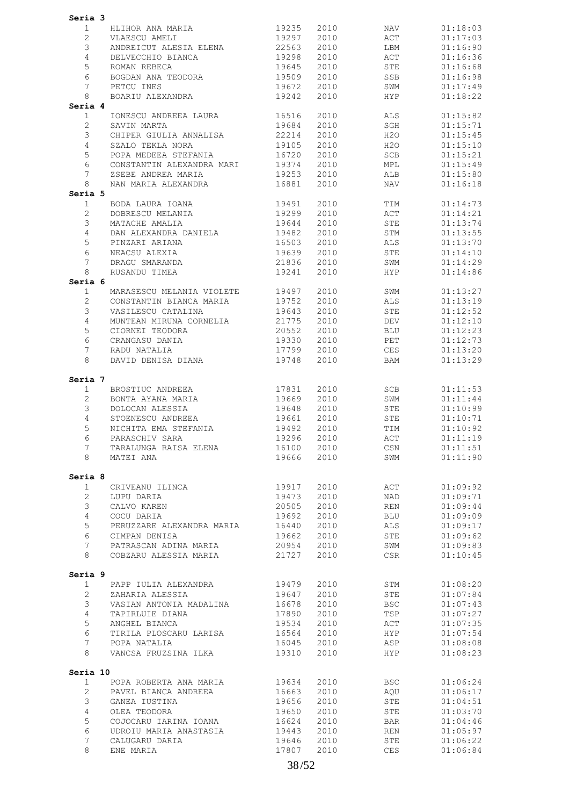| Seria 3                               |                   |                                                  |                          |              |                |                      |
|---------------------------------------|-------------------|--------------------------------------------------|--------------------------|--------------|----------------|----------------------|
| 1                                     |                   | HLIHOR ANA MARIA<br>VLAESCU AMELI                | 19235                    | 2010         | NAV            | 01:18:03             |
| $\mathbf{2}$                          |                   |                                                  | 19297                    | 2010         | ACT            | 01:17:03             |
| 3                                     |                   | ANDREICUT ALESIA ELENA 22563                     |                          | 2010         | LBM            | 01:16:90             |
| $\overline{4}$                        |                   | DELVECCHIO BIANCA                                | 19298                    | 2010         | ACT            | 01:16:36             |
| $\mathsf S$                           |                   | ROMAN REBECA                                     | 19645                    | 2010         | STE            | 01:16:68             |
| 6                                     |                   | BOGDAN ANA TEODORA                               | 19509                    | 2010         | SSB            | 01:16:98             |
| 7                                     |                   | PETCU INES                                       | 19672                    | 2010         | SWM            | 01:17:49             |
| 8                                     |                   | BOARIU ALEXANDRA                                 | 19242                    | 2010         | HYP            | 01:18:22             |
| Seria 4<br>$\mathbf{1}$               |                   | IONESCU ANDREEA LAURA 16516                      |                          | 2010         | ALS            | 01:15:82             |
| $\mathbf{2}$                          |                   | SAVIN MARTA                                      | 19684                    | 2010         | SGH            | 01:15:71             |
| 3                                     |                   | CHIPER GIULIA ANNALISA                           | 22214                    | 2010         | H20            | 01:15:45             |
| $\overline{4}$                        |                   | SZALO TEKLA NORA                                 | 19105                    | 2010         | H2O            | 01:15:10             |
| 5                                     |                   | POPA MEDEEA STEFANIA                             | 16720                    | 2010         | SCB            | 01:15:21             |
| 6                                     |                   | CONSTANTIN ALEXANDRA MARI                        | 19374                    | 2010         | MPL            | 01:15:49             |
| 7                                     |                   | ZSEBE ANDREA MARIA                               | 19253                    | 2010         | ALB            | 01:15:80             |
| 8                                     |                   | NAN MARIA ALEXANDRA                              | 16881                    | 2010         | NAV            | 01:16:18             |
| Seria 5                               |                   |                                                  | 19491                    |              |                |                      |
| $\mathbf{1}$<br>$\mathbf{2}^{\prime}$ |                   | BODA LAURA IOANA<br>DOBRESCU MELANIA             | 19299                    | 2010<br>2010 | TIM<br>ACT     | 01:14:73<br>01:14:21 |
| 3                                     |                   | MATACHE AMALIA                                   | 19644                    | 2010         | STE            | 01:13:74             |
| $\overline{4}$                        |                   | DAN ALEXANDRA DANIELA                            | 19482                    | 2010         | STM            | 01:13:55             |
| 5                                     |                   | PINZARI ARIANA                                   | 16503                    | 2010         | ALS            | 01:13:70             |
| 6                                     |                   | NEACSU ALEXIA                                    | 19639                    | 2010         | STE            | 01:14:10             |
| $7\overline{ }$                       |                   | DRAGU SMARANDA                                   | 21836                    | 2010         | SWM            | 01:14:29             |
| 8                                     |                   | RUSANDU TIMEA                                    | 19241                    | 2010         | HYP            | 01:14:86             |
| Seria 6                               |                   |                                                  |                          |              |                |                      |
| $\mathbf{1}$                          |                   | MARASESCU MELANIA VIOLETE 19497                  |                          | 2010         | SWM            | 01:13:27             |
| $\overline{c}$                        |                   | CONSTANTIN BIANCA MARIA                          | 19752                    | 2010         | ALS            | 01:13:19             |
| 3<br>$\overline{4}$                   |                   | VASILESCU CATALINA                               | 19643                    | 2010<br>2010 | STE<br>DEV     | 01:12:52<br>01:12:10 |
| $\mathsf S$                           |                   | MUNTEAN MIRUNA CORNELIA 21775<br>CIORNEI TEODORA | 20552                    | 2010         | BLU            | 01:12:23             |
| 6                                     |                   | CRANGASU DANIA                                   | 19330                    | 2010         | PET            | 01:12:73             |
| 7                                     |                   | RADU NATALIA                                     | 17799                    | 2010         | CES            | 01:13:20             |
| 8                                     |                   | DAVID DENISA DIANA                               | 19748                    | 2010         | BAM            | 01:13:29             |
|                                       |                   |                                                  |                          |              |                |                      |
| Seria 7                               |                   |                                                  |                          |              |                |                      |
| $\mathbf{1}$                          |                   | BROSTIUC ANDREEA                                 | 17831                    | 2010         | SCB            | 01:11:53             |
| $\overline{c}$<br>3                   |                   | BONTA AYANA MARIA<br>DOLOCAN ALESSIA             | 19669<br>19648           | 2010<br>2010 | SWM<br>STE     | 01:11:44<br>01:10:99 |
| $\overline{4}$                        |                   |                                                  | 19661                    | 2010         | STE            | 01:10:71             |
| 5                                     |                   | NICHITA EMA STEFANIA<br>PARASCHIV SARA           | 19492                    | 2010         | TIM            | 01:10:92             |
| 6                                     |                   |                                                  | 19296 2010               |              | $\mathtt{ACT}$ | 01:11:19             |
|                                       | 7                 | TARALUNGA RAISA ELENA 16100 2010                 |                          |              | CSN 01:11:51   |                      |
|                                       | 8                 | MATEI ANA                                        |                          | 19666 2010   | SWM            | 01:11:90             |
|                                       |                   |                                                  |                          |              |                |                      |
| Seria 8                               |                   |                                                  |                          |              |                |                      |
|                                       | 1<br>$\mathbf{2}$ | CRIVEANU ILINCA<br>LUPU DARIA                    | 19917 2010<br>19473 2010 |              | ACT<br>NAD     | 01:09:92<br>01:09:71 |
| $3 -$                                 |                   | CALVO KAREN                                      | 20505 2010               |              | REN            | 01:09:44             |
| 4                                     |                   | COCU DARIA                                       | 19692                    | 2010         | BLU            | 01:09:09             |
| 5                                     |                   | PERUZZARE ALEXANDRA MARIA                        | 16440 2010               |              | ALS            | 01:09:17             |
| 6                                     |                   | CIMPAN DENISA                                    | 19662 2010               |              | STE            | 01:09:62             |
|                                       | 7                 | PATRASCAN ADINA MARIA 20954 2010                 |                          |              | SWM            | 01:09:83             |
| 8                                     |                   | COBZARU ALESSIA MARIA 621727 2010                |                          |              | CSR            | 01:10:45             |
| Seria 9                               |                   |                                                  |                          |              |                |                      |
|                                       | 1                 |                                                  |                          |              | STM            | 01:08:20             |
|                                       | $2^{\circ}$       |                                                  |                          |              | STE            | 01:07:84             |
| 3                                     |                   | VASIAN ANTONIA MADALINA 16678                    |                          | 2010         | <b>BSC</b>     | 01:07:43             |
| $\overline{4}$                        |                   | TAPIRLUIE DIANA                                  | 17890 2010               |              | TSP            | 01:07:27             |
| 5                                     |                   | ANGHEL BIANCA                                    | 19534 2010               |              | ACT            | 01:07:35             |
| 6                                     |                   | TIRILA PLOSCARU LARISA 16564 2010                |                          |              | <b>HYP</b>     | 01:07:54             |
|                                       | 7                 | POPA NATALIA                                     | 16045 2010               |              | ASP            | 01:08:08             |
| 8                                     |                   | VANCSA FRUZSINA ILKA                             | 19310 2010               |              | <b>HYP</b>     | 01:08:23             |
| Seria 10                              |                   |                                                  |                          |              |                |                      |
|                                       | 1                 |                                                  |                          |              | <b>BSC</b>     | 01:06:24             |
|                                       | $2^{\circ}$       |                                                  |                          |              | AQU            | 01:06:17             |
| 3                                     |                   | GANEA IUSTINA                                    | 19656                    | 2010         | STE            | 01:04:51             |
| 4                                     |                   | OLEA TEODORA                                     | 19650                    | 2010         | STE            | 01:03:70             |
| $\mathsf S$                           |                   | COJOCARU IARINA IOANA                            | 16624 2010               |              | BAR            | 01:04:46             |
| 6                                     |                   | UDROIU MARIA ANASTASIA                           | 19443 2010               |              | REN            | 01:05:97             |
| 7<br>8                                |                   | CALUGARU DARIA<br>ENE MARIA                      | 19646 2010<br>17807      | 2010         | STE<br>CES     | 01:06:22<br>01:06:84 |
|                                       |                   |                                                  |                          |              |                |                      |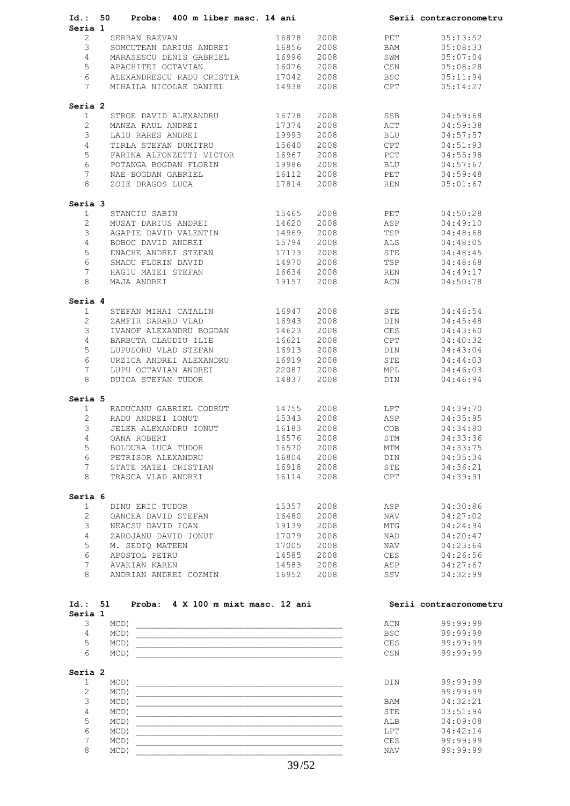| Id.:               | Proba: 400 m liber masc. 14 ani<br>50 —                                                                                       |       |      |            | Serii contracronometru |
|--------------------|-------------------------------------------------------------------------------------------------------------------------------|-------|------|------------|------------------------|
| Seria 1            |                                                                                                                               |       |      |            |                        |
| $\overline{2}$     | SERBAN RAZVAN                                                                                                                 | 16878 | 2008 | PET        | 05:13:52               |
| 3                  | SOMCUTEAN DARIUS ANDREI                                                                                                       | 16856 | 2008 | BAM        | 05:08:33               |
| 4                  | MARASESCU DENIS GABRIEL 16996                                                                                                 |       | 2008 | SWM        | 05:07:04               |
| 5                  | APACHITEI OCTAVIAN                                                                                                            | 16076 | 2008 | CSN        | 05:08:28               |
| 6                  | ALEXANDRESCU RADU CRISTIA                                                                                                     | 17042 | 2008 | <b>BSC</b> | 05:11:94               |
| 7                  | MIHAILA NICOLAE DANIEL                                                                                                        | 14938 | 2008 | CPT        | 05:14:27               |
| Seria 2            |                                                                                                                               |       |      |            |                        |
| $\mathbf{1}$       | STROE DAVID ALEXANDRU                                                                                                         | 16778 | 2008 | SSB        | 04:59:68               |
| $\overline{2}$     | MANEA RAUL ANDREI                                                                                                             | 17374 | 2008 | ACT        | 04:59:38               |
| 3                  | LAIU RARES ANDREI                                                                                                             | 19993 | 2008 | BLU        | 04:57:57               |
| $\overline{4}$     | TIRLA STEFAN DUMITRU                                                                                                          | 15640 | 2008 | CPT        | 04:51:93               |
| 5                  | FARINA ALFONZETTI VICTOR 16967                                                                                                |       | 2008 | PCT        | 04:55:98               |
| 6                  | POTANGA BOGDAN FLORIN                                                                                                         | 19986 | 2008 | BLU        | 04:57:67               |
| $7\overline{ }$    | NAE BOGDAN GABRIEL                                                                                                            | 16112 | 2008 | PET        | 04:59:48               |
| 8                  | ZOIE DRAGOS LUCA                                                                                                              | 17814 | 2008 | REN        | 05:01:67               |
| Seria 3            |                                                                                                                               |       |      |            |                        |
| $\mathbf{1}$       | STANCIU SABIN                                                                                                                 | 15465 | 2008 | PET        | 04:50:28               |
| $\overline{2}$     | MUSAT DARIUS ANDREI                                                                                                           | 14620 | 2008 | ASP        | 04:49:10               |
| 3                  | AGAPIE DAVID VALENTIN                                                                                                         | 14969 | 2008 | TSP        | 04:48:68               |
| $\overline{4}$     | BOBOC DAVID ANDREI                                                                                                            | 15794 | 2008 | ALS        | 04:48:05               |
| 5                  | ENACHE ANDREI STEFAN                                                                                                          | 17173 | 2008 | STE        | 04:48:45               |
| 6                  | SMADU FLORIN DAVID                                                                                                            | 14970 | 2008 | TSP        | 04:48:68               |
| $7\overline{ }$    | HAGIU MATEI STEFAN                                                                                                            | 16634 | 2008 | REN        | 04:49:17               |
| 8                  | MAJA ANDREI                                                                                                                   | 19157 | 2008 | ACN        | 04:50:78               |
| Seria 4            |                                                                                                                               |       |      |            |                        |
| $\mathbf{1}$       | STEFAN MIHAI CATALIN                                                                                                          | 16947 | 2008 | STE        | 04:46:54               |
| $\mathbf{2}$       | ZAMFIR SARARU VLAD                                                                                                            | 16943 | 2008 | DIN        | 04:45:48               |
| 3                  | IVANOF ALEXANDRU BOGDAN                                                                                                       | 14623 | 2008 | CES        | 04:43:60               |
| $\overline{4}$     | BARBUTA CLAUDIU ILIE                                                                                                          | 16621 | 2008 | CPT        | 04:40:32               |
| 5                  | LUPUSORU VLAD STEFAN                                                                                                          | 16913 | 2008 | DIN        | 04:43:04               |
| 6                  | URZICA ANDREI ALEXANDRU                                                                                                       | 16919 | 2008 | STE        | 04:44:03               |
| $7\overline{ }$    | LUPU OCTAVIAN ANDREI                                                                                                          | 22087 | 2008 | MPL        | 04:46:03               |
| 8                  | DUICA STEFAN TUDOR                                                                                                            | 14837 | 2008 | DIN        | 04:46:94               |
| Seria 5            |                                                                                                                               |       |      |            |                        |
| $\mathbf{1}$       | RADUCANU GABRIEL CODRUT 14755                                                                                                 |       | 2008 | LPT        | 04:39:70               |
| $\overline{2}$     | RADU ANDREI IONUT                                                                                                             | 15343 | 2008 | ASP        | 04:35:95               |
| 3                  | JELER ALEXANDRU IONUT                                                                                                         | 16183 | 2008 | COB        | 04:34:80               |
| 4                  | OANA ROBERT                                                                                                                   | 16576 | 2008 | STM        | 04:33:36               |
| 5                  | BOLDURA LUCA TUDOR                                                                                                            | 16570 | 2008 | MTM        | 04:33:75               |
| 6                  | PETRISOR ALEXANDRU                                                                                                            | 16804 | 2008 | DIN        | 04:35:34               |
| 7                  | STATE MATEI CRISTIAN                                                                                                          | 16918 | 2008 | STE        | 04:36:21               |
| 8                  | TRASCA VLAD ANDREI                                                                                                            | 16114 | 2008 | CPT        | 04:39:91               |
| Seria 6            |                                                                                                                               |       |      |            |                        |
| $\mathbf{1}$       | DINU ERIC TUDOR                                                                                                               | 15357 | 2008 | ASP        | 04:30:86               |
| $\overline{2}$     | OANCEA DAVID STEFAN                                                                                                           | 16480 | 2008 | NAV        | 04:27:02               |
| 3                  | NEACSU DAVID IOAN                                                                                                             | 19139 | 2008 | MTG        | 04:24:94               |
| $\overline{4}$     | ZAROJANU DAVID IONUT                                                                                                          | 17079 | 2008 | NAD        | 04:20:47               |
| 5                  | M. SEDIO MATEEN                                                                                                               | 17005 | 2008 | NAV        | 04:23:64               |
| 6                  | APOSTOL PETRU                                                                                                                 | 14585 | 2008 | CES        | 04:26:56               |
| $7\overline{ }$    |                                                                                                                               | 14583 | 2008 | ASP        | 04:27:67               |
| 8                  | AVAKIAN KAREN<br>ANDRIAN ANDREI COZMIN                                                                                        | 16952 | 2008 | SSV        | 04:32:99               |
|                    |                                                                                                                               |       |      |            |                        |
| Id.: 51<br>Seria 1 | Proba: 4 X 100 m mixt masc. 12 ani                                                                                            |       |      |            | Serii contracronometru |
| 3                  | MCD)<br><u> 1980 - Johann Barn, mars and de Branch Barn, mars and de Branch Barn, mars and de Branch Barn, mars and de Br</u> |       |      | ACN        | 99:99:99               |
| 4                  | $MCD$ )                                                                                                                       |       |      | <b>BSC</b> | 99:99:99               |
| 5                  | MCD)                                                                                                                          |       |      | CES        | 99:99:99               |
| 6                  | $MCD$ )                                                                                                                       |       |      | CSN        | 99:99:99               |
|                    |                                                                                                                               |       |      |            |                        |

### **Seria 2**

| $MCD$ ) | <b>DIN</b> | 99:99:99 |
|---------|------------|----------|
| MCD     |            | 99:99:99 |
| $MCD$ ) | <b>BAM</b> | 04:32:21 |
| $MCD$ ) | STE        | 03:51:94 |
| $MCD$ ) | ALB        | 04:09:08 |
| $MCD$ ) | LPT        | 04:42:14 |
| MCD     | <b>CES</b> | 99:99:99 |
| MCD)    | <b>NAV</b> | 99:99:99 |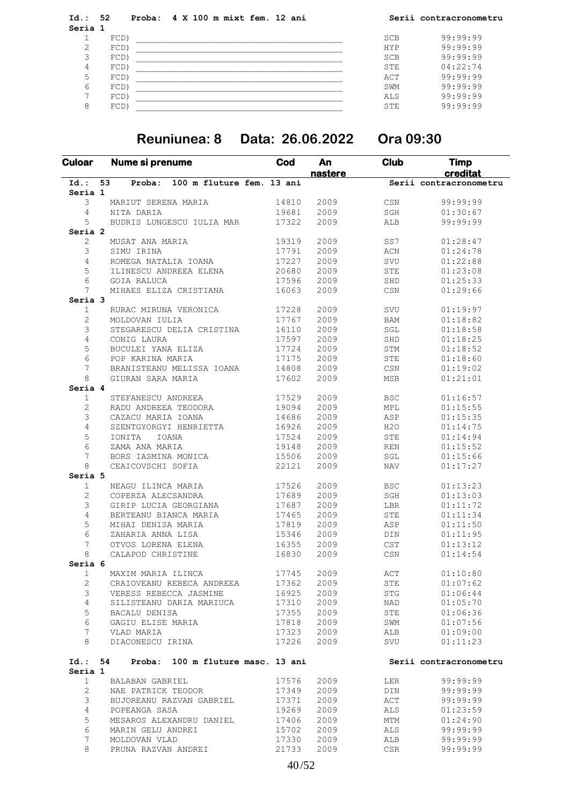**Id.: 52 Proba: 4 X 100 m mixt fem. 12 ani Serii contracronometru Seria 1**  $1$  FCD)  $\sim$  5CB 99:99:99 2 FCD) \_\_\_\_\_\_\_\_\_\_\_\_\_\_\_\_\_\_\_\_\_\_\_\_\_\_\_\_\_\_\_\_\_\_\_\_\_\_\_\_ HYP 99:99:99 3 FCD) \_\_\_\_\_\_\_\_\_\_\_\_\_\_\_\_\_\_\_\_\_\_\_\_\_\_\_\_\_\_\_\_\_\_\_\_\_\_\_\_ SCB 99:99:99 4 FCD) \_\_\_\_\_\_\_\_\_\_\_\_\_\_\_\_\_\_\_\_\_\_\_\_\_\_\_\_\_\_\_\_\_\_\_\_\_\_\_\_ STE 04:22:74  $\begin{tabular}{c|c|c|c|c} 5 & FCD & & & & ACT \\ \hline 6 & FCD & & & & \text{SWM} \\ \hline 7 & FCD & & & & \text{SIMM} \\ \text{8} & FCD & & & & \text{STE} \\ \end{tabular}$  6 FCD) \_\_\_\_\_\_\_\_\_\_\_\_\_\_\_\_\_\_\_\_\_\_\_\_\_\_\_\_\_\_\_\_\_\_\_\_\_\_\_\_ SWM 99:99:99 7 FCD) \_\_\_\_\_\_\_\_\_\_\_\_\_\_\_\_\_\_\_\_\_\_\_\_\_\_\_\_\_\_\_\_\_\_\_\_\_\_\_\_ ALS 99:99:99 8 FCD) \_\_\_\_\_\_\_\_\_\_\_\_\_\_\_\_\_\_\_\_\_\_\_\_\_\_\_\_\_\_\_\_\_\_\_\_\_\_\_\_ STE 99:99:99

### **Reuniunea: 8 Data: 26.06.2022 Ora 09:30**

| <b>Culoar</b>      | Nume si prenume                           | Cod   | An<br><u>nastere</u> | <b>Club</b>                    | <b>Timp</b><br>creditat |
|--------------------|-------------------------------------------|-------|----------------------|--------------------------------|-------------------------|
| $Id.$ :            | 53<br>100 m fluture fem. 13 ani<br>Proba: |       |                      |                                | Serii contracronometru  |
| Seria 1            |                                           |       |                      |                                |                         |
| 3                  | MARIUT SERENA MARIA                       | 14810 | 2009                 | $_{\tt CSN}$                   | 99:99:99                |
| 4                  | NITA DARIA                                | 19681 | 2009                 | $\operatorname{\mathsf{SGH}}$  | 01:30:67                |
| 5                  | BUDRIS LUNGESCU IULIA MAR                 | 17322 | 2009                 | ALB                            | 99:99:99                |
| Seria <sub>2</sub> |                                           |       |                      |                                |                         |
| 2                  | MUSAT ANA MARIA                           | 19319 | 2009                 | SS7                            | 01:28:47                |
| 3                  | SIMU IRINA                                | 17791 | 2009                 | $\mbox{ACN}$                   | 01:24:78                |
| 4                  | ROMEGA NATALIA IOANA                      | 17227 | 2009                 | SVU                            | 01:22:88                |
| 5                  | ILINESCU ANDREEA ELENA                    | 20680 | 2009                 | STE                            | 01:23:08                |
| 6                  | <b>GOIA RALUCA</b>                        | 17596 | 2009                 | SHD                            | 01:25:33                |
| 7                  | MIHAES ELIZA CRISTIANA                    | 16063 | 2009                 | CSN                            | 01:29:66                |
| Seria 3            |                                           |       |                      |                                |                         |
| 1                  | RURAC MIRUNA VERONICA                     | 17228 | 2009                 | SVU                            | 01:19:97                |
| 2                  | MOLDOVAN IULIA                            | 17767 | 2009                 | <b>BAM</b>                     | 01:18:82                |
| 3                  | STEGARESCU DELIA CRISTINA                 | 16110 | 2009                 | $\operatorname{\mathsf{SGL}}$  | 01:18:58                |
| 4                  | CONIG LAURA                               | 17597 | 2009                 | SHD                            | 01:18:25                |
| 5                  | BUCULEI YANA ELIZA                        | 17724 | 2009                 | STM                            | 01:18:52                |
| 6                  | POP KARINA MARIA                          | 17175 | 2009                 | STE                            | 01:18:60                |
| 7                  | BRANISTEANU MELISSA IOANA                 | 14808 | 2009                 | $_{\tt CSN}$                   | 01:19:02                |
| 8                  | GIURAN SARA MARIA                         | 17602 | 2009                 | MSB                            | 01:21:01                |
| Seria 4            |                                           |       |                      |                                |                         |
| $\mathbf{1}$       | STEFANESCU ANDREEA                        | 17529 | 2009                 | <b>BSC</b>                     | 01:16:57                |
| 2                  | RADU ANDREEA TEODORA                      | 19094 | 2009                 | MPL                            | 01:15:55                |
| 3                  | CAZACU MARIA IOANA                        | 14686 | 2009                 | ASP                            | 01:15:35                |
| 4                  | SZENTGYORGYI HENRIETTA                    | 16926 | 2009                 | H2O                            | 01:14:75                |
| 5                  | IOANA<br>IONITA                           | 17524 | 2009                 | STE                            | 01:14:94                |
| 6                  | ZAMA ANA MARIA                            | 19148 | 2009                 | $\mathop{\rm REN}\nolimits$    | 01:15:52                |
| 7                  | BORS IASMINA MONICA                       | 15506 | 2009                 | $\operatorname{\mathsf{SGL}}$  | 01:15:66                |
| 8                  | CEAICOVSCHI SOFIA                         | 22121 | 2009                 | <b>NAV</b>                     | 01:17:27                |
| Seria 5            |                                           |       |                      |                                |                         |
| 1                  | NEAGU ILINCA MARIA                        | 17526 | 2009                 | <b>BSC</b>                     | 01:13:23                |
| 2                  | COPERZA ALECSANDRA                        | 17689 | 2009                 | $\mathbb S\mathbb{G}\mathbb H$ | 01:13:03                |
| 3                  | GIRIP LUCIA GEORGIANA                     | 17687 | 2009                 | LBR                            | 01:11:72                |
| 4                  | BERTEANU BIANCA MARIA                     | 17465 | 2009                 | STE                            | 01:11:34                |
| 5                  | MIHAI DENISA MARIA                        | 17819 | 2009                 | ASP                            | 01:11:50                |
| 6                  | ZAHARIA ANNA LISA                         | 15346 | 2009                 | DIN                            | 01:11:95                |
| 7                  | OTVOS LORENA ELENA                        | 16355 | 2009                 | CST                            | 01:13:12                |
| 8                  | CALAPOD CHRISTINE                         | 16830 | 2009                 | $_{\tt CSN}$                   | 01:14:54                |
| Seria 6            |                                           |       |                      |                                |                         |
| $\mathbf{1}$       | MAXIM MARIA ILINCA                        | 17745 | 2009                 | ACT                            | 01:10:80                |
| 2                  | CRAIOVEANU REBECA ANDREEA                 | 17362 | 2009                 | STE                            | 01:07:62                |
| 3                  | VERESS REBECCA JASMINE                    | 16925 | 2009                 | STG                            | 01:06:44                |
| 4                  | SILISTEANU DARIA MARIUCA                  | 17310 | 2009                 | NAD                            | 01:05:70                |
| 5                  | <b>BACALU DENISA</b>                      | 17355 | 2009                 | STE                            | 01:06:36                |
| 6                  | GAGIU ELISE MARIA                         | 17818 | 2009                 | SWM                            | 01:07:56                |
| 7                  | VLAD MARIA                                | 17323 | 2009                 | ALB                            | 01:09:00                |
| 8                  | DIACONESCU IRINA                          | 17226 | 2009                 | SVU                            | 01:11:23                |
| Id.: 54            | Proba: 100 m fluture masc. 13 ani         |       |                      |                                | Serii contracronometru  |
| Seria 1            |                                           |       |                      |                                |                         |
| $\mathbf{1}$       | BALABAN GABRIEL                           | 17576 | 2009                 | LER                            | 99:99:99                |
| $\overline{2}$     | NAE PATRICK TEODOR                        | 17349 | 2009                 | DIN                            | 99:99:99                |
| 3                  | BUJOREANU RAZVAN GABRIEL                  | 17371 | 2009                 | ACT                            | 99:99:99                |
| 4                  | POPEANGA SASA                             | 19269 | 2009                 | ALS                            | 01:23:59                |
| 5                  | MESAROS ALEXANDRU DANIEL                  | 17406 | 2009                 | MTM                            | 01:24:90                |
| 6                  | MARIN GELU ANDREI                         | 15702 | 2009                 | ALS                            | 99:99:99                |
| 7                  | MOLDOVAN VLAD                             | 17330 | 2009                 | ALB                            | 99:99:99                |
| 8                  | PRUNA RAZVAN ANDREI                       | 21733 | 2009                 | CSR                            | 99:99:99                |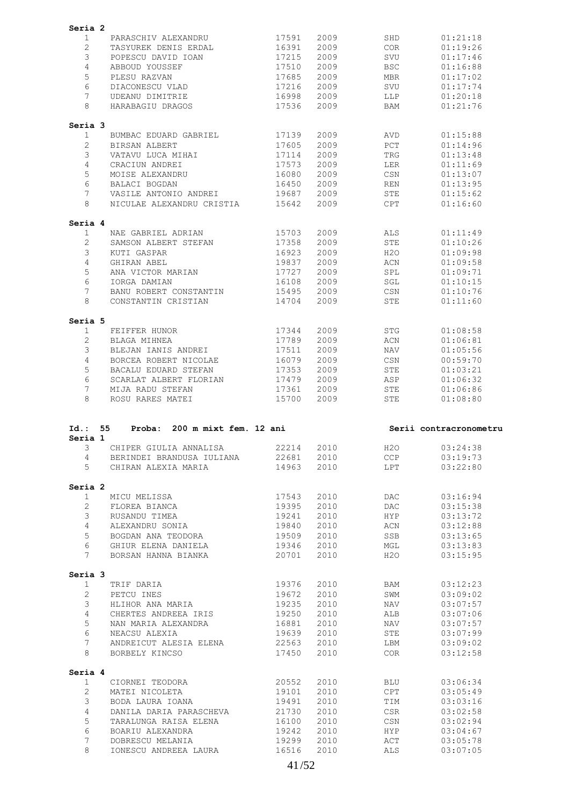|                      | Seria 2                                |       |      |            |                        |
|----------------------|----------------------------------------|-------|------|------------|------------------------|
| 1                    | PARASCHIV ALEXANDRU                    | 17591 | 2009 | SHD        | 01:21:18               |
| 2                    | TASYUREK DENIS ERDAL                   | 16391 | 2009 | COR.       | 01:19:26               |
| 3                    | POPESCU DAVID IOAN                     | 17215 | 2009 | SVU        | 01:17:46               |
| 4                    |                                        |       |      |            |                        |
|                      | ABBOUD YOUSSEF                         | 17510 | 2009 | <b>BSC</b> | 01:16:88               |
| 5                    | PLESU RAZVAN                           | 17685 | 2009 | <b>MBR</b> | 01:17:02               |
| 6                    | DIACONESCU VLAD                        | 17216 | 2009 | SVU        | 01:17:74               |
| 7                    | UDEANU DIMITRIE                        | 16998 | 2009 | LLP        | 01:20:18               |
| 8                    | HARABAGIU DRAGOS                       | 17536 | 2009 | BAM        | 01:21:76               |
|                      |                                        |       |      |            |                        |
| Seria 3<br>1         | BUMBAC EDUARD GABRIEL                  | 17139 | 2009 | AVD        | 01:15:88               |
| 2                    |                                        |       |      |            |                        |
|                      | BIRSAN ALBERT                          | 17605 | 2009 | PCT        | 01:14:96               |
| 3                    | VATAVU LUCA MIHAI                      | 17114 | 2009 | TRG        | 01:13:48               |
| 4                    | CRACIUN ANDREI                         | 17573 | 2009 | LER        | 01:11:69               |
| 5                    | MOISE ALEXANDRU                        | 16080 | 2009 | CSN        | 01:13:07               |
| 6                    | BALACI BOGDAN                          | 16450 | 2009 | REN        | 01:13:95               |
| 7                    | VASILE ANTONIO ANDREI                  | 19687 | 2009 | STE        | 01:15:62               |
| 8                    | NICULAE ALEXANDRU CRISTIA              | 15642 | 2009 | CPT        | 01:16:60               |
| Seria 4              |                                        |       |      |            |                        |
| 1                    | NAE GABRIEL ADRIAN                     | 15703 | 2009 | ALS.       | 01:11:49               |
| 2                    | SAMSON ALBERT STEFAN                   | 17358 | 2009 | STE        | 01:10:26               |
| 3                    | KUTI GASPAR                            | 16923 | 2009 | H2O        | 01:09:98               |
|                      |                                        |       |      |            |                        |
| 4                    | GHIRAN ABEL                            | 19837 | 2009 | ACN        | 01:09:58               |
| 5                    | ANA VICTOR MARIAN                      | 17727 | 2009 | SPL        | 01:09:71               |
| 6                    | IORGA DAMIAN                           | 16108 | 2009 | SGL        | 01:10:15               |
| 7                    | BANU ROBERT CONSTANTIN                 | 15495 | 2009 | CSN        | 01:10:76               |
| 8                    | CONSTANTIN CRISTIAN                    | 14704 | 2009 | STE        | 01:11:60               |
| Seria 5              |                                        |       |      |            |                        |
| 1                    | FEIFFER HUNOR                          | 17344 | 2009 | <b>STG</b> | 01:08:58               |
| $\overline{2}$       |                                        | 17789 | 2009 |            |                        |
|                      | BLAGA MIHNEA                           |       |      | ACN        | 01:06:81               |
| 3                    | BLEJAN IANIS ANDREI                    | 17511 | 2009 | NAV        | 01:05:56               |
| 4                    | BORCEA ROBERT NICOLAE                  | 16079 | 2009 | CSN        | 00:59:70               |
| 5                    | BACALU EDUARD STEFAN                   | 17353 | 2009 | STE        | 01:03:21               |
| 6                    | SCARLAT ALBERT FLORIAN                 | 17479 | 2009 | ASP        | 01:06:32               |
| 7                    | MIJA RADU STEFAN                       | 17361 | 2009 | STE        | 01:06:86               |
|                      |                                        | 15700 | 2009 | STE        | 01:08:80               |
| 8                    | ROSU RARES MATEI                       |       |      |            |                        |
| $Id.$ :<br>Seria 1   | 55<br>Proba:<br>200 m mixt fem. 12 ani |       |      |            | Serii contracronometru |
| 3                    | CHIPER GIULIA ANNALISA                 | 22214 | 2010 | H20        | 03:24:38               |
| $\overline{4}$       | BERINDEI BRANDUSA IULIANA              | 22681 | 2010 | CCP        | 03:19:73               |
| 5                    | CHIRAN ALEXIA MARIA                    | 14963 | 2010 | LPT        | 03:22:80               |
|                      |                                        |       |      |            |                        |
| $\mathbf{1}$         | MICU MELISSA                           | 17543 | 2010 | DAC.       | 03:16:94               |
|                      |                                        |       |      |            |                        |
| 2                    | FLOREA BIANCA                          | 19395 | 2010 | DAC        | 03:15:38               |
| Seria 2<br>3         | RUSANDU TIMEA                          | 19241 | 2010 | HYP        | 03:13:72               |
| $\overline{4}$       | ALEXANDRU SONIA                        | 19840 | 2010 | ACN        | 03:12:88               |
| 5                    | BOGDAN ANA TEODORA                     | 19509 | 2010 | SSB        | 03:13:65               |
| 6                    | GHIUR ELENA DANIELA                    | 19346 | 2010 | MGL        | 03:13:83               |
| 7                    | BORSAN HANNA BIANKA                    | 20701 | 2010 | H2O        | 03:15:95               |
| Seria 3              |                                        |       |      |            |                        |
| $\mathbf{1}$         | TRIF DARIA                             | 19376 | 2010 | BAM        | 03:12:23               |
| $\overline{2}$       | PETCU INES                             | 19672 | 2010 | SWM        | 03:09:02               |
| 3                    | HLIHOR ANA MARIA                       | 19235 | 2010 | NAV        | 03:07:57               |
| $\overline{4}$       | CHERTES ANDREEA IRIS                   | 19250 | 2010 | ALB        | 03:07:06               |
|                      |                                        |       |      |            |                        |
| 5                    | NAN MARIA ALEXANDRA                    | 16881 | 2010 | NAV        | 03:07:57               |
| 6                    | NEACSU ALEXIA                          | 19639 | 2010 | STE        | 03:07:99               |
| $7\phantom{.0}$<br>8 | ANDREICUT ALESIA ELENA                 | 22563 | 2010 | LBM        | 03:09:02               |
|                      | BORBELY KINCSO                         | 17450 | 2010 | COR        | 03:12:58               |
| Seria 4              |                                        |       |      |            |                        |
| $\mathbf{1}$         | CIORNEI TEODORA                        | 20552 | 2010 | BLU        | 03:06:34               |
| $\overline{2}$       | MATEI NICOLETA                         | 19101 | 2010 | CPT        | 03:05:49               |
| 3                    | BODA LAURA IOANA                       | 19491 | 2010 | TIM        | 03:03:16               |
| $\overline{4}$       | DANILA DARIA PARASCHEVA                | 21730 | 2010 | CSR        | 03:02:58               |
| 5                    | TARALUNGA RAISA ELENA                  | 16100 | 2010 | CSN        | 03:02:94               |
| 6                    | BOARIU ALEXANDRA                       | 19242 | 2010 | HYP        | 03:04:67               |
| 7                    | DOBRESCU MELANIA                       | 19299 | 2010 | ACT        |                        |
| 8                    | IONESCU ANDREEA LAURA                  | 16516 | 2010 | ALS        | 03:05:78<br>03:07:05   |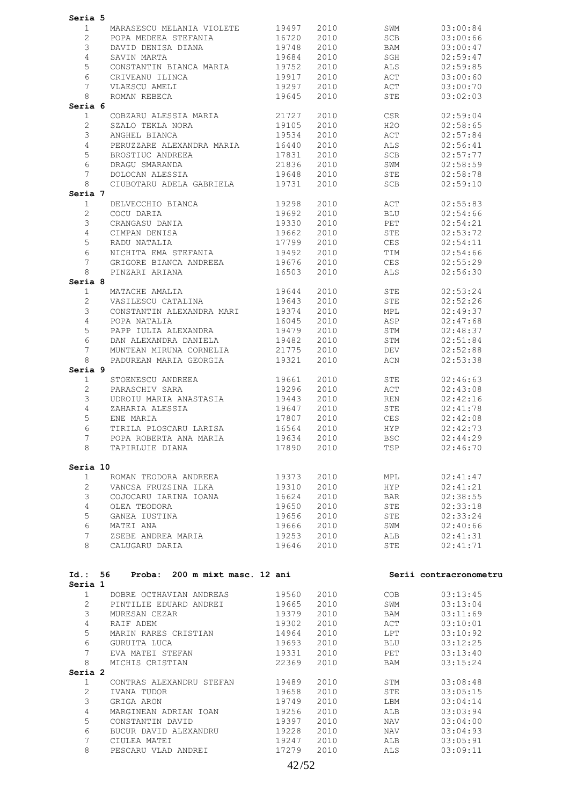| Seria 5               |                                                                    |            |      |            |                        |
|-----------------------|--------------------------------------------------------------------|------------|------|------------|------------------------|
| $\mathbf{1}$          | MARASESCU MELANIA VIOLETE 19497                                    |            | 2010 | SWM        | 03:00:84               |
| $\overline{2}$        | POPA MEDEEA STEFANIA 16720                                         |            | 2010 | SCB        | 03:00:66               |
| 3                     |                                                                    | 19748      | 2010 | BAM        | 03:00:47               |
|                       | DAVID DENISA DIANA                                                 |            |      |            |                        |
| $\overline{4}$        | SAVIN MARTA                                                        | 19684      | 2010 | SGH        | 02:59:47               |
| 5                     | CONSTANTIN BIANCA MARIA 19752                                      |            | 2010 | ALS        | 02:59:85               |
| 6                     |                                                                    |            | 2010 | ACT        | 03:00:60               |
| 7                     |                                                                    |            | 2010 | ACT        | 03:00:70               |
| 8                     | CRIVEANU ILINCA 19917<br>VLAESCU AMELI 19297<br>ROMAN REBECA 19645 |            | 2010 | STE        | 03:02:03               |
| Seria 6               |                                                                    |            |      |            |                        |
| 1                     | COBZARU ALESSIA MARIA 21727                                        |            | 2010 | CSR        | 02:59:04               |
| 2                     | SZALO TEKLA NORA<br>ANGHEL BIANCA                                  | 19105      | 2010 | H2O        | 02:58:65               |
|                       |                                                                    |            |      |            |                        |
| 3                     |                                                                    | 19534      | 2010 | ACT        | 02:57:84               |
| $\overline{4}$        | PERUZZARE ALEXANDRA MARIA 16440                                    |            | 2010 | ALS        | 02:56:41               |
| 5                     |                                                                    |            | 2010 | SCB        | 02:57:77               |
| 6                     | BROSTIUC ANDREEA 17831<br>DRAGU SMARANDA 21836                     |            | 2010 | SWM        | 02:58:59               |
| 7                     | DOLOCAN ALESSIA                                                    | 19648      | 2010 | STE        | 02:58:78               |
| 8                     | CIUBOTARU ADELA GABRIELA 19731                                     |            | 2010 | SCB        | 02:59:10               |
| Seria 7               |                                                                    |            |      |            |                        |
| $\mathbf 1$           |                                                                    |            | 2010 | ACT        | 02:55:83               |
|                       | DELVECCHIO BIANCA 19298                                            |            |      |            |                        |
| $\mathbf{2}^{\prime}$ |                                                                    |            | 2010 | <b>BLU</b> | 02:54:66               |
| 3                     |                                                                    |            | 2010 | PET        | 02:54:21               |
| $\overline{4}$        |                                                                    |            | 2010 | <b>STE</b> | 02:53:72               |
| 5                     |                                                                    | 17799      | 2010 | CES        | 02:54:11               |
| 6                     | NICHITA EMA STEFANIA                                               | 19492      | 2010 | TIM        | 02:54:66               |
| $7\phantom{.}$        | GRIGORE BIANCA ANDREEA 19676                                       |            | 2010 | <b>CES</b> | 02:55:29               |
| 8                     | PINZARI ARIANA                                                     | 16503      | 2010 | <b>ALS</b> | 02:56:30               |
|                       |                                                                    |            |      |            |                        |
| Seria 8               |                                                                    |            |      |            |                        |
| $\mathbf{1}$          | MATACHE AMALIA                                                     | 19644      | 2010 | STE        | 02:53:24               |
| $\mathbf{2}^{\prime}$ | VASILESCU CATALINA                                                 | 19643      | 2010 | STE        | 02:52:26               |
| 3                     | CONSTANTIN ALEXANDRA MARI<br>POPA NATALIA                          | 19374      | 2010 | MPL        | 02:49:37               |
| $\overline{4}$        | POPA NATALIA                                                       | 16045      | 2010 | ASP        | 02:47:68               |
| 5                     | PAPP IULIA ALEXANDRA 19479                                         |            | 2010 | STM        | 02:48:37               |
| 6                     |                                                                    | 19482      | 2010 | STM        | 02:51:84               |
| $\overline{7}$        | DAN ALEXANDRA DANIELA<br>MUNTEAN MIRUNA CORNELIA                   | 21775      | 2010 | DEV        | 02:52:88               |
|                       | PADUREAN MARIA GEORGIA 19321                                       |            |      |            |                        |
| 8                     |                                                                    |            | 2010 | ACN        | 02:53:38               |
| Seria 9               |                                                                    |            |      |            |                        |
| $\mathbf{1}$          | STOENESCU ANDREEA 19661<br>PARASCHIV SARA 19296                    |            | 2010 | STE        | 02:46:63               |
| $\overline{2}$        |                                                                    |            | 2010 | ACT        | 02:43:08               |
| 3                     | UDROIU MARIA ANASTASIA 19443                                       |            | 2010 | REN        | 02:42:16               |
| $\overline{4}$        |                                                                    | 19647      | 2010 | STE        | 02:41:78               |
| 5                     | ZAHARIA ALESSIA<br>ENE MARIA                                       | 17807      | 2010 | CES        | 02:42:08               |
| 6                     | TIRILA PLOSCARU LARISA 16564                                       |            | 2010 | <b>HYP</b> | 02:42:73               |
| 7 <sup>7</sup>        |                                                                    | 19634 2010 |      | <b>BSC</b> |                        |
|                       | POPA ROBERTA ANA MARIA                                             |            |      |            | 02:44:29               |
| 8                     | TAPIRLUIE DIANA                                                    | 17890      | 2010 | TSP        | 02:46:70               |
|                       |                                                                    |            |      |            |                        |
| Seria 10              |                                                                    |            |      |            |                        |
| $\mathbf{1}$          | ROMAN TEODORA ANDREEA                                              | 19373      | 2010 | MPL        | 02:41:47               |
| $\overline{2}$        | VANCSA FRUZSINA ILKA                                               | 19310      | 2010 | <b>HYP</b> | 02:41:21               |
| 3                     | COJOCARU IARINA IOANA                                              | 16624      | 2010 | BAR        | 02:38:55               |
| $\overline{4}$        | OLEA TEODORA                                                       | 19650      | 2010 | STE        | 02:33:18               |
| 5                     | GANEA IUSTINA                                                      | 19656      | 2010 | STE        | 02:33:24               |
| 6                     |                                                                    |            | 2010 |            |                        |
|                       | MATEI ANA                                                          | 19666      |      | SWM        | 02:40:66               |
| $7\phantom{.}$        | ZSEBE ANDREA MARIA                                                 | 19253      | 2010 | ALB        | 02:41:31               |
| 8                     | CALUGARU DARIA                                                     | 19646      | 2010 | STE        | 02:41:71               |
|                       |                                                                    |            |      |            |                        |
|                       |                                                                    |            |      |            |                        |
| Seria 1               | Id.: 56 Proba: 200 m mixt masc. 12 ani                             |            |      |            | Serii contracronometru |
| 1                     | DOBRE OCTHAVIAN ANDREAS                                            | 19560      | 2010 | COB        | 03:13:45               |
| $\overline{2}$        |                                                                    |            |      |            |                        |
|                       | PINTILIE EDUARD ANDREI                                             | 19665      | 2010 | SWM        | 03:13:04               |
| 3                     | MURESAN CEZAR                                                      | 19379      | 2010 | BAM        | 03:11:69               |
| $\overline{4}$        | RAIF ADEM                                                          | 19302      | 2010 | ACT        | 03:10:01               |
| 5                     | MARIN RARES CRISTIAN                                               | 14964      | 2010 | LPT        | 03:10:92               |
| 6                     | GURUITA LUCA                                                       | 19693      | 2010 | BLU        | 03:12:25               |
| $7\overline{ }$       | EVA MATEI STEFAN                                                   | 19331      | 2010 | PET        | 03:13:40               |
| 8                     | MICHIS CRISTIAN                                                    | 22369      | 2010 | BAM        | 03:15:24               |
| Seria 2               |                                                                    |            |      |            |                        |
| $\mathbf{1}$          | CONTRAS ALEXANDRU STEFAN 19489                                     |            | 2010 | STM        | 03:08:48               |
|                       |                                                                    |            |      |            |                        |
| $\overline{2}$        | IVANA TUDOR                                                        | 19658      | 2010 | STE        | 03:05:15               |
| 3                     | GRIGA ARON                                                         | 19749      | 2010 | LBM        | 03:04:14               |
| $\overline{4}$        | MARGINEAN ADRIAN IOAN                                              | 19256      | 2010 | ALB        | 03:03:94               |
| 5                     | CONSTANTIN DAVID                                                   | 19397      | 2010 | NAV        | 03:04:00               |
| 6                     | BUCUR DAVID ALEXANDRU                                              | 19228      | 2010 | NAV        | 03:04:93               |
| 7                     | CIULEA MATEI                                                       | 19247      | 2010 | ALB        | 03:05:91               |
| 8                     | PESCARU VLAD ANDREI                                                | 17279      | 2010 | ALS        | 03:09:11               |
|                       |                                                                    |            |      |            |                        |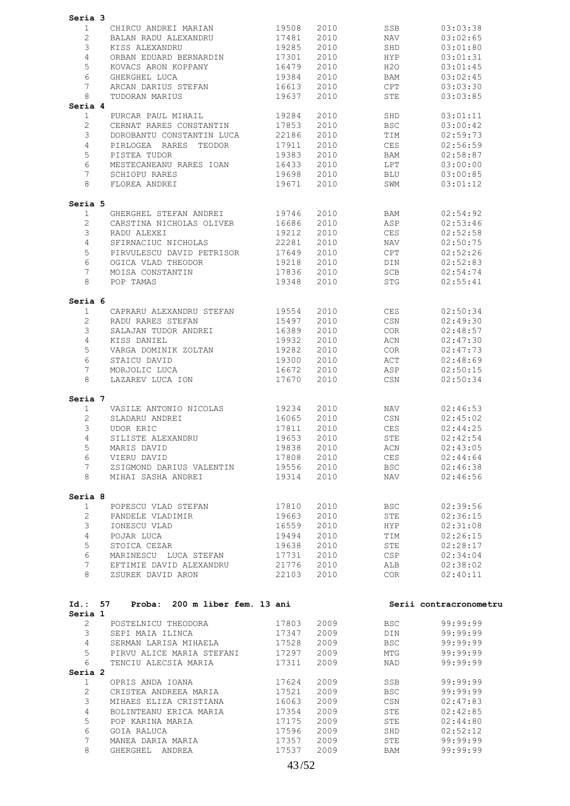| Seria 3                              |                                |       |      |            |                        |
|--------------------------------------|--------------------------------|-------|------|------------|------------------------|
| 1                                    | CHIRCU ANDREI MARIAN           | 19508 | 2010 | SSB        | 03:03:38               |
| $\overline{2}$                       | BALAN RADU ALEXANDRU           | 17481 | 2010 | NAV        | 03:02:65               |
| 3                                    |                                |       |      |            |                        |
|                                      | KISS ALEXANDRU                 | 19285 | 2010 | SHD        | 03:01:80               |
| 4                                    | ORBAN EDUARD BERNARDIN         | 17301 | 2010 | HYP        | 03:01:31               |
| 5                                    | KOVACS ARON KOPPANY            | 16479 | 2010 | H2O        | 03:01:45               |
| 6                                    | GHERGHEL LUCA                  | 19384 | 2010 | BAM        | 03:02:45               |
| 7                                    | ARCAN DARIUS STEFAN            | 16613 | 2010 | CPT        | 03:03:30               |
|                                      |                                |       |      |            |                        |
| 8                                    | TUDORAN MARIUS                 | 19637 | 2010 | STE        | 03:03:85               |
| Seria 4                              |                                |       |      |            |                        |
| $\mathbf{1}$                         | PURCAR PAUL MIHAIL             | 19284 | 2010 | SHD        | 03:01:11               |
| $\overline{2}$                       | CERNAT RARES CONSTANTIN        | 17853 | 2010 | <b>BSC</b> | 03:00:42               |
| 3                                    | DOROBANTU CONSTANTIN LUCA      | 22186 | 2010 | TIM        | 02:59:73               |
|                                      |                                |       |      |            |                        |
| 4                                    | PIRLOGEA RARES TEODOR          | 17911 | 2010 | CES        | 02:56:59               |
| 5                                    | PISTEA TUDOR                   | 19383 | 2010 | BAM        | 02:58:87               |
| 6                                    | MESTECANEANU RARES IOAN        | 16433 | 2010 | LPT        | 03:00:00               |
| 7                                    | SCHIOPU RARES                  | 19698 | 2010 | BLU        | 03:00:85               |
| 8                                    | FLOREA ANDREI                  | 19671 | 2010 | SWM        | 03:01:12               |
|                                      |                                |       |      |            |                        |
|                                      |                                |       |      |            |                        |
| Seria 5                              |                                |       |      |            |                        |
| $\mathbf{1}$                         | GHERGHEL STEFAN ANDREI         | 19746 | 2010 | BAM        | 02:54:92               |
| 2                                    | CARSTINA NICHOLAS OLIVER       | 16686 | 2010 | ASP        | 02:53:46               |
|                                      |                                |       |      |            |                        |
| 3                                    | RADU ALEXEI                    | 19212 | 2010 | <b>CES</b> | 02:52:58               |
| 4                                    | SFIRNACIUC NICHOLAS            | 22281 | 2010 | NAV        | 02:50:75               |
| 5                                    | PIRVULESCU DAVID PETRISOR      | 17649 | 2010 | CPT        | 02:52:26               |
| 6                                    | OGICA VLAD THEODOR             | 19218 | 2010 | DIN        | 02:52:83               |
| 7                                    | MOISA CONSTANTIN               | 17836 | 2010 | SCB        | 02:54:74               |
|                                      |                                |       |      |            |                        |
| 8                                    | POP TAMAS                      | 19348 | 2010 | <b>STG</b> | 02:55:41               |
|                                      |                                |       |      |            |                        |
| Seria 6                              |                                |       |      |            |                        |
| $\mathbf{1}$                         | CAPRARU ALEXANDRU STEFAN       | 19554 | 2010 | <b>CES</b> | 02:50:34               |
| $\overline{2}$                       | RADU RARES STEFAN              | 15497 | 2010 | CSN        | 02:49:30               |
|                                      |                                |       |      |            |                        |
| 3                                    | SALAJAN TUDOR ANDREI           | 16389 | 2010 | <b>COR</b> | 02:48:57               |
| 4                                    | KISS DANIEL                    | 19932 | 2010 | ACN        | 02:47:30               |
| 5                                    | VARGA DOMINIK ZOLTAN           | 19282 | 2010 | <b>COR</b> | 02:47:73               |
| 6                                    | STAICU DAVID                   | 19300 | 2010 | ACT        | 02:48:69               |
| 7                                    | MORJOLIC LUCA                  | 16672 | 2010 | ASP        | 02:50:15               |
|                                      |                                |       |      |            |                        |
| 8                                    | LAZAREV LUCA ION               | 17670 | 2010 | CSN        | 02:50:34               |
|                                      |                                |       |      |            |                        |
| Seria 7                              |                                |       |      |            |                        |
| $\mathbf{1}$                         | VASILE ANTONIO NICOLAS         | 19234 | 2010 | NAV        | 02:46:53               |
| 2                                    | SLADARU ANDREI                 | 16065 | 2010 | CSN        | 02:45:02               |
| 3                                    |                                |       |      |            |                        |
|                                      | UDOR ERIC                      | 17811 | 2010 | CES        | 02:44:25               |
| 4                                    | SILISTE ALEXANDRU              | 19653 | 2010 | STE        | 02:42:54               |
| 5                                    | MARIS DAVID                    | 19838 | 2010 | ACN        | 02:43:05               |
| 6                                    | VIERU DAVID                    | 17808 | 2010 | CES        | 02:44:64               |
| 7                                    | ZSIGMOND DARIUS VALENTIN       | 19556 | 2010 | BSC        | 02:46:38               |
|                                      |                                |       |      |            |                        |
| 8                                    | MIHAI SASHA ANDREI             | 19314 | 2010 | NAV        | 02:46:56               |
|                                      |                                |       |      |            |                        |
| Seria 8                              |                                |       |      |            |                        |
| $\mathbf{1}$                         | POPESCU VLAD STEFAN            | 17810 | 2010 | BSC        | 02:39:56               |
| $\overline{2}$                       |                                |       |      |            | 02:36:15               |
|                                      | PANDELE VLADIMIR               | 19663 | 2010 | STE        |                        |
| 3                                    | IONESCU VLAD                   | 16559 | 2010 | <b>HYP</b> | 02:31:08               |
| $\overline{4}$                       | POJAR LUCA                     | 19494 | 2010 | TIM        | 02:26:15               |
| 5                                    | STOICA CEZAR                   | 19638 | 2010 | STE        | 02:28:17               |
| 6                                    | MARINESCU LUCA STEFAN          | 17731 | 2010 | CSP        | 02:34:04               |
| $7\phantom{.}$                       |                                |       |      |            |                        |
|                                      | EFTIMIE DAVID ALEXANDRU        | 21776 | 2010 | ALB        | 02:38:02               |
| 8                                    | ZSUREK DAVID ARON              | 22103 | 2010 | COR        | 02:40:11               |
|                                      |                                |       |      |            |                        |
|                                      |                                |       |      |            |                        |
|                                      |                                |       |      |            |                        |
|                                      |                                |       |      |            |                        |
|                                      | Proba: 200 m liber fem. 13 ani |       |      |            | Serii contracronometru |
|                                      |                                |       |      |            |                        |
| Id.: 57<br>Seria 1<br>$\overline{2}$ | POSTELNICU THEODORA            | 17803 | 2009 | BSC        | 99:99:99               |
| 3                                    | SEPI MAIA ILINCA               | 17347 | 2009 | DIN        | 99:99:99               |
| 4                                    | SERMAN LARISA MIHAELA          | 17528 | 2009 | BSC        | 99:99:99               |
|                                      |                                |       |      |            |                        |
| 5                                    | PIRVU ALICE MARIA STEFANI      | 17297 | 2009 | MTG        | 99:99:99               |
| 6                                    | TENCIU ALECSIA MARIA           | 17311 | 2009 | NAD        | 99:99:99               |
| Seria 2                              |                                |       |      |            |                        |
| $\mathbf{1}$                         | OPRIS ANDA IOANA               | 17624 | 2009 | SSB        | 99:99:99               |
|                                      |                                |       |      |            |                        |
| $\overline{2}$                       | CRISTEA ANDREEA MARIA          | 17521 | 2009 | <b>BSC</b> | 99:99:99               |
| 3                                    | MIHAES ELIZA CRISTIANA         | 16063 | 2009 | CSN        | 02:47:83               |
| 4                                    | BOLINTEANU ERICA MARIA         | 17354 | 2009 | STE        | 02:42:85               |
| 5                                    | POP KARINA MARIA               | 17175 | 2009 | STE        | 02:44:80               |
| 6                                    | GOIA RALUCA                    | 17596 | 2009 | SHD        | 02:52:12               |
|                                      |                                |       |      |            |                        |
| 7                                    | MANEA DARIA MARIA              | 17357 | 2009 | STE        | 99:99:99               |
| 8                                    | GHERGHEL ANDREA                | 17537 | 2009 | BAM        | 99:99:99               |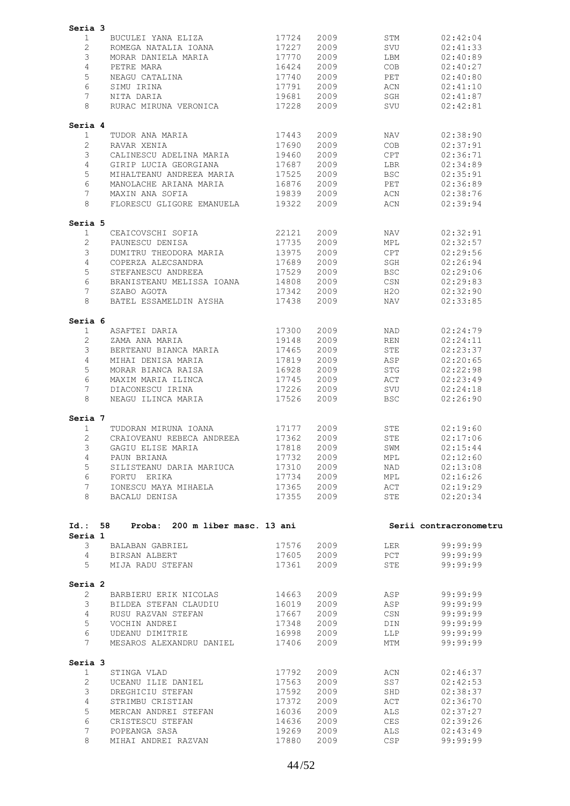| Seria 3        |                                      |                |              |            |                        |
|----------------|--------------------------------------|----------------|--------------|------------|------------------------|
| 1              | BUCULEI YANA ELIZA                   | 17724          | 2009         | STM        | 02:42:04               |
| $\overline{2}$ | ROMEGA NATALIA IOANA                 | 17227          | 2009         | SVU        | 02:41:33               |
| 3              | MORAR DANIELA MARIA                  | 17770          | 2009         | LBM        | 02:40:89               |
| 4              | PETRE MARA                           | 16424          | 2009         | <b>COB</b> | 02:40:27               |
| 5              | NEAGU CATALINA                       | 17740          | 2009         | PET        | 02:40:80               |
| 6              | SIMU IRINA                           | 17791          | 2009         | ACN        | 02:41:10               |
| 7              | NITA DARIA                           | 19681          | 2009         | SGH        | 02:41:87               |
| 8              | RURAC MIRUNA VERONICA                | 17228          | 2009         | SVU        | 02:42:81               |
|                |                                      |                |              |            |                        |
| Seria 4        |                                      |                |              |            |                        |
| 1              | TUDOR ANA MARIA                      | 17443          | 2009         | NAV        | 02:38:90               |
| $\overline{2}$ | RAVAR XENIA                          | 17690          | 2009         | <b>COB</b> | 02:37:91               |
| 3              | CALINESCU ADELINA MARIA              | 19460          | 2009         | CPT        | 02:36:71               |
| 4              | GIRIP LUCIA GEORGIANA                | 17687          | 2009         | <b>LBR</b> | 02:34:89               |
| 5              | MIHALTEANU ANDREEA MARIA             | 17525          | 2009         | <b>BSC</b> | 02:35:91               |
| 6              | MANOLACHE ARIANA MARIA               | 16876          | 2009         | PET        | 02:36:89               |
| 7              | MAXIN ANA SOFIA                      | 19839          | 2009         | ACN        | 02:38:76               |
| 8              | FLORESCU GLIGORE EMANUELA            | 19322          | 2009         | ACN        | 02:39:94               |
| Seria 5        |                                      |                |              |            |                        |
| $\mathbf{1}$   | CEAICOVSCHI SOFIA                    | 22121          | 2009         | <b>NAV</b> | 02:32:91               |
| 2              | PAUNESCU DENISA                      | 17735          | 2009         | MPL        | 02:32:57               |
| 3              | DUMITRU THEODORA MARIA               | 13975          | 2009         | CPT        | 02:29:56               |
| 4              | COPERZA ALECSANDRA                   | 17689          | 2009         | SGH        | 02:26:94               |
| 5              | STEFANESCU ANDREEA                   | 17529          | 2009         | <b>BSC</b> | 02:29:06               |
| 6              | BRANISTEANU MELISSA IOANA            | 14808          | 2009         | CSN        | 02:29:83               |
| 7              |                                      |                |              |            |                        |
|                | SZABO AGOTA                          | 17342          | 2009         | H2O        | 02:32:90               |
| 8              | BATEL ESSAMELDIN AYSHA               | 17438          | 2009         | NAV        | 02:33:85               |
| Seria 6        |                                      |                |              |            |                        |
| 1              | ASAFTEI DARIA                        | 17300          | 2009         | NAD        | 02:24:79               |
| $\overline{2}$ | ZAMA ANA MARIA                       | 19148          | 2009         | <b>REN</b> | 02:24:11               |
| 3              | BERTEANU BIANCA MARIA                | 17465          | 2009         | STE        | 02:23:37               |
| 4              | MIHAI DENISA MARIA                   | 17819          | 2009         | ASP        | 02:20:65               |
| 5              | MORAR BIANCA RAISA                   | 16928          | 2009         | <b>STG</b> | 02:22:98               |
| 6              | MAXIM MARIA ILINCA                   | 17745          | 2009         | ACT        | 02:23:49               |
| 7              | DIACONESCU IRINA                     | 17226          | 2009         | SVU        | 02:24:18               |
| 8              | NEAGU ILINCA MARIA                   | 17526          | 2009         | <b>BSC</b> | 02:26:90               |
| Seria 7        |                                      |                |              |            |                        |
| 1              | TUDORAN MIRUNA IOANA                 | 17177          | 2009         | STE        | 02:19:60               |
| 2              | CRAIOVEANU REBECA ANDREEA            | 17362          | 2009         | STE        | 02:17:06               |
| 3              | GAGIU ELISE MARIA                    | 17818          | 2009         | SWM        | 02:15:44               |
| 4              | PAUN BRIANA                          | 17732          | 2009         | MPL        | 02:12:60               |
| 5              | SILISTEANU DARIA MARIUCA             | 17310          | 2009         | NAD        | 02:13:08               |
| 6              | FORTU ERIKA                          | 17734          | 2009         | MPL        | 02:16:26               |
| 7              | IONESCU MAYA MIHAELA                 | 17365          | 2009         | ACT        | 02:19:29               |
| 8              | BACALU DENISA                        | 17355          | 2009         | STE        | 02:20:34               |
|                |                                      |                |              |            |                        |
| Id.: 58        | Proba: 200 m liber masc. 13 ani      |                |              |            | Serii contracronometru |
| Seria 1<br>3   | BALABAN GABRIEL                      |                | 2009         |            | 99:99:99               |
| 4              |                                      | 17576          |              | LER<br>PCT |                        |
| 5              | BIRSAN ALBERT<br>MIJA RADU STEFAN    | 17605<br>17361 | 2009<br>2009 | STE        | 99:99:99<br>99:99:99   |
|                |                                      |                |              |            |                        |
| Seria 2        |                                      |                |              |            |                        |
| $\mathbf{2}$   | BARBIERU ERIK NICOLAS                | 14663          | 2009         | ASP        | 99:99:99               |
| 3              | BILDEA STEFAN CLAUDIU                | 16019          | 2009         | ASP        | 99:99:99               |
| $\overline{4}$ | RUSU RAZVAN STEFAN                   | 17667          | 2009         | CSN        | 99:99:99               |
|                | VOCHIN ANDREI                        | 17348          | 2009         | DIN        | 99:99:99               |
| 5              |                                      |                |              | LLP        | 99:99:99               |
| 6              | UDEANU DIMITRIE                      | 16998          | 2009         |            |                        |
| $7\phantom{.}$ | MESAROS ALEXANDRU DANIEL             | 17406          | 2009         | MTM        | 99:99:99               |
|                |                                      |                |              |            |                        |
| 1              | STINGA VLAD                          | 17792          | 2009         | ACN        | 02:46:37               |
| $\overline{2}$ | UCEANU ILIE DANIEL                   | 17563          | 2009         | SS7        | 02:42:53               |
| 3              |                                      | 17592          | 2009         | SHD        | 02:38:37               |
| Seria 3<br>4   | DREGHICIU STEFAN<br>STRIMBU CRISTIAN | 17372          | 2009         |            |                        |
|                |                                      |                |              | ACT        | 02:36:70               |
| 5              | MERCAN ANDREI STEFAN                 | 16036          | 2009         | ALS.       | 02:37:27               |
| 6              | CRISTESCU STEFAN                     | 14636          | 2009         | CES        | 02:39:26               |
| 7<br>8         | POPEANGA SASA<br>MIHAI ANDREI RAZVAN | 19269<br>17880 | 2009<br>2009 | ALS<br>CSP | 02:43:49<br>99:99:99   |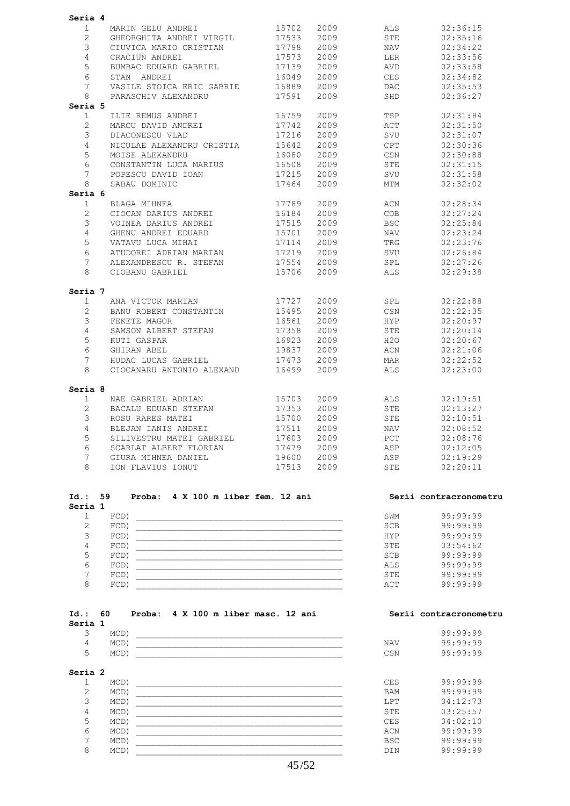| Seria 4               |                                 |       |      |            |          |
|-----------------------|---------------------------------|-------|------|------------|----------|
| $\mathbf{1}$          | MARIN GELU ANDREI               | 15702 | 2009 | ALS        | 02:36:15 |
| $\mathbf{2}^{\prime}$ | GHEORGHITA ANDREI VIRGIL        | 17533 | 2009 | STE        | 02:35:16 |
| 3                     | CIUVICA MARIO CRISTIAN          | 17798 | 2009 | <b>NAV</b> | 02:34:22 |
| 4                     | CRACIUN ANDREI                  | 17573 | 2009 | LER        | 02:33:56 |
| 5                     | BUMBAC EDUARD GABRIEL           | 17139 | 2009 | AVD        | 02:33:58 |
| 6                     | STAN ANDREI                     | 16049 | 2009 | CES        | 02:34:82 |
| 7                     | VASILE STOICA ERIC GABRIE       | 16889 | 2009 | <b>DAC</b> | 02:35:53 |
| 8                     | PARASCHIV ALEXANDRU             | 17591 | 2009 | SHD        | 02:36:27 |
| Seria 5               |                                 |       |      |            |          |
| $\mathbf{1}$          | ILIE REMUS ANDREI               | 16759 | 2009 | TSP        | 02:31:84 |
| $\mathbf{2}$          | MARCU DAVID ANDREI              | 17742 | 2009 | ACT        | 02:31:50 |
| 3                     | DIACONESCU VLAD                 | 17216 | 2009 | SVU        | 02:31:07 |
| 4                     | NICULAE ALEXANDRU CRISTIA       | 15642 | 2009 | CPT        | 02:30:36 |
| 5                     | MOISE ALEXANDRU                 | 16080 | 2009 | CSN        | 02:30:88 |
| 6                     | CONSTANTIN LUCA MARIUS          | 16508 | 2009 | <b>STE</b> | 02:31:15 |
| 7                     | POPESCU DAVID IOAN              | 17215 | 2009 | SVU        | 02:31:58 |
| 8                     | SABAU DOMINIC                   | 17464 | 2009 | MTM        | 02:32:02 |
| Seria 6               |                                 |       |      |            |          |
| $\mathbf{1}$          | BLAGA MIHNEA                    | 17789 | 2009 | ACN        | 02:28:34 |
| 2                     | CIOCAN DARIUS ANDREI            | 16184 | 2009 | COB        | 02:27:24 |
| 3                     | VOINEA DARIUS ANDREI            | 17515 | 2009 | <b>BSC</b> | 02:25:84 |
| 4                     | GHENU ANDREI EDUARD             | 15701 | 2009 | NAV        | 02:23:24 |
| 5                     | VATAVU LUCA MIHAI               | 17114 | 2009 | TRG        | 02:23:76 |
| 6                     | ATUDOREI ADRIAN MARIAN          | 17219 | 2009 | SVU        | 02:26:84 |
| 7                     | ALEXANDRESCU R. STEFAN          | 17554 | 2009 | SPL        | 02:27:26 |
| 8                     | CIOBANU GABRIEL                 | 15706 | 2009 | <b>ALS</b> | 02:29:38 |
| Seria 7               |                                 |       |      |            |          |
| $\mathbf{1}$          | ANA VICTOR MARIAN               | 17727 | 2009 | SPL        | 02:22:88 |
| $\overline{2}$        | BANU ROBERT CONSTANTIN          | 15495 | 2009 | CSN        | 02:22:35 |
| 3                     | FEKETE MAGOR                    | 16561 | 2009 | HYP        | 02:20:97 |
| 4                     | SAMSON ALBERT STEFAN            | 17358 | 2009 | STE        | 02:20:14 |
| 5                     | KUTI GASPAR                     | 16923 | 2009 | H2O        | 02:20:67 |
| 6                     | GHIRAN ABEL                     | 19837 | 2009 | ACN        | 02:21:06 |
| 7                     | HUDAC LUCAS GABRIEL             | 17473 | 2009 | MAR        | 02:22:52 |
| 8                     | CIOCANARU ANTONIO ALEXAND 16499 |       | 2009 | ALS        | 02:23:00 |
| Seria 8               |                                 |       |      |            |          |
| $\mathbf{1}$          | NAE GABRIEL ADRIAN              | 15703 | 2009 | ALS        | 02:19:51 |
| $\overline{2}$        | BACALU EDUARD STEFAN            | 17353 | 2009 | STE        | 02:13:27 |
| 3                     | ROSU RARES MATEI                | 15700 | 2009 | STE        | 02:10:51 |
| 4                     | BLEJAN IANIS ANDREI             | 17511 | 2009 | NAV        | 02:08:52 |
| 5                     | SILIVESTRU MATEI GABRIEL        | 17603 | 2009 | PCT        | 02:08:76 |
| 6                     | SCARLAT ALBERT FLORIAN          | 17479 | 2009 | ASP        | 02:12:05 |
| 7                     | GIURA MIHNEA DANIEL             | 19600 | 2009 | ASP        | 02:19:29 |
| $\mathsf{R}$          | ION FLAVIUS IONUT               | 17513 | 2009 | <b>STE</b> | 02:20:11 |

| $Id.$ :<br>Seria 1 | 59<br>Proba: | 4 X 100 m liber fem. 12 ani |            | Serii contracronometru |
|--------------------|--------------|-----------------------------|------------|------------------------|
|                    | $FCD$ )      |                             | SWM        | 99:99:99               |
|                    | $FCD$ )      |                             | <b>SCB</b> | 99:99:99               |
| Ç                  | $FCD$ )      |                             | <b>HYP</b> | 99:99:99               |
| 4                  | $FCD$ )      |                             | <b>STE</b> | 03:54:62               |
|                    | $FCD$ )      |                             | <b>SCB</b> | 99:99:99               |
| 6                  | $FCD$ )      |                             | <b>ALS</b> | 99:99:99               |
|                    | $FCD$ )      |                             | <b>STE</b> | 99:99:99               |
| 8                  | FCD          |                             | ACT        | 99:99:99               |

| $Id.$ : | -60     | Proba: 4 X 100 m liber masc. 12 ani |  |  |  |     | Serii contracronometru |
|---------|---------|-------------------------------------|--|--|--|-----|------------------------|
| Seria 1 |         |                                     |  |  |  |     |                        |
|         | MCD)    |                                     |  |  |  |     | 99:99:99               |
| 4       | $MCD$ ) |                                     |  |  |  | NAV | 99.99.99               |
| ∽       | $MCD$ ) |                                     |  |  |  | CSN | 99.99.99               |
|         |         |                                     |  |  |  |     |                        |

### **Seria 2**

|  | $MCD$ ) | <b>CES</b> | 99:99:99 |
|--|---------|------------|----------|
|  | MCD     | <b>BAM</b> | 99:99:99 |
|  | MCD     | <b>LPT</b> | 04:12:73 |
|  | MCD     | STE        | 03:25:57 |
|  | MCD     | <b>CES</b> | 04:02:10 |
|  | MCD     | ACN        | 99:99:99 |
|  | MCD     | <b>BSC</b> | 99:99:99 |
|  | MCD     | <b>DIN</b> | 99:99:99 |
|  |         |            |          |

| Serii contracronometru |  |
|------------------------|--|
|------------------------|--|

| v   | 99:99:99<br>99:99:99 |
|-----|----------------------|
|     |                      |
| 'N  | 99:99:99             |
| ١S  | 99:99:99             |
|     |                      |
| M   | 99:99:99             |
| T   | 04:12:73             |
| 'E  | 03:25:57             |
| ١S  | 04:02:10             |
| 'N  | 99:99:99             |
| ۱C. | 99:99:99             |
| 'N  | 99:99:99             |
|     |                      |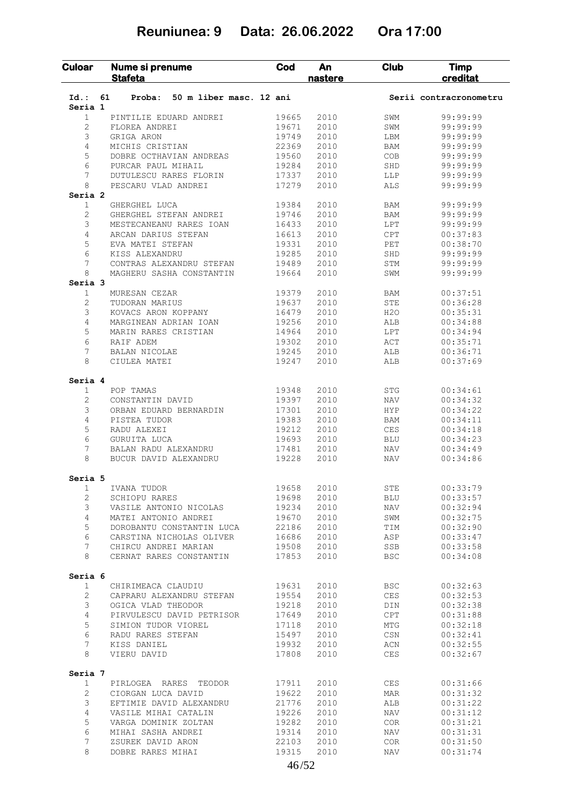## **Reuniunea: 9 Data: 26.06.2022 Ora 17:00**

| Culoar             | Nume si prenume<br><b>Stafeta</b>                 | Cod            | An<br>nastere | <b>Club</b>       | <b>Timp</b><br>creditat |
|--------------------|---------------------------------------------------|----------------|---------------|-------------------|-------------------------|
| $Id.$ :<br>Seria 1 | 50 m liber masc. 12 ani<br>61<br>Proba:           |                |               |                   | Serii contracronometru  |
| 1                  | PINTILIE EDUARD ANDREI                            | 19665          | 2010          | SWM               | 99:99:99                |
| 2                  | FLOREA ANDREI                                     | 19671          | 2010          | SWM               | 99:99:99                |
| 3                  | GRIGA ARON                                        | 19749          | 2010          | LBM               | 99:99:99                |
| 4                  | MICHIS CRISTIAN                                   | 22369          | 2010          | <b>BAM</b>        | 99:99:99                |
| 5                  | DOBRE OCTHAVIAN ANDREAS                           | 19560          | 2010          | COB               | 99:99:99                |
| 6                  | PURCAR PAUL MIHAIL                                | 19284          | 2010          | SHD               | 99:99:99                |
| 7                  | DUTULESCU RARES FLORIN                            | 17337          | 2010          | LLP               | 99:99:99                |
| 8                  | PESCARU VLAD ANDREI                               | 17279          | 2010          | <b>ALS</b>        | 99:99:99                |
| Seria <sub>2</sub> |                                                   |                |               |                   |                         |
| $\mathbf{1}$       | GHERGHEL LUCA                                     | 19384          | 2010          | <b>BAM</b>        | 99:99:99                |
| 2                  | GHERGHEL STEFAN ANDREI                            | 19746          | 2010          | <b>BAM</b>        | 99:99:99                |
| 3                  | MESTECANEANU RARES IOAN                           | 16433          | 2010          | LPT               | 99:99:99                |
| 4                  | ARCAN DARIUS STEFAN                               | 16613          | 2010          | <b>CPT</b>        | 00:37:83                |
| 5                  | EVA MATEI STEFAN                                  | 19331          | 2010          | PET               | 00:38:70                |
| 6                  | KISS ALEXANDRU                                    | 19285          | 2010          | SHD               | 99:99:99                |
| 7                  | CONTRAS ALEXANDRU STEFAN                          | 19489          | 2010          | STM               | 99:99:99                |
| 8<br>Seria 3       | MAGHERU SASHA CONSTANTIN                          | 19664          | 2010          | SWM               | 99:99:99                |
| $\mathbf{1}$       | MURESAN CEZAR                                     | 19379          | 2010          | BAM               | 00:37:51                |
| $\overline{2}$     |                                                   | 19637          | 2010          | STE               | 00:36:28                |
| 3                  | TUDORAN MARIUS<br>KOVACS ARON KOPPANY             | 16479          | 2010          | H2O               | 00:35:31                |
| 4                  | MARGINEAN ADRIAN IOAN                             | 19256          | 2010          | ALB               | 00:34:88                |
| 5                  | MARIN RARES CRISTIAN                              | 14964          | 2010          | LPT               | 00:34:94                |
| 6                  | RAIF ADEM                                         | 19302          | 2010          | ACT               | 00:35:71                |
| 7                  | BALAN NICOLAE                                     | 19245          | 2010          | ALB               | 00:36:71                |
| 8                  | CIULEA MATEI                                      | 19247          | 2010          | <b>ALB</b>        | 00:37:69                |
|                    |                                                   |                |               |                   |                         |
| Seria 4            |                                                   |                |               |                   |                         |
| $\mathbf{1}$       | POP TAMAS                                         | 19348          | 2010          | STG               | 00:34:61                |
| 2                  | CONSTANTIN DAVID                                  | 19397          | 2010          | <b>NAV</b>        | 00:34:32                |
| 3                  | ORBAN EDUARD BERNARDIN                            | 17301          | 2010          | <b>HYP</b>        | 00:34:22                |
| 4                  | PISTEA TUDOR                                      | 19383          | 2010          | BAM               | 00:34:11                |
| 5<br>6             | RADU ALEXEI                                       | 19212          | 2010          | <b>CES</b>        | 00:34:18                |
| 7                  | GURUITA LUCA                                      | 19693          | 2010          | BLU               | 00:34:23                |
| 8                  | BALAN RADU ALEXANDRU<br>BUCUR DAVID ALEXANDRU     | 17481<br>19228 | 2010<br>2010  | NAV<br><b>NAV</b> | 00:34:49<br>00:34:86    |
|                    |                                                   |                |               |                   |                         |
| Seria 5            |                                                   |                |               |                   |                         |
| 1                  | IVANA TUDOR                                       | 19658          | 2010          | STE               | 00:33:79                |
| 2<br>3             | SCHIOPU RARES                                     | 19698          | 2010          | <b>BLU</b>        | 00:33:57                |
|                    | VASILE ANTONIO NICOLAS                            | 19234          | 2010          | NAV               | 00:32:94                |
| 4<br>5             | MATEI ANTONIO ANDREI<br>DOROBANTU CONSTANTIN LUCA | 19670<br>22186 | 2010<br>2010  | SWM<br>TIM        | 00:32:75<br>00:32:90    |
| 6                  | CARSTINA NICHOLAS OLIVER                          | 16686          | 2010          | ASP               | 00:33:47                |
| $7\phantom{.0}$    | CHIRCU ANDREI MARIAN                              | 19508          | 2010          | SSB               | 00:33:58                |
| 8                  | CERNAT RARES CONSTANTIN                           | 17853          | 2010          | <b>BSC</b>        | 00:34:08                |
| Seria 6            |                                                   |                |               |                   |                         |
| $\mathbf{1}$       | CHIRIMEACA CLAUDIU                                | 19631          | 2010          | BSC               | 00:32:63                |
| $\mathbf{2}$       | CAPRARU ALEXANDRU STEFAN                          | 19554          | 2010          | CES               | 00:32:53                |
| 3                  | OGICA VLAD THEODOR                                | 19218          | 2010          | DIN               | 00:32:38                |
| 4                  | PIRVULESCU DAVID PETRISOR                         | 17649          | 2010          | CPT               | 00:31:88                |
| 5                  | SIMION TUDOR VIOREL                               | 17118          | 2010          | MTG               | 00:32:18                |
| 6                  | RADU RARES STEFAN                                 | 15497          | 2010          | CSN               | 00:32:41                |
| 7                  | KISS DANIEL                                       | 19932          | 2010          | ACN               | 00:32:55                |
| 8                  | VIERU DAVID                                       | 17808          | 2010          | CES               | 00:32:67                |
| Seria 7            |                                                   |                |               |                   |                         |
|                    | PIRLOGEA RARES TEODOR                             | 17911          | 2010          | CES               | 00:31:66                |
| $\mathbf{1}$       |                                                   |                | 2010          | MAR               | 00:31:32                |
| 2                  | CIORGAN LUCA DAVID                                | 19622          |               |                   |                         |
| 3                  | EFTIMIE DAVID ALEXANDRU                           | 21776          | 2010          | ALB               | 00:31:22                |
| 4                  | VASILE MIHAI CATALIN                              | 19226          | 2010          | NAV               | 00:31:12                |
| 5                  | VARGA DOMINIK ZOLTAN                              | 19282          | 2010          | COR               | 00:31:21                |
| 6                  | MIHAI SASHA ANDREI                                | 19314          | 2010          | NAV               | 00:31:31                |
| 7                  | ZSUREK DAVID ARON                                 | 22103          | 2010          | COR               | 00:31:50                |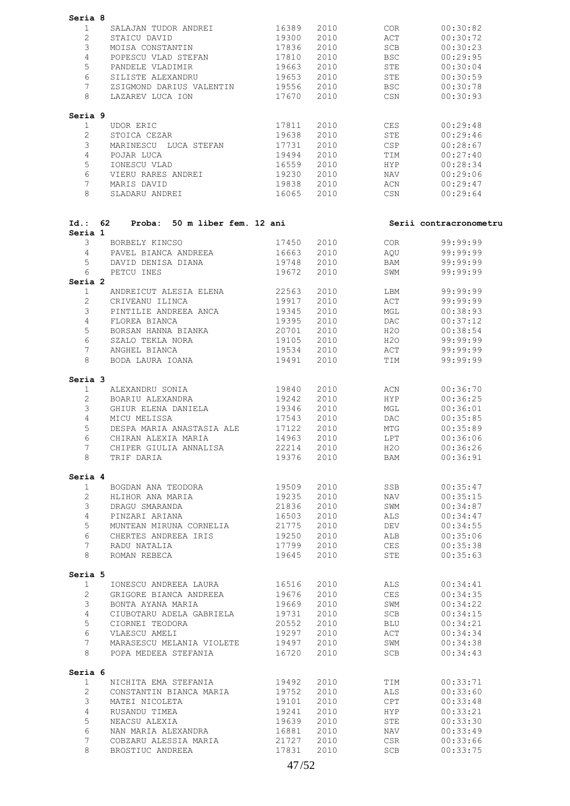| Seria 8                 |                                                         |                |              |                   |                        |
|-------------------------|---------------------------------------------------------|----------------|--------------|-------------------|------------------------|
| $\mathbf{1}$            | SALAJAN TUDOR ANDREI                                    | 16389          | 2010         | COR               | 00:30:82               |
| $\overline{2}$          | STAICU DAVID                                            | 19300          | 2010         | ACT               | 00:30:72               |
| 3                       | MOISA CONSTANTIN                                        | 17836          | 2010         | SCB               | 00:30:23               |
| $\overline{4}$          | POPESCU VLAD STEFAN                                     | 17810          | 2010         | BSC               | 00:29:95               |
| 5                       | PANDELE VLADIMIR                                        | 19663          | 2010         | STE               | 00:30:04               |
| 6                       | SILISTE ALEXANDRU                                       | 19653          | 2010         | STE               | 00:30:59               |
| 7<br>8                  | ZSIGMOND DARIUS VALENTIN 19556<br>LAZAREV LUCA ION      | 17670          | 2010<br>2010 | <b>BSC</b><br>CSN | 00:30:78<br>00:30:93   |
|                         |                                                         |                |              |                   |                        |
| Seria 9<br>$\mathbf{1}$ | UDOR ERIC                                               | 17811          | 2010         | CES               | 00:29:48               |
| $\overline{2}$          | STOICA CEZAR                                            | 19638          | 2010         | STE               | 00:29:46               |
| 3                       | MARINESCU LUCA STEFAN 17731                             |                | 2010         | CSP               | 00:28:67               |
| $\overline{4}$          | POJAR LUCA                                              | 19494          | 2010         | TIM               | 00:27:40               |
| 5                       | IONESCU VLAD                                            | 16559          | 2010         | HYP               | 00:28:34               |
| 6<br>$7\overline{ }$    | VIERU RARES ANDREI                                      | 19230          | 2010         | NAV               | 00:29:06               |
| 8                       | MARIS DAVID<br>SLADARU ANDREI                           | 19838<br>16065 | 2010<br>2010 | ACN<br>CSN        | 00:29:47<br>00:29:64   |
|                         |                                                         |                |              |                   |                        |
| Id.: 62<br>Seria 1      | Proba: 50 m liber fem. 12 ani                           |                |              |                   | Serii contracronometru |
| 3                       | BORBELY KINCSO                                          | 17450          | 2010         | COR               | 99:99:99               |
| $\overline{4}$          | PAVEL BIANCA ANDREEA                                    | 16663          | 2010         | AQU               | 99:99:99               |
| 5<br>6                  | DAVID DENISA DIANA                                      | 19748          | 2010<br>2010 | BAM               | 99:99:99               |
| Seria 2                 | PETCU INES                                              | 19672          |              | SWM               | 99:99:99               |
| $\mathbf{1}$            | ANDREICUT ALESIA ELENA                                  | 22563          | 2010         | LBM               | 99:99:99               |
| $\overline{2}$          | CRIVEANU ILINCA                                         | 19917          | 2010         | ACT               | 99:99:99               |
| 3                       | PINTILIE ANDREEA ANCA                                   | 19345          | 2010         | MGL               | 00:38:93               |
| 4                       | FLOREA BIANCA                                           | 19395          | 2010         | DAC               | 00:37:12               |
| 5                       | BORSAN HANNA BIANKA                                     | 20701          | 2010         | H2O               | 00:38:54               |
| 6                       | SZALO TEKLA NORA                                        | 19105          | 2010         | H2O               | 99:99:99               |
| 7<br>8                  | ANGHEL BIANCA<br>BODA LAURA IOANA                       | 19534<br>19491 | 2010<br>2010 | ACT<br>TIM        | 99:99:99<br>99:99:99   |
| Seria 3                 |                                                         |                |              |                   |                        |
| $\mathbf{1}$            | ALEXANDRU SONIA                                         | 19840          | 2010         | ACN               | 00:36:70               |
| $\overline{2}$          | BOARIU ALEXANDRA                                        | 19242          | 2010         | <b>HYP</b>        | 00:36:25               |
| 3                       | GHIUR ELENA DANIELA                                     | 19346          | 2010         | MGL               | 00:36:01               |
| 4                       | MICU MELISSA                                            | 17543          | 2010         | DAC               | 00:35:85               |
| 5                       | DESPA MARIA ANASTASIA ALE                               | 17122          | 2010         | MTG               | 00:35:89               |
| 6                       | CHIRAN ALEXIA MARIA                                     | 14963 2010     |              | LPT               | 00:36:06               |
| $7^{\circ}$<br>8        | CHIPER GIULIA ANNALISA 22214 2010<br>TRIF DARIA         |                | 19376 2010   | H2O<br><b>BAM</b> | 00:36:26<br>00:36:91   |
|                         |                                                         |                |              |                   |                        |
| Seria 4<br>1            | BOGDAN ANA TEODORA                                      | 19509          | 2010         | SSB               | 00:35:47               |
| $\overline{2}$          | HLIHOR ANA MARIA                                        | 19235          | 2010         | NAV               | 00:35:15               |
| $\mathfrak{Z}$          | DRAGU SMARANDA                                          | 21836          | 2010         | SWM               | 00:34:87               |
| $4\overline{ }$         | PINZARI ARIANA                                          | 16503          | 2010         | ALS               | 00:34:47               |
| 5                       | MUNTEAN MIRUNA CORNELIA                                 | 21775          | 2010         | DEV               | 00:34:55               |
| 6                       | CHERTES ANDREEA IRIS                                    | 19250          | 2010         | ALB               | 00:35:06               |
| 7 <sup>7</sup>          | RADU NATALIA                                            | 17799          | 2010         | <b>CES</b>        | 00:35:38               |
| 8                       | ROMAN REBECA                                            | 19645          | 2010         | STE               | 00:35:63               |
| Seria 5<br>$\mathbf{1}$ | IONESCU ANDREEA LAURA                                   |                | 2010         | ALS               | 00:34:41               |
| $\overline{2}$          | GRIGORE BIANCA ANDREEA                                  | 16516<br>19676 | 2010         | CES               | 00:34:35               |
| $\mathcal{S}$           | BONTA AYANA MARIA                                       | 19669          | 2010         | SWM               | 00:34:22               |
| $4\overline{ }$         | CIUBOTARU ADELA GABRIELA                                | 19731          | 2010         | SCB               | 00:34:15               |
| 5                       | CIORNEI TEODORA                                         | 20552          | 2010         | <b>BLU</b>        | 00:34:21               |
| 6<br>$7^{\circ}$        | VLAESCU AMELI                                           | 19297          | 2010         | ACT<br>SWM        | 00:34:34               |
| 8                       | MARASESCU MELANIA VIOLETE 19497<br>POPA MEDEEA STEFANIA | 16720          | 2010<br>2010 | SCB               | 00:34:38<br>00:34:43   |
| Seria 6                 |                                                         |                |              |                   |                        |
| 1                       | NICHITA EMA STEFANIA                                    | 19492          | 2010         | TIM               | 00:33:71               |
| $\overline{2}$          | CONSTANTIN BIANCA MARIA                                 | 19752          | 2010         | ALS               | 00:33:60               |
| $\mathfrak{Z}$          | MATEI NICOLETA                                          | 19101          | 2010         | CPT               | 00:33:48               |
| $\overline{4}$<br>5     | RUSANDU TIMEA<br>NEACSU ALEXIA                          | 19241<br>19639 | 2010<br>2010 | <b>HYP</b><br>STE | 00:33:21<br>00:33:30   |
| 6                       | NAN MARIA ALEXANDRA                                     | 16881          | 2010         | NAV               | 00:33:49               |
| $7\phantom{.0}$         | COBZARU ALESSIA MARIA                                   | 21727          | 2010         | CSR               | 00:33:66               |
| 8                       | BROSTIUC ANDREEA                                        | 17831          | 2010         | SCB               | 00:33:75               |
|                         |                                                         |                |              |                   |                        |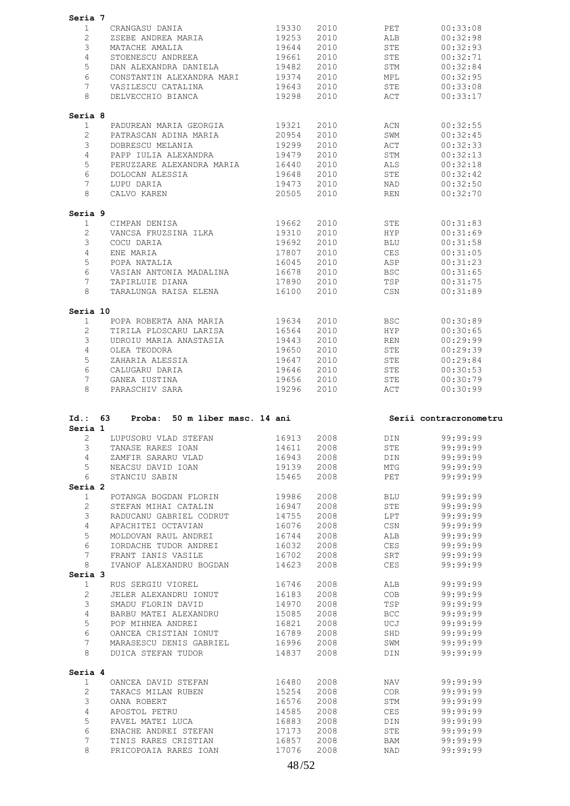| Seria 7                            |                                                |                |              |                   |                                                                                                                                                                                                                                                                                                                                              |
|------------------------------------|------------------------------------------------|----------------|--------------|-------------------|----------------------------------------------------------------------------------------------------------------------------------------------------------------------------------------------------------------------------------------------------------------------------------------------------------------------------------------------|
| $\mathbf{1}$                       | CRANGASU DANIA 19330                           |                | 2010 2010    | PET               | 00:33:08                                                                                                                                                                                                                                                                                                                                     |
| $\overline{2}$                     | ZSEBE ANDREA MARIA 19253                       |                | 2010         | ALB               | 00:32:98                                                                                                                                                                                                                                                                                                                                     |
| 3                                  | MATACHE AMALIA                                 | 19644          | 2010         | STE               | 00:32:93                                                                                                                                                                                                                                                                                                                                     |
|                                    |                                                |                |              |                   |                                                                                                                                                                                                                                                                                                                                              |
| $\overline{4}$                     | STOENESCU ANDREEA                              | 19661          | 2010         | STE               | 00:32:71                                                                                                                                                                                                                                                                                                                                     |
| 5                                  | DAN ALEXANDRA DANIELA 19482                    |                | 2010         | STM               | 00:32:84                                                                                                                                                                                                                                                                                                                                     |
| 6                                  | CONSTANTIN ALEXANDRA MARI 19374                |                | 2010         | MPL               | 00:32:95                                                                                                                                                                                                                                                                                                                                     |
| $7\overline{ }$                    | VASILESCU CATALINA                             | 19643          | 2010         | STE               | 00:33:08                                                                                                                                                                                                                                                                                                                                     |
| 8                                  | DELVECCHIO BIANCA 19298                        |                | 2010         | ACT               | 00:33:17                                                                                                                                                                                                                                                                                                                                     |
| Seria 8                            |                                                |                |              |                   |                                                                                                                                                                                                                                                                                                                                              |
| $\mathbf{1}$                       | PADUREAN MARIA GEORGIA 19321                   |                | 2010 70      | ACN               | 00:32:55                                                                                                                                                                                                                                                                                                                                     |
| $\overline{2}$                     | PATRASCAN ADINA MARIA 20954                    |                | 2010         | SWM               | 00:32:45                                                                                                                                                                                                                                                                                                                                     |
| 3                                  | DOBRESCU MELANIA                               | 19299          | 2010         | ACT               | 00:32:33                                                                                                                                                                                                                                                                                                                                     |
| $\overline{4}$                     | PAPP IULIA ALEXANDRA 19479                     |                | 2010         | STM               | 00:32:13                                                                                                                                                                                                                                                                                                                                     |
| 5                                  | PERUZZARE ALEXANDRA MARIA 16440                |                | 2010         | ALS               | 00:32:18                                                                                                                                                                                                                                                                                                                                     |
| 6                                  |                                                | 19648          | 2010         | STE               | 00:32:42                                                                                                                                                                                                                                                                                                                                     |
| $7^{\circ}$                        | DOLOCAN ALESSIA<br>LUPU DARIA                  | 19473          |              |                   |                                                                                                                                                                                                                                                                                                                                              |
|                                    |                                                |                | 2010         | NAD               | 00:32:50                                                                                                                                                                                                                                                                                                                                     |
| 8                                  | CALVO KAREN                                    | 20505          | 2010         | <b>REN</b>        | 00:32:70                                                                                                                                                                                                                                                                                                                                     |
| Seria 9                            |                                                |                |              |                   |                                                                                                                                                                                                                                                                                                                                              |
| $\mathbf{1}$                       | CIMPAN DENISA                                  | 19662          | 2010 70      | STE               | 00:31:83                                                                                                                                                                                                                                                                                                                                     |
| $\overline{2}$                     | VANCSA FRUZSINA ILKA 19310                     |                | 2010         | <b>HYP</b>        | 00:31:69                                                                                                                                                                                                                                                                                                                                     |
| 3                                  | COCU DARIA                                     | 19692          | 2010         | <b>BLU</b>        | 00:31:58                                                                                                                                                                                                                                                                                                                                     |
| $\overline{4}$                     | ENE MARIA                                      | 17807          | 2010         | CES               | 00:31:05                                                                                                                                                                                                                                                                                                                                     |
| 5                                  | POPA NATALIA                                   | 16045          | 2010         | ASP               | 00:31:23                                                                                                                                                                                                                                                                                                                                     |
| 6                                  | VASIAN ANTONIA MADALINA                        | 16678          | 2010         | BSC               | 00:31:65                                                                                                                                                                                                                                                                                                                                     |
| $7\overline{ }$                    | TAPIRLUIE DIANA                                |                |              | TSP               |                                                                                                                                                                                                                                                                                                                                              |
|                                    |                                                | 17890          | 2010         |                   | 00:31:75                                                                                                                                                                                                                                                                                                                                     |
| 8                                  | TARALUNGA RAISA ELENA 16100                    |                | 2010         | CSN               | 00:31:89                                                                                                                                                                                                                                                                                                                                     |
| Seria 10                           |                                                |                |              |                   |                                                                                                                                                                                                                                                                                                                                              |
| $\mathbf{1}$                       | POPA ROBERTA ANA MARIA 19634                   |                | 2010 000     | <b>BSC</b>        | 00:30:89                                                                                                                                                                                                                                                                                                                                     |
| $\overline{2}$                     | TIRILA PLOSCARU LARISA 16564                   |                | 2010         | <b>HYP</b>        | 00:30:65                                                                                                                                                                                                                                                                                                                                     |
| 3                                  | UDROIU MARIA ANASTASIA                         | 19443          | 2010         | REN               | 00:29:99                                                                                                                                                                                                                                                                                                                                     |
| $\overline{4}$                     | OLEA TEODORA                                   | 19650          | 2010         | STE               | 00:29:39                                                                                                                                                                                                                                                                                                                                     |
| 5                                  |                                                |                | 2010         | STE               | 00:29:84                                                                                                                                                                                                                                                                                                                                     |
|                                    |                                                |                |              |                   |                                                                                                                                                                                                                                                                                                                                              |
|                                    | ZAHARIA ALESSIA 19647                          |                |              |                   |                                                                                                                                                                                                                                                                                                                                              |
| 6                                  | CALUGARU DARIA                                 | 19646          | 2010         | STE               |                                                                                                                                                                                                                                                                                                                                              |
| $7\overline{ }$<br>8               | GANEA IUSTINA<br>PARASCHIV SARA                | 19656<br>19296 | 2010<br>2010 | STE<br><b>ACT</b> | 00:30:53<br>00:30:79<br>00:30:99                                                                                                                                                                                                                                                                                                             |
|                                    |                                                |                |              |                   |                                                                                                                                                                                                                                                                                                                                              |
|                                    | Id.: 63 Proba: 50 m liber masc. 14 ani         |                |              |                   | Serii contracronometru                                                                                                                                                                                                                                                                                                                       |
| Seria 1                            | 2 LUPUSORU VLAD STEFAN 16913 2008 DIN 99:99:99 |                |              |                   |                                                                                                                                                                                                                                                                                                                                              |
| 3                                  | TANASE RARES IOAN                              | 14611          | 2008         | STE               |                                                                                                                                                                                                                                                                                                                                              |
| $4\phantom{0}$                     | ZAMFIR SARARU VLAD                             | 16943          | 2008         | DIN               |                                                                                                                                                                                                                                                                                                                                              |
| 5 <sup>5</sup>                     | NEACSU DAVID IOAN                              | 19139          | 2008         | MTG               |                                                                                                                                                                                                                                                                                                                                              |
| 6                                  | STANCIU SABIN                                  | 15465          | 2008         | PET               |                                                                                                                                                                                                                                                                                                                                              |
|                                    |                                                |                |              |                   |                                                                                                                                                                                                                                                                                                                                              |
| $\mathbf{1}$                       |                                                | 19986          | 2008         | BLU               |                                                                                                                                                                                                                                                                                                                                              |
|                                    | POTANGA BOGDAN FLORIN                          |                |              |                   |                                                                                                                                                                                                                                                                                                                                              |
| $\overline{2}$                     | STEFAN MIHAI CATALIN                           | 16947          | 2008         | STE               |                                                                                                                                                                                                                                                                                                                                              |
| 3                                  | RADUCANU GABRIEL CODRUT 14755                  |                | 2008         | LPT               |                                                                                                                                                                                                                                                                                                                                              |
| $\overline{4}$                     | APACHITEI OCTAVIAN                             | 16076          | 2008         | CSN               |                                                                                                                                                                                                                                                                                                                                              |
| 5                                  | MOLDOVAN RAUL ANDREI                           | 16744          | 2008         | ALB               |                                                                                                                                                                                                                                                                                                                                              |
| 6                                  | IORDACHE TUDOR ANDREI                          | 16032          | 2008         | CES               |                                                                                                                                                                                                                                                                                                                                              |
| $7^{\circ}$                        | FRANT IANIS VASILE                             | 16702          | 2008         | SRT               |                                                                                                                                                                                                                                                                                                                                              |
| 8                                  | IVANOF ALEXANDRU BOGDAN                        | 14623          | 2008         | CES               |                                                                                                                                                                                                                                                                                                                                              |
| Seria 2<br>Seria 3<br>$\mathbf{1}$ | RUS SERGIU VIOREL                              | 16746          | 2008         | ALB               |                                                                                                                                                                                                                                                                                                                                              |
|                                    |                                                |                |              |                   |                                                                                                                                                                                                                                                                                                                                              |
| $\mathbf{2}$                       | JELER ALEXANDRU IONUT                          | 16183          | 2008         | COB               |                                                                                                                                                                                                                                                                                                                                              |
| 3                                  | SMADU FLORIN DAVID                             | 14970          | 2008         | TSP               |                                                                                                                                                                                                                                                                                                                                              |
| 4                                  | BARBU MATEI ALEXANDRU 15085                    |                | 2008         | BCC               |                                                                                                                                                                                                                                                                                                                                              |
| 5                                  | POP MIHNEA ANDREI                              | 16821          | 2008         | UCJ               |                                                                                                                                                                                                                                                                                                                                              |
| 6                                  | OANCEA CRISTIAN IONUT                          | 16789          | 2008         | SHD               |                                                                                                                                                                                                                                                                                                                                              |
| $7\overline{ }$                    | MARASESCU DENIS GABRIEL 16996                  |                | 2008         | SWM               |                                                                                                                                                                                                                                                                                                                                              |
| 8                                  | DUICA STEFAN TUDOR                             | 14837          | 2008         | DIN               |                                                                                                                                                                                                                                                                                                                                              |
|                                    |                                                |                |              |                   |                                                                                                                                                                                                                                                                                                                                              |
| $\mathbf{1}$                       |                                                |                | 2008         | NAV               |                                                                                                                                                                                                                                                                                                                                              |
|                                    | OANCEA DAVID STEFAN 16480                      |                |              |                   |                                                                                                                                                                                                                                                                                                                                              |
| Seria 4<br>$\overline{2}$          | TAKACS MILAN RUBEN                             | 15254          | 2008         | COR               |                                                                                                                                                                                                                                                                                                                                              |
| 3                                  | OANA ROBERT                                    | 16576          | 2008         | STM               |                                                                                                                                                                                                                                                                                                                                              |
| 4                                  | APOSTOL PETRU                                  | 14585          | 2008         | CES               |                                                                                                                                                                                                                                                                                                                                              |
| 5                                  | PAVEL MATEI LUCA                               | 16883          | 2008         | DIN               |                                                                                                                                                                                                                                                                                                                                              |
| 6                                  | ENACHE ANDREI STEFAN                           | 17173          | 2008         | STE               |                                                                                                                                                                                                                                                                                                                                              |
| 7                                  | TINIS RARES CRISTIAN                           | 16857          | 2008<br>2008 | BAM               | 99:99:99<br>99:99:99<br>99:99:99<br>99:99:99<br>99:99:99<br>99:99:99<br>99:99:99<br>99:99:99<br>99:99:99<br>99:99:99<br>99:99:99<br>99:99:99<br>99:99:99<br>99:99:99<br>99:99:99<br>99:99:99<br>99:99:99<br>99:99:99<br>99:99:99<br>99:99:99<br>99:99:99<br>99:99:99<br>99:99:99<br>99:99:99<br>99:99:99<br>99:99:99<br>99:99:99<br>99:99:99 |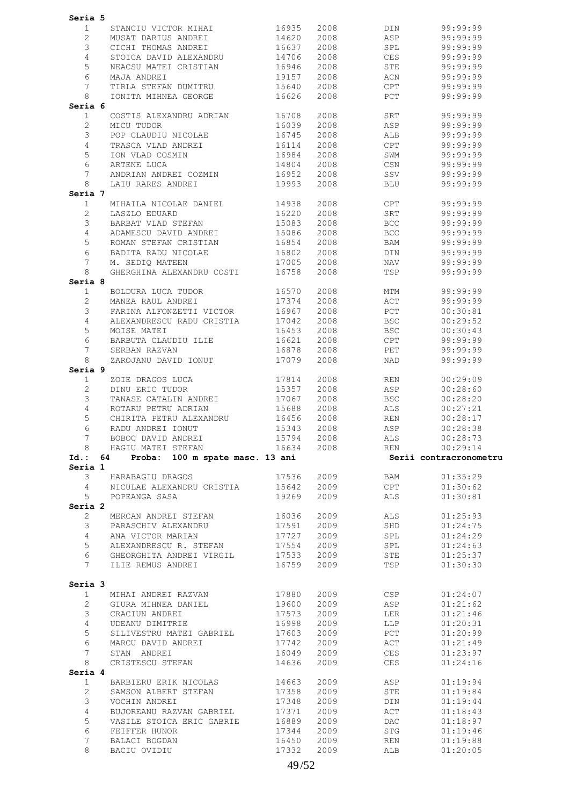|                                    | Seria 5                               |                |              |            |                        |
|------------------------------------|---------------------------------------|----------------|--------------|------------|------------------------|
| 1                                  | STANCIU VICTOR MIHAI                  | 16935          | 2008         | DIN        | 99:99:99               |
| $\overline{2}$                     | MUSAT DARIUS ANDREI                   | 14620          | 2008         | ASP        | 99:99:99               |
| 3                                  | CICHI THOMAS ANDREI                   | 16637          | 2008         | SPL        | 99:99:99               |
| 4                                  | STOICA DAVID ALEXANDRU                | 14706          | 2008         | <b>CES</b> | 99:99:99               |
|                                    |                                       |                |              |            |                        |
| 5                                  | NEACSU MATEI CRISTIAN                 | 16946          | 2008         | STE        | 99:99:99               |
| 6                                  | MAJA ANDREI                           | 19157          | 2008         | ACN        | 99:99:99               |
| 7                                  | TIRLA STEFAN DUMITRU                  | 15640          | 2008         | CPT        | 99:99:99               |
| 8                                  | IONITA MIHNEA GEORGE                  | 16626          | 2008         | PCT        | 99:99:99               |
| Seria 6                            |                                       |                |              |            |                        |
| $\mathbf{1}$                       | COSTIS ALEXANDRU ADRIAN               | 16708          | 2008         | SRT        | 99:99:99               |
| $\overline{2}$                     | MICU TUDOR                            | 16039          | 2008         | ASP        | 99:99:99               |
| 3                                  | POP CLAUDIU NICOLAE                   | 16745          | 2008         | ALB        | 99:99:99               |
| 4                                  | TRASCA VLAD ANDREI                    | 16114          | 2008         | CPT        | 99:99:99               |
| 5                                  | ION VLAD COSMIN                       | 16984          | 2008         | SWM        | 99:99:99               |
| 6                                  | ARTENE LUCA                           | 14804          | 2008         | CSN        | 99:99:99               |
|                                    |                                       |                |              |            |                        |
| 7                                  | ANDRIAN ANDREI COZMIN                 | 16952          | 2008         | SSV        | 99:99:99               |
| 8                                  | LAIU RARES ANDREI                     | 19993          | 2008         | <b>BLU</b> | 99:99:99               |
| Seria 7                            |                                       |                |              |            |                        |
| $\mathbf{1}$                       | MIHAILA NICOLAE DANIEL                | 14938          | 2008         | CPT        | 99:99:99               |
| 2                                  | LASZLO EDUARD                         | 16220          | 2008         | SRT        | 99:99:99               |
| 3                                  | BARBAT VLAD STEFAN                    | 15083          | 2008         | <b>BCC</b> | 99:99:99               |
| $\overline{4}$                     | ADAMESCU DAVID ANDREI                 | 15086          | 2008         | <b>BCC</b> | 99:99:99               |
| 5                                  | ROMAN STEFAN CRISTIAN                 | 16854          | 2008         | BAM        | 99:99:99               |
| 6                                  | BADITA RADU NICOLAE                   | 16802          | 2008         | DIN        | 99:99:99               |
| 7                                  | M. SEDIO MATEEN                       |                | 2008         |            |                        |
|                                    |                                       | 17005          |              | NAV        | 99:99:99               |
| 8                                  | GHERGHINA ALEXANDRU COSTI             | 16758          | 2008         | TSP        | 99:99:99               |
| Seria 8                            |                                       |                |              |            |                        |
| $\mathbf{1}$                       | BOLDURA LUCA TUDOR                    | 16570          | 2008         | MTM        | 99:99:99               |
| $\mathbf{2}$                       | MANEA RAUL ANDREI                     | 17374          | 2008         | ACT        | 99:99:99               |
| 3                                  | FARINA ALFONZETTI VICTOR              | 16967          | 2008         | PCT        | 00:30:81               |
| 4                                  | ALEXANDRESCU RADU CRISTIA             | 17042          | 2008         | <b>BSC</b> | 00:29:52               |
| 5                                  | MOISE MATEI                           | 16453          | 2008         | <b>BSC</b> | 00:30:43               |
| 6                                  | BARBUTA CLAUDIU ILIE                  | 16621          | 2008         | CPT        | 99:99:99               |
| 7                                  | SERBAN RAZVAN                         | 16878          | 2008         | PET        | 99:99:99               |
| 8                                  | ZAROJANU DAVID IONUT                  | 17079          | 2008         | NAD        | 99:99:99               |
|                                    |                                       |                |              |            |                        |
| Seria 9                            |                                       |                |              |            |                        |
| $\mathbf{1}$                       | ZOIE DRAGOS LUCA                      | 17814          | 2008         | REN        | 00:29:09               |
| $\overline{c}$                     | DINU ERIC TUDOR                       | 15357          | 2008         | ASP        | 00:28:60               |
|                                    |                                       |                |              |            |                        |
| 3                                  | TANASE CATALIN ANDREI                 | 17067          | 2008         | <b>BSC</b> | 00:28:20               |
| 4                                  | ROTARU PETRU ADRIAN                   | 15688          | 2008         | ALS        | 00:27:21               |
| 5                                  | CHIRITA PETRU ALEXANDRU               | 16456          | 2008         | <b>REN</b> | 00:28:17               |
| 6                                  | RADU ANDREI IONUT                     | 15343          | 2008         | ASP        | 00:28:38               |
| 7                                  | BOBOC DAVID ANDREI                    | 15794          | 2008         | ALS        | 00:28:73               |
|                                    |                                       |                |              |            |                        |
| 8                                  | HAGIU MATEI STEFAN                    | 16634          | 2008         | REN        | 00:29:14               |
|                                    | Proba: 100 m spate masc. 13 ani<br>64 |                |              |            | Serii contracronometru |
|                                    |                                       |                |              |            |                        |
| 3                                  | HARABAGIU DRAGOS                      | 17536          | 2009         | BAM        | 01:35:29               |
| $\overline{4}$                     | NICULAE ALEXANDRU CRISTIA             | 15642          | 2009         | CPT        | 01:30:62               |
| 5                                  | POPEANGA SASA                         | 19269          | 2009         | ALS        | 01:30:81               |
|                                    |                                       |                |              |            |                        |
| $\mathbf{2}$                       | MERCAN ANDREI STEFAN                  | 16036          | 2009         | ALS        | 01:25:93               |
| $Id.$ :<br>Seria 1<br>Seria 2<br>3 | PARASCHIV ALEXANDRU                   | 17591          | 2009         | SHD        | 01:24:75               |
| $\overline{4}$                     | ANA VICTOR MARIAN                     | 17727          | 2009         | SPL        | 01:24:29               |
| 5                                  | ALEXANDRESCU R. STEFAN                | 17554          | 2009         | SPL        | 01:24:63               |
|                                    |                                       |                |              |            |                        |
| 6                                  | GHEORGHITA ANDREI VIRGIL              | 17533          | 2009         | STE        | 01:25:37               |
| $7\overline{ }$                    | ILIE REMUS ANDREI                     | 16759          | 2009         | TSP        | 01:30:30               |
|                                    |                                       |                |              |            |                        |
|                                    |                                       |                |              |            |                        |
| Seria 3<br>$\mathbf{1}$            | MIHAI ANDREI RAZVAN                   | 17880          | 2009         | CSP        | 01:24:07               |
| $\overline{2}$                     | GIURA MIHNEA DANIEL                   | 19600          | 2009         | ASP        | 01:21:62               |
| 3                                  | CRACIUN ANDREI                        | 17573          | 2009         | LER        | 01:21:46               |
| $\overline{4}$                     | UDEANU DIMITRIE                       | 16998          | 2009         | LLP        | 01:20:31               |
| 5                                  | SILIVESTRU MATEI GABRIEL              | 17603          | 2009         |            |                        |
|                                    |                                       |                |              | PCT        | 01:20:99               |
| 6                                  | MARCU DAVID ANDREI                    | 17742          | 2009         | ACT        | 01:21:49               |
| $7\phantom{.0}$                    | STAN ANDREI                           | 16049          | 2009         | CES        | 01:23:97               |
| 8                                  | CRISTESCU STEFAN                      | 14636          | 2009         | CES        | 01:24:16               |
| Seria 4                            |                                       |                |              |            |                        |
| 1                                  | BARBIERU ERIK NICOLAS                 | 14663          | 2009         | ASP        | 01:19:94               |
| $\overline{2}$                     | SAMSON ALBERT STEFAN                  | 17358          | 2009         | STE        | 01:19:84               |
| 3                                  | VOCHIN ANDREI                         | 17348          | 2009         | DIN        | 01:19:44               |
| 4                                  | BUJOREANU RAZVAN GABRIEL              | 17371          | 2009         | ACT        | 01:18:43               |
|                                    |                                       |                |              |            |                        |
| 5                                  | VASILE STOICA ERIC GABRIE             | 16889          | 2009         | DAC        | 01:18:97               |
| 6                                  | FEIFFER HUNOR                         | 17344          | 2009         | STG        | 01:19:46               |
| 7<br>8                             | BALACI BOGDAN<br>BACIU OVIDIU         | 16450<br>17332 | 2009<br>2009 | REN<br>ALB | 01:19:88<br>01:20:05   |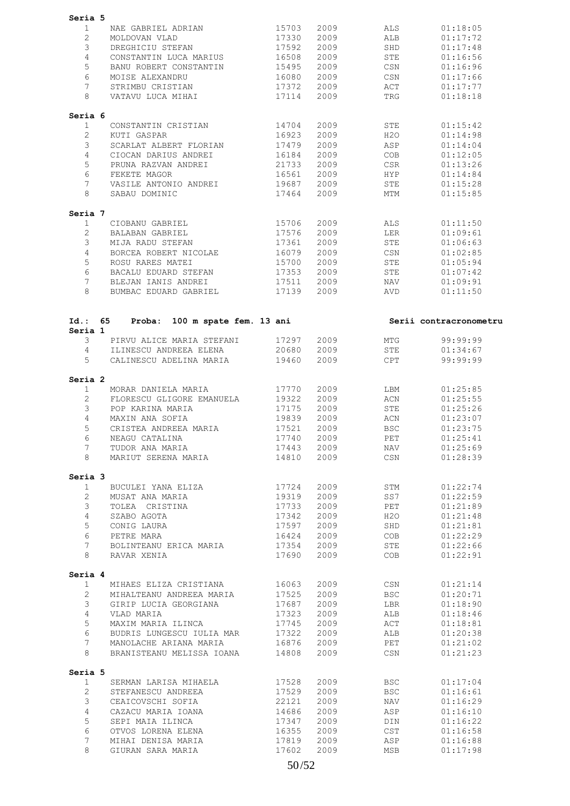| Seria 5                 |    |                                   |       |      |                  |                        |
|-------------------------|----|-----------------------------------|-------|------|------------------|------------------------|
| $\mathbf{1}$            |    | NAE GABRIEL ADRIAN                | 15703 | 2009 | ALS              | 01:18:05               |
| $\overline{2}$          |    |                                   |       |      |                  |                        |
|                         |    | MOLDOVAN VLAD                     | 17330 | 2009 | ALB              | 01:17:72               |
| 3                       |    | DREGHICIU STEFAN                  | 17592 | 2009 | SHD              | 01:17:48               |
| 4                       |    | CONSTANTIN LUCA MARIUS            | 16508 | 2009 | ${\tt STE}$      | 01:16:56               |
| 5                       |    | BANU ROBERT CONSTANTIN            | 15495 | 2009 | CSN              | 01:16:96               |
| 6                       |    | MOISE ALEXANDRU                   | 16080 | 2009 | CSN              | 01:17:66               |
| 7                       |    | STRIMBU CRISTIAN                  | 17372 | 2009 | ACT              | 01:17:77               |
| 8                       |    | VATAVU LUCA MIHAI                 | 17114 | 2009 | TRG              | 01:18:18               |
| Seria 6                 |    |                                   |       |      |                  |                        |
| $\mathbf{1}$            |    | CONSTANTIN CRISTIAN               | 14704 | 2009 | STE              | 01:15:42               |
| $\overline{2}$          |    | KUTI GASPAR                       | 16923 | 2009 | H2O              | 01:14:98               |
| 3                       |    | SCARLAT ALBERT FLORIAN            | 17479 | 2009 | ASP              | 01:14:04               |
| $\overline{4}$          |    | CIOCAN DARIUS ANDREI              | 16184 | 2009 | COB              | 01:12:05               |
| 5                       |    | PRUNA RAZVAN ANDREI               | 21733 | 2009 | CSR              | 01:13:26               |
| 6                       |    | FEKETE MAGOR                      | 16561 | 2009 | HYP              | 01:14:84               |
| 7                       |    | VASILE ANTONIO ANDREI             | 19687 | 2009 | ${\tt STE}$      | 01:15:28               |
| 8                       |    | SABAU DOMINIC                     | 17464 | 2009 | MTM              | 01:15:85               |
| Seria 7                 |    |                                   |       |      |                  |                        |
| $\mathbf{1}$            |    | CIOBANU GABRIEL                   | 15706 | 2009 | ALS              | 01:11:50               |
| $\overline{2}$          |    | BALABAN GABRIEL                   | 17576 | 2009 | LER              | 01:09:61               |
| 3                       |    | MIJA RADU STEFAN                  | 17361 | 2009 | STE              | 01:06:63               |
| 4                       |    |                                   |       |      |                  |                        |
|                         |    | BORCEA ROBERT NICOLAE             | 16079 | 2009 | CSN              | 01:02:85               |
| 5                       |    | ROSU RARES MATEI                  | 15700 | 2009 | STE              | 01:05:94               |
| 6                       |    | BACALU EDUARD STEFAN              | 17353 | 2009 | STE              | 01:07:42               |
| 7                       |    | BLEJAN IANIS ANDREI               | 17511 | 2009 | NAV              | 01:09:91               |
| 8                       |    | BUMBAC EDUARD GABRIEL             | 17139 | 2009 | AVD              | 01:11:50               |
|                         |    |                                   |       |      |                  |                        |
| $Id.$ :<br>Seria 1      | 65 | 100 m spate fem. 13 ani<br>Proba: |       |      |                  | Serii contracronometru |
| 3                       |    | PIRVU ALICE MARIA STEFANI         | 17297 | 2009 | MTG              | 99:99:99               |
| $\overline{4}$          |    | ILINESCU ANDREEA ELENA            | 20680 | 2009 | STE              | 01:34:67               |
| 5                       |    | CALINESCU ADELINA MARIA           | 19460 | 2009 | CPT              | 99:99:99               |
|                         |    |                                   |       |      |                  |                        |
| Seria 2<br>1            |    | MORAR DANIELA MARIA               | 17770 | 2009 | LBM              | 01:25:85               |
|                         |    |                                   |       |      |                  |                        |
| $\overline{2}$          |    | FLORESCU GLIGORE EMANUELA         | 19322 | 2009 | ACN              | 01:25:55               |
| 3                       |    | POP KARINA MARIA                  | 17175 | 2009 | STE              | 01:25:26               |
| 4                       |    | MAXIN ANA SOFIA                   | 19839 | 2009 | ACN              | 01:23:07               |
| 5                       |    | CRISTEA ANDREEA MARIA             | 17521 | 2009 | <b>BSC</b>       | 01:23:75               |
| 6                       |    | NEAGU CATALINA                    | 17740 | 2009 | PET              | 01:25:41               |
| 7                       |    | TUDOR ANA MARIA                   | 17443 | 2009 | NAV              | 01:25:69               |
| 8                       |    | MARIUT SERENA MARIA               | 14810 | 2009 | $\mathbb{CSN}{}$ | 01:28:39               |
| Seria 3                 |    |                                   |       |      |                  |                        |
| $\mathbf{1}$            |    | BUCULEI YANA ELIZA                | 17724 | 2009 | STM              | 01:22:74               |
| $\overline{2}$          |    | MUSAT ANA MARIA                   | 19319 | 2009 | SS7              | 01:22:59               |
| 3                       |    | TOLEA CRISTINA                    | 17733 | 2009 | PET              | 01:21:89               |
| $\overline{4}$          |    | SZABO AGOTA                       | 17342 | 2009 | H2O              | 01:21:48               |
| 5                       |    | CONIG LAURA                       | 17597 | 2009 | SHD              | 01:21:81               |
| 6                       |    | PETRE MARA                        | 16424 | 2009 | COB              | 01:22:29               |
| $7\overline{ }$         |    | BOLINTEANU ERICA MARIA            | 17354 | 2009 | STE              | 01:22:66               |
| 8                       |    | RAVAR XENIA                       | 17690 | 2009 | COB              | 01:22:91               |
|                         |    |                                   |       |      |                  |                        |
| Seria 4<br>$\mathbf{1}$ |    | MIHAES ELIZA CRISTIANA            | 16063 | 2009 | CSN              | 01:21:14               |
| $\overline{2}$          |    | MIHALTEANU ANDREEA MARIA          | 17525 | 2009 | <b>BSC</b>       | 01:20:71               |
| 3                       |    | GIRIP LUCIA GEORGIANA             | 17687 | 2009 | LBR              | 01:18:90               |
| $\overline{4}$          |    |                                   |       |      |                  |                        |
|                         |    | VLAD MARIA                        | 17323 | 2009 | ALB              | 01:18:46               |
| 5                       |    | MAXIM MARIA ILINCA                | 17745 | 2009 | ACT              | 01:18:81               |
| 6                       |    | BUDRIS LUNGESCU IULIA MAR         | 17322 | 2009 | ALB              | 01:20:38               |
| $7\phantom{.0}$         |    | MANOLACHE ARIANA MARIA            | 16876 | 2009 | PET              | 01:21:02               |
| 8                       |    | BRANISTEANU MELISSA IOANA         | 14808 | 2009 | CSN              | 01:21:23               |
| Seria 5                 |    |                                   |       |      |                  |                        |
| $\mathbf{1}$            |    | SERMAN LARISA MIHAELA             | 17528 | 2009 | BSC              | 01:17:04               |
| $\overline{2}$          |    | STEFANESCU ANDREEA                | 17529 | 2009 | <b>BSC</b>       | 01:16:61               |
| 3                       |    | CEAICOVSCHI SOFIA                 | 22121 | 2009 | NAV              | 01:16:29               |
| $\overline{4}$          |    | CAZACU MARIA IOANA                | 14686 | 2009 | ASP              | 01:16:10               |
| 5                       |    | SEPI MAIA ILINCA                  | 17347 | 2009 | DIN              | 01:16:22               |
| 6                       |    | OTVOS LORENA ELENA                | 16355 | 2009 | <b>CST</b>       | 01:16:58               |
| 7                       |    | MIHAI DENISA MARIA                | 17819 | 2009 | ASP              | 01:16:88               |
|                         |    |                                   |       |      |                  |                        |
| 8                       |    | GIURAN SARA MARIA                 | 17602 | 2009 | MSB              | 01:17:98               |
|                         |    |                                   |       |      |                  |                        |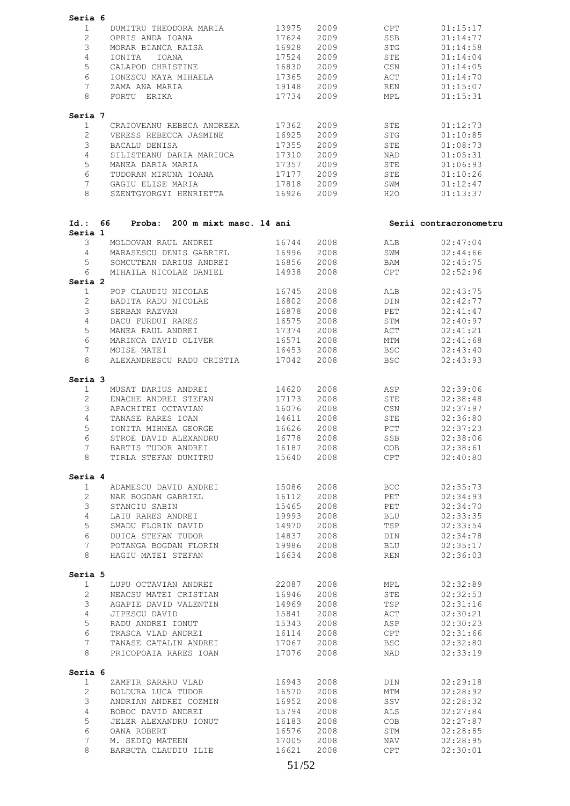| Seria 6                 |                                                   |                |              |                          |                        |  |
|-------------------------|---------------------------------------------------|----------------|--------------|--------------------------|------------------------|--|
| $\mathbf{1}$            | DUMITRU THEODORA MARIA                            | 13975          | 2009         | CPT                      | 01:15:17               |  |
| $\overline{2}$          | OPRIS ANDA IOANA                                  | 17624          | 2009         | SSB                      | 01:14:77               |  |
| 3                       | MORAR BIANCA RAISA                                | 16928          | 2009         | <b>STG</b>               | 01:14:58               |  |
| 4                       | IONITA<br>IOANA                                   | 17524          | 2009         | STE                      | 01:14:04               |  |
| 5                       | CALAPOD CHRISTINE                                 | 16830          | 2009         | CSN                      | 01:14:05               |  |
| 6                       | IONESCU MAYA MIHAELA                              | 17365          | 2009         | ACT                      | 01:14:70               |  |
| 7                       | ZAMA ANA MARIA                                    | 19148          | 2009         | <b>REN</b>               | 01:15:07               |  |
| 8                       | FORTU ERIKA                                       | 17734          | 2009         | MPL                      | 01:15:31               |  |
| Seria 7                 |                                                   |                |              |                          |                        |  |
| 1                       | CRAIOVEANU REBECA ANDREEA                         | 17362          | 2009         | STE                      | 01:12:73               |  |
| $\mathbf{2}^{\prime}$   | VERESS REBECCA JASMINE                            | 16925          | 2009         | STG                      | 01:10:85               |  |
| 3                       | BACALU DENISA                                     | 17355          | 2009         | STE                      | 01:08:73               |  |
| 4                       | SILISTEANU DARIA MARIUCA                          | 17310          | 2009         | NAD                      | 01:05:31               |  |
| 5                       | MANEA DARIA MARIA                                 | 17357          | 2009         | ${\tt STE}$              | 01:06:93               |  |
| 6                       | TUDORAN MIRUNA IOANA                              | 17177          | 2009         | STE                      | 01:10:26               |  |
| 7<br>8                  | GAGIU ELISE MARIA<br>SZENTGYORGYI HENRIETTA       | 17818<br>16926 | 2009<br>2009 | SWM<br>H2O               | 01:12:47<br>01:13:37   |  |
|                         |                                                   |                |              |                          |                        |  |
| Id.: 66<br>Seria 1      | Proba: 200 m mixt masc. 14 ani                    |                |              |                          | Serii contracronometru |  |
| 3                       | MOLDOVAN RAUL ANDREI                              | 16744          | 2008         | ALB                      | 02:47:04               |  |
| 4                       | MARASESCU DENIS GABRIEL                           | 16996          | 2008         | SWM                      | 02:44:66               |  |
| 5                       | SOMCUTEAN DARIUS ANDREI                           | 16856          | 2008         | BAM                      | 02:45:75               |  |
| 6                       | MIHAILA NICOLAE DANIEL                            | 14938          | 2008         | CPT                      | 02:52:96               |  |
| Seria 2                 |                                                   |                |              |                          |                        |  |
| $\mathbf{1}$            | POP CLAUDIU NICOLAE                               | 16745          | 2008         | ALB                      | 02:43:75               |  |
| 2                       | BADITA RADU NICOLAE                               | 16802          | 2008         | DIN                      | 02:42:77               |  |
| 3                       | SERBAN RAZVAN                                     | 16878          | 2008         | PET                      | 02:41:47               |  |
| 4                       | DACU FURDUI RARES                                 | 16575          | 2008         | STM                      | 02:40:97               |  |
| 5                       | MANEA RAUL ANDREI                                 | 17374          | 2008         | ACT                      | 02:41:21               |  |
| 6                       | MARINCA DAVID OLIVER                              | 16571          | 2008         | MTM                      | 02:41:68               |  |
| 7<br>8                  | MOISE MATEI<br>ALEXANDRESCU RADU CRISTIA          | 16453<br>17042 | 2008<br>2008 | <b>BSC</b><br><b>BSC</b> | 02:43:40<br>02:43:93   |  |
| Seria 3                 |                                                   |                |              |                          |                        |  |
| 1                       | MUSAT DARIUS ANDREI                               | 14620          | 2008         | ASP                      | 02:39:06               |  |
| $\overline{2}$          | ENACHE ANDREI STEFAN                              | 17173          | 2008         | STE                      | 02:38:48               |  |
| 3                       | APACHITEI OCTAVIAN                                | 16076          | 2008         | CSN                      | 02:37:97               |  |
| 4                       | TANASE RARES IOAN                                 | 14611          | 2008         | STE                      | 02:36:80               |  |
| 5                       | IONITA MIHNEA GEORGE                              | 16626          | 2008         | PCT                      | 02:37:23               |  |
| 6                       | STROE DAVID ALEXANDRU                             | 16778          | 2008         | SSB                      | 02:38:06               |  |
| $7^{\circ}$             | BARTIS TUDOR ANDREI 16187 2008                    |                |              | COB                      | 02:38:61               |  |
|                         | 8 TIRLA STEFAN DUMITRU                            | 15640 2008     |              | CPT                      | 02:40:80               |  |
| Seria 4                 |                                                   |                |              |                          |                        |  |
| 1                       | ADAMESCU DAVID ANDREI                             | 15086          | 2008         | BCC                      | 02:35:73               |  |
| $\overline{2}$          | NAE BOGDAN GABRIEL                                | 16112          | 2008         | PET                      | 02:34:93               |  |
| $\mathcal{S}$           | STANCIU SABIN                                     | 15465          | 2008         | PET                      | 02:34:70               |  |
| $\overline{4}$          | LAIU RARES ANDREI                                 | 19993          | 2008         | <b>BLU</b>               | 02:33:35               |  |
| 5                       | SMADU FLORIN DAVID                                | 14970          | 2008         | TSP                      | 02:33:54               |  |
| 6                       | DUICA STEFAN TUDOR                                | 14837          | 2008         | DIN                      | 02:34:78               |  |
| 7 <sup>7</sup><br>8     | POTANGA BOGDAN FLORIN 19986<br>HAGIU MATEI STEFAN | 16634          | 2008<br>2008 | <b>BLU</b><br>REN        | 02:35:17<br>02:36:03   |  |
|                         |                                                   |                |              |                          |                        |  |
| Seria 5<br>$\mathbf{1}$ | LUPU OCTAVIAN ANDREI                              | 22087          | 2008         | MPL                      | 02:32:89               |  |
| $\overline{2}$          | NEACSU MATEI CRISTIAN                             | 16946          | 2008         | STE                      | 02:32:53               |  |
| 3                       | AGAPIE DAVID VALENTIN                             | 14969          | 2008         | TSP                      | 02:31:16               |  |
| $4\overline{ }$         | JIPESCU DAVID                                     | 15841          | 2008         | ACT                      | 02:30:21               |  |
| 5                       | RADU ANDREI IONUT                                 | 15343          | 2008         | ASP                      | 02:30:23               |  |
| 6                       | TRASCA VLAD ANDREI                                | 16114          | 2008         | CPT                      | 02:31:66               |  |
| 7 <sup>7</sup>          | TANASE CATALIN ANDREI                             | 17067          | 2008         | BSC                      | 02:32:80               |  |
| 8                       | PRICOPOAIA RARES IOAN                             | 17076          | 2008         | NAD                      | 02:33:19               |  |
| Seria 6                 |                                                   |                |              |                          |                        |  |
| 1                       | ZAMFIR SARARU VLAD                                | 16943          | 2008         | DIN                      | 02:29:18               |  |
| $2^{\circ}$             | BOLDURA LUCA TUDOR                                | 16570          | 2008         | MTM                      | 02:28:92               |  |
| $\mathfrak{Z}$          | ANDRIAN ANDREI COZMIN 16952                       |                | 2008         | SSV                      | 02:28:32               |  |
| $\overline{4}$          | BOBOC DAVID ANDREI                                | 15794          | 2008         | ALS                      | 02:27:84               |  |
| 5                       | JELER ALEXANDRU IONUT                             | 16183          | 2008         | COB                      | 02:27:87               |  |
| 6                       | OANA ROBERT                                       | 16576          | 2008         | STM                      | 02:28:85               |  |
| $7\phantom{.}$          | M. SEDIQ MATEEN                                   | 17005          | 2008         | NAV                      | 02:28:95               |  |
| 8                       | BARBUTA CLAUDIU ILIE                              | 16621          | 2008         | CPT                      | 02:30:01               |  |
|                         |                                                   |                |              |                          |                        |  |